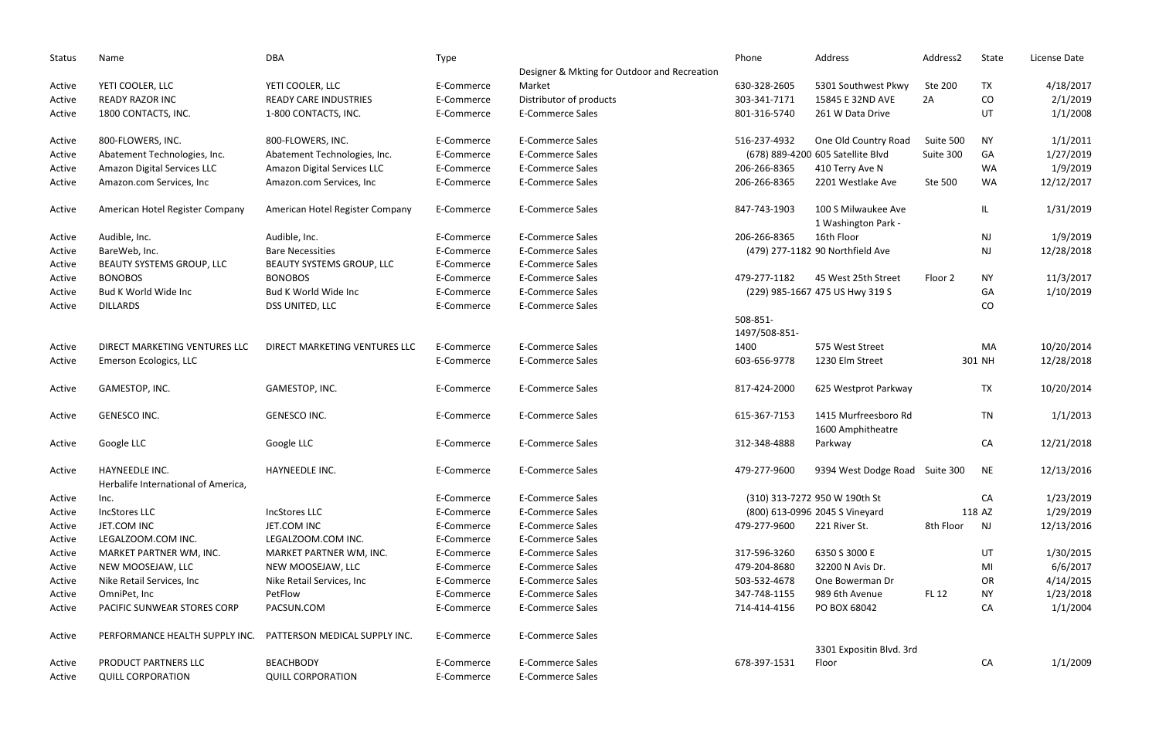| <b>Status</b> | Name                                                         | <b>DBA</b>                      | Type       |                                              | Phone                     | Address                                    | Address2     | State     | License Date |
|---------------|--------------------------------------------------------------|---------------------------------|------------|----------------------------------------------|---------------------------|--------------------------------------------|--------------|-----------|--------------|
|               |                                                              |                                 |            | Designer & Mkting for Outdoor and Recreation |                           |                                            |              |           |              |
| Active        | YETI COOLER, LLC                                             | YETI COOLER, LLC                | E-Commerce | Market                                       | 630-328-2605              | 5301 Southwest Pkwy                        | Ste 200      | <b>TX</b> | 4/18/2017    |
| Active        | <b>READY RAZOR INC</b>                                       | <b>READY CARE INDUSTRIES</b>    | E-Commerce | Distributor of products                      | 303-341-7171              | 15845 E 32ND AVE                           | 2A           | CO        | 2/1/2019     |
| Active        | 1800 CONTACTS, INC.                                          | 1-800 CONTACTS, INC.            | E-Commerce | <b>E-Commerce Sales</b>                      | 801-316-5740              | 261 W Data Drive                           |              | UT        | 1/1/2008     |
| Active        | 800-FLOWERS, INC.                                            | 800-FLOWERS, INC.               | E-Commerce | <b>E-Commerce Sales</b>                      | 516-237-4932              | One Old Country Road                       | Suite 500    | <b>NY</b> | 1/1/2011     |
| Active        | Abatement Technologies, Inc.                                 | Abatement Technologies, Inc.    | E-Commerce | <b>E-Commerce Sales</b>                      |                           | (678) 889-4200 605 Satellite Blvd          | Suite 300    | GA        | 1/27/2019    |
| Active        | Amazon Digital Services LLC                                  | Amazon Digital Services LLC     | E-Commerce | <b>E-Commerce Sales</b>                      | 206-266-8365              | 410 Terry Ave N                            |              | WA        | 1/9/2019     |
| Active        | Amazon.com Services, Inc                                     | Amazon.com Services, Inc        | E-Commerce | <b>E-Commerce Sales</b>                      | 206-266-8365              | 2201 Westlake Ave                          | Ste 500      | WA        | 12/12/2017   |
| Active        | American Hotel Register Company                              | American Hotel Register Company | E-Commerce | <b>E-Commerce Sales</b>                      | 847-743-1903              | 100 S Milwaukee Ave<br>1 Washington Park - |              | IL.       | 1/31/2019    |
| Active        | Audible, Inc.                                                | Audible, Inc.                   | E-Commerce | <b>E-Commerce Sales</b>                      | 206-266-8365              | 16th Floor                                 |              | <b>NJ</b> | 1/9/2019     |
| Active        | BareWeb, Inc.                                                | <b>Bare Necessities</b>         | E-Commerce | <b>E-Commerce Sales</b>                      |                           | (479) 277-1182 90 Northfield Ave           |              | NJ        | 12/28/2018   |
| Active        | BEAUTY SYSTEMS GROUP, LLC                                    | BEAUTY SYSTEMS GROUP, LLC       | E-Commerce | <b>E-Commerce Sales</b>                      |                           |                                            |              |           |              |
| Active        | <b>BONOBOS</b>                                               | <b>BONOBOS</b>                  | E-Commerce | <b>E-Commerce Sales</b>                      | 479-277-1182              | 45 West 25th Street                        | Floor 2      | <b>NY</b> | 11/3/2017    |
| Active        | Bud K World Wide Inc                                         | Bud K World Wide Inc            | E-Commerce | <b>E-Commerce Sales</b>                      |                           | (229) 985-1667 475 US Hwy 319 S            |              | GA        | 1/10/2019    |
| Active        | <b>DILLARDS</b>                                              | DSS UNITED, LLC                 | E-Commerce | <b>E-Commerce Sales</b>                      |                           |                                            |              | CO        |              |
|               |                                                              |                                 |            |                                              | 508-851-<br>1497/508-851- |                                            |              |           |              |
| Active        | DIRECT MARKETING VENTURES LLC                                | DIRECT MARKETING VENTURES LLC   | E-Commerce | <b>E-Commerce Sales</b>                      | 1400                      | 575 West Street                            |              | MA        | 10/20/2014   |
| Active        | Emerson Ecologics, LLC                                       |                                 | E-Commerce | <b>E-Commerce Sales</b>                      | 603-656-9778              | 1230 Elm Street                            |              | 301 NH    | 12/28/2018   |
| Active        | GAMESTOP, INC.                                               | GAMESTOP, INC.                  | E-Commerce | <b>E-Commerce Sales</b>                      | 817-424-2000              | 625 Westprot Parkway                       |              | <b>TX</b> | 10/20/2014   |
| Active        | GENESCO INC.                                                 | GENESCO INC.                    | E-Commerce | <b>E-Commerce Sales</b>                      | 615-367-7153              | 1415 Murfreesboro Rd<br>1600 Amphitheatre  |              | <b>TN</b> | 1/1/2013     |
| Active        | Google LLC                                                   | Google LLC                      | E-Commerce | <b>E-Commerce Sales</b>                      | 312-348-4888              | Parkway                                    |              | CA        | 12/21/2018   |
| Active        | <b>HAYNEEDLE INC.</b><br>Herbalife International of America, | HAYNEEDLE INC.                  | E-Commerce | E-Commerce Sales                             | 479-277-9600              | 9394 West Dodge Road Suite 300             |              | NE        | 12/13/2016   |
| Active        | Inc.                                                         |                                 | E-Commerce | <b>E-Commerce Sales</b>                      |                           | (310) 313-7272 950 W 190th St              |              | CA        | 1/23/2019    |
| Active        | IncStores LLC                                                | <b>IncStores LLC</b>            | E-Commerce | <b>E-Commerce Sales</b>                      |                           | (800) 613-0996 2045 S Vineyard             |              | 118 AZ    | 1/29/2019    |
| Active        | JET.COM INC                                                  | JET.COM INC                     | E-Commerce | <b>E-Commerce Sales</b>                      | 479-277-9600              | 221 River St.                              | 8th Floor    | NJ        | 12/13/2016   |
| Active        | LEGALZOOM.COM INC.                                           | LEGALZOOM.COM INC.              | E-Commerce | E-Commerce Sales                             |                           |                                            |              |           |              |
| Active        | MARKET PARTNER WM, INC.                                      | MARKET PARTNER WM, INC.         | E-Commerce | E-Commerce Sales                             | 317-596-3260              | 6350 S 3000 E                              |              | UT        | 1/30/2015    |
| Active        | NEW MOOSEJAW, LLC                                            | NEW MOOSEJAW, LLC               | E-Commerce | <b>E-Commerce Sales</b>                      | 479-204-8680              | 32200 N Avis Dr.                           |              | MI        | 6/6/2017     |
| Active        | Nike Retail Services, Inc                                    | Nike Retail Services, Inc       | E-Commerce | <b>E-Commerce Sales</b>                      | 503-532-4678              | One Bowerman Dr                            |              | OR        | 4/14/2015    |
| Active        | OmniPet, Inc                                                 | PetFlow                         | E-Commerce | E-Commerce Sales                             | 347-748-1155              | 989 6th Avenue                             | <b>FL 12</b> | <b>NY</b> | 1/23/2018    |
| Active        | PACIFIC SUNWEAR STORES CORP                                  | PACSUN.COM                      | E-Commerce | <b>E-Commerce Sales</b>                      | 714-414-4156              | PO BOX 68042                               |              | CA        | 1/1/2004     |
| Active        | PERFORMANCE HEALTH SUPPLY INC.                               | PATTERSON MEDICAL SUPPLY INC.   | E-Commerce | <b>E-Commerce Sales</b>                      |                           |                                            |              |           |              |
|               |                                                              |                                 |            |                                              |                           | 3301 Expositin Blvd. 3rd                   |              |           |              |
| Active        | PRODUCT PARTNERS LLC                                         | <b>BEACHBODY</b>                | E-Commerce | <b>E-Commerce Sales</b>                      | 678-397-1531              | Floor                                      |              | CA        | 1/1/2009     |
| Active        | <b>QUILL CORPORATION</b>                                     | <b>QUILL CORPORATION</b>        | E-Commerce | <b>E-Commerce Sales</b>                      |                           |                                            |              |           |              |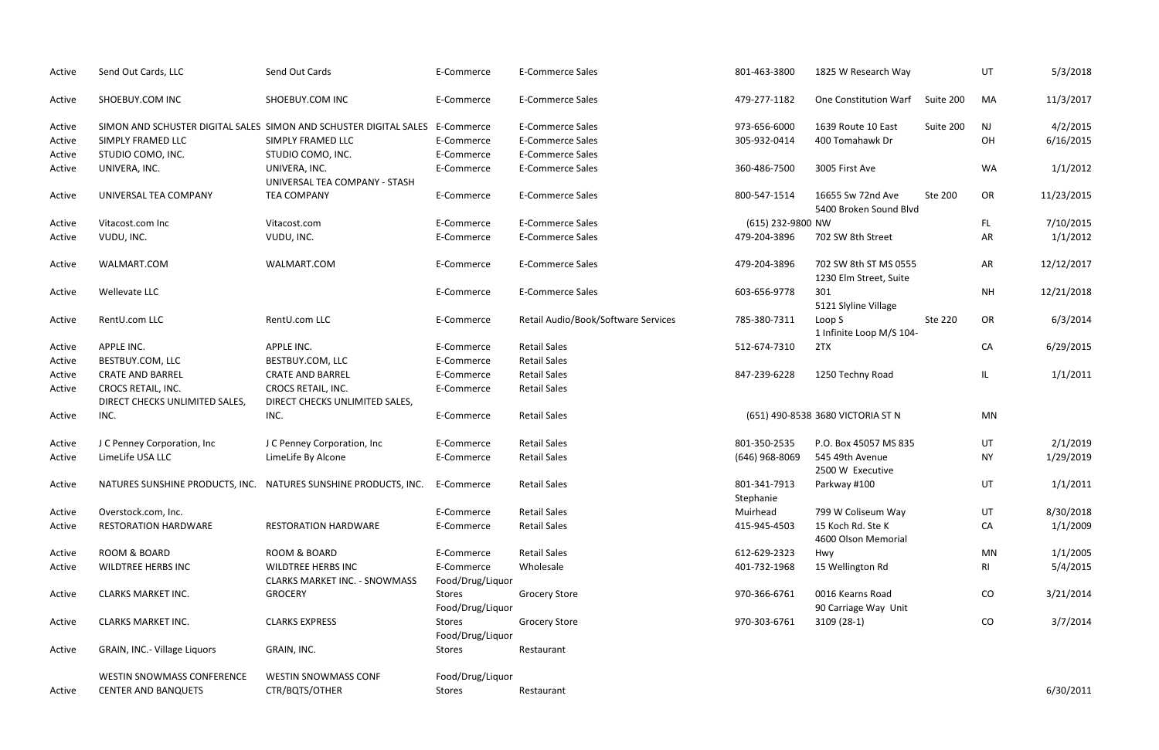| Active | Send Out Cards, LLC                                  | Send Out Cards                                                    | E-Commerce                     | <b>E-Commerce Sales</b>             | 801-463-3800              | 1825 W Research Way                             |           | UT        | 5/3/2018   |
|--------|------------------------------------------------------|-------------------------------------------------------------------|--------------------------------|-------------------------------------|---------------------------|-------------------------------------------------|-----------|-----------|------------|
| Active | SHOEBUY.COM INC                                      | SHOEBUY.COM INC                                                   | E-Commerce                     | <b>E-Commerce Sales</b>             | 479-277-1182              | One Constitution Warf                           | Suite 200 | MA        | 11/3/2017  |
| Active |                                                      | SIMON AND SCHUSTER DIGITAL SALES SIMON AND SCHUSTER DIGITAL SALES | E-Commerce                     | <b>E-Commerce Sales</b>             | 973-656-6000              | 1639 Route 10 East                              | Suite 200 | <b>NJ</b> | 4/2/2015   |
| Active | SIMPLY FRAMED LLC                                    | SIMPLY FRAMED LLC                                                 | E-Commerce                     | <b>E-Commerce Sales</b>             | 305-932-0414              | 400 Tomahawk Dr                                 |           | OH        | 6/16/2015  |
| Active | STUDIO COMO, INC.                                    | STUDIO COMO, INC.                                                 | E-Commerce                     | <b>E-Commerce Sales</b>             |                           |                                                 |           |           |            |
| Active | UNIVERA, INC.                                        | UNIVERA, INC.<br>UNIVERSAL TEA COMPANY - STASH                    | E-Commerce                     | <b>E-Commerce Sales</b>             | 360-486-7500              | 3005 First Ave                                  |           | WA        | 1/1/2012   |
| Active | UNIVERSAL TEA COMPANY                                | <b>TEA COMPANY</b>                                                | E-Commerce                     | <b>E-Commerce Sales</b>             | 800-547-1514              | 16655 Sw 72nd Ave<br>5400 Broken Sound Blvd     | Ste 200   | OR        | 11/23/2015 |
| Active | Vitacost.com Inc                                     | Vitacost.com                                                      | E-Commerce                     | <b>E-Commerce Sales</b>             | (615) 232-9800 NW         |                                                 |           | FL.       | 7/10/2015  |
| Active | VUDU, INC.                                           | VUDU, INC.                                                        | E-Commerce                     | <b>E-Commerce Sales</b>             | 479-204-3896              | 702 SW 8th Street                               |           | AR        | 1/1/2012   |
| Active | WALMART.COM                                          | WALMART.COM                                                       | E-Commerce                     | <b>E-Commerce Sales</b>             | 479-204-3896              | 702 SW 8th ST MS 0555<br>1230 Elm Street, Suite |           | AR        | 12/12/2017 |
| Active | Wellevate LLC                                        |                                                                   | E-Commerce                     | <b>E-Commerce Sales</b>             | 603-656-9778              | 301<br>5121 Slyline Village                     |           | <b>NH</b> | 12/21/2018 |
| Active | RentU.com LLC                                        | RentU.com LLC                                                     | E-Commerce                     | Retail Audio/Book/Software Services | 785-380-7311              | Loop S<br>1 Infinite Loop M/S 104-              | Ste 220   | OR        | 6/3/2014   |
| Active | APPLE INC.                                           | APPLE INC.                                                        | E-Commerce                     | <b>Retail Sales</b>                 | 512-674-7310              | 2TX                                             |           | CA        | 6/29/2015  |
| Active | BESTBUY.COM, LLC                                     | BESTBUY.COM, LLC                                                  | E-Commerce                     | <b>Retail Sales</b>                 |                           |                                                 |           |           |            |
| Active | <b>CRATE AND BARREL</b>                              | <b>CRATE AND BARREL</b>                                           | E-Commerce                     | <b>Retail Sales</b>                 | 847-239-6228              | 1250 Techny Road                                |           | IL.       | 1/1/2011   |
| Active | CROCS RETAIL, INC.<br>DIRECT CHECKS UNLIMITED SALES, | CROCS RETAIL, INC.<br>DIRECT CHECKS UNLIMITED SALES,              | E-Commerce                     | <b>Retail Sales</b>                 |                           |                                                 |           |           |            |
| Active | INC.                                                 | INC.                                                              | E-Commerce                     | <b>Retail Sales</b>                 |                           | (651) 490-8538 3680 VICTORIA ST N               |           | MN        |            |
| Active | J C Penney Corporation, Inc                          | J C Penney Corporation, Inc                                       | E-Commerce                     | <b>Retail Sales</b>                 | 801-350-2535              | P.O. Box 45057 MS 835                           |           | UT        | 2/1/2019   |
| Active | LimeLife USA LLC                                     | LimeLife By Alcone                                                | E-Commerce                     | <b>Retail Sales</b>                 | (646) 968-8069            | 545 49th Avenue<br>2500 W Executive             |           | ΝY        | 1/29/2019  |
| Active |                                                      | NATURES SUNSHINE PRODUCTS, INC. NATURES SUNSHINE PRODUCTS, INC.   | E-Commerce                     | <b>Retail Sales</b>                 | 801-341-7913<br>Stephanie | Parkway #100                                    |           | UT        | 1/1/2011   |
| Active | Overstock.com, Inc.                                  |                                                                   | E-Commerce                     | <b>Retail Sales</b>                 | Muirhead                  | 799 W Coliseum Way                              |           | UT        | 8/30/2018  |
| Active | <b>RESTORATION HARDWARE</b>                          | <b>RESTORATION HARDWARE</b>                                       | E-Commerce                     | <b>Retail Sales</b>                 | 415-945-4503              | 15 Koch Rd. Ste K<br>4600 Olson Memorial        |           | CA        | 1/1/2009   |
| Active | ROOM & BOARD                                         | ROOM & BOARD                                                      | E-Commerce                     | <b>Retail Sales</b>                 | 612-629-2323              | Hwy                                             |           | MN        | 1/1/2005   |
| Active | <b>WILDTREE HERBS INC</b>                            | <b>WILDTREE HERBS INC</b><br><b>CLARKS MARKET INC. - SNOWMASS</b> | E-Commerce<br>Food/Drug/Liquor | Wholesale                           | 401-732-1968              | 15 Wellington Rd                                |           | RI        | 5/4/2015   |
| Active | <b>CLARKS MARKET INC.</b>                            | <b>GROCERY</b>                                                    | Stores<br>Food/Drug/Liquor     | <b>Grocery Store</b>                | 970-366-6761              | 0016 Kearns Road<br>90 Carriage Way Unit        |           | CO        | 3/21/2014  |
| Active | <b>CLARKS MARKET INC.</b>                            | <b>CLARKS EXPRESS</b>                                             | Stores<br>Food/Drug/Liquor     | <b>Grocery Store</b>                | 970-303-6761              | $3109(28-1)$                                    |           | CO        | 3/7/2014   |
| Active | GRAIN, INC.- Village Liquors                         | GRAIN, INC.                                                       | Stores                         | Restaurant                          |                           |                                                 |           |           |            |
|        | <b>WESTIN SNOWMASS CONFERENCE</b>                    | <b>WESTIN SNOWMASS CONF</b>                                       | Food/Drug/Liquor               |                                     |                           |                                                 |           |           |            |
| Active | <b>CENTER AND BANQUETS</b>                           | CTR/BQTS/OTHER                                                    | Stores                         | Restaurant                          |                           |                                                 |           |           | 6/30/2011  |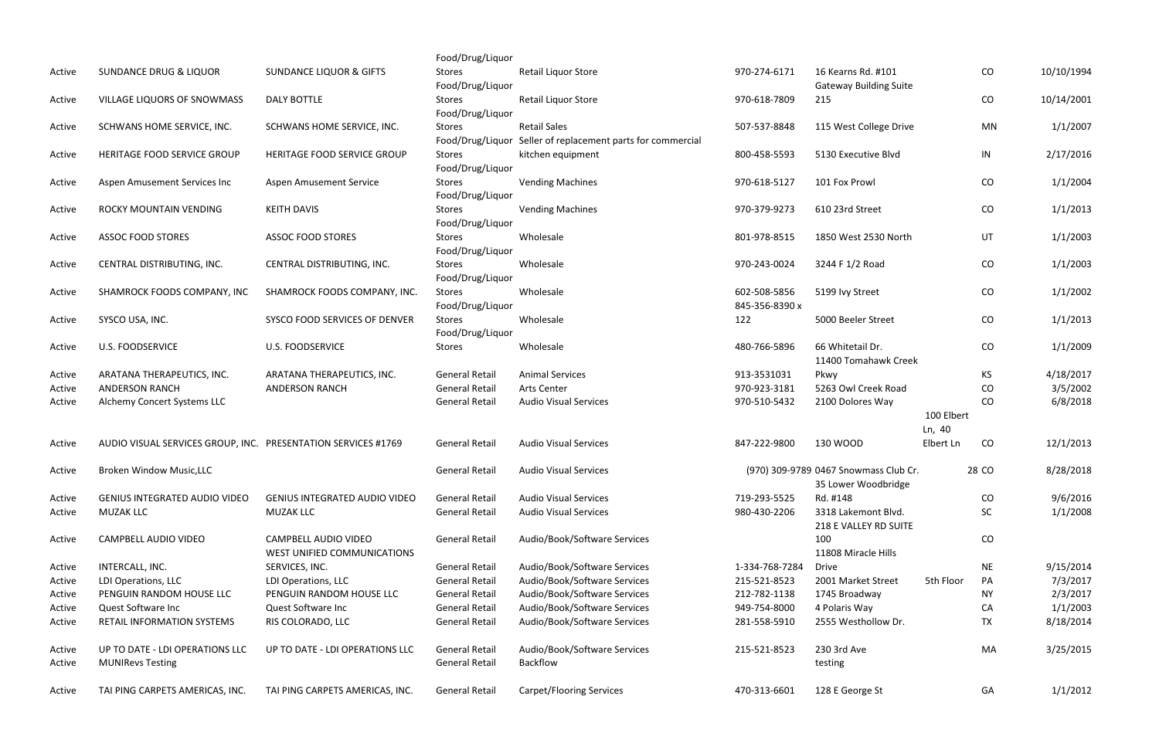|                  |                                                               |                                                     | Food/Drug/Liquor                               |                                                                 |                                |                                                              |                      |           |            |
|------------------|---------------------------------------------------------------|-----------------------------------------------------|------------------------------------------------|-----------------------------------------------------------------|--------------------------------|--------------------------------------------------------------|----------------------|-----------|------------|
| Active           | <b>SUNDANCE DRUG &amp; LIQUOR</b>                             | <b>SUNDANCE LIQUOR &amp; GIFTS</b>                  | Stores<br>Food/Drug/Liquor                     | Retail Liquor Store                                             | 970-274-6171                   | 16 Kearns Rd. #101<br><b>Gateway Building Suite</b>          |                      | CO        | 10/10/1994 |
| Active           | VILLAGE LIQUORS OF SNOWMASS                                   | DALY BOTTLE                                         | Stores<br>Food/Drug/Liquor                     | Retail Liquor Store                                             | 970-618-7809                   | 215                                                          |                      | CO        | 10/14/2001 |
| Active           | SCHWANS HOME SERVICE, INC.                                    | SCHWANS HOME SERVICE, INC.                          | Stores                                         | <b>Retail Sales</b>                                             | 507-537-8848                   | 115 West College Drive                                       |                      | <b>MN</b> | 1/1/2007   |
| Active           | HERITAGE FOOD SERVICE GROUP                                   | HERITAGE FOOD SERVICE GROUP                         | Food/Drug/Liquor<br>Stores<br>Food/Drug/Liquor | Seller of replacement parts for commercial<br>kitchen equipment | 800-458-5593                   | 5130 Executive Blvd                                          |                      | IN        | 2/17/2016  |
| Active           | Aspen Amusement Services Inc                                  | <b>Aspen Amusement Service</b>                      | Stores<br>Food/Drug/Liquor                     | <b>Vending Machines</b>                                         | 970-618-5127                   | 101 Fox Prowl                                                |                      | CO        | 1/1/2004   |
| Active           | ROCKY MOUNTAIN VENDING                                        | <b>KEITH DAVIS</b>                                  | Stores<br>Food/Drug/Liquor                     | <b>Vending Machines</b>                                         | 970-379-9273                   | 610 23rd Street                                              |                      | CO        | 1/1/2013   |
| Active           | <b>ASSOC FOOD STORES</b>                                      | <b>ASSOC FOOD STORES</b>                            | Stores<br>Food/Drug/Liquor                     | Wholesale                                                       | 801-978-8515                   | 1850 West 2530 North                                         |                      | UT        | 1/1/2003   |
| Active           | CENTRAL DISTRIBUTING, INC.                                    | CENTRAL DISTRIBUTING, INC.                          | Stores<br>Food/Drug/Liquor                     | Wholesale                                                       | 970-243-0024                   | 3244 F 1/2 Road                                              |                      | CO        | 1/1/2003   |
| Active           | SHAMROCK FOODS COMPANY, INC                                   | SHAMROCK FOODS COMPANY, INC.                        | Stores<br>Food/Drug/Liquor                     | Wholesale                                                       | 602-508-5856<br>845-356-8390 x | 5199 Ivy Street                                              |                      | CO        | 1/1/2002   |
| Active           | SYSCO USA, INC.                                               | SYSCO FOOD SERVICES OF DENVER                       | Stores<br>Food/Drug/Liquor                     | Wholesale                                                       | 122                            | 5000 Beeler Street                                           |                      | CO        | 1/1/2013   |
| Active           | <b>U.S. FOODSERVICE</b>                                       | <b>U.S. FOODSERVICE</b>                             | Stores                                         | Wholesale                                                       | 480-766-5896                   | 66 Whitetail Dr.<br>11400 Tomahawk Creek                     |                      | CO        | 1/1/2009   |
| Active           | ARATANA THERAPEUTICS, INC.                                    | ARATANA THERAPEUTICS, INC.                          | <b>General Retail</b>                          | <b>Animal Services</b>                                          | 913-3531031                    | Pkwy                                                         |                      | KS.       | 4/18/2017  |
| Active           | <b>ANDERSON RANCH</b>                                         | <b>ANDERSON RANCH</b>                               | <b>General Retail</b>                          | Arts Center                                                     | 970-923-3181                   | 5263 Owl Creek Road                                          |                      | CO        | 3/5/2002   |
| Active           | Alchemy Concert Systems LLC                                   |                                                     | <b>General Retail</b>                          | <b>Audio Visual Services</b>                                    | 970-510-5432                   | 2100 Dolores Way                                             |                      | CO        | 6/8/2018   |
|                  |                                                               |                                                     |                                                |                                                                 |                                |                                                              | 100 Elbert<br>Ln, 40 |           |            |
| Active           | AUDIO VISUAL SERVICES GROUP, INC. PRESENTATION SERVICES #1769 |                                                     | <b>General Retail</b>                          | <b>Audio Visual Services</b>                                    | 847-222-9800                   | 130 WOOD                                                     | Elbert Ln            | CO        | 12/1/2013  |
| Active           | Broken Window Music, LLC                                      |                                                     | <b>General Retail</b>                          | <b>Audio Visual Services</b>                                    |                                | (970) 309-9789 0467 Snowmass Club Cr.<br>35 Lower Woodbridge |                      | 28 CO     | 8/28/2018  |
| Active           | <b>GENIUS INTEGRATED AUDIO VIDEO</b>                          | <b>GENIUS INTEGRATED AUDIO VIDEO</b>                | <b>General Retail</b>                          | <b>Audio Visual Services</b>                                    | 719-293-5525                   | Rd. #148                                                     |                      | CO        | 9/6/2016   |
| Active           | <b>MUZAK LLC</b>                                              | <b>MUZAK LLC</b>                                    | <b>General Retail</b>                          | <b>Audio Visual Services</b>                                    | 980-430-2206                   | 3318 Lakemont Blvd.<br>218 E VALLEY RD SUITE                 |                      | SC        | 1/1/2008   |
| Active           | CAMPBELL AUDIO VIDEO                                          | CAMPBELL AUDIO VIDEO<br>WEST UNIFIED COMMUNICATIONS | <b>General Retail</b>                          | Audio/Book/Software Services                                    |                                | 100<br>11808 Miracle Hills                                   |                      | CO        |            |
| Active           | INTERCALL, INC.                                               | SERVICES, INC.                                      | <b>General Retail</b>                          | Audio/Book/Software Services                                    | 1-334-768-7284                 | <b>Drive</b>                                                 |                      | <b>NE</b> | 9/15/2014  |
| Active           | LDI Operations, LLC                                           | LDI Operations, LLC                                 | <b>General Retail</b>                          | Audio/Book/Software Services                                    | 215-521-8523                   | 2001 Market Street                                           | 5th Floor            | PA        | 7/3/2017   |
| Active           | PENGUIN RANDOM HOUSE LLC                                      | PENGUIN RANDOM HOUSE LLC                            | <b>General Retail</b>                          | Audio/Book/Software Services                                    | 212-782-1138                   | 1745 Broadway                                                |                      | NΥ        | 2/3/2017   |
| Active           | Quest Software Inc                                            | Quest Software Inc                                  | <b>General Retail</b>                          | Audio/Book/Software Services                                    | 949-754-8000                   | 4 Polaris Way                                                |                      | CA        | 1/1/2003   |
| Active           | RETAIL INFORMATION SYSTEMS                                    | RIS COLORADO, LLC                                   | <b>General Retail</b>                          | Audio/Book/Software Services                                    | 281-558-5910                   | 2555 Westhollow Dr.                                          |                      | <b>TX</b> | 8/18/2014  |
| Active<br>Active | UP TO DATE - LDI OPERATIONS LLC<br><b>MUNIRevs Testing</b>    | UP TO DATE - LDI OPERATIONS LLC                     | <b>General Retail</b><br><b>General Retail</b> | Audio/Book/Software Services<br>Backflow                        | 215-521-8523                   | 230 3rd Ave<br>testing                                       |                      | MA        | 3/25/2015  |
| Active           | TAI PING CARPETS AMERICAS, INC.                               | TAI PING CARPETS AMERICAS, INC.                     | <b>General Retail</b>                          | <b>Carpet/Flooring Services</b>                                 | 470-313-6601                   | 128 E George St                                              |                      | GA        | 1/1/2012   |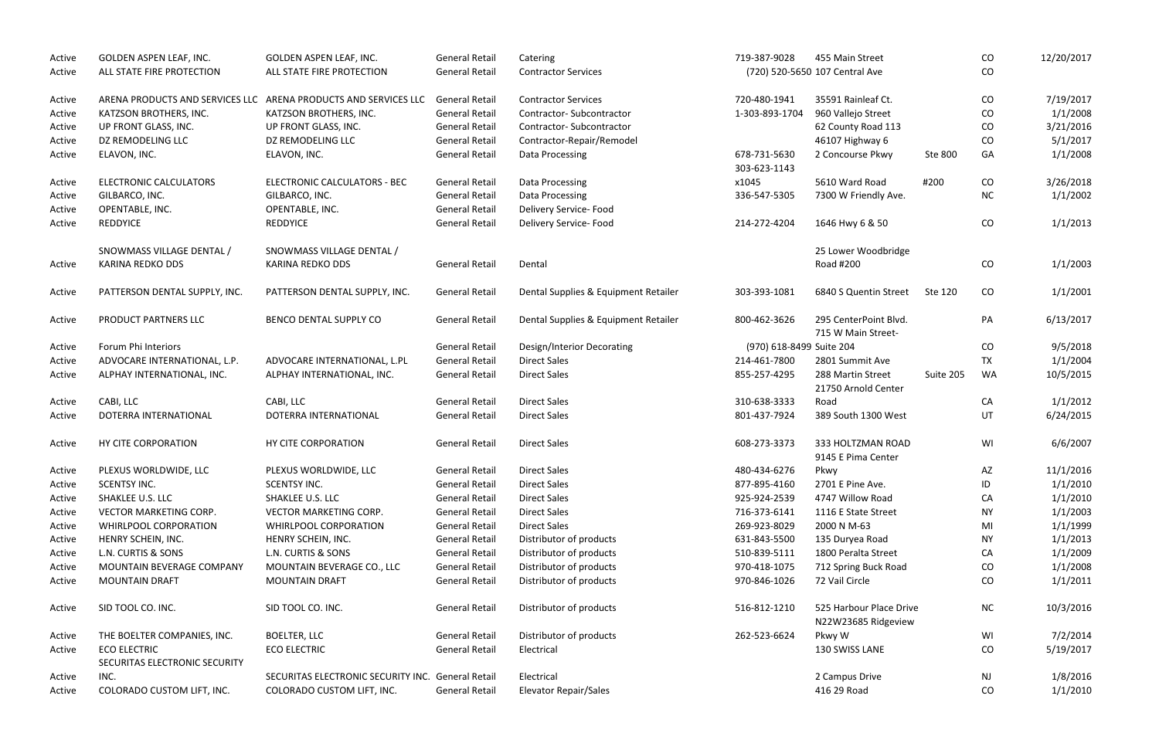| ALL STATE FIRE PROTECTION<br>ALL STATE FIRE PROTECTION<br><b>General Retail</b><br>(720) 520-5650 107 Central Ave<br>CO<br><b>Contractor Services</b><br>Active<br><b>General Retail</b><br>35591 Rainleaf Ct.<br>7/19/2017<br>ARENA PRODUCTS AND SERVICES LLC<br>ARENA PRODUCTS AND SERVICES LLC<br><b>Contractor Services</b><br>720-480-1941<br>CO<br>Active<br>1/1/2008<br>KATZSON BROTHERS, INC.<br><b>General Retail</b><br>1-303-893-1704<br>960 Vallejo Street<br>Active<br>KATZSON BROTHERS, INC.<br>Contractor-Subcontractor<br>CO<br><b>General Retail</b><br>CO<br>3/21/2016<br>UP FRONT GLASS, INC.<br>UP FRONT GLASS, INC.<br>Contractor-Subcontractor<br>62 County Road 113<br>Active<br>5/1/2017<br>DZ REMODELING LLC<br>DZ REMODELING LLC<br><b>General Retail</b><br>Contractor-Repair/Remodel<br>46107 Highway 6<br>CO<br>Active<br><b>General Retail</b><br>Ste 800<br>GA<br>ELAVON, INC.<br>ELAVON, INC.<br>Data Processing<br>678-731-5630<br>2 Concourse Pkwy<br>Active<br>303-623-1143<br><b>General Retail</b><br>x1045<br>5610 Ward Road<br>#200<br><b>ELECTRONIC CALCULATORS</b><br>ELECTRONIC CALCULATORS - BEC<br>Data Processing<br>CO<br>Active<br><b>General Retail</b><br>336-547-5305<br>NC<br>1/1/2002<br>GILBARCO, INC.<br>GILBARCO, INC.<br>Data Processing<br>7300 W Friendly Ave.<br>Active<br><b>General Retail</b><br>Delivery Service- Food<br>OPENTABLE, INC.<br>OPENTABLE, INC.<br>Active<br>CO<br><b>REDDYICE</b><br><b>General Retail</b><br>Delivery Service- Food<br><b>REDDYICE</b><br>214-272-4204<br>1646 Hwy 6 & 50<br>Active<br>SNOWMASS VILLAGE DENTAL /<br>SNOWMASS VILLAGE DENTAL /<br>25 Lower Woodbridge<br>CO<br><b>KARINA REDKO DDS</b><br><b>General Retail</b><br><b>KARINA REDKO DDS</b><br>Dental<br>Road #200<br>Active<br>CO<br>PATTERSON DENTAL SUPPLY, INC.<br>PATTERSON DENTAL SUPPLY, INC.<br><b>General Retail</b><br>Dental Supplies & Equipment Retailer<br>303-393-1081<br>6840 S Quentin Street<br>Ste 120<br>Active<br>BENCO DENTAL SUPPLY CO<br><b>General Retail</b><br>Dental Supplies & Equipment Retailer<br>800-462-3626<br>295 CenterPoint Blvd.<br>PA<br>PRODUCT PARTNERS LLC<br>Active<br>715 W Main Street-<br>Forum Phi Interiors<br><b>General Retail</b><br>CO<br>9/5/2018<br>Design/Interior Decorating<br>(970) 618-8499 Suite 204<br>Active<br>1/1/2004<br><b>General Retail</b><br><b>Direct Sales</b><br>214-461-7800<br>TX<br>ADVOCARE INTERNATIONAL, L.P.<br>ADVOCARE INTERNATIONAL, L.PL<br>2801 Summit Ave<br>Active<br><b>General Retail</b><br><b>Direct Sales</b><br>288 Martin Street<br>Suite 205<br><b>WA</b><br>10/5/2015<br>ALPHAY INTERNATIONAL, INC.<br>ALPHAY INTERNATIONAL, INC.<br>855-257-4295<br>Active<br>21750 Arnold Center<br><b>General Retail</b><br><b>Direct Sales</b><br>310-638-3333<br>CA<br>CABI, LLC<br>CABI, LLC<br>Road<br>Active<br><b>General Retail</b><br><b>Direct Sales</b><br>801-437-7924<br>389 South 1300 West<br>UT<br>DOTERRA INTERNATIONAL<br>DOTERRA INTERNATIONAL<br>Active<br>HY CITE CORPORATION<br>HY CITE CORPORATION<br><b>General Retail</b><br>608-273-3373<br>333 HOLTZMAN ROAD<br>WI<br><b>Direct Sales</b><br>Active<br>9145 E Pima Center<br>11/1/2016<br>PLEXUS WORLDWIDE, LLC<br>PLEXUS WORLDWIDE, LLC<br><b>General Retail</b><br><b>Direct Sales</b><br>480-434-6276<br>Active<br>AZ<br>Pkwy<br><b>SCENTSY INC.</b><br>877-895-4160<br>1/1/2010<br>SCENTSY INC.<br><b>General Retail</b><br>2701 E Pine Ave.<br><b>Direct Sales</b><br>ID<br>Active<br>SHAKLEE U.S. LLC<br>SHAKLEE U.S. LLC<br>4747 Willow Road<br>1/1/2010<br><b>General Retail</b><br><b>Direct Sales</b><br>925-924-2539<br>CA<br>Active<br>VECTOR MARKETING CORP.<br>VECTOR MARKETING CORP.<br><b>General Retail</b><br>716-373-6141<br>1/1/2003<br><b>Direct Sales</b><br>1116 E State Street<br>ΝY<br>Active<br>269-923-8029<br>2000 N M-63<br>1/1/1999<br>WHIRLPOOL CORPORATION<br>WHIRLPOOL CORPORATION<br><b>General Retail</b><br><b>Direct Sales</b><br>MI<br>Active<br><b>General Retail</b><br>Distributor of products<br>1/1/2013<br>HENRY SCHEIN, INC.<br>631-843-5500<br>135 Duryea Road<br>Active<br>HENRY SCHEIN, INC.<br>NY.<br>1/1/2009<br>L.N. CURTIS & SONS<br>L.N. CURTIS & SONS<br><b>General Retail</b><br>Distributor of products<br>510-839-5111<br>1800 Peralta Street<br>CA<br>Active<br>MOUNTAIN BEVERAGE CO., LLC<br><b>General Retail</b><br>Distributor of products<br>1/1/2008<br>MOUNTAIN BEVERAGE COMPANY<br>970-418-1075<br>712 Spring Buck Road<br>$\rm CO$<br>Active<br><b>MOUNTAIN DRAFT</b><br><b>MOUNTAIN DRAFT</b><br><b>General Retail</b><br>Distributor of products<br>970-846-1026<br>72 Vail Circle<br>CO<br>Active<br>Distributor of products<br>525 Harbour Place Drive<br>SID TOOL CO. INC.<br>SID TOOL CO. INC.<br><b>General Retail</b><br>516-812-1210<br><b>NC</b><br>Active<br>N22W23685 Ridgeview<br><b>General Retail</b><br>262-523-6624<br>7/2/2014<br>THE BOELTER COMPANIES, INC.<br><b>BOELTER, LLC</b><br>Distributor of products<br>Pkwy W<br>WI<br>Active<br><b>ECO ELECTRIC</b><br><b>General Retail</b><br>5/19/2017<br><b>ECO ELECTRIC</b><br>Electrical<br>130 SWISS LANE<br>CO<br>Active<br>SECURITAS ELECTRONIC SECURITY<br>SECURITAS ELECTRONIC SECURITY INC. General Retail<br>2 Campus Drive<br>INC.<br>Electrical<br>NJ<br>Active<br>COLORADO CUSTOM LIFT, INC.<br>COLORADO CUSTOM LIFT, INC.<br>Elevator Repair/Sales<br>416 29 Road<br><b>General Retail</b><br>CO<br>Active | Active | GOLDEN ASPEN LEAF, INC. | GOLDEN ASPEN LEAF, INC. | <b>General Retail</b> | Catering | 719-387-9028 | 455 Main Street | CO | 12/20/2017 |
|-----------------------------------------------------------------------------------------------------------------------------------------------------------------------------------------------------------------------------------------------------------------------------------------------------------------------------------------------------------------------------------------------------------------------------------------------------------------------------------------------------------------------------------------------------------------------------------------------------------------------------------------------------------------------------------------------------------------------------------------------------------------------------------------------------------------------------------------------------------------------------------------------------------------------------------------------------------------------------------------------------------------------------------------------------------------------------------------------------------------------------------------------------------------------------------------------------------------------------------------------------------------------------------------------------------------------------------------------------------------------------------------------------------------------------------------------------------------------------------------------------------------------------------------------------------------------------------------------------------------------------------------------------------------------------------------------------------------------------------------------------------------------------------------------------------------------------------------------------------------------------------------------------------------------------------------------------------------------------------------------------------------------------------------------------------------------------------------------------------------------------------------------------------------------------------------------------------------------------------------------------------------------------------------------------------------------------------------------------------------------------------------------------------------------------------------------------------------------------------------------------------------------------------------------------------------------------------------------------------------------------------------------------------------------------------------------------------------------------------------------------------------------------------------------------------------------------------------------------------------------------------------------------------------------------------------------------------------------------------------------------------------------------------------------------------------------------------------------------------------------------------------------------------------------------------------------------------------------------------------------------------------------------------------------------------------------------------------------------------------------------------------------------------------------------------------------------------------------------------------------------------------------------------------------------------------------------------------------------------------------------------------------------------------------------------------------------------------------------------------------------------------------------------------------------------------------------------------------------------------------------------------------------------------------------------------------------------------------------------------------------------------------------------------------------------------------------------------------------------------------------------------------------------------------------------------------------------------------------------------------------------------------------------------------------------------------------------------------------------------------------------------------------------------------------------------------------------------------------------------------------------------------------------------------------------------------------------------------------------------------------------------------------------------------------------------------------------------------------------------------------------------------------------------------------------------------------------------------------------------------------------------------------------------------------------------------------------------------------------------------------------------------------------------------------------------------------------------------------------------------------------------------------------------------------------------------------------------------------------------------------------------------------------------------------------------------------------------------------------------------------------------------------------------------------------------------------------------------------------------|--------|-------------------------|-------------------------|-----------------------|----------|--------------|-----------------|----|------------|
|                                                                                                                                                                                                                                                                                                                                                                                                                                                                                                                                                                                                                                                                                                                                                                                                                                                                                                                                                                                                                                                                                                                                                                                                                                                                                                                                                                                                                                                                                                                                                                                                                                                                                                                                                                                                                                                                                                                                                                                                                                                                                                                                                                                                                                                                                                                                                                                                                                                                                                                                                                                                                                                                                                                                                                                                                                                                                                                                                                                                                                                                                                                                                                                                                                                                                                                                                                                                                                                                                                                                                                                                                                                                                                                                                                                                                                                                                                                                                                                                                                                                                                                                                                                                                                                                                                                                                                                                                                                                                                                                                                                                                                                                                                                                                                                                                                                                                                                                                                                                                                                                                                                                                                                                                                                                                                                                                                                                                                                                                         |        |                         |                         |                       |          |              |                 |    |            |
|                                                                                                                                                                                                                                                                                                                                                                                                                                                                                                                                                                                                                                                                                                                                                                                                                                                                                                                                                                                                                                                                                                                                                                                                                                                                                                                                                                                                                                                                                                                                                                                                                                                                                                                                                                                                                                                                                                                                                                                                                                                                                                                                                                                                                                                                                                                                                                                                                                                                                                                                                                                                                                                                                                                                                                                                                                                                                                                                                                                                                                                                                                                                                                                                                                                                                                                                                                                                                                                                                                                                                                                                                                                                                                                                                                                                                                                                                                                                                                                                                                                                                                                                                                                                                                                                                                                                                                                                                                                                                                                                                                                                                                                                                                                                                                                                                                                                                                                                                                                                                                                                                                                                                                                                                                                                                                                                                                                                                                                                                         |        |                         |                         |                       |          |              |                 |    |            |
|                                                                                                                                                                                                                                                                                                                                                                                                                                                                                                                                                                                                                                                                                                                                                                                                                                                                                                                                                                                                                                                                                                                                                                                                                                                                                                                                                                                                                                                                                                                                                                                                                                                                                                                                                                                                                                                                                                                                                                                                                                                                                                                                                                                                                                                                                                                                                                                                                                                                                                                                                                                                                                                                                                                                                                                                                                                                                                                                                                                                                                                                                                                                                                                                                                                                                                                                                                                                                                                                                                                                                                                                                                                                                                                                                                                                                                                                                                                                                                                                                                                                                                                                                                                                                                                                                                                                                                                                                                                                                                                                                                                                                                                                                                                                                                                                                                                                                                                                                                                                                                                                                                                                                                                                                                                                                                                                                                                                                                                                                         |        |                         |                         |                       |          |              |                 |    |            |
|                                                                                                                                                                                                                                                                                                                                                                                                                                                                                                                                                                                                                                                                                                                                                                                                                                                                                                                                                                                                                                                                                                                                                                                                                                                                                                                                                                                                                                                                                                                                                                                                                                                                                                                                                                                                                                                                                                                                                                                                                                                                                                                                                                                                                                                                                                                                                                                                                                                                                                                                                                                                                                                                                                                                                                                                                                                                                                                                                                                                                                                                                                                                                                                                                                                                                                                                                                                                                                                                                                                                                                                                                                                                                                                                                                                                                                                                                                                                                                                                                                                                                                                                                                                                                                                                                                                                                                                                                                                                                                                                                                                                                                                                                                                                                                                                                                                                                                                                                                                                                                                                                                                                                                                                                                                                                                                                                                                                                                                                                         |        |                         |                         |                       |          |              |                 |    |            |
|                                                                                                                                                                                                                                                                                                                                                                                                                                                                                                                                                                                                                                                                                                                                                                                                                                                                                                                                                                                                                                                                                                                                                                                                                                                                                                                                                                                                                                                                                                                                                                                                                                                                                                                                                                                                                                                                                                                                                                                                                                                                                                                                                                                                                                                                                                                                                                                                                                                                                                                                                                                                                                                                                                                                                                                                                                                                                                                                                                                                                                                                                                                                                                                                                                                                                                                                                                                                                                                                                                                                                                                                                                                                                                                                                                                                                                                                                                                                                                                                                                                                                                                                                                                                                                                                                                                                                                                                                                                                                                                                                                                                                                                                                                                                                                                                                                                                                                                                                                                                                                                                                                                                                                                                                                                                                                                                                                                                                                                                                         |        |                         |                         |                       |          |              |                 |    |            |
|                                                                                                                                                                                                                                                                                                                                                                                                                                                                                                                                                                                                                                                                                                                                                                                                                                                                                                                                                                                                                                                                                                                                                                                                                                                                                                                                                                                                                                                                                                                                                                                                                                                                                                                                                                                                                                                                                                                                                                                                                                                                                                                                                                                                                                                                                                                                                                                                                                                                                                                                                                                                                                                                                                                                                                                                                                                                                                                                                                                                                                                                                                                                                                                                                                                                                                                                                                                                                                                                                                                                                                                                                                                                                                                                                                                                                                                                                                                                                                                                                                                                                                                                                                                                                                                                                                                                                                                                                                                                                                                                                                                                                                                                                                                                                                                                                                                                                                                                                                                                                                                                                                                                                                                                                                                                                                                                                                                                                                                                                         |        |                         |                         |                       |          |              |                 |    |            |
|                                                                                                                                                                                                                                                                                                                                                                                                                                                                                                                                                                                                                                                                                                                                                                                                                                                                                                                                                                                                                                                                                                                                                                                                                                                                                                                                                                                                                                                                                                                                                                                                                                                                                                                                                                                                                                                                                                                                                                                                                                                                                                                                                                                                                                                                                                                                                                                                                                                                                                                                                                                                                                                                                                                                                                                                                                                                                                                                                                                                                                                                                                                                                                                                                                                                                                                                                                                                                                                                                                                                                                                                                                                                                                                                                                                                                                                                                                                                                                                                                                                                                                                                                                                                                                                                                                                                                                                                                                                                                                                                                                                                                                                                                                                                                                                                                                                                                                                                                                                                                                                                                                                                                                                                                                                                                                                                                                                                                                                                                         |        |                         |                         |                       |          |              |                 |    | 1/1/2008   |
|                                                                                                                                                                                                                                                                                                                                                                                                                                                                                                                                                                                                                                                                                                                                                                                                                                                                                                                                                                                                                                                                                                                                                                                                                                                                                                                                                                                                                                                                                                                                                                                                                                                                                                                                                                                                                                                                                                                                                                                                                                                                                                                                                                                                                                                                                                                                                                                                                                                                                                                                                                                                                                                                                                                                                                                                                                                                                                                                                                                                                                                                                                                                                                                                                                                                                                                                                                                                                                                                                                                                                                                                                                                                                                                                                                                                                                                                                                                                                                                                                                                                                                                                                                                                                                                                                                                                                                                                                                                                                                                                                                                                                                                                                                                                                                                                                                                                                                                                                                                                                                                                                                                                                                                                                                                                                                                                                                                                                                                                                         |        |                         |                         |                       |          |              |                 |    | 3/26/2018  |
|                                                                                                                                                                                                                                                                                                                                                                                                                                                                                                                                                                                                                                                                                                                                                                                                                                                                                                                                                                                                                                                                                                                                                                                                                                                                                                                                                                                                                                                                                                                                                                                                                                                                                                                                                                                                                                                                                                                                                                                                                                                                                                                                                                                                                                                                                                                                                                                                                                                                                                                                                                                                                                                                                                                                                                                                                                                                                                                                                                                                                                                                                                                                                                                                                                                                                                                                                                                                                                                                                                                                                                                                                                                                                                                                                                                                                                                                                                                                                                                                                                                                                                                                                                                                                                                                                                                                                                                                                                                                                                                                                                                                                                                                                                                                                                                                                                                                                                                                                                                                                                                                                                                                                                                                                                                                                                                                                                                                                                                                                         |        |                         |                         |                       |          |              |                 |    |            |
|                                                                                                                                                                                                                                                                                                                                                                                                                                                                                                                                                                                                                                                                                                                                                                                                                                                                                                                                                                                                                                                                                                                                                                                                                                                                                                                                                                                                                                                                                                                                                                                                                                                                                                                                                                                                                                                                                                                                                                                                                                                                                                                                                                                                                                                                                                                                                                                                                                                                                                                                                                                                                                                                                                                                                                                                                                                                                                                                                                                                                                                                                                                                                                                                                                                                                                                                                                                                                                                                                                                                                                                                                                                                                                                                                                                                                                                                                                                                                                                                                                                                                                                                                                                                                                                                                                                                                                                                                                                                                                                                                                                                                                                                                                                                                                                                                                                                                                                                                                                                                                                                                                                                                                                                                                                                                                                                                                                                                                                                                         |        |                         |                         |                       |          |              |                 |    |            |
|                                                                                                                                                                                                                                                                                                                                                                                                                                                                                                                                                                                                                                                                                                                                                                                                                                                                                                                                                                                                                                                                                                                                                                                                                                                                                                                                                                                                                                                                                                                                                                                                                                                                                                                                                                                                                                                                                                                                                                                                                                                                                                                                                                                                                                                                                                                                                                                                                                                                                                                                                                                                                                                                                                                                                                                                                                                                                                                                                                                                                                                                                                                                                                                                                                                                                                                                                                                                                                                                                                                                                                                                                                                                                                                                                                                                                                                                                                                                                                                                                                                                                                                                                                                                                                                                                                                                                                                                                                                                                                                                                                                                                                                                                                                                                                                                                                                                                                                                                                                                                                                                                                                                                                                                                                                                                                                                                                                                                                                                                         |        |                         |                         |                       |          |              |                 |    | 1/1/2013   |
|                                                                                                                                                                                                                                                                                                                                                                                                                                                                                                                                                                                                                                                                                                                                                                                                                                                                                                                                                                                                                                                                                                                                                                                                                                                                                                                                                                                                                                                                                                                                                                                                                                                                                                                                                                                                                                                                                                                                                                                                                                                                                                                                                                                                                                                                                                                                                                                                                                                                                                                                                                                                                                                                                                                                                                                                                                                                                                                                                                                                                                                                                                                                                                                                                                                                                                                                                                                                                                                                                                                                                                                                                                                                                                                                                                                                                                                                                                                                                                                                                                                                                                                                                                                                                                                                                                                                                                                                                                                                                                                                                                                                                                                                                                                                                                                                                                                                                                                                                                                                                                                                                                                                                                                                                                                                                                                                                                                                                                                                                         |        |                         |                         |                       |          |              |                 |    |            |
|                                                                                                                                                                                                                                                                                                                                                                                                                                                                                                                                                                                                                                                                                                                                                                                                                                                                                                                                                                                                                                                                                                                                                                                                                                                                                                                                                                                                                                                                                                                                                                                                                                                                                                                                                                                                                                                                                                                                                                                                                                                                                                                                                                                                                                                                                                                                                                                                                                                                                                                                                                                                                                                                                                                                                                                                                                                                                                                                                                                                                                                                                                                                                                                                                                                                                                                                                                                                                                                                                                                                                                                                                                                                                                                                                                                                                                                                                                                                                                                                                                                                                                                                                                                                                                                                                                                                                                                                                                                                                                                                                                                                                                                                                                                                                                                                                                                                                                                                                                                                                                                                                                                                                                                                                                                                                                                                                                                                                                                                                         |        |                         |                         |                       |          |              |                 |    | 1/1/2003   |
|                                                                                                                                                                                                                                                                                                                                                                                                                                                                                                                                                                                                                                                                                                                                                                                                                                                                                                                                                                                                                                                                                                                                                                                                                                                                                                                                                                                                                                                                                                                                                                                                                                                                                                                                                                                                                                                                                                                                                                                                                                                                                                                                                                                                                                                                                                                                                                                                                                                                                                                                                                                                                                                                                                                                                                                                                                                                                                                                                                                                                                                                                                                                                                                                                                                                                                                                                                                                                                                                                                                                                                                                                                                                                                                                                                                                                                                                                                                                                                                                                                                                                                                                                                                                                                                                                                                                                                                                                                                                                                                                                                                                                                                                                                                                                                                                                                                                                                                                                                                                                                                                                                                                                                                                                                                                                                                                                                                                                                                                                         |        |                         |                         |                       |          |              |                 |    | 1/1/2001   |
|                                                                                                                                                                                                                                                                                                                                                                                                                                                                                                                                                                                                                                                                                                                                                                                                                                                                                                                                                                                                                                                                                                                                                                                                                                                                                                                                                                                                                                                                                                                                                                                                                                                                                                                                                                                                                                                                                                                                                                                                                                                                                                                                                                                                                                                                                                                                                                                                                                                                                                                                                                                                                                                                                                                                                                                                                                                                                                                                                                                                                                                                                                                                                                                                                                                                                                                                                                                                                                                                                                                                                                                                                                                                                                                                                                                                                                                                                                                                                                                                                                                                                                                                                                                                                                                                                                                                                                                                                                                                                                                                                                                                                                                                                                                                                                                                                                                                                                                                                                                                                                                                                                                                                                                                                                                                                                                                                                                                                                                                                         |        |                         |                         |                       |          |              |                 |    | 6/13/2017  |
|                                                                                                                                                                                                                                                                                                                                                                                                                                                                                                                                                                                                                                                                                                                                                                                                                                                                                                                                                                                                                                                                                                                                                                                                                                                                                                                                                                                                                                                                                                                                                                                                                                                                                                                                                                                                                                                                                                                                                                                                                                                                                                                                                                                                                                                                                                                                                                                                                                                                                                                                                                                                                                                                                                                                                                                                                                                                                                                                                                                                                                                                                                                                                                                                                                                                                                                                                                                                                                                                                                                                                                                                                                                                                                                                                                                                                                                                                                                                                                                                                                                                                                                                                                                                                                                                                                                                                                                                                                                                                                                                                                                                                                                                                                                                                                                                                                                                                                                                                                                                                                                                                                                                                                                                                                                                                                                                                                                                                                                                                         |        |                         |                         |                       |          |              |                 |    |            |
|                                                                                                                                                                                                                                                                                                                                                                                                                                                                                                                                                                                                                                                                                                                                                                                                                                                                                                                                                                                                                                                                                                                                                                                                                                                                                                                                                                                                                                                                                                                                                                                                                                                                                                                                                                                                                                                                                                                                                                                                                                                                                                                                                                                                                                                                                                                                                                                                                                                                                                                                                                                                                                                                                                                                                                                                                                                                                                                                                                                                                                                                                                                                                                                                                                                                                                                                                                                                                                                                                                                                                                                                                                                                                                                                                                                                                                                                                                                                                                                                                                                                                                                                                                                                                                                                                                                                                                                                                                                                                                                                                                                                                                                                                                                                                                                                                                                                                                                                                                                                                                                                                                                                                                                                                                                                                                                                                                                                                                                                                         |        |                         |                         |                       |          |              |                 |    |            |
|                                                                                                                                                                                                                                                                                                                                                                                                                                                                                                                                                                                                                                                                                                                                                                                                                                                                                                                                                                                                                                                                                                                                                                                                                                                                                                                                                                                                                                                                                                                                                                                                                                                                                                                                                                                                                                                                                                                                                                                                                                                                                                                                                                                                                                                                                                                                                                                                                                                                                                                                                                                                                                                                                                                                                                                                                                                                                                                                                                                                                                                                                                                                                                                                                                                                                                                                                                                                                                                                                                                                                                                                                                                                                                                                                                                                                                                                                                                                                                                                                                                                                                                                                                                                                                                                                                                                                                                                                                                                                                                                                                                                                                                                                                                                                                                                                                                                                                                                                                                                                                                                                                                                                                                                                                                                                                                                                                                                                                                                                         |        |                         |                         |                       |          |              |                 |    |            |
|                                                                                                                                                                                                                                                                                                                                                                                                                                                                                                                                                                                                                                                                                                                                                                                                                                                                                                                                                                                                                                                                                                                                                                                                                                                                                                                                                                                                                                                                                                                                                                                                                                                                                                                                                                                                                                                                                                                                                                                                                                                                                                                                                                                                                                                                                                                                                                                                                                                                                                                                                                                                                                                                                                                                                                                                                                                                                                                                                                                                                                                                                                                                                                                                                                                                                                                                                                                                                                                                                                                                                                                                                                                                                                                                                                                                                                                                                                                                                                                                                                                                                                                                                                                                                                                                                                                                                                                                                                                                                                                                                                                                                                                                                                                                                                                                                                                                                                                                                                                                                                                                                                                                                                                                                                                                                                                                                                                                                                                                                         |        |                         |                         |                       |          |              |                 |    |            |
|                                                                                                                                                                                                                                                                                                                                                                                                                                                                                                                                                                                                                                                                                                                                                                                                                                                                                                                                                                                                                                                                                                                                                                                                                                                                                                                                                                                                                                                                                                                                                                                                                                                                                                                                                                                                                                                                                                                                                                                                                                                                                                                                                                                                                                                                                                                                                                                                                                                                                                                                                                                                                                                                                                                                                                                                                                                                                                                                                                                                                                                                                                                                                                                                                                                                                                                                                                                                                                                                                                                                                                                                                                                                                                                                                                                                                                                                                                                                                                                                                                                                                                                                                                                                                                                                                                                                                                                                                                                                                                                                                                                                                                                                                                                                                                                                                                                                                                                                                                                                                                                                                                                                                                                                                                                                                                                                                                                                                                                                                         |        |                         |                         |                       |          |              |                 |    | 1/1/2012   |
|                                                                                                                                                                                                                                                                                                                                                                                                                                                                                                                                                                                                                                                                                                                                                                                                                                                                                                                                                                                                                                                                                                                                                                                                                                                                                                                                                                                                                                                                                                                                                                                                                                                                                                                                                                                                                                                                                                                                                                                                                                                                                                                                                                                                                                                                                                                                                                                                                                                                                                                                                                                                                                                                                                                                                                                                                                                                                                                                                                                                                                                                                                                                                                                                                                                                                                                                                                                                                                                                                                                                                                                                                                                                                                                                                                                                                                                                                                                                                                                                                                                                                                                                                                                                                                                                                                                                                                                                                                                                                                                                                                                                                                                                                                                                                                                                                                                                                                                                                                                                                                                                                                                                                                                                                                                                                                                                                                                                                                                                                         |        |                         |                         |                       |          |              |                 |    | 6/24/2015  |
|                                                                                                                                                                                                                                                                                                                                                                                                                                                                                                                                                                                                                                                                                                                                                                                                                                                                                                                                                                                                                                                                                                                                                                                                                                                                                                                                                                                                                                                                                                                                                                                                                                                                                                                                                                                                                                                                                                                                                                                                                                                                                                                                                                                                                                                                                                                                                                                                                                                                                                                                                                                                                                                                                                                                                                                                                                                                                                                                                                                                                                                                                                                                                                                                                                                                                                                                                                                                                                                                                                                                                                                                                                                                                                                                                                                                                                                                                                                                                                                                                                                                                                                                                                                                                                                                                                                                                                                                                                                                                                                                                                                                                                                                                                                                                                                                                                                                                                                                                                                                                                                                                                                                                                                                                                                                                                                                                                                                                                                                                         |        |                         |                         |                       |          |              |                 |    | 6/6/2007   |
|                                                                                                                                                                                                                                                                                                                                                                                                                                                                                                                                                                                                                                                                                                                                                                                                                                                                                                                                                                                                                                                                                                                                                                                                                                                                                                                                                                                                                                                                                                                                                                                                                                                                                                                                                                                                                                                                                                                                                                                                                                                                                                                                                                                                                                                                                                                                                                                                                                                                                                                                                                                                                                                                                                                                                                                                                                                                                                                                                                                                                                                                                                                                                                                                                                                                                                                                                                                                                                                                                                                                                                                                                                                                                                                                                                                                                                                                                                                                                                                                                                                                                                                                                                                                                                                                                                                                                                                                                                                                                                                                                                                                                                                                                                                                                                                                                                                                                                                                                                                                                                                                                                                                                                                                                                                                                                                                                                                                                                                                                         |        |                         |                         |                       |          |              |                 |    |            |
|                                                                                                                                                                                                                                                                                                                                                                                                                                                                                                                                                                                                                                                                                                                                                                                                                                                                                                                                                                                                                                                                                                                                                                                                                                                                                                                                                                                                                                                                                                                                                                                                                                                                                                                                                                                                                                                                                                                                                                                                                                                                                                                                                                                                                                                                                                                                                                                                                                                                                                                                                                                                                                                                                                                                                                                                                                                                                                                                                                                                                                                                                                                                                                                                                                                                                                                                                                                                                                                                                                                                                                                                                                                                                                                                                                                                                                                                                                                                                                                                                                                                                                                                                                                                                                                                                                                                                                                                                                                                                                                                                                                                                                                                                                                                                                                                                                                                                                                                                                                                                                                                                                                                                                                                                                                                                                                                                                                                                                                                                         |        |                         |                         |                       |          |              |                 |    |            |
|                                                                                                                                                                                                                                                                                                                                                                                                                                                                                                                                                                                                                                                                                                                                                                                                                                                                                                                                                                                                                                                                                                                                                                                                                                                                                                                                                                                                                                                                                                                                                                                                                                                                                                                                                                                                                                                                                                                                                                                                                                                                                                                                                                                                                                                                                                                                                                                                                                                                                                                                                                                                                                                                                                                                                                                                                                                                                                                                                                                                                                                                                                                                                                                                                                                                                                                                                                                                                                                                                                                                                                                                                                                                                                                                                                                                                                                                                                                                                                                                                                                                                                                                                                                                                                                                                                                                                                                                                                                                                                                                                                                                                                                                                                                                                                                                                                                                                                                                                                                                                                                                                                                                                                                                                                                                                                                                                                                                                                                                                         |        |                         |                         |                       |          |              |                 |    |            |
|                                                                                                                                                                                                                                                                                                                                                                                                                                                                                                                                                                                                                                                                                                                                                                                                                                                                                                                                                                                                                                                                                                                                                                                                                                                                                                                                                                                                                                                                                                                                                                                                                                                                                                                                                                                                                                                                                                                                                                                                                                                                                                                                                                                                                                                                                                                                                                                                                                                                                                                                                                                                                                                                                                                                                                                                                                                                                                                                                                                                                                                                                                                                                                                                                                                                                                                                                                                                                                                                                                                                                                                                                                                                                                                                                                                                                                                                                                                                                                                                                                                                                                                                                                                                                                                                                                                                                                                                                                                                                                                                                                                                                                                                                                                                                                                                                                                                                                                                                                                                                                                                                                                                                                                                                                                                                                                                                                                                                                                                                         |        |                         |                         |                       |          |              |                 |    |            |
|                                                                                                                                                                                                                                                                                                                                                                                                                                                                                                                                                                                                                                                                                                                                                                                                                                                                                                                                                                                                                                                                                                                                                                                                                                                                                                                                                                                                                                                                                                                                                                                                                                                                                                                                                                                                                                                                                                                                                                                                                                                                                                                                                                                                                                                                                                                                                                                                                                                                                                                                                                                                                                                                                                                                                                                                                                                                                                                                                                                                                                                                                                                                                                                                                                                                                                                                                                                                                                                                                                                                                                                                                                                                                                                                                                                                                                                                                                                                                                                                                                                                                                                                                                                                                                                                                                                                                                                                                                                                                                                                                                                                                                                                                                                                                                                                                                                                                                                                                                                                                                                                                                                                                                                                                                                                                                                                                                                                                                                                                         |        |                         |                         |                       |          |              |                 |    |            |
|                                                                                                                                                                                                                                                                                                                                                                                                                                                                                                                                                                                                                                                                                                                                                                                                                                                                                                                                                                                                                                                                                                                                                                                                                                                                                                                                                                                                                                                                                                                                                                                                                                                                                                                                                                                                                                                                                                                                                                                                                                                                                                                                                                                                                                                                                                                                                                                                                                                                                                                                                                                                                                                                                                                                                                                                                                                                                                                                                                                                                                                                                                                                                                                                                                                                                                                                                                                                                                                                                                                                                                                                                                                                                                                                                                                                                                                                                                                                                                                                                                                                                                                                                                                                                                                                                                                                                                                                                                                                                                                                                                                                                                                                                                                                                                                                                                                                                                                                                                                                                                                                                                                                                                                                                                                                                                                                                                                                                                                                                         |        |                         |                         |                       |          |              |                 |    |            |
|                                                                                                                                                                                                                                                                                                                                                                                                                                                                                                                                                                                                                                                                                                                                                                                                                                                                                                                                                                                                                                                                                                                                                                                                                                                                                                                                                                                                                                                                                                                                                                                                                                                                                                                                                                                                                                                                                                                                                                                                                                                                                                                                                                                                                                                                                                                                                                                                                                                                                                                                                                                                                                                                                                                                                                                                                                                                                                                                                                                                                                                                                                                                                                                                                                                                                                                                                                                                                                                                                                                                                                                                                                                                                                                                                                                                                                                                                                                                                                                                                                                                                                                                                                                                                                                                                                                                                                                                                                                                                                                                                                                                                                                                                                                                                                                                                                                                                                                                                                                                                                                                                                                                                                                                                                                                                                                                                                                                                                                                                         |        |                         |                         |                       |          |              |                 |    |            |
|                                                                                                                                                                                                                                                                                                                                                                                                                                                                                                                                                                                                                                                                                                                                                                                                                                                                                                                                                                                                                                                                                                                                                                                                                                                                                                                                                                                                                                                                                                                                                                                                                                                                                                                                                                                                                                                                                                                                                                                                                                                                                                                                                                                                                                                                                                                                                                                                                                                                                                                                                                                                                                                                                                                                                                                                                                                                                                                                                                                                                                                                                                                                                                                                                                                                                                                                                                                                                                                                                                                                                                                                                                                                                                                                                                                                                                                                                                                                                                                                                                                                                                                                                                                                                                                                                                                                                                                                                                                                                                                                                                                                                                                                                                                                                                                                                                                                                                                                                                                                                                                                                                                                                                                                                                                                                                                                                                                                                                                                                         |        |                         |                         |                       |          |              |                 |    |            |
|                                                                                                                                                                                                                                                                                                                                                                                                                                                                                                                                                                                                                                                                                                                                                                                                                                                                                                                                                                                                                                                                                                                                                                                                                                                                                                                                                                                                                                                                                                                                                                                                                                                                                                                                                                                                                                                                                                                                                                                                                                                                                                                                                                                                                                                                                                                                                                                                                                                                                                                                                                                                                                                                                                                                                                                                                                                                                                                                                                                                                                                                                                                                                                                                                                                                                                                                                                                                                                                                                                                                                                                                                                                                                                                                                                                                                                                                                                                                                                                                                                                                                                                                                                                                                                                                                                                                                                                                                                                                                                                                                                                                                                                                                                                                                                                                                                                                                                                                                                                                                                                                                                                                                                                                                                                                                                                                                                                                                                                                                         |        |                         |                         |                       |          |              |                 |    | 1/1/2011   |
|                                                                                                                                                                                                                                                                                                                                                                                                                                                                                                                                                                                                                                                                                                                                                                                                                                                                                                                                                                                                                                                                                                                                                                                                                                                                                                                                                                                                                                                                                                                                                                                                                                                                                                                                                                                                                                                                                                                                                                                                                                                                                                                                                                                                                                                                                                                                                                                                                                                                                                                                                                                                                                                                                                                                                                                                                                                                                                                                                                                                                                                                                                                                                                                                                                                                                                                                                                                                                                                                                                                                                                                                                                                                                                                                                                                                                                                                                                                                                                                                                                                                                                                                                                                                                                                                                                                                                                                                                                                                                                                                                                                                                                                                                                                                                                                                                                                                                                                                                                                                                                                                                                                                                                                                                                                                                                                                                                                                                                                                                         |        |                         |                         |                       |          |              |                 |    | 10/3/2016  |
|                                                                                                                                                                                                                                                                                                                                                                                                                                                                                                                                                                                                                                                                                                                                                                                                                                                                                                                                                                                                                                                                                                                                                                                                                                                                                                                                                                                                                                                                                                                                                                                                                                                                                                                                                                                                                                                                                                                                                                                                                                                                                                                                                                                                                                                                                                                                                                                                                                                                                                                                                                                                                                                                                                                                                                                                                                                                                                                                                                                                                                                                                                                                                                                                                                                                                                                                                                                                                                                                                                                                                                                                                                                                                                                                                                                                                                                                                                                                                                                                                                                                                                                                                                                                                                                                                                                                                                                                                                                                                                                                                                                                                                                                                                                                                                                                                                                                                                                                                                                                                                                                                                                                                                                                                                                                                                                                                                                                                                                                                         |        |                         |                         |                       |          |              |                 |    |            |
|                                                                                                                                                                                                                                                                                                                                                                                                                                                                                                                                                                                                                                                                                                                                                                                                                                                                                                                                                                                                                                                                                                                                                                                                                                                                                                                                                                                                                                                                                                                                                                                                                                                                                                                                                                                                                                                                                                                                                                                                                                                                                                                                                                                                                                                                                                                                                                                                                                                                                                                                                                                                                                                                                                                                                                                                                                                                                                                                                                                                                                                                                                                                                                                                                                                                                                                                                                                                                                                                                                                                                                                                                                                                                                                                                                                                                                                                                                                                                                                                                                                                                                                                                                                                                                                                                                                                                                                                                                                                                                                                                                                                                                                                                                                                                                                                                                                                                                                                                                                                                                                                                                                                                                                                                                                                                                                                                                                                                                                                                         |        |                         |                         |                       |          |              |                 |    |            |
|                                                                                                                                                                                                                                                                                                                                                                                                                                                                                                                                                                                                                                                                                                                                                                                                                                                                                                                                                                                                                                                                                                                                                                                                                                                                                                                                                                                                                                                                                                                                                                                                                                                                                                                                                                                                                                                                                                                                                                                                                                                                                                                                                                                                                                                                                                                                                                                                                                                                                                                                                                                                                                                                                                                                                                                                                                                                                                                                                                                                                                                                                                                                                                                                                                                                                                                                                                                                                                                                                                                                                                                                                                                                                                                                                                                                                                                                                                                                                                                                                                                                                                                                                                                                                                                                                                                                                                                                                                                                                                                                                                                                                                                                                                                                                                                                                                                                                                                                                                                                                                                                                                                                                                                                                                                                                                                                                                                                                                                                                         |        |                         |                         |                       |          |              |                 |    |            |
|                                                                                                                                                                                                                                                                                                                                                                                                                                                                                                                                                                                                                                                                                                                                                                                                                                                                                                                                                                                                                                                                                                                                                                                                                                                                                                                                                                                                                                                                                                                                                                                                                                                                                                                                                                                                                                                                                                                                                                                                                                                                                                                                                                                                                                                                                                                                                                                                                                                                                                                                                                                                                                                                                                                                                                                                                                                                                                                                                                                                                                                                                                                                                                                                                                                                                                                                                                                                                                                                                                                                                                                                                                                                                                                                                                                                                                                                                                                                                                                                                                                                                                                                                                                                                                                                                                                                                                                                                                                                                                                                                                                                                                                                                                                                                                                                                                                                                                                                                                                                                                                                                                                                                                                                                                                                                                                                                                                                                                                                                         |        |                         |                         |                       |          |              |                 |    | 1/8/2016   |
|                                                                                                                                                                                                                                                                                                                                                                                                                                                                                                                                                                                                                                                                                                                                                                                                                                                                                                                                                                                                                                                                                                                                                                                                                                                                                                                                                                                                                                                                                                                                                                                                                                                                                                                                                                                                                                                                                                                                                                                                                                                                                                                                                                                                                                                                                                                                                                                                                                                                                                                                                                                                                                                                                                                                                                                                                                                                                                                                                                                                                                                                                                                                                                                                                                                                                                                                                                                                                                                                                                                                                                                                                                                                                                                                                                                                                                                                                                                                                                                                                                                                                                                                                                                                                                                                                                                                                                                                                                                                                                                                                                                                                                                                                                                                                                                                                                                                                                                                                                                                                                                                                                                                                                                                                                                                                                                                                                                                                                                                                         |        |                         |                         |                       |          |              |                 |    | 1/1/2010   |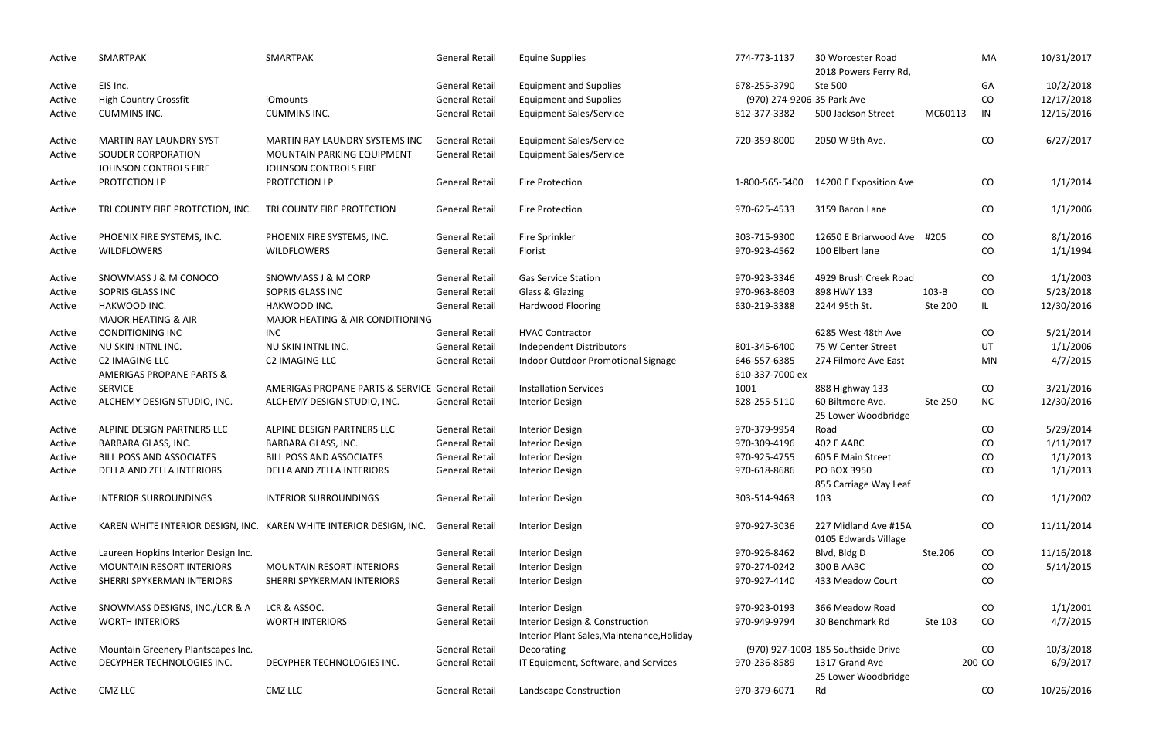| Active | SMARTPAK                                              | SMARTPAK                                                            | <b>General Retail</b> | <b>Equine Supplies</b>                                                       | 774-773-1137                    | 30 Worcester Road<br>2018 Powers Ferry Rd,   |         | MA        | 10/31/2017 |
|--------|-------------------------------------------------------|---------------------------------------------------------------------|-----------------------|------------------------------------------------------------------------------|---------------------------------|----------------------------------------------|---------|-----------|------------|
| Active | EIS Inc.                                              |                                                                     | <b>General Retail</b> | <b>Equipment and Supplies</b>                                                | 678-255-3790                    | Ste 500                                      |         | GA        | 10/2/2018  |
| Active | <b>High Country Crossfit</b>                          | <i>iOmounts</i>                                                     | <b>General Retail</b> | <b>Equipment and Supplies</b>                                                | (970) 274-9206 35 Park Ave      |                                              |         | CO        | 12/17/2018 |
| Active | <b>CUMMINS INC.</b>                                   | <b>CUMMINS INC.</b>                                                 | <b>General Retail</b> | <b>Equipment Sales/Service</b>                                               | 812-377-3382                    | 500 Jackson Street                           | MC60113 | IN        | 12/15/2016 |
| Active | MARTIN RAY LAUNDRY SYST                               | MARTIN RAY LAUNDRY SYSTEMS INC                                      | <b>General Retail</b> | <b>Equipment Sales/Service</b>                                               | 720-359-8000                    | 2050 W 9th Ave.                              |         | CO        | 6/27/2017  |
| Active | SOUDER CORPORATION<br>JOHNSON CONTROLS FIRE           | MOUNTAIN PARKING EQUIPMENT<br>JOHNSON CONTROLS FIRE                 | <b>General Retail</b> | <b>Equipment Sales/Service</b>                                               |                                 |                                              |         |           |            |
| Active | PROTECTION LP                                         | PROTECTION LP                                                       | <b>General Retail</b> | <b>Fire Protection</b>                                                       |                                 | 1-800-565-5400  14200 E Exposition Ave       |         | CO        | 1/1/2014   |
| Active | TRI COUNTY FIRE PROTECTION, INC.                      | TRI COUNTY FIRE PROTECTION                                          | <b>General Retail</b> | <b>Fire Protection</b>                                                       | 970-625-4533                    | 3159 Baron Lane                              |         | CO        | 1/1/2006   |
| Active | PHOENIX FIRE SYSTEMS, INC.                            | PHOENIX FIRE SYSTEMS, INC.                                          | <b>General Retail</b> | Fire Sprinkler                                                               | 303-715-9300                    | 12650 E Briarwood Ave #205                   |         | CO        | 8/1/2016   |
| Active | WILDFLOWERS                                           | <b>WILDFLOWERS</b>                                                  | <b>General Retail</b> | Florist                                                                      | 970-923-4562                    | 100 Elbert lane                              |         | CO        | 1/1/1994   |
| Active | SNOWMASS J & M CONOCO                                 | SNOWMASS J & M CORP                                                 | <b>General Retail</b> | <b>Gas Service Station</b>                                                   | 970-923-3346                    | 4929 Brush Creek Road                        |         | CO        | 1/1/2003   |
| Active | SOPRIS GLASS INC                                      | SOPRIS GLASS INC                                                    | <b>General Retail</b> | Glass & Glazing                                                              | 970-963-8603                    | 898 HWY 133                                  | $103-B$ | CO        | 5/23/2018  |
| Active | HAKWOOD INC.                                          | HAKWOOD INC.                                                        | <b>General Retail</b> | Hardwood Flooring                                                            | 630-219-3388                    | 2244 95th St.                                | Ste 200 | IL        | 12/30/2016 |
|        | <b>MAJOR HEATING &amp; AIR</b>                        | MAJOR HEATING & AIR CONDITIONING                                    |                       |                                                                              |                                 |                                              |         |           |            |
| Active | <b>CONDITIONING INC</b>                               | <b>INC</b>                                                          | <b>General Retail</b> | <b>HVAC Contractor</b>                                                       |                                 | 6285 West 48th Ave                           |         | CO        | 5/21/2014  |
| Active | NU SKIN INTNL INC.                                    | NU SKIN INTNL INC.                                                  | <b>General Retail</b> | Independent Distributors                                                     | 801-345-6400                    | 75 W Center Street                           |         | UT        | 1/1/2006   |
| Active | C2 IMAGING LLC<br><b>AMERIGAS PROPANE PARTS &amp;</b> | C2 IMAGING LLC                                                      | <b>General Retail</b> | Indoor Outdoor Promotional Signage                                           | 646-557-6385<br>610-337-7000 ex | 274 Filmore Ave East                         |         | MN        | 4/7/2015   |
| Active | <b>SERVICE</b>                                        | AMERIGAS PROPANE PARTS & SERVICE General Retail                     |                       | <b>Installation Services</b>                                                 | 1001                            | 888 Highway 133                              |         | CO        | 3/21/2016  |
| Active | ALCHEMY DESIGN STUDIO, INC.                           | ALCHEMY DESIGN STUDIO, INC.                                         | <b>General Retail</b> | <b>Interior Design</b>                                                       | 828-255-5110                    | 60 Biltmore Ave.<br>25 Lower Woodbridge      | Ste 250 | <b>NC</b> | 12/30/2016 |
| Active | ALPINE DESIGN PARTNERS LLC                            | ALPINE DESIGN PARTNERS LLC                                          | <b>General Retail</b> | <b>Interior Design</b>                                                       | 970-379-9954                    | Road                                         |         | CO        | 5/29/2014  |
| Active | <b>BARBARA GLASS, INC.</b>                            | BARBARA GLASS, INC.                                                 | <b>General Retail</b> | <b>Interior Design</b>                                                       | 970-309-4196                    | 402 E AABC                                   |         | CO        | 1/11/2017  |
| Active | <b>BILL POSS AND ASSOCIATES</b>                       | <b>BILL POSS AND ASSOCIATES</b>                                     | <b>General Retail</b> | <b>Interior Design</b>                                                       | 970-925-4755                    | 605 E Main Street                            |         | CO        | 1/1/2013   |
| Active | DELLA AND ZELLA INTERIORS                             | DELLA AND ZELLA INTERIORS                                           | <b>General Retail</b> | <b>Interior Design</b>                                                       | 970-618-8686                    | PO BOX 3950<br>855 Carriage Way Leaf         |         | CO        | 1/1/2013   |
| Active | <b>INTERIOR SURROUNDINGS</b>                          | <b>INTERIOR SURROUNDINGS</b>                                        | <b>General Retail</b> | <b>Interior Design</b>                                                       | 303-514-9463                    | 103                                          |         | CO        | 1/1/2002   |
| Active |                                                       | KAREN WHITE INTERIOR DESIGN, INC. KAREN WHITE INTERIOR DESIGN, INC. | <b>General Retail</b> | <b>Interior Design</b>                                                       | 970-927-3036                    | 227 Midland Ave #15A<br>0105 Edwards Village |         | CO        | 11/11/2014 |
| Active | Laureen Hopkins Interior Design Inc.                  |                                                                     | <b>General Retail</b> | <b>Interior Design</b>                                                       | 970-926-8462                    | Blvd, Bldg D                                 | Ste.206 | CO        | 11/16/2018 |
| Active | <b>MOUNTAIN RESORT INTERIORS</b>                      | <b>MOUNTAIN RESORT INTERIORS</b>                                    | <b>General Retail</b> | <b>Interior Design</b>                                                       | 970-274-0242                    | 300 B AABC                                   |         | CO        | 5/14/2015  |
| Active | SHERRI SPYKERMAN INTERIORS                            | SHERRI SPYKERMAN INTERIORS                                          | <b>General Retail</b> | <b>Interior Design</b>                                                       | 970-927-4140                    | 433 Meadow Court                             |         | CO        |            |
| Active | SNOWMASS DESIGNS, INC./LCR & A                        | LCR & ASSOC.                                                        | <b>General Retail</b> | <b>Interior Design</b>                                                       | 970-923-0193                    | 366 Meadow Road                              |         | CO        | 1/1/2001   |
| Active | <b>WORTH INTERIORS</b>                                | <b>WORTH INTERIORS</b>                                              | <b>General Retail</b> | Interior Design & Construction<br>Interior Plant Sales, Maintenance, Holiday | 970-949-9794                    | 30 Benchmark Rd                              | Ste 103 | CO        | 4/7/2015   |
| Active | Mountain Greenery Plantscapes Inc.                    |                                                                     | <b>General Retail</b> | Decorating                                                                   |                                 | (970) 927-1003 185 Southside Drive           |         | CO        | 10/3/2018  |
| Active | DECYPHER TECHNOLOGIES INC.                            | DECYPHER TECHNOLOGIES INC.                                          | <b>General Retail</b> | IT Equipment, Software, and Services                                         | 970-236-8589                    | 1317 Grand Ave<br>25 Lower Woodbridge        |         | 200 CO    | 6/9/2017   |
| Active | <b>CMZ LLC</b>                                        | CMZ LLC                                                             | <b>General Retail</b> | Landscape Construction                                                       | 970-379-6071                    | Rd                                           |         | CO        | 10/26/2016 |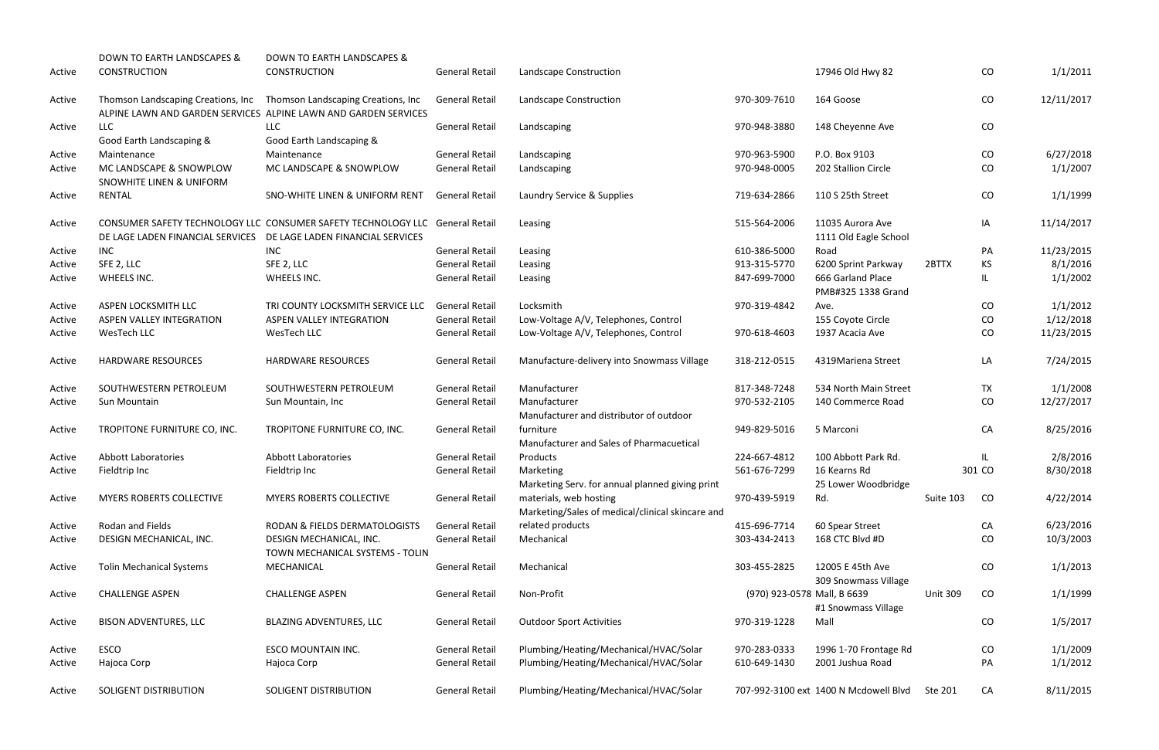|        | DOWN TO EARTH LANDSCAPES &                          | <b>DOWN TO EARTH LANDSCAPES &amp;</b>                                                                                                             |                       |                                                                            |                             |                                           |                 |           |            |
|--------|-----------------------------------------------------|---------------------------------------------------------------------------------------------------------------------------------------------------|-----------------------|----------------------------------------------------------------------------|-----------------------------|-------------------------------------------|-----------------|-----------|------------|
| Active | <b>CONSTRUCTION</b>                                 | <b>CONSTRUCTION</b>                                                                                                                               | <b>General Retail</b> | Landscape Construction                                                     |                             | 17946 Old Hwy 82                          |                 | CO        | 1/1/2011   |
| Active | Thomson Landscaping Creations, Inc                  | Thomson Landscaping Creations, Inc                                                                                                                | <b>General Retail</b> | Landscape Construction                                                     | 970-309-7610                | 164 Goose                                 |                 | CO        | 12/11/2017 |
|        |                                                     | ALPINE LAWN AND GARDEN SERVICES ALPINE LAWN AND GARDEN SERVICES                                                                                   |                       |                                                                            |                             |                                           |                 |           |            |
| Active | LLC                                                 | <b>LLC</b>                                                                                                                                        | <b>General Retail</b> | Landscaping                                                                | 970-948-3880                | 148 Cheyenne Ave                          |                 | CO        |            |
|        | Good Earth Landscaping &                            | Good Earth Landscaping &                                                                                                                          |                       |                                                                            |                             |                                           |                 |           |            |
| Active | Maintenance                                         | Maintenance                                                                                                                                       | <b>General Retail</b> | Landscaping                                                                | 970-963-5900                | P.O. Box 9103                             |                 | CO        | 6/27/2018  |
| Active | MC LANDSCAPE & SNOWPLOW<br>SNOWHITE LINEN & UNIFORM | MC LANDSCAPE & SNOWPLOW                                                                                                                           | <b>General Retail</b> | Landscaping                                                                | 970-948-0005                | 202 Stallion Circle                       |                 | CO        | 1/1/2007   |
| Active | <b>RENTAL</b>                                       | SNO-WHITE LINEN & UNIFORM RENT                                                                                                                    | <b>General Retail</b> | Laundry Service & Supplies                                                 | 719-634-2866                | 110 S 25th Street                         |                 | CO        | 1/1/1999   |
| Active |                                                     | CONSUMER SAFETY TECHNOLOGY LLC CONSUMER SAFETY TECHNOLOGY LLC General Retail<br>DE LAGE LADEN FINANCIAL SERVICES DE LAGE LADEN FINANCIAL SERVICES |                       | Leasing                                                                    | 515-564-2006                | 11035 Aurora Ave<br>1111 Old Eagle School |                 | IA        | 11/14/2017 |
| Active | <b>INC</b>                                          | <b>INC</b>                                                                                                                                        | <b>General Retail</b> | Leasing                                                                    | 610-386-5000                | Road                                      |                 | PA        | 11/23/2015 |
| Active | SFE 2, LLC                                          | SFE 2, LLC                                                                                                                                        | <b>General Retail</b> | Leasing                                                                    | 913-315-5770                | 6200 Sprint Parkway                       | 2BTTX           | <b>KS</b> | 8/1/2016   |
| Active | WHEELS INC.                                         | WHEELS INC.                                                                                                                                       | <b>General Retail</b> | Leasing                                                                    | 847-699-7000                | 666 Garland Place<br>PMB#325 1338 Grand   |                 | IL.       | 1/1/2002   |
| Active | ASPEN LOCKSMITH LLC                                 | TRI COUNTY LOCKSMITH SERVICE LLC                                                                                                                  | <b>General Retail</b> | Locksmith                                                                  | 970-319-4842                | Ave.                                      |                 | CO        | 1/1/2012   |
| Active | <b>ASPEN VALLEY INTEGRATION</b>                     | ASPEN VALLEY INTEGRATION                                                                                                                          | <b>General Retail</b> | Low-Voltage A/V, Telephones, Control                                       |                             | 155 Coyote Circle                         |                 | CO        | 1/12/2018  |
| Active | WesTech LLC                                         | WesTech LLC                                                                                                                                       | <b>General Retail</b> | Low-Voltage A/V, Telephones, Control                                       | 970-618-4603                | 1937 Acacia Ave                           |                 | CO        | 11/23/2015 |
| Active | <b>HARDWARE RESOURCES</b>                           | <b>HARDWARE RESOURCES</b>                                                                                                                         | <b>General Retail</b> | Manufacture-delivery into Snowmass Village                                 | 318-212-0515                | 4319Mariena Street                        |                 | LA        | 7/24/2015  |
| Active | SOUTHWESTERN PETROLEUM                              | SOUTHWESTERN PETROLEUM                                                                                                                            | <b>General Retail</b> | Manufacturer                                                               | 817-348-7248                | 534 North Main Street                     |                 | <b>TX</b> | 1/1/2008   |
| Active | Sun Mountain                                        | Sun Mountain, Inc.                                                                                                                                | <b>General Retail</b> | Manufacturer                                                               | 970-532-2105                | 140 Commerce Road                         |                 | CO        | 12/27/2017 |
|        |                                                     |                                                                                                                                                   |                       | Manufacturer and distributor of outdoor                                    |                             |                                           |                 |           |            |
| Active | TROPITONE FURNITURE CO, INC.                        | TROPITONE FURNITURE CO, INC.                                                                                                                      | <b>General Retail</b> | furniture<br>Manufacturer and Sales of Pharmacuetical                      | 949-829-5016                | 5 Marconi                                 |                 | CA        | 8/25/2016  |
| Active | <b>Abbott Laboratories</b>                          | <b>Abbott Laboratories</b>                                                                                                                        | <b>General Retail</b> | Products                                                                   | 224-667-4812                | 100 Abbott Park Rd.                       |                 | IL.       | 2/8/2016   |
| Active | Fieldtrip Inc                                       | Fieldtrip Inc                                                                                                                                     | <b>General Retail</b> | Marketing                                                                  | 561-676-7299                | 16 Kearns Rd                              |                 | 301 CO    | 8/30/2018  |
|        |                                                     |                                                                                                                                                   |                       | Marketing Serv. for annual planned giving print                            |                             | 25 Lower Woodbridge                       |                 |           |            |
| Active | <b>MYERS ROBERTS COLLECTIVE</b>                     | <b>MYERS ROBERTS COLLECTIVE</b>                                                                                                                   | <b>General Retail</b> | materials, web hosting<br>Marketing/Sales of medical/clinical skincare and | 970-439-5919                | Rd.                                       | Suite 103       | CO        | 4/22/2014  |
| Active | Rodan and Fields                                    | RODAN & FIELDS DERMATOLOGISTS                                                                                                                     | <b>General Retail</b> | related products                                                           | 415-696-7714                | 60 Spear Street                           |                 | CA        | 6/23/2016  |
| Active | DESIGN MECHANICAL, INC.                             | DESIGN MECHANICAL, INC.<br>TOWN MECHANICAL SYSTEMS - TOLIN                                                                                        | <b>General Retail</b> | Mechanical                                                                 | 303-434-2413                | 168 CTC Blvd #D                           |                 | CO        | 10/3/2003  |
| Active | <b>Tolin Mechanical Systems</b>                     | MECHANICAL                                                                                                                                        | <b>General Retail</b> | Mechanical                                                                 | 303-455-2825                | 12005 E 45th Ave<br>309 Snowmass Village  |                 | CO        | 1/1/2013   |
| Active | <b>CHALLENGE ASPEN</b>                              | <b>CHALLENGE ASPEN</b>                                                                                                                            | <b>General Retail</b> | Non-Profit                                                                 | (970) 923-0578 Mall, B 6639 |                                           | <b>Unit 309</b> | CO        | 1/1/1999   |
|        |                                                     |                                                                                                                                                   |                       |                                                                            |                             | #1 Snowmass Village                       |                 |           |            |
| Active | <b>BISON ADVENTURES, LLC</b>                        | BLAZING ADVENTURES, LLC                                                                                                                           | <b>General Retail</b> | <b>Outdoor Sport Activities</b>                                            | 970-319-1228                | Mall                                      |                 | CO        | 1/5/2017   |
| Active | ESCO                                                | ESCO MOUNTAIN INC.                                                                                                                                | <b>General Retail</b> | Plumbing/Heating/Mechanical/HVAC/Solar                                     | 970-283-0333                | 1996 1-70 Frontage Rd                     |                 | CO        | 1/1/2009   |
| Active | Hajoca Corp                                         | Hajoca Corp                                                                                                                                       | <b>General Retail</b> | Plumbing/Heating/Mechanical/HVAC/Solar                                     | 610-649-1430                | 2001 Jushua Road                          |                 | PA        | 1/1/2012   |
| Active | SOLIGENT DISTRIBUTION                               | SOLIGENT DISTRIBUTION                                                                                                                             | <b>General Retail</b> | Plumbing/Heating/Mechanical/HVAC/Solar                                     |                             | 707-992-3100 ext 1400 N Mcdowell Blvd     | Ste 201         | CA        | 8/11/2015  |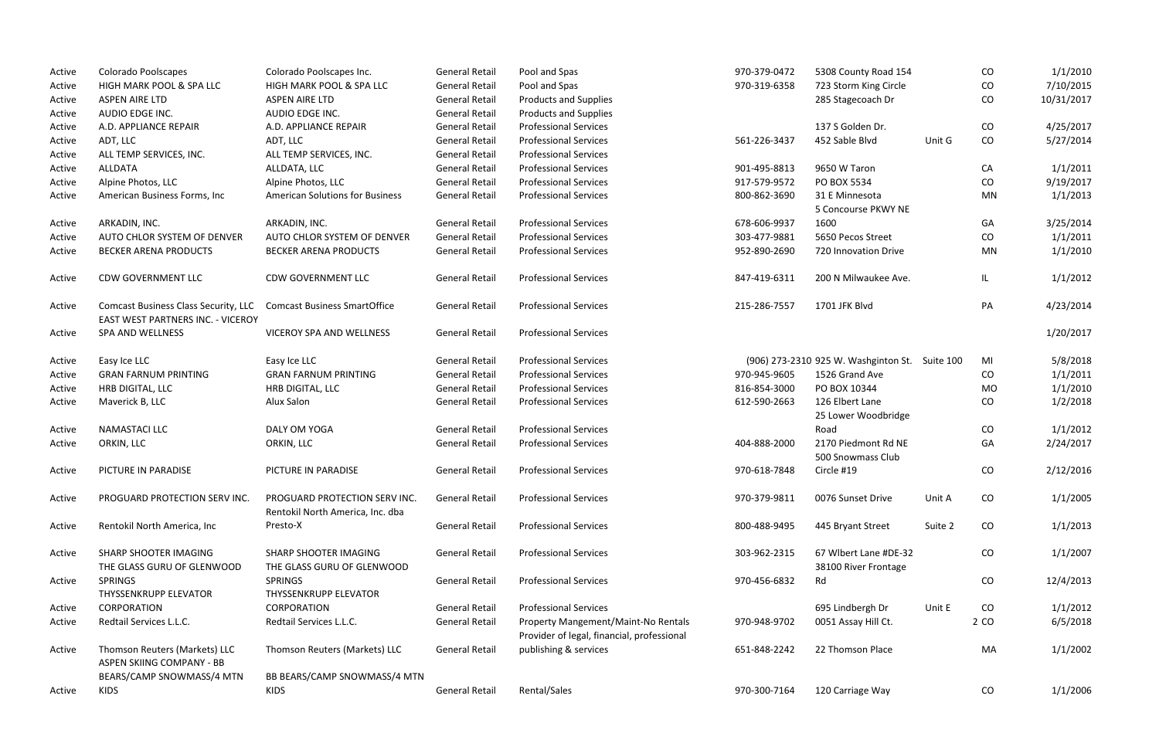| Active | <b>Colorado Poolscapes</b>                                 | Colorado Poolscapes Inc.                                          | <b>General Retail</b> | Pool and Spas                                                                     | 970-379-0472 | 5308 County Road 154                           |         | CO   | 1/1/2010   |
|--------|------------------------------------------------------------|-------------------------------------------------------------------|-----------------------|-----------------------------------------------------------------------------------|--------------|------------------------------------------------|---------|------|------------|
| Active | HIGH MARK POOL & SPA LLC                                   | HIGH MARK POOL & SPA LLC                                          | <b>General Retail</b> | Pool and Spas                                                                     | 970-319-6358 | 723 Storm King Circle                          |         | CO   | 7/10/2015  |
| Active | <b>ASPEN AIRE LTD</b>                                      | <b>ASPEN AIRE LTD</b>                                             | <b>General Retail</b> | <b>Products and Supplies</b>                                                      |              | 285 Stagecoach Dr                              |         | CO   | 10/31/2017 |
| Active | AUDIO EDGE INC.                                            | AUDIO EDGE INC.                                                   | <b>General Retail</b> | <b>Products and Supplies</b>                                                      |              |                                                |         |      |            |
| Active | A.D. APPLIANCE REPAIR                                      | A.D. APPLIANCE REPAIR                                             | <b>General Retail</b> | <b>Professional Services</b>                                                      |              | 137 S Golden Dr.                               |         | CO   | 4/25/2017  |
| Active | ADT, LLC                                                   | ADT, LLC                                                          | <b>General Retail</b> | <b>Professional Services</b>                                                      | 561-226-3437 | 452 Sable Blvd                                 | Unit G  | CO   | 5/27/2014  |
| Active | ALL TEMP SERVICES, INC.                                    | ALL TEMP SERVICES, INC.                                           | <b>General Retail</b> | <b>Professional Services</b>                                                      |              |                                                |         |      |            |
| Active | <b>ALLDATA</b>                                             | ALLDATA, LLC                                                      | <b>General Retail</b> | <b>Professional Services</b>                                                      | 901-495-8813 | 9650 W Taron                                   |         | CA   | 1/1/2011   |
| Active | Alpine Photos, LLC                                         | Alpine Photos, LLC                                                | <b>General Retail</b> | <b>Professional Services</b>                                                      | 917-579-9572 | PO BOX 5534                                    |         | CO   | 9/19/2017  |
| Active | American Business Forms, Inc                               | <b>American Solutions for Business</b>                            | <b>General Retail</b> | <b>Professional Services</b>                                                      | 800-862-3690 | 31 E Minnesota                                 |         | MN   | 1/1/2013   |
|        |                                                            |                                                                   |                       |                                                                                   |              | 5 Concourse PKWY NE                            |         |      |            |
| Active | ARKADIN, INC.                                              | ARKADIN, INC.                                                     | <b>General Retail</b> | <b>Professional Services</b>                                                      | 678-606-9937 | 1600                                           |         | GA   | 3/25/2014  |
| Active | AUTO CHLOR SYSTEM OF DENVER                                | AUTO CHLOR SYSTEM OF DENVER                                       | <b>General Retail</b> | <b>Professional Services</b>                                                      | 303-477-9881 | 5650 Pecos Street                              |         | CO   | 1/1/2011   |
| Active | <b>BECKER ARENA PRODUCTS</b>                               | <b>BECKER ARENA PRODUCTS</b>                                      | <b>General Retail</b> | <b>Professional Services</b>                                                      | 952-890-2690 | 720 Innovation Drive                           |         | MN   | 1/1/2010   |
| Active | CDW GOVERNMENT LLC                                         | <b>CDW GOVERNMENT LLC</b>                                         | <b>General Retail</b> | <b>Professional Services</b>                                                      | 847-419-6311 | 200 N Milwaukee Ave.                           |         | IL.  | 1/1/2012   |
| Active | <b>Comcast Business Class Security, LLC</b>                | <b>Comcast Business SmartOffice</b>                               | <b>General Retail</b> | <b>Professional Services</b>                                                      | 215-286-7557 | 1701 JFK Blvd                                  |         | PA   | 4/23/2014  |
|        | EAST WEST PARTNERS INC. - VICEROY                          |                                                                   |                       |                                                                                   |              |                                                |         |      |            |
| Active | SPA AND WELLNESS                                           | <b>VICEROY SPA AND WELLNESS</b>                                   | <b>General Retail</b> | <b>Professional Services</b>                                                      |              |                                                |         |      | 1/20/2017  |
| Active | Easy Ice LLC                                               | Easy Ice LLC                                                      | <b>General Retail</b> | <b>Professional Services</b>                                                      |              | (906) 273-2310 925 W. Washginton St. Suite 100 |         | MI   | 5/8/2018   |
| Active | <b>GRAN FARNUM PRINTING</b>                                | <b>GRAN FARNUM PRINTING</b>                                       | <b>General Retail</b> | <b>Professional Services</b>                                                      | 970-945-9605 | 1526 Grand Ave                                 |         | CO   | 1/1/2011   |
| Active | HRB DIGITAL, LLC                                           | HRB DIGITAL, LLC                                                  | <b>General Retail</b> | <b>Professional Services</b>                                                      | 816-854-3000 | PO BOX 10344                                   |         | MO   | 1/1/2010   |
| Active | Maverick B, LLC                                            | Alux Salon                                                        | <b>General Retail</b> | <b>Professional Services</b>                                                      | 612-590-2663 | 126 Elbert Lane<br>25 Lower Woodbridge         |         | CO   | 1/2/2018   |
| Active | <b>NAMASTACI LLC</b>                                       | DALY OM YOGA                                                      | <b>General Retail</b> | <b>Professional Services</b>                                                      |              | Road                                           |         | CO   | 1/1/2012   |
| Active | ORKIN, LLC                                                 | ORKIN, LLC                                                        | <b>General Retail</b> | <b>Professional Services</b>                                                      | 404-888-2000 | 2170 Piedmont Rd NE<br>500 Snowmass Club       |         | GA   | 2/24/2017  |
| Active | PICTURE IN PARADISE                                        | PICTURE IN PARADISE                                               | <b>General Retail</b> | <b>Professional Services</b>                                                      | 970-618-7848 | Circle #19                                     |         | CO   | 2/12/2016  |
| Active | PROGUARD PROTECTION SERV INC.                              | PROGUARD PROTECTION SERV INC.<br>Rentokil North America, Inc. dba | <b>General Retail</b> | <b>Professional Services</b>                                                      | 970-379-9811 | 0076 Sunset Drive                              | Unit A  | CO   | 1/1/2005   |
| Active | Rentokil North America, Inc                                | Presto-X                                                          | <b>General Retail</b> | <b>Professional Services</b>                                                      | 800-488-9495 | 445 Bryant Street                              | Suite 2 | CO   | 1/1/2013   |
| Active | SHARP SHOOTER IMAGING                                      | SHARP SHOOTER IMAGING                                             | <b>General Retail</b> | <b>Professional Services</b>                                                      | 303-962-2315 | 67 Wlbert Lane #DE-32                          |         | CO   | 1/1/2007   |
|        | THE GLASS GURU OF GLENWOOD                                 | THE GLASS GURU OF GLENWOOD                                        |                       |                                                                                   |              | 38100 River Frontage                           |         |      |            |
| Active | <b>SPRINGS</b>                                             | <b>SPRINGS</b>                                                    | <b>General Retail</b> | <b>Professional Services</b>                                                      | 970-456-6832 | Rd                                             |         | CO   | 12/4/2013  |
|        | THYSSENKRUPP ELEVATOR                                      | <b>THYSSENKRUPP ELEVATOR</b>                                      |                       |                                                                                   |              |                                                |         |      |            |
| Active | CORPORATION                                                | CORPORATION                                                       | <b>General Retail</b> | <b>Professional Services</b>                                                      |              | 695 Lindbergh Dr                               | Unit E  | CO   | 1/1/2012   |
| Active | Redtail Services L.L.C.                                    | Redtail Services L.L.C.                                           | <b>General Retail</b> | Property Mangement/Maint-No Rentals<br>Provider of legal, financial, professional | 970-948-9702 | 0051 Assay Hill Ct.                            |         | 2 CO | 6/5/2018   |
| Active | Thomson Reuters (Markets) LLC<br>ASPEN SKIING COMPANY - BB | Thomson Reuters (Markets) LLC                                     | <b>General Retail</b> | publishing & services                                                             | 651-848-2242 | 22 Thomson Place                               |         | MA   | 1/1/2002   |
|        | BEARS/CAMP SNOWMASS/4 MTN                                  | BB BEARS/CAMP SNOWMASS/4 MTN                                      |                       |                                                                                   |              |                                                |         |      |            |
| Active | KIDS                                                       | <b>KIDS</b>                                                       | <b>General Retail</b> | Rental/Sales                                                                      | 970-300-7164 | 120 Carriage Way                               |         | CO   | 1/1/2006   |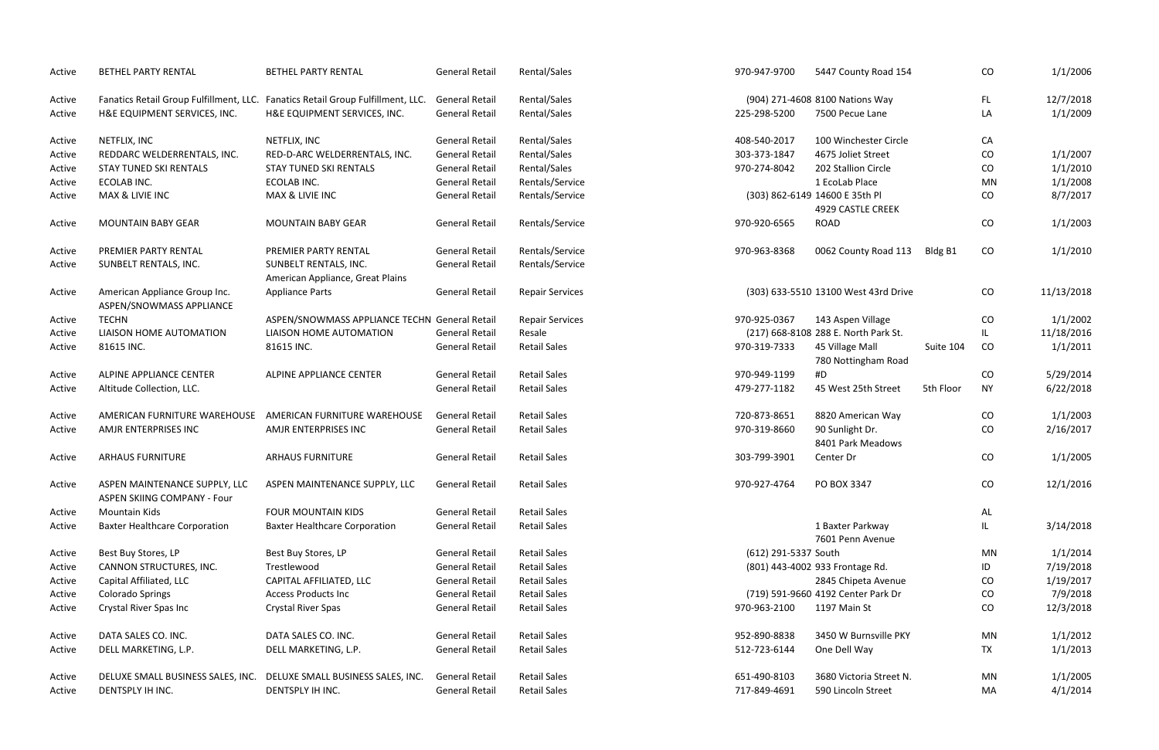| Active | <b>BETHEL PARTY RENTAL</b>                                   | <b>BETHEL PARTY RENTAL</b>                                                      | <b>General Retail</b> | Rental/Sales           | 970-947-9700         | 5447 County Road 154                   |           | CO        | 1/1/2006   |
|--------|--------------------------------------------------------------|---------------------------------------------------------------------------------|-----------------------|------------------------|----------------------|----------------------------------------|-----------|-----------|------------|
| Active |                                                              | Fanatics Retail Group Fulfillment, LLC. Fanatics Retail Group Fulfillment, LLC. | <b>General Retail</b> | Rental/Sales           |                      | (904) 271-4608 8100 Nations Way        |           | FL.       | 12/7/2018  |
| Active | H&E EQUIPMENT SERVICES, INC.                                 | H&E EQUIPMENT SERVICES, INC.                                                    | <b>General Retail</b> | Rental/Sales           | 225-298-5200         | 7500 Pecue Lane                        |           | LA        | 1/1/2009   |
| Active | NETFLIX, INC                                                 | NETFLIX, INC                                                                    | <b>General Retail</b> | Rental/Sales           | 408-540-2017         | 100 Winchester Circle                  |           | CA        |            |
| Active | REDDARC WELDERRENTALS, INC.                                  | RED-D-ARC WELDERRENTALS, INC.                                                   | <b>General Retail</b> | Rental/Sales           | 303-373-1847         | 4675 Joliet Street                     |           | CO        | 1/1/2007   |
| Active | <b>STAY TUNED SKI RENTALS</b>                                | <b>STAY TUNED SKI RENTALS</b>                                                   | <b>General Retail</b> | Rental/Sales           | 970-274-8042         | 202 Stallion Circle                    |           | CO        | 1/1/2010   |
| Active | ECOLAB INC.                                                  | ECOLAB INC.                                                                     | <b>General Retail</b> | Rentals/Service        |                      | 1 EcoLab Place                         |           | MN        | 1/1/2008   |
| Active | MAX & LIVIE INC                                              | MAX & LIVIE INC                                                                 | <b>General Retail</b> | Rentals/Service        |                      | (303) 862-6149 14600 E 35th Pl         |           | CO        | 8/7/2017   |
|        |                                                              |                                                                                 |                       |                        |                      | 4929 CASTLE CREEK                      |           |           |            |
| Active | <b>MOUNTAIN BABY GEAR</b>                                    | <b>MOUNTAIN BABY GEAR</b>                                                       | <b>General Retail</b> | Rentals/Service        | 970-920-6565         | <b>ROAD</b>                            |           | CO        | 1/1/2003   |
| Active | PREMIER PARTY RENTAL                                         | PREMIER PARTY RENTAL                                                            | <b>General Retail</b> | Rentals/Service        | 970-963-8368         | 0062 County Road 113                   | Bldg B1   | CO        | 1/1/2010   |
| Active | SUNBELT RENTALS, INC.                                        | SUNBELT RENTALS, INC.<br>American Appliance, Great Plains                       | <b>General Retail</b> | Rentals/Service        |                      |                                        |           |           |            |
| Active | American Appliance Group Inc.<br>ASPEN/SNOWMASS APPLIANCE    | <b>Appliance Parts</b>                                                          | <b>General Retail</b> | <b>Repair Services</b> |                      | (303) 633-5510 13100 West 43rd Drive   |           | CO        | 11/13/2018 |
| Active | <b>TECHN</b>                                                 | ASPEN/SNOWMASS APPLIANCE TECHN General Retail                                   |                       | <b>Repair Services</b> | 970-925-0367         | 143 Aspen Village                      |           | CO        | 1/1/2002   |
| Active | LIAISON HOME AUTOMATION                                      | LIAISON HOME AUTOMATION                                                         | <b>General Retail</b> | Resale                 |                      | (217) 668-8108 288 E. North Park St.   |           | IL.       | 11/18/2016 |
| Active | 81615 INC.                                                   | 81615 INC.                                                                      | <b>General Retail</b> | <b>Retail Sales</b>    | 970-319-7333         | 45 Village Mall<br>780 Nottingham Road | Suite 104 | CO        | 1/1/2011   |
| Active | ALPINE APPLIANCE CENTER                                      | ALPINE APPLIANCE CENTER                                                         | <b>General Retail</b> | <b>Retail Sales</b>    | 970-949-1199         | #D                                     |           | CO        | 5/29/2014  |
| Active | Altitude Collection, LLC.                                    |                                                                                 | <b>General Retail</b> | <b>Retail Sales</b>    | 479-277-1182         | 45 West 25th Street                    | 5th Floor | <b>NY</b> | 6/22/2018  |
| Active | AMERICAN FURNITURE WAREHOUSE                                 | AMERICAN FURNITURE WAREHOUSE                                                    | <b>General Retail</b> | <b>Retail Sales</b>    | 720-873-8651         | 8820 American Way                      |           | CO        | 1/1/2003   |
| Active | AMJR ENTERPRISES INC                                         | AMJR ENTERPRISES INC                                                            | <b>General Retail</b> | <b>Retail Sales</b>    | 970-319-8660         | 90 Sunlight Dr.<br>8401 Park Meadows   |           | CO        | 2/16/2017  |
| Active | <b>ARHAUS FURNITURE</b>                                      | <b>ARHAUS FURNITURE</b>                                                         | <b>General Retail</b> | <b>Retail Sales</b>    | 303-799-3901         | Center Dr                              |           | CO        | 1/1/2005   |
| Active | ASPEN MAINTENANCE SUPPLY, LLC<br>ASPEN SKIING COMPANY - Four | ASPEN MAINTENANCE SUPPLY, LLC                                                   | <b>General Retail</b> | <b>Retail Sales</b>    | 970-927-4764         | PO BOX 3347                            |           | CO        | 12/1/2016  |
| Active | <b>Mountain Kids</b>                                         | <b>FOUR MOUNTAIN KIDS</b>                                                       | <b>General Retail</b> | <b>Retail Sales</b>    |                      |                                        |           | AL        |            |
| Active | <b>Baxter Healthcare Corporation</b>                         | <b>Baxter Healthcare Corporation</b>                                            | <b>General Retail</b> | <b>Retail Sales</b>    |                      | 1 Baxter Parkway<br>7601 Penn Avenue   |           | IL.       | 3/14/2018  |
| Active | Best Buy Stores, LP                                          | Best Buy Stores, LP                                                             | <b>General Retail</b> | <b>Retail Sales</b>    | (612) 291-5337 South |                                        |           | MN        | 1/1/2014   |
| Active | CANNON STRUCTURES, INC.                                      | Trestlewood                                                                     | <b>General Retail</b> | <b>Retail Sales</b>    |                      | (801) 443-4002 933 Frontage Rd.        |           | ID        | 7/19/2018  |
| Active | Capital Affiliated, LLC                                      | CAPITAL AFFILIATED, LLC                                                         | <b>General Retail</b> | <b>Retail Sales</b>    |                      | 2845 Chipeta Avenue                    |           | CO        | 1/19/2017  |
| Active | <b>Colorado Springs</b>                                      | <b>Access Products Inc</b>                                                      | <b>General Retail</b> | <b>Retail Sales</b>    |                      | (719) 591-9660 4192 Center Park Dr     |           | CO        | 7/9/2018   |
| Active | Crystal River Spas Inc                                       | Crystal River Spas                                                              | <b>General Retail</b> | <b>Retail Sales</b>    | 970-963-2100         | 1197 Main St                           |           | CO        | 12/3/2018  |
| Active | DATA SALES CO. INC.                                          | DATA SALES CO. INC.                                                             | <b>General Retail</b> | <b>Retail Sales</b>    | 952-890-8838         | 3450 W Burnsville PKY                  |           | MN        | 1/1/2012   |
| Active | DELL MARKETING, L.P.                                         | DELL MARKETING, L.P.                                                            | <b>General Retail</b> | <b>Retail Sales</b>    | 512-723-6144         | One Dell Way                           |           | <b>TX</b> | 1/1/2013   |
| Active | DELUXE SMALL BUSINESS SALES, INC.                            | DELUXE SMALL BUSINESS SALES, INC.                                               | <b>General Retail</b> | <b>Retail Sales</b>    | 651-490-8103         | 3680 Victoria Street N.                |           | MN        | 1/1/2005   |
| Active | DENTSPLY IH INC.                                             | DENTSPLY IH INC.                                                                | <b>General Retail</b> | <b>Retail Sales</b>    | 717-849-4691         | 590 Lincoln Street                     |           | MA        | 4/1/2014   |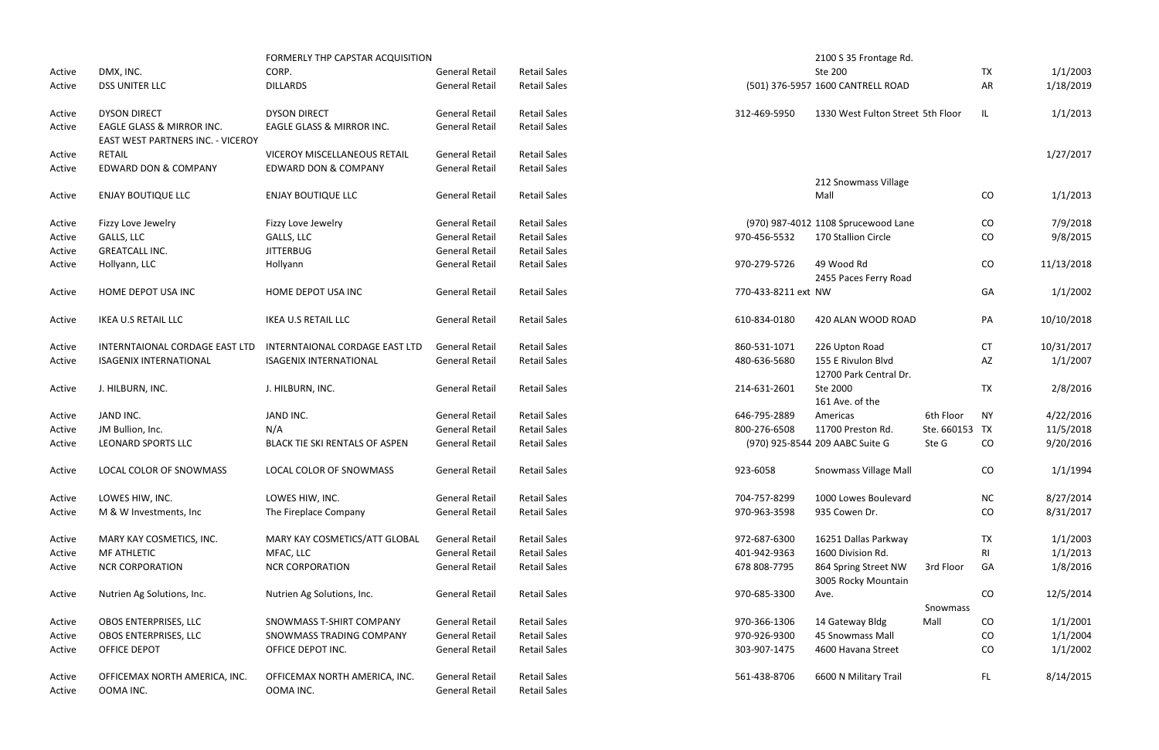|        |                                                                | FORMERLY THP CAPSTAR ACQUISITION |                       |                     |                     | 2100 S 35 Frontage Rd.                       |                |           |            |
|--------|----------------------------------------------------------------|----------------------------------|-----------------------|---------------------|---------------------|----------------------------------------------|----------------|-----------|------------|
| Active | DMX, INC.                                                      | CORP.                            | <b>General Retail</b> | <b>Retail Sales</b> |                     | Ste 200                                      |                | <b>TX</b> | 1/1/2003   |
| Active | <b>DSS UNITER LLC</b>                                          | <b>DILLARDS</b>                  | <b>General Retail</b> | <b>Retail Sales</b> |                     | (501) 376-5957 1600 CANTRELL ROAD            |                | AR        | 1/18/2019  |
| Active | <b>DYSON DIRECT</b>                                            | <b>DYSON DIRECT</b>              | <b>General Retail</b> | <b>Retail Sales</b> | 312-469-5950        | 1330 West Fulton Street 5th Floor            |                | IL        | 1/1/2013   |
| Active | EAGLE GLASS & MIRROR INC.<br>EAST WEST PARTNERS INC. - VICEROY | EAGLE GLASS & MIRROR INC.        | <b>General Retail</b> | <b>Retail Sales</b> |                     |                                              |                |           |            |
| Active | <b>RETAIL</b>                                                  | VICEROY MISCELLANEOUS RETAIL     | <b>General Retail</b> | <b>Retail Sales</b> |                     |                                              |                |           | 1/27/2017  |
| Active | EDWARD DON & COMPANY                                           | <b>EDWARD DON &amp; COMPANY</b>  | <b>General Retail</b> | <b>Retail Sales</b> |                     |                                              |                |           |            |
|        |                                                                |                                  |                       |                     |                     | 212 Snowmass Village                         |                |           |            |
| Active | <b>ENJAY BOUTIQUE LLC</b>                                      | <b>ENJAY BOUTIQUE LLC</b>        | <b>General Retail</b> | <b>Retail Sales</b> |                     | Mall                                         |                | CO        | 1/1/2013   |
| Active | Fizzy Love Jewelry                                             | Fizzy Love Jewelry               | <b>General Retail</b> | <b>Retail Sales</b> |                     | (970) 987-4012 1108 Sprucewood Lane          |                | CO        | 7/9/2018   |
| Active | GALLS, LLC                                                     | GALLS, LLC                       | <b>General Retail</b> | <b>Retail Sales</b> | 970-456-5532        | 170 Stallion Circle                          |                | CO        | 9/8/2015   |
| Active | <b>GREATCALL INC.</b>                                          | <b>JITTERBUG</b>                 | <b>General Retail</b> | <b>Retail Sales</b> |                     |                                              |                |           |            |
| Active | Hollyann, LLC                                                  | Hollyann                         | <b>General Retail</b> | <b>Retail Sales</b> | 970-279-5726        | 49 Wood Rd                                   |                | CO        | 11/13/2018 |
|        |                                                                |                                  |                       |                     |                     | 2455 Paces Ferry Road                        |                |           |            |
| Active | HOME DEPOT USA INC                                             | HOME DEPOT USA INC               | <b>General Retail</b> | <b>Retail Sales</b> | 770-433-8211 ext NW |                                              |                | GA        | 1/1/2002   |
| Active | IKEA U.S RETAIL LLC                                            | <b>IKEA U.S RETAIL LLC</b>       | <b>General Retail</b> | <b>Retail Sales</b> | 610-834-0180        | 420 ALAN WOOD ROAD                           |                | PA        | 10/10/2018 |
| Active | INTERNTAIONAL CORDAGE EAST LTD                                 | INTERNTAIONAL CORDAGE EAST LTD   | <b>General Retail</b> | <b>Retail Sales</b> | 860-531-1071        | 226 Upton Road                               |                | <b>CT</b> | 10/31/2017 |
| Active | <b>ISAGENIX INTERNATIONAL</b>                                  | <b>ISAGENIX INTERNATIONAL</b>    | <b>General Retail</b> | <b>Retail Sales</b> | 480-636-5680        | 155 E Rivulon Blvd<br>12700 Park Central Dr. |                | AZ        | 1/1/2007   |
| Active | J. HILBURN, INC.                                               | J. HILBURN, INC.                 | <b>General Retail</b> | <b>Retail Sales</b> | 214-631-2601        | Ste 2000<br>161 Ave. of the                  |                | <b>TX</b> | 2/8/2016   |
| Active | JAND INC.                                                      | JAND INC.                        | <b>General Retail</b> | <b>Retail Sales</b> | 646-795-2889        | Americas                                     | 6th Floor      | <b>NY</b> | 4/22/2016  |
| Active | JM Bullion, Inc.                                               | N/A                              | <b>General Retail</b> | <b>Retail Sales</b> | 800-276-6508        | 11700 Preston Rd.                            | Ste. 660153 TX |           | 11/5/2018  |
| Active | <b>LEONARD SPORTS LLC</b>                                      | BLACK TIE SKI RENTALS OF ASPEN   | <b>General Retail</b> | <b>Retail Sales</b> |                     | (970) 925-8544 209 AABC Suite G              | Ste G          | CO        | 9/20/2016  |
| Active | LOCAL COLOR OF SNOWMASS                                        | LOCAL COLOR OF SNOWMASS          | <b>General Retail</b> | <b>Retail Sales</b> | 923-6058            | <b>Snowmass Village Mall</b>                 |                | CO        | 1/1/1994   |
| Active | LOWES HIW, INC.                                                | LOWES HIW, INC.                  | <b>General Retail</b> | <b>Retail Sales</b> | 704-757-8299        | 1000 Lowes Boulevard                         |                | NC        | 8/27/2014  |
| Active | M & W Investments, Inc.                                        | The Fireplace Company            | <b>General Retail</b> | <b>Retail Sales</b> | 970-963-3598        | 935 Cowen Dr.                                |                | CO        | 8/31/2017  |
| Active | MARY KAY COSMETICS, INC.                                       | MARY KAY COSMETICS/ATT GLOBAL    | <b>General Retail</b> | <b>Retail Sales</b> | 972-687-6300        | 16251 Dallas Parkway                         |                | <b>TX</b> | 1/1/2003   |
| Active | <b>MF ATHLETIC</b>                                             | MFAC, LLC                        | <b>General Retail</b> | <b>Retail Sales</b> | 401-942-9363        | 1600 Division Rd.                            |                | RI.       | 1/1/2013   |
| Active | <b>NCR CORPORATION</b>                                         | <b>NCR CORPORATION</b>           | <b>General Retail</b> | <b>Retail Sales</b> | 678 808-7795        | 864 Spring Street NW<br>3005 Rocky Mountain  | 3rd Floor      | GA        | 1/8/2016   |
| Active | Nutrien Ag Solutions, Inc.                                     | Nutrien Ag Solutions, Inc.       | <b>General Retail</b> | <b>Retail Sales</b> | 970-685-3300        | Ave.                                         | Snowmass       | CO        | 12/5/2014  |
| Active | OBOS ENTERPRISES, LLC                                          | SNOWMASS T-SHIRT COMPANY         | <b>General Retail</b> | <b>Retail Sales</b> | 970-366-1306        | 14 Gateway Bldg                              | Mall           | CO        | 1/1/2001   |
| Active | OBOS ENTERPRISES, LLC                                          | SNOWMASS TRADING COMPANY         | <b>General Retail</b> | <b>Retail Sales</b> | 970-926-9300        | 45 Snowmass Mall                             |                | CO        | 1/1/2004   |
| Active | <b>OFFICE DEPOT</b>                                            | OFFICE DEPOT INC.                | <b>General Retail</b> | <b>Retail Sales</b> | 303-907-1475        | 4600 Havana Street                           |                | CO        | 1/1/2002   |
|        |                                                                |                                  |                       |                     |                     |                                              |                |           |            |
| Active | OFFICEMAX NORTH AMERICA, INC.                                  | OFFICEMAX NORTH AMERICA, INC.    | <b>General Retail</b> | <b>Retail Sales</b> | 561-438-8706        | 6600 N Military Trail                        |                | FL.       | 8/14/2015  |
| Active | OOMA INC.                                                      | OOMA INC.                        | <b>General Retail</b> | <b>Retail Sales</b> |                     |                                              |                |           |            |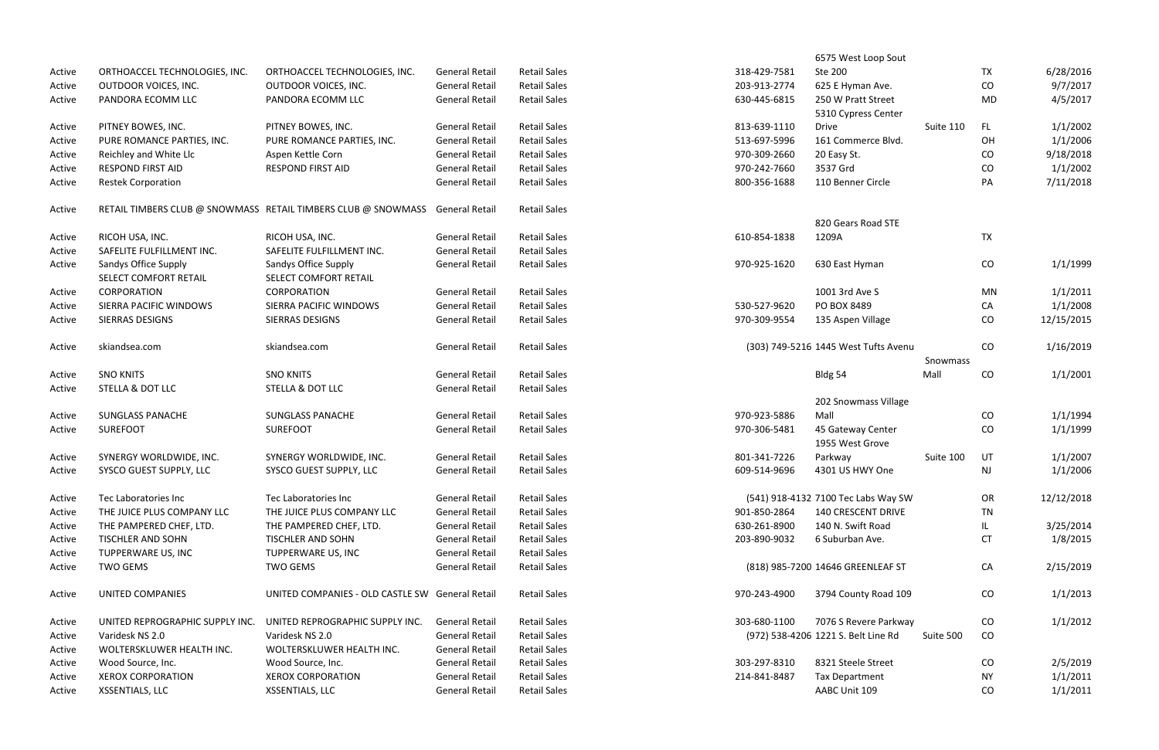| <b>TX</b><br>6/28/2016<br><b>General Retail</b><br><b>Retail Sales</b><br>318-429-7581<br>Ste 200<br>ORTHOACCEL TECHNOLOGIES, INC.<br>ORTHOACCEL TECHNOLOGIES, INC.<br>Active<br>CO<br>9/7/2017<br>OUTDOOR VOICES, INC.<br>OUTDOOR VOICES, INC.<br><b>General Retail</b><br><b>Retail Sales</b><br>203-913-2774<br>625 E Hyman Ave.<br>Active<br>PANDORA ECOMM LLC<br>PANDORA ECOMM LLC<br><b>General Retail</b><br><b>Retail Sales</b><br>630-445-6815<br>250 W Pratt Street<br>MD<br>4/5/2017<br>Active<br>5310 Cypress Center<br>1/1/2002<br>PITNEY BOWES, INC.<br><b>General Retail</b><br><b>Retail Sales</b><br>813-639-1110<br><b>Drive</b><br>Suite 110<br>FL.<br>PITNEY BOWES, INC.<br>Active<br>1/1/2006<br><b>General Retail</b><br><b>Retail Sales</b><br>513-697-5996<br>161 Commerce Blvd.<br>OH<br>PURE ROMANCE PARTIES, INC.<br>PURE ROMANCE PARTIES, INC.<br>Active<br>9/18/2018<br>Reichley and White Llc<br>Aspen Kettle Corn<br><b>General Retail</b><br><b>Retail Sales</b><br>970-309-2660<br>20 Easy St.<br>CO<br>Active<br>3537 Grd<br>1/1/2002<br><b>RESPOND FIRST AID</b><br><b>RESPOND FIRST AID</b><br><b>General Retail</b><br><b>Retail Sales</b><br>970-242-7660<br>CO<br>Active<br>110 Benner Circle<br>7/11/2018<br><b>Restek Corporation</b><br><b>General Retail</b><br><b>Retail Sales</b><br>800-356-1688<br>PA<br>Active<br><b>Retail Sales</b><br>RETAIL TIMBERS CLUB @ SNOWMASS RETAIL TIMBERS CLUB @ SNOWMASS General Retail<br>Active<br>820 Gears Road STE<br>RICOH USA, INC.<br><b>General Retail</b><br><b>Retail Sales</b><br>TX<br>RICOH USA, INC.<br>610-854-1838<br>1209A<br>Active<br><b>Retail Sales</b><br>SAFELITE FULFILLMENT INC.<br>SAFELITE FULFILLMENT INC.<br><b>General Retail</b><br>Active<br>CO<br>1/1/1999<br>Sandys Office Supply<br>Sandys Office Supply<br><b>General Retail</b><br><b>Retail Sales</b><br>970-925-1620<br>630 East Hyman<br>Active<br>SELECT COMFORT RETAIL<br>SELECT COMFORT RETAIL<br>1/1/2011<br><b>CORPORATION</b><br><b>General Retail</b><br><b>Retail Sales</b><br>1001 3rd Ave S<br>CORPORATION<br>MN<br>Active<br>1/1/2008<br>SIERRA PACIFIC WINDOWS<br>SIERRA PACIFIC WINDOWS<br><b>General Retail</b><br><b>Retail Sales</b><br>530-527-9620<br>PO BOX 8489<br>CA<br>Active<br><b>Retail Sales</b><br>CO<br>12/15/2015<br>SIERRAS DESIGNS<br>SIERRAS DESIGNS<br><b>General Retail</b><br>970-309-9554<br>135 Aspen Village<br>Active<br>skiandsea.com<br><b>General Retail</b><br><b>Retail Sales</b><br>(303) 749-5216 1445 West Tufts Avenu<br>CO<br>1/16/2019<br>skiandsea.com<br>Active<br>Snowmass<br>1/1/2001<br><b>SNO KNITS</b><br><b>SNO KNITS</b><br><b>General Retail</b><br><b>Retail Sales</b><br>Mall<br>CO<br>Bldg 54<br>Active<br>STELLA & DOT LLC<br><b>General Retail</b><br><b>Retail Sales</b><br>STELLA & DOT LLC<br>Active<br>202 Snowmass Village<br>Mall<br>1/1/1994<br><b>General Retail</b><br><b>Retail Sales</b><br>CO<br><b>SUNGLASS PANACHE</b><br><b>SUNGLASS PANACHE</b><br>970-923-5886<br>Active<br>1/1/1999<br><b>SUREFOOT</b><br><b>SUREFOOT</b><br><b>General Retail</b><br><b>Retail Sales</b><br>45 Gateway Center<br>CO<br>970-306-5481<br>Active<br>1955 West Grove<br>UT<br>1/1/2007<br><b>General Retail</b><br><b>Retail Sales</b><br>801-341-7226<br>Suite 100<br>SYNERGY WORLDWIDE, INC.<br>SYNERGY WORLDWIDE, INC.<br>Parkway<br>Active<br>1/1/2006<br>SYSCO GUEST SUPPLY, LLC<br>SYSCO GUEST SUPPLY, LLC<br><b>General Retail</b><br><b>Retail Sales</b><br>609-514-9696<br>4301 US HWY One<br>Active<br>NJ<br>12/12/2018<br>Tec Laboratories Inc<br>Tec Laboratories Inc<br><b>General Retail</b><br><b>Retail Sales</b><br>(541) 918-4132 7100 Tec Labs Way SW<br>OR<br>Active<br><b>TN</b><br>THE JUICE PLUS COMPANY LLC<br>THE JUICE PLUS COMPANY LLC<br><b>General Retail</b><br><b>Retail Sales</b><br>901-850-2864<br><b>140 CRESCENT DRIVE</b><br>Active<br>THE PAMPERED CHEF, LTD.<br><b>General Retail</b><br><b>Retail Sales</b><br>630-261-8900<br>140 N. Swift Road<br>3/25/2014<br>THE PAMPERED CHEF, LTD.<br>Active<br>IL.<br>1/8/2015<br><b>TISCHLER AND SOHN</b><br><b>TISCHLER AND SOHN</b><br><b>General Retail</b><br><b>Retail Sales</b><br>203-890-9032<br>6 Suburban Ave.<br>CT<br>Active<br>TUPPERWARE US, INC<br>TUPPERWARE US, INC<br><b>General Retail</b><br><b>Retail Sales</b><br>Active<br><b>TWO GEMS</b><br><b>General Retail</b><br><b>Retail Sales</b><br>(818) 985-7200 14646 GREENLEAF ST<br>CA<br>2/15/2019<br><b>TWO GEMS</b><br>Active<br>1/1/2013<br><b>UNITED COMPANIES</b><br><b>Retail Sales</b><br>3794 County Road 109<br>CO<br>UNITED COMPANIES - OLD CASTLE SW General Retail<br>970-243-4900<br>Active<br>1/1/2012<br><b>General Retail</b><br><b>Retail Sales</b><br>303-680-1100<br>7076 S Revere Parkway<br>UNITED REPROGRAPHIC SUPPLY INC.<br>UNITED REPROGRAPHIC SUPPLY INC.<br>CO<br>Active<br><b>General Retail</b><br><b>Retail Sales</b><br>(972) 538-4206 1221 S. Belt Line Rd<br>Suite 500<br>CO<br>Varidesk NS 2.0<br>Varidesk NS 2.0<br>Active<br><b>Retail Sales</b><br>WOLTERSKLUWER HEALTH INC.<br>WOLTERSKLUWER HEALTH INC.<br><b>General Retail</b><br>Active<br>Wood Source, Inc.<br>Wood Source, Inc.<br><b>General Retail</b><br><b>Retail Sales</b><br>303-297-8310<br>8321 Steele Street<br>2/5/2019<br>CO<br>Active<br>1/1/2011<br><b>XEROX CORPORATION</b><br><b>XEROX CORPORATION</b><br><b>General Retail</b><br><b>Retail Sales</b><br>214-841-8487<br><b>Tax Department</b><br>ΝY<br>Active<br>XSSENTIALS, LLC<br>XSSENTIALS, LLC<br><b>Retail Sales</b><br>AABC Unit 109<br>1/1/2011<br><b>General Retail</b><br>CO<br>Active |  |  |  | 6575 West Loop Sout |  |  |
|-------------------------------------------------------------------------------------------------------------------------------------------------------------------------------------------------------------------------------------------------------------------------------------------------------------------------------------------------------------------------------------------------------------------------------------------------------------------------------------------------------------------------------------------------------------------------------------------------------------------------------------------------------------------------------------------------------------------------------------------------------------------------------------------------------------------------------------------------------------------------------------------------------------------------------------------------------------------------------------------------------------------------------------------------------------------------------------------------------------------------------------------------------------------------------------------------------------------------------------------------------------------------------------------------------------------------------------------------------------------------------------------------------------------------------------------------------------------------------------------------------------------------------------------------------------------------------------------------------------------------------------------------------------------------------------------------------------------------------------------------------------------------------------------------------------------------------------------------------------------------------------------------------------------------------------------------------------------------------------------------------------------------------------------------------------------------------------------------------------------------------------------------------------------------------------------------------------------------------------------------------------------------------------------------------------------------------------------------------------------------------------------------------------------------------------------------------------------------------------------------------------------------------------------------------------------------------------------------------------------------------------------------------------------------------------------------------------------------------------------------------------------------------------------------------------------------------------------------------------------------------------------------------------------------------------------------------------------------------------------------------------------------------------------------------------------------------------------------------------------------------------------------------------------------------------------------------------------------------------------------------------------------------------------------------------------------------------------------------------------------------------------------------------------------------------------------------------------------------------------------------------------------------------------------------------------------------------------------------------------------------------------------------------------------------------------------------------------------------------------------------------------------------------------------------------------------------------------------------------------------------------------------------------------------------------------------------------------------------------------------------------------------------------------------------------------------------------------------------------------------------------------------------------------------------------------------------------------------------------------------------------------------------------------------------------------------------------------------------------------------------------------------------------------------------------------------------------------------------------------------------------------------------------------------------------------------------------------------------------------------------------------------------------------------------------------------------------------------------------------------------------------------------------------------------------------------------------------------------------------------------------------------------------------------------------------------------------------------------------------------------------------------------------------------------------------------------------------------------------------------------------------------------------------------------------------------------------------------------------------------------------------------------------------------------------------------------------------------------------------------------------------------------------------------------------------------------------------------------------------------------------------------------------------------------------------------------------------------------------------------------------------------------------|--|--|--|---------------------|--|--|
|                                                                                                                                                                                                                                                                                                                                                                                                                                                                                                                                                                                                                                                                                                                                                                                                                                                                                                                                                                                                                                                                                                                                                                                                                                                                                                                                                                                                                                                                                                                                                                                                                                                                                                                                                                                                                                                                                                                                                                                                                                                                                                                                                                                                                                                                                                                                                                                                                                                                                                                                                                                                                                                                                                                                                                                                                                                                                                                                                                                                                                                                                                                                                                                                                                                                                                                                                                                                                                                                                                                                                                                                                                                                                                                                                                                                                                                                                                                                                                                                                                                                                                                                                                                                                                                                                                                                                                                                                                                                                                                                                                                                                                                                                                                                                                                                                                                                                                                                                                                                                                                                                                                                                                                                                                                                                                                                                                                                                                                                                                                                                                                                                                                             |  |  |  |                     |  |  |
|                                                                                                                                                                                                                                                                                                                                                                                                                                                                                                                                                                                                                                                                                                                                                                                                                                                                                                                                                                                                                                                                                                                                                                                                                                                                                                                                                                                                                                                                                                                                                                                                                                                                                                                                                                                                                                                                                                                                                                                                                                                                                                                                                                                                                                                                                                                                                                                                                                                                                                                                                                                                                                                                                                                                                                                                                                                                                                                                                                                                                                                                                                                                                                                                                                                                                                                                                                                                                                                                                                                                                                                                                                                                                                                                                                                                                                                                                                                                                                                                                                                                                                                                                                                                                                                                                                                                                                                                                                                                                                                                                                                                                                                                                                                                                                                                                                                                                                                                                                                                                                                                                                                                                                                                                                                                                                                                                                                                                                                                                                                                                                                                                                                             |  |  |  |                     |  |  |
|                                                                                                                                                                                                                                                                                                                                                                                                                                                                                                                                                                                                                                                                                                                                                                                                                                                                                                                                                                                                                                                                                                                                                                                                                                                                                                                                                                                                                                                                                                                                                                                                                                                                                                                                                                                                                                                                                                                                                                                                                                                                                                                                                                                                                                                                                                                                                                                                                                                                                                                                                                                                                                                                                                                                                                                                                                                                                                                                                                                                                                                                                                                                                                                                                                                                                                                                                                                                                                                                                                                                                                                                                                                                                                                                                                                                                                                                                                                                                                                                                                                                                                                                                                                                                                                                                                                                                                                                                                                                                                                                                                                                                                                                                                                                                                                                                                                                                                                                                                                                                                                                                                                                                                                                                                                                                                                                                                                                                                                                                                                                                                                                                                                             |  |  |  |                     |  |  |
|                                                                                                                                                                                                                                                                                                                                                                                                                                                                                                                                                                                                                                                                                                                                                                                                                                                                                                                                                                                                                                                                                                                                                                                                                                                                                                                                                                                                                                                                                                                                                                                                                                                                                                                                                                                                                                                                                                                                                                                                                                                                                                                                                                                                                                                                                                                                                                                                                                                                                                                                                                                                                                                                                                                                                                                                                                                                                                                                                                                                                                                                                                                                                                                                                                                                                                                                                                                                                                                                                                                                                                                                                                                                                                                                                                                                                                                                                                                                                                                                                                                                                                                                                                                                                                                                                                                                                                                                                                                                                                                                                                                                                                                                                                                                                                                                                                                                                                                                                                                                                                                                                                                                                                                                                                                                                                                                                                                                                                                                                                                                                                                                                                                             |  |  |  |                     |  |  |
|                                                                                                                                                                                                                                                                                                                                                                                                                                                                                                                                                                                                                                                                                                                                                                                                                                                                                                                                                                                                                                                                                                                                                                                                                                                                                                                                                                                                                                                                                                                                                                                                                                                                                                                                                                                                                                                                                                                                                                                                                                                                                                                                                                                                                                                                                                                                                                                                                                                                                                                                                                                                                                                                                                                                                                                                                                                                                                                                                                                                                                                                                                                                                                                                                                                                                                                                                                                                                                                                                                                                                                                                                                                                                                                                                                                                                                                                                                                                                                                                                                                                                                                                                                                                                                                                                                                                                                                                                                                                                                                                                                                                                                                                                                                                                                                                                                                                                                                                                                                                                                                                                                                                                                                                                                                                                                                                                                                                                                                                                                                                                                                                                                                             |  |  |  |                     |  |  |
|                                                                                                                                                                                                                                                                                                                                                                                                                                                                                                                                                                                                                                                                                                                                                                                                                                                                                                                                                                                                                                                                                                                                                                                                                                                                                                                                                                                                                                                                                                                                                                                                                                                                                                                                                                                                                                                                                                                                                                                                                                                                                                                                                                                                                                                                                                                                                                                                                                                                                                                                                                                                                                                                                                                                                                                                                                                                                                                                                                                                                                                                                                                                                                                                                                                                                                                                                                                                                                                                                                                                                                                                                                                                                                                                                                                                                                                                                                                                                                                                                                                                                                                                                                                                                                                                                                                                                                                                                                                                                                                                                                                                                                                                                                                                                                                                                                                                                                                                                                                                                                                                                                                                                                                                                                                                                                                                                                                                                                                                                                                                                                                                                                                             |  |  |  |                     |  |  |
|                                                                                                                                                                                                                                                                                                                                                                                                                                                                                                                                                                                                                                                                                                                                                                                                                                                                                                                                                                                                                                                                                                                                                                                                                                                                                                                                                                                                                                                                                                                                                                                                                                                                                                                                                                                                                                                                                                                                                                                                                                                                                                                                                                                                                                                                                                                                                                                                                                                                                                                                                                                                                                                                                                                                                                                                                                                                                                                                                                                                                                                                                                                                                                                                                                                                                                                                                                                                                                                                                                                                                                                                                                                                                                                                                                                                                                                                                                                                                                                                                                                                                                                                                                                                                                                                                                                                                                                                                                                                                                                                                                                                                                                                                                                                                                                                                                                                                                                                                                                                                                                                                                                                                                                                                                                                                                                                                                                                                                                                                                                                                                                                                                                             |  |  |  |                     |  |  |
|                                                                                                                                                                                                                                                                                                                                                                                                                                                                                                                                                                                                                                                                                                                                                                                                                                                                                                                                                                                                                                                                                                                                                                                                                                                                                                                                                                                                                                                                                                                                                                                                                                                                                                                                                                                                                                                                                                                                                                                                                                                                                                                                                                                                                                                                                                                                                                                                                                                                                                                                                                                                                                                                                                                                                                                                                                                                                                                                                                                                                                                                                                                                                                                                                                                                                                                                                                                                                                                                                                                                                                                                                                                                                                                                                                                                                                                                                                                                                                                                                                                                                                                                                                                                                                                                                                                                                                                                                                                                                                                                                                                                                                                                                                                                                                                                                                                                                                                                                                                                                                                                                                                                                                                                                                                                                                                                                                                                                                                                                                                                                                                                                                                             |  |  |  |                     |  |  |
|                                                                                                                                                                                                                                                                                                                                                                                                                                                                                                                                                                                                                                                                                                                                                                                                                                                                                                                                                                                                                                                                                                                                                                                                                                                                                                                                                                                                                                                                                                                                                                                                                                                                                                                                                                                                                                                                                                                                                                                                                                                                                                                                                                                                                                                                                                                                                                                                                                                                                                                                                                                                                                                                                                                                                                                                                                                                                                                                                                                                                                                                                                                                                                                                                                                                                                                                                                                                                                                                                                                                                                                                                                                                                                                                                                                                                                                                                                                                                                                                                                                                                                                                                                                                                                                                                                                                                                                                                                                                                                                                                                                                                                                                                                                                                                                                                                                                                                                                                                                                                                                                                                                                                                                                                                                                                                                                                                                                                                                                                                                                                                                                                                                             |  |  |  |                     |  |  |
|                                                                                                                                                                                                                                                                                                                                                                                                                                                                                                                                                                                                                                                                                                                                                                                                                                                                                                                                                                                                                                                                                                                                                                                                                                                                                                                                                                                                                                                                                                                                                                                                                                                                                                                                                                                                                                                                                                                                                                                                                                                                                                                                                                                                                                                                                                                                                                                                                                                                                                                                                                                                                                                                                                                                                                                                                                                                                                                                                                                                                                                                                                                                                                                                                                                                                                                                                                                                                                                                                                                                                                                                                                                                                                                                                                                                                                                                                                                                                                                                                                                                                                                                                                                                                                                                                                                                                                                                                                                                                                                                                                                                                                                                                                                                                                                                                                                                                                                                                                                                                                                                                                                                                                                                                                                                                                                                                                                                                                                                                                                                                                                                                                                             |  |  |  |                     |  |  |
|                                                                                                                                                                                                                                                                                                                                                                                                                                                                                                                                                                                                                                                                                                                                                                                                                                                                                                                                                                                                                                                                                                                                                                                                                                                                                                                                                                                                                                                                                                                                                                                                                                                                                                                                                                                                                                                                                                                                                                                                                                                                                                                                                                                                                                                                                                                                                                                                                                                                                                                                                                                                                                                                                                                                                                                                                                                                                                                                                                                                                                                                                                                                                                                                                                                                                                                                                                                                                                                                                                                                                                                                                                                                                                                                                                                                                                                                                                                                                                                                                                                                                                                                                                                                                                                                                                                                                                                                                                                                                                                                                                                                                                                                                                                                                                                                                                                                                                                                                                                                                                                                                                                                                                                                                                                                                                                                                                                                                                                                                                                                                                                                                                                             |  |  |  |                     |  |  |
|                                                                                                                                                                                                                                                                                                                                                                                                                                                                                                                                                                                                                                                                                                                                                                                                                                                                                                                                                                                                                                                                                                                                                                                                                                                                                                                                                                                                                                                                                                                                                                                                                                                                                                                                                                                                                                                                                                                                                                                                                                                                                                                                                                                                                                                                                                                                                                                                                                                                                                                                                                                                                                                                                                                                                                                                                                                                                                                                                                                                                                                                                                                                                                                                                                                                                                                                                                                                                                                                                                                                                                                                                                                                                                                                                                                                                                                                                                                                                                                                                                                                                                                                                                                                                                                                                                                                                                                                                                                                                                                                                                                                                                                                                                                                                                                                                                                                                                                                                                                                                                                                                                                                                                                                                                                                                                                                                                                                                                                                                                                                                                                                                                                             |  |  |  |                     |  |  |
|                                                                                                                                                                                                                                                                                                                                                                                                                                                                                                                                                                                                                                                                                                                                                                                                                                                                                                                                                                                                                                                                                                                                                                                                                                                                                                                                                                                                                                                                                                                                                                                                                                                                                                                                                                                                                                                                                                                                                                                                                                                                                                                                                                                                                                                                                                                                                                                                                                                                                                                                                                                                                                                                                                                                                                                                                                                                                                                                                                                                                                                                                                                                                                                                                                                                                                                                                                                                                                                                                                                                                                                                                                                                                                                                                                                                                                                                                                                                                                                                                                                                                                                                                                                                                                                                                                                                                                                                                                                                                                                                                                                                                                                                                                                                                                                                                                                                                                                                                                                                                                                                                                                                                                                                                                                                                                                                                                                                                                                                                                                                                                                                                                                             |  |  |  |                     |  |  |
|                                                                                                                                                                                                                                                                                                                                                                                                                                                                                                                                                                                                                                                                                                                                                                                                                                                                                                                                                                                                                                                                                                                                                                                                                                                                                                                                                                                                                                                                                                                                                                                                                                                                                                                                                                                                                                                                                                                                                                                                                                                                                                                                                                                                                                                                                                                                                                                                                                                                                                                                                                                                                                                                                                                                                                                                                                                                                                                                                                                                                                                                                                                                                                                                                                                                                                                                                                                                                                                                                                                                                                                                                                                                                                                                                                                                                                                                                                                                                                                                                                                                                                                                                                                                                                                                                                                                                                                                                                                                                                                                                                                                                                                                                                                                                                                                                                                                                                                                                                                                                                                                                                                                                                                                                                                                                                                                                                                                                                                                                                                                                                                                                                                             |  |  |  |                     |  |  |
|                                                                                                                                                                                                                                                                                                                                                                                                                                                                                                                                                                                                                                                                                                                                                                                                                                                                                                                                                                                                                                                                                                                                                                                                                                                                                                                                                                                                                                                                                                                                                                                                                                                                                                                                                                                                                                                                                                                                                                                                                                                                                                                                                                                                                                                                                                                                                                                                                                                                                                                                                                                                                                                                                                                                                                                                                                                                                                                                                                                                                                                                                                                                                                                                                                                                                                                                                                                                                                                                                                                                                                                                                                                                                                                                                                                                                                                                                                                                                                                                                                                                                                                                                                                                                                                                                                                                                                                                                                                                                                                                                                                                                                                                                                                                                                                                                                                                                                                                                                                                                                                                                                                                                                                                                                                                                                                                                                                                                                                                                                                                                                                                                                                             |  |  |  |                     |  |  |
|                                                                                                                                                                                                                                                                                                                                                                                                                                                                                                                                                                                                                                                                                                                                                                                                                                                                                                                                                                                                                                                                                                                                                                                                                                                                                                                                                                                                                                                                                                                                                                                                                                                                                                                                                                                                                                                                                                                                                                                                                                                                                                                                                                                                                                                                                                                                                                                                                                                                                                                                                                                                                                                                                                                                                                                                                                                                                                                                                                                                                                                                                                                                                                                                                                                                                                                                                                                                                                                                                                                                                                                                                                                                                                                                                                                                                                                                                                                                                                                                                                                                                                                                                                                                                                                                                                                                                                                                                                                                                                                                                                                                                                                                                                                                                                                                                                                                                                                                                                                                                                                                                                                                                                                                                                                                                                                                                                                                                                                                                                                                                                                                                                                             |  |  |  |                     |  |  |
|                                                                                                                                                                                                                                                                                                                                                                                                                                                                                                                                                                                                                                                                                                                                                                                                                                                                                                                                                                                                                                                                                                                                                                                                                                                                                                                                                                                                                                                                                                                                                                                                                                                                                                                                                                                                                                                                                                                                                                                                                                                                                                                                                                                                                                                                                                                                                                                                                                                                                                                                                                                                                                                                                                                                                                                                                                                                                                                                                                                                                                                                                                                                                                                                                                                                                                                                                                                                                                                                                                                                                                                                                                                                                                                                                                                                                                                                                                                                                                                                                                                                                                                                                                                                                                                                                                                                                                                                                                                                                                                                                                                                                                                                                                                                                                                                                                                                                                                                                                                                                                                                                                                                                                                                                                                                                                                                                                                                                                                                                                                                                                                                                                                             |  |  |  |                     |  |  |
|                                                                                                                                                                                                                                                                                                                                                                                                                                                                                                                                                                                                                                                                                                                                                                                                                                                                                                                                                                                                                                                                                                                                                                                                                                                                                                                                                                                                                                                                                                                                                                                                                                                                                                                                                                                                                                                                                                                                                                                                                                                                                                                                                                                                                                                                                                                                                                                                                                                                                                                                                                                                                                                                                                                                                                                                                                                                                                                                                                                                                                                                                                                                                                                                                                                                                                                                                                                                                                                                                                                                                                                                                                                                                                                                                                                                                                                                                                                                                                                                                                                                                                                                                                                                                                                                                                                                                                                                                                                                                                                                                                                                                                                                                                                                                                                                                                                                                                                                                                                                                                                                                                                                                                                                                                                                                                                                                                                                                                                                                                                                                                                                                                                             |  |  |  |                     |  |  |
|                                                                                                                                                                                                                                                                                                                                                                                                                                                                                                                                                                                                                                                                                                                                                                                                                                                                                                                                                                                                                                                                                                                                                                                                                                                                                                                                                                                                                                                                                                                                                                                                                                                                                                                                                                                                                                                                                                                                                                                                                                                                                                                                                                                                                                                                                                                                                                                                                                                                                                                                                                                                                                                                                                                                                                                                                                                                                                                                                                                                                                                                                                                                                                                                                                                                                                                                                                                                                                                                                                                                                                                                                                                                                                                                                                                                                                                                                                                                                                                                                                                                                                                                                                                                                                                                                                                                                                                                                                                                                                                                                                                                                                                                                                                                                                                                                                                                                                                                                                                                                                                                                                                                                                                                                                                                                                                                                                                                                                                                                                                                                                                                                                                             |  |  |  |                     |  |  |
|                                                                                                                                                                                                                                                                                                                                                                                                                                                                                                                                                                                                                                                                                                                                                                                                                                                                                                                                                                                                                                                                                                                                                                                                                                                                                                                                                                                                                                                                                                                                                                                                                                                                                                                                                                                                                                                                                                                                                                                                                                                                                                                                                                                                                                                                                                                                                                                                                                                                                                                                                                                                                                                                                                                                                                                                                                                                                                                                                                                                                                                                                                                                                                                                                                                                                                                                                                                                                                                                                                                                                                                                                                                                                                                                                                                                                                                                                                                                                                                                                                                                                                                                                                                                                                                                                                                                                                                                                                                                                                                                                                                                                                                                                                                                                                                                                                                                                                                                                                                                                                                                                                                                                                                                                                                                                                                                                                                                                                                                                                                                                                                                                                                             |  |  |  |                     |  |  |
|                                                                                                                                                                                                                                                                                                                                                                                                                                                                                                                                                                                                                                                                                                                                                                                                                                                                                                                                                                                                                                                                                                                                                                                                                                                                                                                                                                                                                                                                                                                                                                                                                                                                                                                                                                                                                                                                                                                                                                                                                                                                                                                                                                                                                                                                                                                                                                                                                                                                                                                                                                                                                                                                                                                                                                                                                                                                                                                                                                                                                                                                                                                                                                                                                                                                                                                                                                                                                                                                                                                                                                                                                                                                                                                                                                                                                                                                                                                                                                                                                                                                                                                                                                                                                                                                                                                                                                                                                                                                                                                                                                                                                                                                                                                                                                                                                                                                                                                                                                                                                                                                                                                                                                                                                                                                                                                                                                                                                                                                                                                                                                                                                                                             |  |  |  |                     |  |  |
|                                                                                                                                                                                                                                                                                                                                                                                                                                                                                                                                                                                                                                                                                                                                                                                                                                                                                                                                                                                                                                                                                                                                                                                                                                                                                                                                                                                                                                                                                                                                                                                                                                                                                                                                                                                                                                                                                                                                                                                                                                                                                                                                                                                                                                                                                                                                                                                                                                                                                                                                                                                                                                                                                                                                                                                                                                                                                                                                                                                                                                                                                                                                                                                                                                                                                                                                                                                                                                                                                                                                                                                                                                                                                                                                                                                                                                                                                                                                                                                                                                                                                                                                                                                                                                                                                                                                                                                                                                                                                                                                                                                                                                                                                                                                                                                                                                                                                                                                                                                                                                                                                                                                                                                                                                                                                                                                                                                                                                                                                                                                                                                                                                                             |  |  |  |                     |  |  |
|                                                                                                                                                                                                                                                                                                                                                                                                                                                                                                                                                                                                                                                                                                                                                                                                                                                                                                                                                                                                                                                                                                                                                                                                                                                                                                                                                                                                                                                                                                                                                                                                                                                                                                                                                                                                                                                                                                                                                                                                                                                                                                                                                                                                                                                                                                                                                                                                                                                                                                                                                                                                                                                                                                                                                                                                                                                                                                                                                                                                                                                                                                                                                                                                                                                                                                                                                                                                                                                                                                                                                                                                                                                                                                                                                                                                                                                                                                                                                                                                                                                                                                                                                                                                                                                                                                                                                                                                                                                                                                                                                                                                                                                                                                                                                                                                                                                                                                                                                                                                                                                                                                                                                                                                                                                                                                                                                                                                                                                                                                                                                                                                                                                             |  |  |  |                     |  |  |
|                                                                                                                                                                                                                                                                                                                                                                                                                                                                                                                                                                                                                                                                                                                                                                                                                                                                                                                                                                                                                                                                                                                                                                                                                                                                                                                                                                                                                                                                                                                                                                                                                                                                                                                                                                                                                                                                                                                                                                                                                                                                                                                                                                                                                                                                                                                                                                                                                                                                                                                                                                                                                                                                                                                                                                                                                                                                                                                                                                                                                                                                                                                                                                                                                                                                                                                                                                                                                                                                                                                                                                                                                                                                                                                                                                                                                                                                                                                                                                                                                                                                                                                                                                                                                                                                                                                                                                                                                                                                                                                                                                                                                                                                                                                                                                                                                                                                                                                                                                                                                                                                                                                                                                                                                                                                                                                                                                                                                                                                                                                                                                                                                                                             |  |  |  |                     |  |  |
|                                                                                                                                                                                                                                                                                                                                                                                                                                                                                                                                                                                                                                                                                                                                                                                                                                                                                                                                                                                                                                                                                                                                                                                                                                                                                                                                                                                                                                                                                                                                                                                                                                                                                                                                                                                                                                                                                                                                                                                                                                                                                                                                                                                                                                                                                                                                                                                                                                                                                                                                                                                                                                                                                                                                                                                                                                                                                                                                                                                                                                                                                                                                                                                                                                                                                                                                                                                                                                                                                                                                                                                                                                                                                                                                                                                                                                                                                                                                                                                                                                                                                                                                                                                                                                                                                                                                                                                                                                                                                                                                                                                                                                                                                                                                                                                                                                                                                                                                                                                                                                                                                                                                                                                                                                                                                                                                                                                                                                                                                                                                                                                                                                                             |  |  |  |                     |  |  |
|                                                                                                                                                                                                                                                                                                                                                                                                                                                                                                                                                                                                                                                                                                                                                                                                                                                                                                                                                                                                                                                                                                                                                                                                                                                                                                                                                                                                                                                                                                                                                                                                                                                                                                                                                                                                                                                                                                                                                                                                                                                                                                                                                                                                                                                                                                                                                                                                                                                                                                                                                                                                                                                                                                                                                                                                                                                                                                                                                                                                                                                                                                                                                                                                                                                                                                                                                                                                                                                                                                                                                                                                                                                                                                                                                                                                                                                                                                                                                                                                                                                                                                                                                                                                                                                                                                                                                                                                                                                                                                                                                                                                                                                                                                                                                                                                                                                                                                                                                                                                                                                                                                                                                                                                                                                                                                                                                                                                                                                                                                                                                                                                                                                             |  |  |  |                     |  |  |
|                                                                                                                                                                                                                                                                                                                                                                                                                                                                                                                                                                                                                                                                                                                                                                                                                                                                                                                                                                                                                                                                                                                                                                                                                                                                                                                                                                                                                                                                                                                                                                                                                                                                                                                                                                                                                                                                                                                                                                                                                                                                                                                                                                                                                                                                                                                                                                                                                                                                                                                                                                                                                                                                                                                                                                                                                                                                                                                                                                                                                                                                                                                                                                                                                                                                                                                                                                                                                                                                                                                                                                                                                                                                                                                                                                                                                                                                                                                                                                                                                                                                                                                                                                                                                                                                                                                                                                                                                                                                                                                                                                                                                                                                                                                                                                                                                                                                                                                                                                                                                                                                                                                                                                                                                                                                                                                                                                                                                                                                                                                                                                                                                                                             |  |  |  |                     |  |  |
|                                                                                                                                                                                                                                                                                                                                                                                                                                                                                                                                                                                                                                                                                                                                                                                                                                                                                                                                                                                                                                                                                                                                                                                                                                                                                                                                                                                                                                                                                                                                                                                                                                                                                                                                                                                                                                                                                                                                                                                                                                                                                                                                                                                                                                                                                                                                                                                                                                                                                                                                                                                                                                                                                                                                                                                                                                                                                                                                                                                                                                                                                                                                                                                                                                                                                                                                                                                                                                                                                                                                                                                                                                                                                                                                                                                                                                                                                                                                                                                                                                                                                                                                                                                                                                                                                                                                                                                                                                                                                                                                                                                                                                                                                                                                                                                                                                                                                                                                                                                                                                                                                                                                                                                                                                                                                                                                                                                                                                                                                                                                                                                                                                                             |  |  |  |                     |  |  |
|                                                                                                                                                                                                                                                                                                                                                                                                                                                                                                                                                                                                                                                                                                                                                                                                                                                                                                                                                                                                                                                                                                                                                                                                                                                                                                                                                                                                                                                                                                                                                                                                                                                                                                                                                                                                                                                                                                                                                                                                                                                                                                                                                                                                                                                                                                                                                                                                                                                                                                                                                                                                                                                                                                                                                                                                                                                                                                                                                                                                                                                                                                                                                                                                                                                                                                                                                                                                                                                                                                                                                                                                                                                                                                                                                                                                                                                                                                                                                                                                                                                                                                                                                                                                                                                                                                                                                                                                                                                                                                                                                                                                                                                                                                                                                                                                                                                                                                                                                                                                                                                                                                                                                                                                                                                                                                                                                                                                                                                                                                                                                                                                                                                             |  |  |  |                     |  |  |
|                                                                                                                                                                                                                                                                                                                                                                                                                                                                                                                                                                                                                                                                                                                                                                                                                                                                                                                                                                                                                                                                                                                                                                                                                                                                                                                                                                                                                                                                                                                                                                                                                                                                                                                                                                                                                                                                                                                                                                                                                                                                                                                                                                                                                                                                                                                                                                                                                                                                                                                                                                                                                                                                                                                                                                                                                                                                                                                                                                                                                                                                                                                                                                                                                                                                                                                                                                                                                                                                                                                                                                                                                                                                                                                                                                                                                                                                                                                                                                                                                                                                                                                                                                                                                                                                                                                                                                                                                                                                                                                                                                                                                                                                                                                                                                                                                                                                                                                                                                                                                                                                                                                                                                                                                                                                                                                                                                                                                                                                                                                                                                                                                                                             |  |  |  |                     |  |  |
|                                                                                                                                                                                                                                                                                                                                                                                                                                                                                                                                                                                                                                                                                                                                                                                                                                                                                                                                                                                                                                                                                                                                                                                                                                                                                                                                                                                                                                                                                                                                                                                                                                                                                                                                                                                                                                                                                                                                                                                                                                                                                                                                                                                                                                                                                                                                                                                                                                                                                                                                                                                                                                                                                                                                                                                                                                                                                                                                                                                                                                                                                                                                                                                                                                                                                                                                                                                                                                                                                                                                                                                                                                                                                                                                                                                                                                                                                                                                                                                                                                                                                                                                                                                                                                                                                                                                                                                                                                                                                                                                                                                                                                                                                                                                                                                                                                                                                                                                                                                                                                                                                                                                                                                                                                                                                                                                                                                                                                                                                                                                                                                                                                                             |  |  |  |                     |  |  |
|                                                                                                                                                                                                                                                                                                                                                                                                                                                                                                                                                                                                                                                                                                                                                                                                                                                                                                                                                                                                                                                                                                                                                                                                                                                                                                                                                                                                                                                                                                                                                                                                                                                                                                                                                                                                                                                                                                                                                                                                                                                                                                                                                                                                                                                                                                                                                                                                                                                                                                                                                                                                                                                                                                                                                                                                                                                                                                                                                                                                                                                                                                                                                                                                                                                                                                                                                                                                                                                                                                                                                                                                                                                                                                                                                                                                                                                                                                                                                                                                                                                                                                                                                                                                                                                                                                                                                                                                                                                                                                                                                                                                                                                                                                                                                                                                                                                                                                                                                                                                                                                                                                                                                                                                                                                                                                                                                                                                                                                                                                                                                                                                                                                             |  |  |  |                     |  |  |
|                                                                                                                                                                                                                                                                                                                                                                                                                                                                                                                                                                                                                                                                                                                                                                                                                                                                                                                                                                                                                                                                                                                                                                                                                                                                                                                                                                                                                                                                                                                                                                                                                                                                                                                                                                                                                                                                                                                                                                                                                                                                                                                                                                                                                                                                                                                                                                                                                                                                                                                                                                                                                                                                                                                                                                                                                                                                                                                                                                                                                                                                                                                                                                                                                                                                                                                                                                                                                                                                                                                                                                                                                                                                                                                                                                                                                                                                                                                                                                                                                                                                                                                                                                                                                                                                                                                                                                                                                                                                                                                                                                                                                                                                                                                                                                                                                                                                                                                                                                                                                                                                                                                                                                                                                                                                                                                                                                                                                                                                                                                                                                                                                                                             |  |  |  |                     |  |  |
|                                                                                                                                                                                                                                                                                                                                                                                                                                                                                                                                                                                                                                                                                                                                                                                                                                                                                                                                                                                                                                                                                                                                                                                                                                                                                                                                                                                                                                                                                                                                                                                                                                                                                                                                                                                                                                                                                                                                                                                                                                                                                                                                                                                                                                                                                                                                                                                                                                                                                                                                                                                                                                                                                                                                                                                                                                                                                                                                                                                                                                                                                                                                                                                                                                                                                                                                                                                                                                                                                                                                                                                                                                                                                                                                                                                                                                                                                                                                                                                                                                                                                                                                                                                                                                                                                                                                                                                                                                                                                                                                                                                                                                                                                                                                                                                                                                                                                                                                                                                                                                                                                                                                                                                                                                                                                                                                                                                                                                                                                                                                                                                                                                                             |  |  |  |                     |  |  |
|                                                                                                                                                                                                                                                                                                                                                                                                                                                                                                                                                                                                                                                                                                                                                                                                                                                                                                                                                                                                                                                                                                                                                                                                                                                                                                                                                                                                                                                                                                                                                                                                                                                                                                                                                                                                                                                                                                                                                                                                                                                                                                                                                                                                                                                                                                                                                                                                                                                                                                                                                                                                                                                                                                                                                                                                                                                                                                                                                                                                                                                                                                                                                                                                                                                                                                                                                                                                                                                                                                                                                                                                                                                                                                                                                                                                                                                                                                                                                                                                                                                                                                                                                                                                                                                                                                                                                                                                                                                                                                                                                                                                                                                                                                                                                                                                                                                                                                                                                                                                                                                                                                                                                                                                                                                                                                                                                                                                                                                                                                                                                                                                                                                             |  |  |  |                     |  |  |
|                                                                                                                                                                                                                                                                                                                                                                                                                                                                                                                                                                                                                                                                                                                                                                                                                                                                                                                                                                                                                                                                                                                                                                                                                                                                                                                                                                                                                                                                                                                                                                                                                                                                                                                                                                                                                                                                                                                                                                                                                                                                                                                                                                                                                                                                                                                                                                                                                                                                                                                                                                                                                                                                                                                                                                                                                                                                                                                                                                                                                                                                                                                                                                                                                                                                                                                                                                                                                                                                                                                                                                                                                                                                                                                                                                                                                                                                                                                                                                                                                                                                                                                                                                                                                                                                                                                                                                                                                                                                                                                                                                                                                                                                                                                                                                                                                                                                                                                                                                                                                                                                                                                                                                                                                                                                                                                                                                                                                                                                                                                                                                                                                                                             |  |  |  |                     |  |  |
|                                                                                                                                                                                                                                                                                                                                                                                                                                                                                                                                                                                                                                                                                                                                                                                                                                                                                                                                                                                                                                                                                                                                                                                                                                                                                                                                                                                                                                                                                                                                                                                                                                                                                                                                                                                                                                                                                                                                                                                                                                                                                                                                                                                                                                                                                                                                                                                                                                                                                                                                                                                                                                                                                                                                                                                                                                                                                                                                                                                                                                                                                                                                                                                                                                                                                                                                                                                                                                                                                                                                                                                                                                                                                                                                                                                                                                                                                                                                                                                                                                                                                                                                                                                                                                                                                                                                                                                                                                                                                                                                                                                                                                                                                                                                                                                                                                                                                                                                                                                                                                                                                                                                                                                                                                                                                                                                                                                                                                                                                                                                                                                                                                                             |  |  |  |                     |  |  |
|                                                                                                                                                                                                                                                                                                                                                                                                                                                                                                                                                                                                                                                                                                                                                                                                                                                                                                                                                                                                                                                                                                                                                                                                                                                                                                                                                                                                                                                                                                                                                                                                                                                                                                                                                                                                                                                                                                                                                                                                                                                                                                                                                                                                                                                                                                                                                                                                                                                                                                                                                                                                                                                                                                                                                                                                                                                                                                                                                                                                                                                                                                                                                                                                                                                                                                                                                                                                                                                                                                                                                                                                                                                                                                                                                                                                                                                                                                                                                                                                                                                                                                                                                                                                                                                                                                                                                                                                                                                                                                                                                                                                                                                                                                                                                                                                                                                                                                                                                                                                                                                                                                                                                                                                                                                                                                                                                                                                                                                                                                                                                                                                                                                             |  |  |  |                     |  |  |
|                                                                                                                                                                                                                                                                                                                                                                                                                                                                                                                                                                                                                                                                                                                                                                                                                                                                                                                                                                                                                                                                                                                                                                                                                                                                                                                                                                                                                                                                                                                                                                                                                                                                                                                                                                                                                                                                                                                                                                                                                                                                                                                                                                                                                                                                                                                                                                                                                                                                                                                                                                                                                                                                                                                                                                                                                                                                                                                                                                                                                                                                                                                                                                                                                                                                                                                                                                                                                                                                                                                                                                                                                                                                                                                                                                                                                                                                                                                                                                                                                                                                                                                                                                                                                                                                                                                                                                                                                                                                                                                                                                                                                                                                                                                                                                                                                                                                                                                                                                                                                                                                                                                                                                                                                                                                                                                                                                                                                                                                                                                                                                                                                                                             |  |  |  |                     |  |  |
|                                                                                                                                                                                                                                                                                                                                                                                                                                                                                                                                                                                                                                                                                                                                                                                                                                                                                                                                                                                                                                                                                                                                                                                                                                                                                                                                                                                                                                                                                                                                                                                                                                                                                                                                                                                                                                                                                                                                                                                                                                                                                                                                                                                                                                                                                                                                                                                                                                                                                                                                                                                                                                                                                                                                                                                                                                                                                                                                                                                                                                                                                                                                                                                                                                                                                                                                                                                                                                                                                                                                                                                                                                                                                                                                                                                                                                                                                                                                                                                                                                                                                                                                                                                                                                                                                                                                                                                                                                                                                                                                                                                                                                                                                                                                                                                                                                                                                                                                                                                                                                                                                                                                                                                                                                                                                                                                                                                                                                                                                                                                                                                                                                                             |  |  |  |                     |  |  |
|                                                                                                                                                                                                                                                                                                                                                                                                                                                                                                                                                                                                                                                                                                                                                                                                                                                                                                                                                                                                                                                                                                                                                                                                                                                                                                                                                                                                                                                                                                                                                                                                                                                                                                                                                                                                                                                                                                                                                                                                                                                                                                                                                                                                                                                                                                                                                                                                                                                                                                                                                                                                                                                                                                                                                                                                                                                                                                                                                                                                                                                                                                                                                                                                                                                                                                                                                                                                                                                                                                                                                                                                                                                                                                                                                                                                                                                                                                                                                                                                                                                                                                                                                                                                                                                                                                                                                                                                                                                                                                                                                                                                                                                                                                                                                                                                                                                                                                                                                                                                                                                                                                                                                                                                                                                                                                                                                                                                                                                                                                                                                                                                                                                             |  |  |  |                     |  |  |
|                                                                                                                                                                                                                                                                                                                                                                                                                                                                                                                                                                                                                                                                                                                                                                                                                                                                                                                                                                                                                                                                                                                                                                                                                                                                                                                                                                                                                                                                                                                                                                                                                                                                                                                                                                                                                                                                                                                                                                                                                                                                                                                                                                                                                                                                                                                                                                                                                                                                                                                                                                                                                                                                                                                                                                                                                                                                                                                                                                                                                                                                                                                                                                                                                                                                                                                                                                                                                                                                                                                                                                                                                                                                                                                                                                                                                                                                                                                                                                                                                                                                                                                                                                                                                                                                                                                                                                                                                                                                                                                                                                                                                                                                                                                                                                                                                                                                                                                                                                                                                                                                                                                                                                                                                                                                                                                                                                                                                                                                                                                                                                                                                                                             |  |  |  |                     |  |  |
|                                                                                                                                                                                                                                                                                                                                                                                                                                                                                                                                                                                                                                                                                                                                                                                                                                                                                                                                                                                                                                                                                                                                                                                                                                                                                                                                                                                                                                                                                                                                                                                                                                                                                                                                                                                                                                                                                                                                                                                                                                                                                                                                                                                                                                                                                                                                                                                                                                                                                                                                                                                                                                                                                                                                                                                                                                                                                                                                                                                                                                                                                                                                                                                                                                                                                                                                                                                                                                                                                                                                                                                                                                                                                                                                                                                                                                                                                                                                                                                                                                                                                                                                                                                                                                                                                                                                                                                                                                                                                                                                                                                                                                                                                                                                                                                                                                                                                                                                                                                                                                                                                                                                                                                                                                                                                                                                                                                                                                                                                                                                                                                                                                                             |  |  |  |                     |  |  |
|                                                                                                                                                                                                                                                                                                                                                                                                                                                                                                                                                                                                                                                                                                                                                                                                                                                                                                                                                                                                                                                                                                                                                                                                                                                                                                                                                                                                                                                                                                                                                                                                                                                                                                                                                                                                                                                                                                                                                                                                                                                                                                                                                                                                                                                                                                                                                                                                                                                                                                                                                                                                                                                                                                                                                                                                                                                                                                                                                                                                                                                                                                                                                                                                                                                                                                                                                                                                                                                                                                                                                                                                                                                                                                                                                                                                                                                                                                                                                                                                                                                                                                                                                                                                                                                                                                                                                                                                                                                                                                                                                                                                                                                                                                                                                                                                                                                                                                                                                                                                                                                                                                                                                                                                                                                                                                                                                                                                                                                                                                                                                                                                                                                             |  |  |  |                     |  |  |
|                                                                                                                                                                                                                                                                                                                                                                                                                                                                                                                                                                                                                                                                                                                                                                                                                                                                                                                                                                                                                                                                                                                                                                                                                                                                                                                                                                                                                                                                                                                                                                                                                                                                                                                                                                                                                                                                                                                                                                                                                                                                                                                                                                                                                                                                                                                                                                                                                                                                                                                                                                                                                                                                                                                                                                                                                                                                                                                                                                                                                                                                                                                                                                                                                                                                                                                                                                                                                                                                                                                                                                                                                                                                                                                                                                                                                                                                                                                                                                                                                                                                                                                                                                                                                                                                                                                                                                                                                                                                                                                                                                                                                                                                                                                                                                                                                                                                                                                                                                                                                                                                                                                                                                                                                                                                                                                                                                                                                                                                                                                                                                                                                                                             |  |  |  |                     |  |  |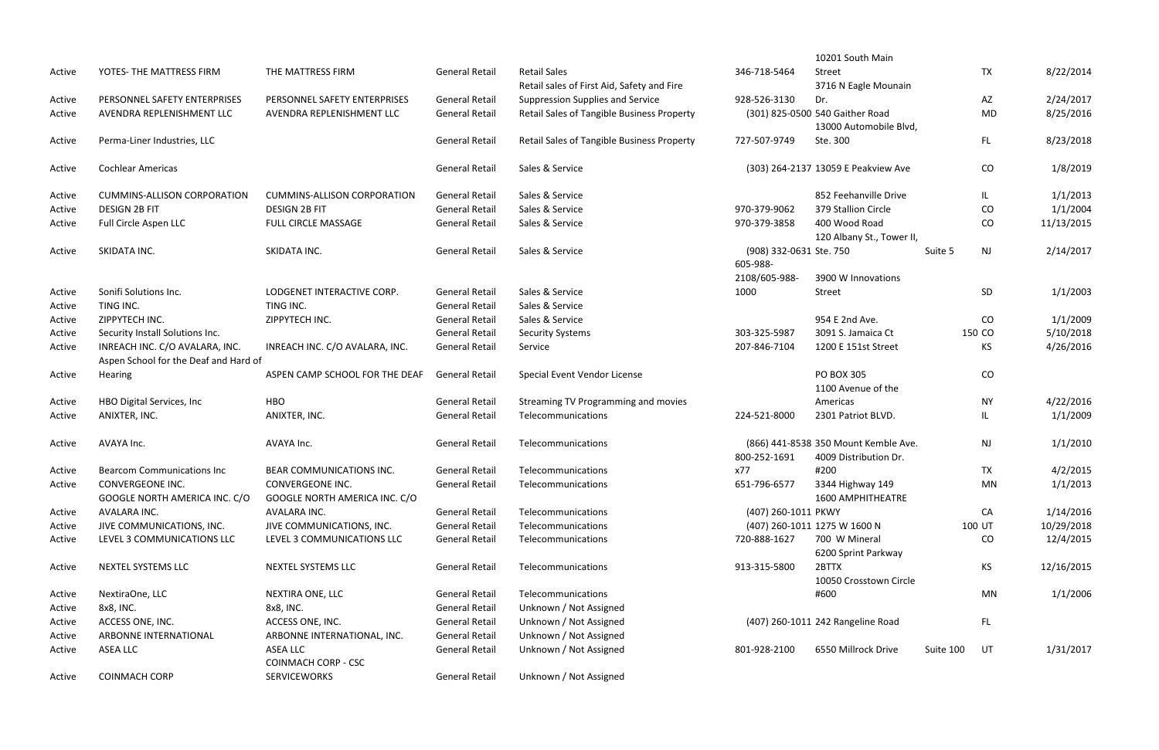|        |                                                                         |                                                   |                       |                                                   |                         | 10201 South Main                           |           |               |            |
|--------|-------------------------------------------------------------------------|---------------------------------------------------|-----------------------|---------------------------------------------------|-------------------------|--------------------------------------------|-----------|---------------|------------|
| Active | YOTES- THE MATTRESS FIRM                                                | THE MATTRESS FIRM                                 | <b>General Retail</b> | <b>Retail Sales</b>                               | 346-718-5464            | Street                                     |           | <b>TX</b>     | 8/22/2014  |
|        |                                                                         |                                                   |                       | Retail sales of First Aid, Safety and Fire        |                         | 3716 N Eagle Mounain                       |           |               |            |
| Active | PERSONNEL SAFETY ENTERPRISES                                            | PERSONNEL SAFETY ENTERPRISES                      | <b>General Retail</b> | Suppression Supplies and Service                  | 928-526-3130            | Dr.                                        |           | AZ            | 2/24/2017  |
| Active | AVENDRA REPLENISHMENT LLC                                               | AVENDRA REPLENISHMENT LLC                         | <b>General Retail</b> | Retail Sales of Tangible Business Property        |                         | (301) 825-0500 540 Gaither Road            |           | <b>MD</b>     | 8/25/2016  |
|        |                                                                         |                                                   |                       |                                                   |                         | 13000 Automobile Blvd,                     |           |               |            |
| Active | Perma-Liner Industries, LLC                                             |                                                   | <b>General Retail</b> | <b>Retail Sales of Tangible Business Property</b> | 727-507-9749            | Ste. 300                                   |           | FL.           | 8/23/2018  |
| Active | <b>Cochlear Americas</b>                                                |                                                   | <b>General Retail</b> | Sales & Service                                   |                         | (303) 264-2137 13059 E Peakview Ave        |           | CO            | 1/8/2019   |
| Active | <b>CUMMINS-ALLISON CORPORATION</b>                                      | <b>CUMMINS-ALLISON CORPORATION</b>                | <b>General Retail</b> | Sales & Service                                   |                         | 852 Feehanville Drive                      |           | IL.           | 1/1/2013   |
| Active | <b>DESIGN 2B FIT</b>                                                    | <b>DESIGN 2B FIT</b>                              | <b>General Retail</b> | Sales & Service                                   | 970-379-9062            | 379 Stallion Circle                        |           | CO            | 1/1/2004   |
| Active | Full Circle Aspen LLC                                                   | FULL CIRCLE MASSAGE                               | <b>General Retail</b> | Sales & Service                                   | 970-379-3858            | 400 Wood Road<br>120 Albany St., Tower II, |           | CO            | 11/13/2015 |
| Active | SKIDATA INC.                                                            | SKIDATA INC.                                      | <b>General Retail</b> | Sales & Service                                   | (908) 332-0631 Ste. 750 |                                            | Suite 5   | <b>NJ</b>     | 2/14/2017  |
|        |                                                                         |                                                   |                       |                                                   | 605-988-                |                                            |           |               |            |
|        |                                                                         |                                                   |                       |                                                   | 2108/605-988-           | 3900 W Innovations                         |           |               |            |
| Active | Sonifi Solutions Inc.                                                   | LODGENET INTERACTIVE CORP.                        | <b>General Retail</b> | Sales & Service                                   | 1000                    | Street                                     |           | SD            | 1/1/2003   |
| Active | TING INC.                                                               | TING INC.                                         | <b>General Retail</b> | Sales & Service                                   |                         |                                            |           |               |            |
| Active | ZIPPYTECH INC.                                                          | ZIPPYTECH INC.                                    | <b>General Retail</b> | Sales & Service                                   |                         | 954 E 2nd Ave.                             |           | CO            | 1/1/2009   |
| Active | Security Install Solutions Inc.                                         |                                                   | <b>General Retail</b> | <b>Security Systems</b>                           | 303-325-5987            | 3091 S. Jamaica Ct                         |           | 150 CO        | 5/10/2018  |
| Active | INREACH INC. C/O AVALARA, INC.<br>Aspen School for the Deaf and Hard of | INREACH INC. C/O AVALARA, INC.                    | <b>General Retail</b> | Service                                           | 207-846-7104            | 1200 E 151st Street                        |           | KS            | 4/26/2016  |
| Active | Hearing                                                                 | ASPEN CAMP SCHOOL FOR THE DEAF                    | <b>General Retail</b> | Special Event Vendor License                      |                         | <b>PO BOX 305</b>                          |           | CO            |            |
|        |                                                                         |                                                   |                       |                                                   |                         | 1100 Avenue of the                         |           |               |            |
| Active | HBO Digital Services, Inc.                                              | <b>HBO</b>                                        | <b>General Retail</b> | Streaming TV Programming and movies               |                         | Americas                                   |           | <b>NY</b>     | 4/22/2016  |
| Active | ANIXTER, INC.                                                           | ANIXTER, INC.                                     | <b>General Retail</b> | Telecommunications                                | 224-521-8000            | 2301 Patriot BLVD.                         |           | IL.           | 1/1/2009   |
| Active | AVAYA Inc.                                                              | AVAYA Inc.                                        | <b>General Retail</b> | Telecommunications                                |                         | (866) 441-8538 350 Mount Kemble Ave.       |           | $\mathsf{NJ}$ | 1/1/2010   |
|        |                                                                         |                                                   |                       |                                                   | 800-252-1691            | 4009 Distribution Dr.                      |           |               |            |
| Active | <b>Bearcom Communications Inc.</b>                                      | <b>BEAR COMMUNICATIONS INC.</b>                   | <b>General Retail</b> | Telecommunications                                | x77                     | #200                                       |           | <b>TX</b>     | 4/2/2015   |
| Active | CONVERGEONE INC.<br>GOOGLE NORTH AMERICA INC. C/O                       | CONVERGEONE INC.<br>GOOGLE NORTH AMERICA INC. C/O | <b>General Retail</b> | Telecommunications                                | 651-796-6577            | 3344 Highway 149<br>1600 AMPHITHEATRE      |           | MN            | 1/1/2013   |
| Active | AVALARA INC.                                                            | AVALARA INC.                                      | <b>General Retail</b> | Telecommunications                                | (407) 260-1011 PKWY     |                                            |           | CA            | 1/14/2016  |
| Active | JIVE COMMUNICATIONS, INC.                                               | JIVE COMMUNICATIONS, INC.                         | <b>General Retail</b> | Telecommunications                                |                         | (407) 260-1011 1275 W 1600 N               |           | 100 UT        | 10/29/2018 |
| Active | LEVEL 3 COMMUNICATIONS LLC                                              | LEVEL 3 COMMUNICATIONS LLC                        | <b>General Retail</b> | Telecommunications                                | 720-888-1627            | 700 W Mineral<br>6200 Sprint Parkway       |           | CO            | 12/4/2015  |
| Active | <b>NEXTEL SYSTEMS LLC</b>                                               | NEXTEL SYSTEMS LLC                                | <b>General Retail</b> | Telecommunications                                | 913-315-5800            | 2BTTX<br>10050 Crosstown Circle            |           | ΚS            | 12/16/2015 |
| Active | NextiraOne, LLC                                                         | <b>NEXTIRA ONE, LLC</b>                           | <b>General Retail</b> | Telecommunications                                |                         | #600                                       |           | MN            | 1/1/2006   |
| Active | 8x8, INC.                                                               | 8x8, INC.                                         | <b>General Retail</b> | Unknown / Not Assigned                            |                         |                                            |           |               |            |
| Active | ACCESS ONE, INC.                                                        | ACCESS ONE, INC.                                  | <b>General Retail</b> | Unknown / Not Assigned                            |                         | (407) 260-1011 242 Rangeline Road          |           | FL.           |            |
| Active | ARBONNE INTERNATIONAL                                                   | ARBONNE INTERNATIONAL, INC.                       | <b>General Retail</b> | Unknown / Not Assigned                            |                         |                                            |           |               |            |
| Active | ASEA LLC                                                                | ASEA LLC<br><b>COINMACH CORP - CSC</b>            | <b>General Retail</b> | Unknown / Not Assigned                            | 801-928-2100            | 6550 Millrock Drive                        | Suite 100 | UT            | 1/31/2017  |
| Active | <b>COINMACH CORP</b>                                                    | <b>SERVICEWORKS</b>                               | <b>General Retail</b> | Unknown / Not Assigned                            |                         |                                            |           |               |            |
|        |                                                                         |                                                   |                       |                                                   |                         |                                            |           |               |            |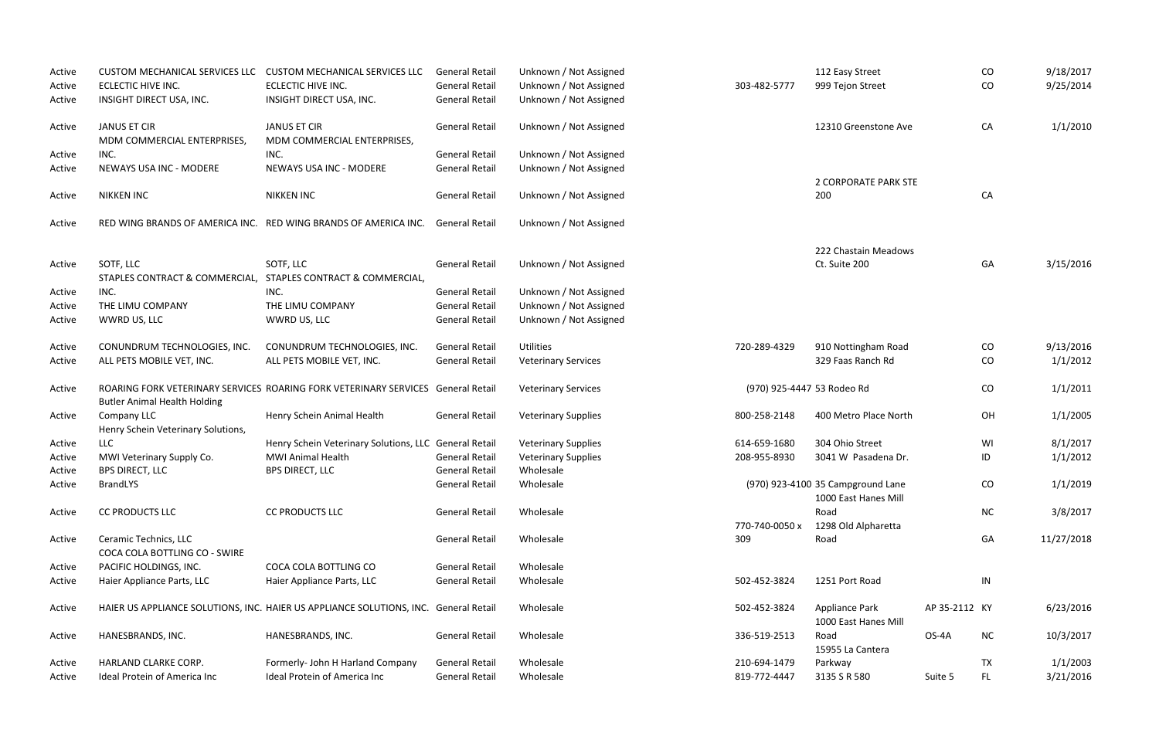| Active | <b>CUSTOM MECHANICAL SERVICES LLC</b> | <b>CUSTOM MECHANICAL SERVICES LLC</b>                                                | <b>General Retail</b> | Unknown / Not Assigned     |                            | 112 Easy Street                   |               | CO        | 9/18/2017  |
|--------|---------------------------------------|--------------------------------------------------------------------------------------|-----------------------|----------------------------|----------------------------|-----------------------------------|---------------|-----------|------------|
| Active | ECLECTIC HIVE INC.                    | ECLECTIC HIVE INC.                                                                   | <b>General Retail</b> | Unknown / Not Assigned     | 303-482-5777               | 999 Tejon Street                  |               | CO        | 9/25/2014  |
| Active | INSIGHT DIRECT USA, INC.              | INSIGHT DIRECT USA, INC.                                                             | <b>General Retail</b> | Unknown / Not Assigned     |                            |                                   |               |           |            |
|        |                                       |                                                                                      |                       |                            |                            |                                   |               |           |            |
| Active | <b>JANUS ET CIR</b>                   | <b>JANUS ET CIR</b>                                                                  | <b>General Retail</b> | Unknown / Not Assigned     |                            | 12310 Greenstone Ave              |               | CA        | 1/1/2010   |
|        | MDM COMMERCIAL ENTERPRISES,           | MDM COMMERCIAL ENTERPRISES,                                                          |                       |                            |                            |                                   |               |           |            |
| Active | INC.                                  | INC.                                                                                 | <b>General Retail</b> | Unknown / Not Assigned     |                            |                                   |               |           |            |
| Active | NEWAYS USA INC - MODERE               | NEWAYS USA INC - MODERE                                                              | <b>General Retail</b> | Unknown / Not Assigned     |                            |                                   |               |           |            |
|        |                                       |                                                                                      |                       |                            |                            | 2 CORPORATE PARK STE              |               |           |            |
| Active | <b>NIKKEN INC</b>                     | <b>NIKKEN INC</b>                                                                    | <b>General Retail</b> | Unknown / Not Assigned     |                            | 200                               |               | CA        |            |
|        |                                       |                                                                                      |                       |                            |                            |                                   |               |           |            |
| Active |                                       | RED WING BRANDS OF AMERICA INC. RED WING BRANDS OF AMERICA INC.                      | <b>General Retail</b> | Unknown / Not Assigned     |                            |                                   |               |           |            |
|        |                                       |                                                                                      |                       |                            |                            | 222 Chastain Meadows              |               |           |            |
| Active | SOTF, LLC                             | SOTF, LLC                                                                            | <b>General Retail</b> | Unknown / Not Assigned     |                            | Ct. Suite 200                     |               | GA        | 3/15/2016  |
|        | STAPLES CONTRACT & COMMERCIAL,        | STAPLES CONTRACT & COMMERCIAL,                                                       |                       |                            |                            |                                   |               |           |            |
| Active | INC.                                  | INC.                                                                                 | <b>General Retail</b> | Unknown / Not Assigned     |                            |                                   |               |           |            |
| Active | THE LIMU COMPANY                      | THE LIMU COMPANY                                                                     | <b>General Retail</b> | Unknown / Not Assigned     |                            |                                   |               |           |            |
| Active | WWRD US, LLC                          | WWRD US, LLC                                                                         | <b>General Retail</b> | Unknown / Not Assigned     |                            |                                   |               |           |            |
|        |                                       |                                                                                      |                       |                            |                            |                                   |               |           |            |
| Active | CONUNDRUM TECHNOLOGIES, INC.          | CONUNDRUM TECHNOLOGIES, INC.                                                         | <b>General Retail</b> | <b>Utilities</b>           | 720-289-4329               | 910 Nottingham Road               |               | CO        | 9/13/2016  |
| Active | ALL PETS MOBILE VET, INC.             | ALL PETS MOBILE VET, INC.                                                            | <b>General Retail</b> | <b>Veterinary Services</b> |                            | 329 Faas Ranch Rd                 |               | CO        | 1/1/2012   |
| Active |                                       | ROARING FORK VETERINARY SERVICES ROARING FORK VETERINARY SERVICES General Retail     |                       | <b>Veterinary Services</b> | (970) 925-4447 53 Rodeo Rd |                                   |               | CO        | 1/1/2011   |
|        | <b>Butler Animal Health Holding</b>   |                                                                                      |                       |                            |                            |                                   |               |           |            |
| Active | Company LLC                           | Henry Schein Animal Health                                                           | <b>General Retail</b> | <b>Veterinary Supplies</b> | 800-258-2148               | 400 Metro Place North             |               | OH        | 1/1/2005   |
|        | Henry Schein Veterinary Solutions,    |                                                                                      |                       |                            |                            |                                   |               |           |            |
| Active | <b>LLC</b>                            | Henry Schein Veterinary Solutions, LLC General Retail                                |                       | <b>Veterinary Supplies</b> | 614-659-1680               | 304 Ohio Street                   |               | WI        | 8/1/2017   |
| Active | MWI Veterinary Supply Co.             | <b>MWI Animal Health</b>                                                             | <b>General Retail</b> | <b>Veterinary Supplies</b> | 208-955-8930               | 3041 W Pasadena Dr.               |               | ID        | 1/1/2012   |
| Active | BPS DIRECT, LLC                       | <b>BPS DIRECT, LLC</b>                                                               | <b>General Retail</b> | Wholesale                  |                            |                                   |               |           |            |
| Active | <b>BrandLYS</b>                       |                                                                                      | <b>General Retail</b> | Wholesale                  |                            | (970) 923-4100 35 Campground Lane |               | CO        | 1/1/2019   |
|        |                                       |                                                                                      |                       |                            |                            | 1000 East Hanes Mill              |               |           |            |
| Active | <b>CC PRODUCTS LLC</b>                | <b>CC PRODUCTS LLC</b>                                                               | <b>General Retail</b> | Wholesale                  |                            | Road                              |               | <b>NC</b> | 3/8/2017   |
|        |                                       |                                                                                      |                       |                            | 770-740-0050 x             | 1298 Old Alpharetta               |               |           |            |
|        | Ceramic Technics, LLC                 |                                                                                      | <b>General Retail</b> | Wholesale                  | 309                        | Road                              |               | GA        | 11/27/2018 |
| Active | COCA COLA BOTTLING CO - SWIRE         |                                                                                      |                       |                            |                            |                                   |               |           |            |
|        |                                       |                                                                                      |                       |                            |                            |                                   |               |           |            |
| Active | PACIFIC HOLDINGS, INC.                | COCA COLA BOTTLING CO                                                                | <b>General Retail</b> | Wholesale                  |                            |                                   |               |           |            |
| Active | Haier Appliance Parts, LLC            | Haier Appliance Parts, LLC                                                           | <b>General Retail</b> | Wholesale                  | 502-452-3824               | 1251 Port Road                    |               | IN        |            |
| Active |                                       | HAIER US APPLIANCE SOLUTIONS, INC. HAIER US APPLIANCE SOLUTIONS, INC. General Retail |                       | Wholesale                  | 502-452-3824               | <b>Appliance Park</b>             | AP 35-2112 KY |           | 6/23/2016  |
|        |                                       |                                                                                      |                       |                            |                            | 1000 East Hanes Mill              |               |           |            |
| Active | HANESBRANDS, INC.                     | HANESBRANDS, INC.                                                                    | <b>General Retail</b> | Wholesale                  | 336-519-2513               | Road                              | OS-4A         | <b>NC</b> | 10/3/2017  |
|        |                                       |                                                                                      |                       |                            |                            | 15955 La Cantera                  |               |           |            |
| Active | HARLAND CLARKE CORP.                  | Formerly- John H Harland Company                                                     | <b>General Retail</b> | Wholesale                  | 210-694-1479               | Parkway                           |               | <b>TX</b> | 1/1/2003   |
| Active | Ideal Protein of America Inc          | Ideal Protein of America Inc                                                         | <b>General Retail</b> | Wholesale                  | 819-772-4447               | 3135 S R 580                      | Suite 5       | FL.       | 3/21/2016  |
|        |                                       |                                                                                      |                       |                            |                            |                                   |               |           |            |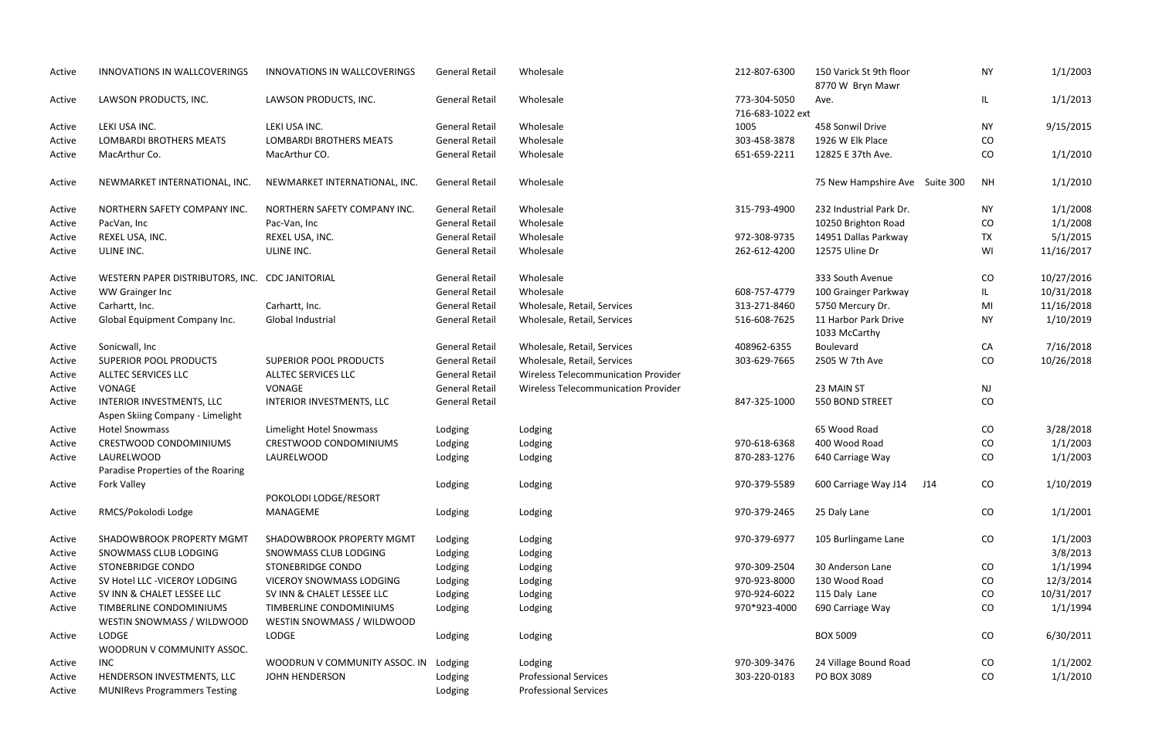| Active | <b>INNOVATIONS IN WALLCOVERINGS</b>                           | INNOVATIONS IN WALLCOVERINGS   | <b>General Retail</b> | Wholesale                                  | 212-807-6300                     | 150 Varick St 9th floor<br>8770 W Bryn Mawr | <b>NY</b> | 1/1/2003   |
|--------|---------------------------------------------------------------|--------------------------------|-----------------------|--------------------------------------------|----------------------------------|---------------------------------------------|-----------|------------|
| Active | LAWSON PRODUCTS, INC.                                         | LAWSON PRODUCTS, INC.          | <b>General Retail</b> | Wholesale                                  | 773-304-5050<br>716-683-1022 ext | Ave.                                        | IL.       | 1/1/2013   |
| Active | LEKI USA INC.                                                 | LEKI USA INC.                  | <b>General Retail</b> | Wholesale                                  | 1005                             | 458 Sonwil Drive                            | <b>NY</b> | 9/15/2015  |
| Active | <b>LOMBARDI BROTHERS MEATS</b>                                | <b>LOMBARDI BROTHERS MEATS</b> | <b>General Retail</b> | Wholesale                                  | 303-458-3878                     | 1926 W Elk Place                            | CO        |            |
| Active | MacArthur Co.                                                 | MacArthur CO.                  | <b>General Retail</b> | Wholesale                                  | 651-659-2211                     | 12825 E 37th Ave.                           | CO        | 1/1/2010   |
| Active | NEWMARKET INTERNATIONAL, INC.                                 | NEWMARKET INTERNATIONAL, INC.  | <b>General Retail</b> | Wholesale                                  |                                  | 75 New Hampshire Ave Suite 300              | <b>NH</b> | 1/1/2010   |
| Active | NORTHERN SAFETY COMPANY INC.                                  | NORTHERN SAFETY COMPANY INC.   | <b>General Retail</b> | Wholesale                                  | 315-793-4900                     | 232 Industrial Park Dr.                     | <b>NY</b> | 1/1/2008   |
| Active | PacVan, Inc                                                   | Pac-Van, Inc                   | <b>General Retail</b> | Wholesale                                  |                                  | 10250 Brighton Road                         | CO        | 1/1/2008   |
| Active | REXEL USA, INC.                                               | REXEL USA, INC.                | <b>General Retail</b> | Wholesale                                  | 972-308-9735                     | 14951 Dallas Parkway                        | <b>TX</b> | 5/1/2015   |
| Active | ULINE INC.                                                    | ULINE INC.                     | <b>General Retail</b> | Wholesale                                  | 262-612-4200                     | 12575 Uline Dr                              | WI        | 11/16/2017 |
| Active | WESTERN PAPER DISTRIBUTORS, INC. CDC JANITORIAL               |                                | <b>General Retail</b> | Wholesale                                  |                                  | 333 South Avenue                            | CO        | 10/27/2016 |
| Active | WW Grainger Inc                                               |                                | <b>General Retail</b> | Wholesale                                  | 608-757-4779                     | 100 Grainger Parkway                        | IL.       | 10/31/2018 |
| Active | Carhartt, Inc.                                                | Carhartt, Inc.                 | <b>General Retail</b> | Wholesale, Retail, Services                | 313-271-8460                     | 5750 Mercury Dr.                            | MI        | 11/16/2018 |
| Active | Global Equipment Company Inc.                                 | Global Industrial              | <b>General Retail</b> | Wholesale, Retail, Services                | 516-608-7625                     | 11 Harbor Park Drive<br>1033 McCarthy       | <b>NY</b> | 1/10/2019  |
| Active | Sonicwall, Inc                                                |                                | <b>General Retail</b> | Wholesale, Retail, Services                | 408962-6355                      | Boulevard                                   | CA        | 7/16/2018  |
| Active | <b>SUPERIOR POOL PRODUCTS</b>                                 | <b>SUPERIOR POOL PRODUCTS</b>  | <b>General Retail</b> | Wholesale, Retail, Services                | 303-629-7665                     | 2505 W 7th Ave                              | CO        | 10/26/2018 |
| Active | ALLTEC SERVICES LLC                                           | ALLTEC SERVICES LLC            | <b>General Retail</b> | Wireless Telecommunication Provider        |                                  |                                             |           |            |
| Active | VONAGE                                                        | VONAGE                         | <b>General Retail</b> | <b>Wireless Telecommunication Provider</b> |                                  | 23 MAIN ST                                  | <b>NJ</b> |            |
| Active | INTERIOR INVESTMENTS, LLC<br>Aspen Skiing Company - Limelight | INTERIOR INVESTMENTS, LLC      | <b>General Retail</b> |                                            | 847-325-1000                     | 550 BOND STREET                             | CO        |            |
| Active | <b>Hotel Snowmass</b>                                         | Limelight Hotel Snowmass       | Lodging               | Lodging                                    |                                  | 65 Wood Road                                | CO        | 3/28/2018  |
| Active | <b>CRESTWOOD CONDOMINIUMS</b>                                 | <b>CRESTWOOD CONDOMINIUMS</b>  | Lodging               | Lodging                                    | 970-618-6368                     | 400 Wood Road                               | CO        | 1/1/2003   |
| Active | LAURELWOOD                                                    | LAURELWOOD                     | Lodging               | Lodging                                    | 870-283-1276                     | 640 Carriage Way                            | CO        | 1/1/2003   |
|        | Paradise Properties of the Roaring                            |                                |                       |                                            |                                  |                                             |           |            |
| Active | Fork Valley                                                   |                                | Lodging               | Lodging                                    | 970-379-5589                     | 600 Carriage Way J14<br>J14                 | CO        | 1/10/2019  |
|        |                                                               | POKOLODI LODGE/RESORT          |                       |                                            |                                  |                                             |           |            |
| Active | RMCS/Pokolodi Lodge                                           | MANAGEME                       | Lodging               | Lodging                                    | 970-379-2465                     | 25 Daly Lane                                | CO        | 1/1/2001   |
| Active | SHADOWBROOK PROPERTY MGMT                                     | SHADOWBROOK PROPERTY MGMT      | Lodging               | Lodging                                    | 970-379-6977                     | 105 Burlingame Lane                         | CO        | 1/1/2003   |
| Active | SNOWMASS CLUB LODGING                                         | SNOWMASS CLUB LODGING          | Lodging               | Lodging                                    |                                  |                                             |           | 3/8/2013   |
| Active | <b>STONEBRIDGE CONDO</b>                                      | STONEBRIDGE CONDO              | Lodging               | Lodging                                    | 970-309-2504                     | 30 Anderson Lane                            | CO        | 1/1/1994   |
| Active | SV Hotel LLC - VICEROY LODGING                                | VICEROY SNOWMASS LODGING       | Lodging               | Lodging                                    | 970-923-8000                     | 130 Wood Road                               | CO        | 12/3/2014  |
| Active | SV INN & CHALET LESSEE LLC                                    | SV INN & CHALET LESSEE LLC     | Lodging               | Lodging                                    | 970-924-6022                     | 115 Daly Lane                               | CO        | 10/31/2017 |
| Active | TIMBERLINE CONDOMINIUMS                                       | TIMBERLINE CONDOMINIUMS        | Lodging               | Lodging                                    | 970*923-4000                     | 690 Carriage Way                            | CO        | 1/1/1994   |
|        | WESTIN SNOWMASS / WILDWOOD                                    | WESTIN SNOWMASS / WILDWOOD     |                       |                                            |                                  |                                             |           |            |
| Active | LODGE<br>WOODRUN V COMMUNITY ASSOC.                           | LODGE                          | Lodging               | Lodging                                    |                                  | <b>BOX 5009</b>                             | CO        | 6/30/2011  |
| Active | <b>INC</b>                                                    | WOODRUN V COMMUNITY ASSOC. IN  | Lodging               | Lodging                                    | 970-309-3476                     | 24 Village Bound Road                       | CO        | 1/1/2002   |
| Active | HENDERSON INVESTMENTS, LLC                                    | JOHN HENDERSON                 | Lodging               | <b>Professional Services</b>               | 303-220-0183                     | PO BOX 3089                                 | CO        | 1/1/2010   |
| Active | <b>MUNIRevs Programmers Testing</b>                           |                                | Lodging               | <b>Professional Services</b>               |                                  |                                             |           |            |
|        |                                                               |                                |                       |                                            |                                  |                                             |           |            |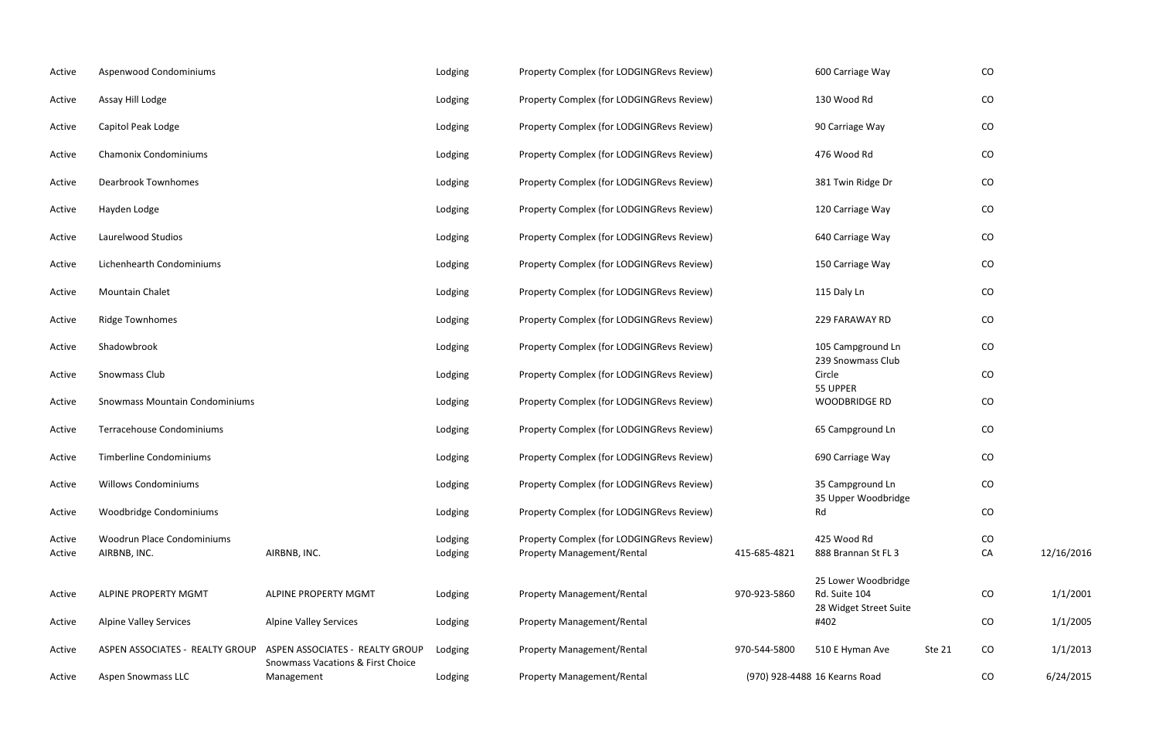| Active           | Aspenwood Condominiums                     |                                                                                 | Lodging            | Property Complex (for LODGINGRevs Review)                                      |              | 600 Carriage Way                     |        | $\rm CO$ |            |
|------------------|--------------------------------------------|---------------------------------------------------------------------------------|--------------------|--------------------------------------------------------------------------------|--------------|--------------------------------------|--------|----------|------------|
| Active           | Assay Hill Lodge                           |                                                                                 | Lodging            | Property Complex (for LODGINGRevs Review)                                      |              | 130 Wood Rd                          |        | CO       |            |
| Active           | Capitol Peak Lodge                         |                                                                                 | Lodging            | Property Complex (for LODGINGRevs Review)                                      |              | 90 Carriage Way                      |        | CO       |            |
| Active           | <b>Chamonix Condominiums</b>               |                                                                                 | Lodging            | Property Complex (for LODGINGRevs Review)                                      |              | 476 Wood Rd                          |        | CO       |            |
| Active           | <b>Dearbrook Townhomes</b>                 |                                                                                 | Lodging            | Property Complex (for LODGINGRevs Review)                                      |              | 381 Twin Ridge Dr                    |        | CO       |            |
| Active           | Hayden Lodge                               |                                                                                 | Lodging            | Property Complex (for LODGINGRevs Review)                                      |              | 120 Carriage Way                     |        | CO       |            |
| Active           | Laurelwood Studios                         |                                                                                 | Lodging            | Property Complex (for LODGINGRevs Review)                                      |              | 640 Carriage Way                     |        | CO       |            |
| Active           | Lichenhearth Condominiums                  |                                                                                 | Lodging            | Property Complex (for LODGINGRevs Review)                                      |              | 150 Carriage Way                     |        | CO       |            |
| Active           | <b>Mountain Chalet</b>                     |                                                                                 | Lodging            | Property Complex (for LODGINGRevs Review)                                      |              | 115 Daly Ln                          |        | CO       |            |
| Active           | <b>Ridge Townhomes</b>                     |                                                                                 | Lodging            | Property Complex (for LODGINGRevs Review)                                      |              | 229 FARAWAY RD                       |        | CO       |            |
| Active           | Shadowbrook                                |                                                                                 | Lodging            | Property Complex (for LODGINGRevs Review)                                      |              | 105 Campground Ln                    |        | CO       |            |
| Active           | Snowmass Club                              |                                                                                 | Lodging            | Property Complex (for LODGINGRevs Review)                                      |              | 239 Snowmass Club<br>Circle          |        | CO       |            |
| Active           | <b>Snowmass Mountain Condominiums</b>      |                                                                                 | Lodging            | Property Complex (for LODGINGRevs Review)                                      |              | 55 UPPER<br><b>WOODBRIDGE RD</b>     |        | CO       |            |
| Active           | <b>Terracehouse Condominiums</b>           |                                                                                 | Lodging            | Property Complex (for LODGINGRevs Review)                                      |              | 65 Campground Ln                     |        | CO       |            |
| Active           | Timberline Condominiums                    |                                                                                 | Lodging            | Property Complex (for LODGINGRevs Review)                                      |              | 690 Carriage Way                     |        | CO       |            |
| Active           | <b>Willows Condominiums</b>                |                                                                                 | Lodging            | Property Complex (for LODGINGRevs Review)                                      |              | 35 Campground Ln                     |        | CO       |            |
| Active           | Woodbridge Condominiums                    |                                                                                 | Lodging            | Property Complex (for LODGINGRevs Review)                                      |              | 35 Upper Woodbridge<br>Rd            |        | CO       |            |
|                  |                                            |                                                                                 |                    |                                                                                |              | 425 Wood Rd                          |        |          |            |
| Active<br>Active | Woodrun Place Condominiums<br>AIRBNB, INC. | AIRBNB, INC.                                                                    | Lodging<br>Lodging | Property Complex (for LODGINGRevs Review)<br><b>Property Management/Rental</b> | 415-685-4821 | 888 Brannan St FL 3                  |        | CO<br>CA | 12/16/2016 |
|                  |                                            |                                                                                 |                    |                                                                                |              |                                      |        |          |            |
| Active           | ALPINE PROPERTY MGMT                       | <b>ALPINE PROPERTY MGMT</b>                                                     | Lodging            | <b>Property Management/Rental</b>                                              | 970-923-5860 | 25 Lower Woodbridge<br>Rd. Suite 104 |        | CO       | 1/1/2001   |
|                  |                                            |                                                                                 |                    |                                                                                |              | 28 Widget Street Suite               |        |          |            |
| Active           | <b>Alpine Valley Services</b>              | <b>Alpine Valley Services</b>                                                   | Lodging            | <b>Property Management/Rental</b>                                              |              | #402                                 |        | CO       | 1/1/2005   |
| Active           | ASPEN ASSOCIATES - REALTY GROUP            | ASPEN ASSOCIATES - REALTY GROUP<br><b>Snowmass Vacations &amp; First Choice</b> | Lodging            | <b>Property Management/Rental</b>                                              | 970-544-5800 | 510 E Hyman Ave                      | Ste 21 | CO       | 1/1/2013   |
| Active           | <b>Aspen Snowmass LLC</b>                  | Management                                                                      | Lodging            | <b>Property Management/Rental</b>                                              |              | (970) 928-4488 16 Kearns Road        |        | CO       | 6/24/2015  |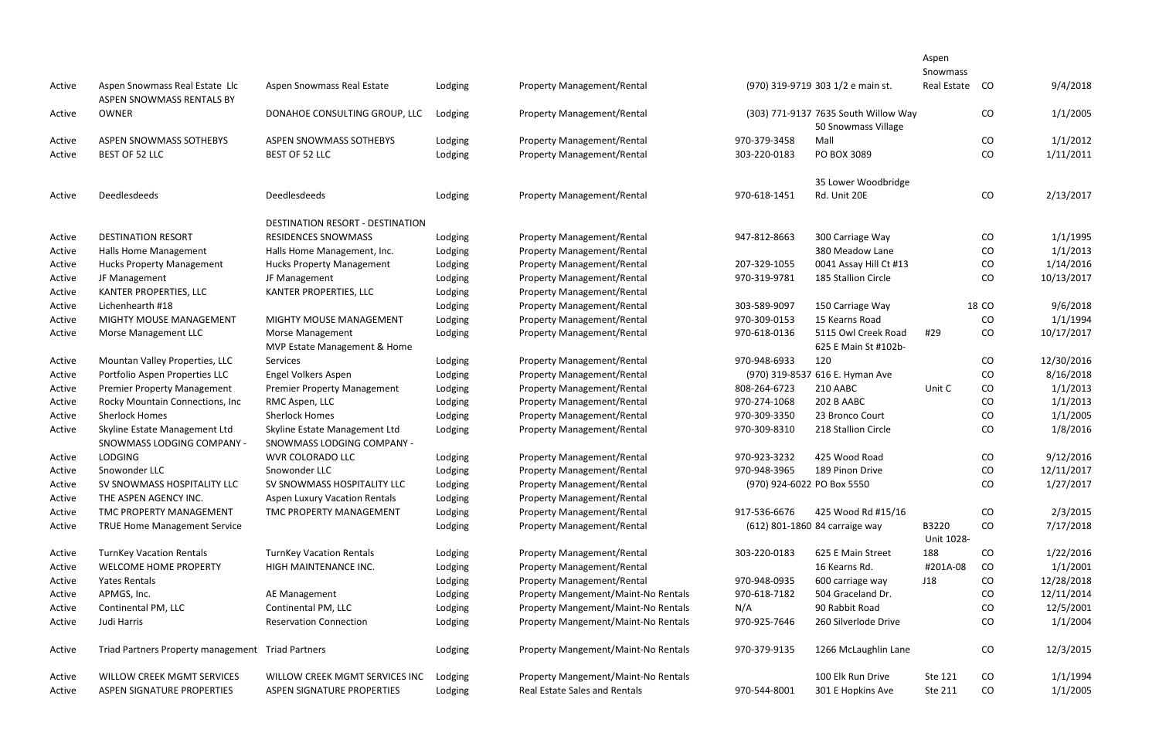|        |                                                             |                                                             |         |                                      |                            |                                                             | Aspen               |       |            |
|--------|-------------------------------------------------------------|-------------------------------------------------------------|---------|--------------------------------------|----------------------------|-------------------------------------------------------------|---------------------|-------|------------|
|        |                                                             |                                                             |         |                                      |                            |                                                             | Snowmass            |       |            |
| Active | Aspen Snowmass Real Estate Llc<br>ASPEN SNOWMASS RENTALS BY | Aspen Snowmass Real Estate                                  | Lodging | <b>Property Management/Rental</b>    |                            | (970) 319-9719 303 1/2 e main st.                           | <b>Real Estate</b>  | CO    | 9/4/2018   |
| Active | <b>OWNER</b>                                                | DONAHOE CONSULTING GROUP, LLC                               | Lodging | <b>Property Management/Rental</b>    |                            | (303) 771-9137 7635 South Willow Way<br>50 Snowmass Village |                     | CO    | 1/1/2005   |
| Active | ASPEN SNOWMASS SOTHEBYS                                     | ASPEN SNOWMASS SOTHEBYS                                     | Lodging | <b>Property Management/Rental</b>    | 970-379-3458               | Mall                                                        |                     | CO    | 1/1/2012   |
| Active | BEST OF 52 LLC                                              | BEST OF 52 LLC                                              | Lodging | <b>Property Management/Rental</b>    | 303-220-0183               | PO BOX 3089                                                 |                     | CO    | 1/11/2011  |
|        |                                                             |                                                             |         |                                      |                            | 35 Lower Woodbridge                                         |                     |       |            |
| Active | <b>Deedlesdeeds</b>                                         | Deedlesdeeds                                                | Lodging | <b>Property Management/Rental</b>    | 970-618-1451               | Rd. Unit 20E                                                |                     | CO    | 2/13/2017  |
|        |                                                             | DESTINATION RESORT - DESTINATION                            |         |                                      |                            |                                                             |                     |       |            |
| Active | <b>DESTINATION RESORT</b>                                   | <b>RESIDENCES SNOWMASS</b>                                  | Lodging | <b>Property Management/Rental</b>    | 947-812-8663               | 300 Carriage Way                                            |                     | CO    | 1/1/1995   |
| Active | Halls Home Management                                       | Halls Home Management, Inc.                                 | Lodging | <b>Property Management/Rental</b>    |                            | 380 Meadow Lane                                             |                     | CO    | 1/1/2013   |
| Active | <b>Hucks Property Management</b>                            | <b>Hucks Property Management</b>                            | Lodging | <b>Property Management/Rental</b>    | 207-329-1055               | 0041 Assay Hill Ct #13                                      |                     | CO    | 1/14/2016  |
| Active | JF Management                                               | JF Management                                               | Lodging | <b>Property Management/Rental</b>    | 970-319-9781               | 185 Stallion Circle                                         |                     | CO    | 10/13/2017 |
| Active | KANTER PROPERTIES, LLC                                      | KANTER PROPERTIES, LLC                                      | Lodging | <b>Property Management/Rental</b>    |                            |                                                             |                     |       |            |
| Active | Lichenhearth #18                                            |                                                             | Lodging | <b>Property Management/Rental</b>    | 303-589-9097               | 150 Carriage Way                                            |                     | 18 CO | 9/6/2018   |
| Active | MIGHTY MOUSE MANAGEMENT                                     | MIGHTY MOUSE MANAGEMENT                                     | Lodging | <b>Property Management/Rental</b>    | 970-309-0153               | 15 Kearns Road                                              |                     | CO    | 1/1/1994   |
| Active | Morse Management LLC                                        | Morse Management<br>MVP Estate Management & Home            | Lodging | <b>Property Management/Rental</b>    | 970-618-0136               | 5115 Owl Creek Road<br>625 E Main St #102b-                 | #29                 | CO    | 10/17/2017 |
| Active | Mountan Valley Properties, LLC                              | Services                                                    | Lodging | <b>Property Management/Rental</b>    | 970-948-6933               | 120                                                         |                     | CO    | 12/30/2016 |
| Active | Portfolio Aspen Properties LLC                              | Engel Volkers Aspen                                         | Lodging | <b>Property Management/Rental</b>    |                            | (970) 319-8537 616 E. Hyman Ave                             |                     | CO    | 8/16/2018  |
| Active | <b>Premier Property Management</b>                          | <b>Premier Property Management</b>                          | Lodging | <b>Property Management/Rental</b>    | 808-264-6723               | 210 AABC                                                    | Unit C              | CO    | 1/1/2013   |
| Active | Rocky Mountain Connections, Inc                             | RMC Aspen, LLC                                              | Lodging | <b>Property Management/Rental</b>    | 970-274-1068               | 202 B AABC                                                  |                     | CO    | 1/1/2013   |
| Active | <b>Sherlock Homes</b>                                       | <b>Sherlock Homes</b>                                       | Lodging | <b>Property Management/Rental</b>    | 970-309-3350               | 23 Bronco Court                                             |                     | CO    | 1/1/2005   |
| Active | Skyline Estate Management Ltd<br>SNOWMASS LODGING COMPANY - | Skyline Estate Management Ltd<br>SNOWMASS LODGING COMPANY - | Lodging | <b>Property Management/Rental</b>    | 970-309-8310               | 218 Stallion Circle                                         |                     | CO    | 1/8/2016   |
| Active | <b>LODGING</b>                                              | WVR COLORADO LLC                                            | Lodging | <b>Property Management/Rental</b>    | 970-923-3232               | 425 Wood Road                                               |                     | CO    | 9/12/2016  |
| Active | Snowonder LLC                                               | Snowonder LLC                                               | Lodging | <b>Property Management/Rental</b>    | 970-948-3965               | 189 Pinon Drive                                             |                     | CO    | 12/11/2017 |
| Active | SV SNOWMASS HOSPITALITY LLC                                 | SV SNOWMASS HOSPITALITY LLC                                 | Lodging | <b>Property Management/Rental</b>    | (970) 924-6022 PO Box 5550 |                                                             |                     | CO    | 1/27/2017  |
| Active | THE ASPEN AGENCY INC.                                       | <b>Aspen Luxury Vacation Rentals</b>                        | Lodging | <b>Property Management/Rental</b>    |                            |                                                             |                     |       |            |
| Active | TMC PROPERTY MANAGEMENT                                     | TMC PROPERTY MANAGEMENT                                     | Lodging | <b>Property Management/Rental</b>    | 917-536-6676               | 425 Wood Rd #15/16                                          |                     | CO    | 2/3/2015   |
| Active | <b>TRUE Home Management Service</b>                         |                                                             | Lodging | <b>Property Management/Rental</b>    |                            | (612) 801-1860 84 carraige way                              | B3220<br>Unit 1028- | CO    | 7/17/2018  |
| Active | <b>TurnKey Vacation Rentals</b>                             | <b>TurnKey Vacation Rentals</b>                             | Lodging | <b>Property Management/Rental</b>    | 303-220-0183               | 625 E Main Street                                           | 188                 | CO    | 1/22/2016  |
| Active | <b>WELCOME HOME PROPERTY</b>                                | HIGH MAINTENANCE INC.                                       | Lodging | <b>Property Management/Rental</b>    |                            | 16 Kearns Rd.                                               | #201A-08            | CO    | 1/1/2001   |
| Active | Yates Rentals                                               |                                                             | Lodging | <b>Property Management/Rental</b>    | 970-948-0935               | 600 carriage way                                            | J18                 | CO    | 12/28/2018 |
| Active | APMGS, Inc.                                                 | AE Management                                               | Lodging | Property Mangement/Maint-No Rentals  | 970-618-7182               | 504 Graceland Dr.                                           |                     | CO    | 12/11/2014 |
| Active | Continental PM, LLC                                         | Continental PM, LLC                                         | Lodging | Property Mangement/Maint-No Rentals  | N/A                        | 90 Rabbit Road                                              |                     | CO    | 12/5/2001  |
| Active | Judi Harris                                                 | <b>Reservation Connection</b>                               | Lodging | Property Mangement/Maint-No Rentals  | 970-925-7646               | 260 Silverlode Drive                                        |                     | CO    | 1/1/2004   |
| Active | Triad Partners Property management Triad Partners           |                                                             | Lodging | Property Mangement/Maint-No Rentals  | 970-379-9135               | 1266 McLaughlin Lane                                        |                     | CO    | 12/3/2015  |
| Active | <b>WILLOW CREEK MGMT SERVICES</b>                           | WILLOW CREEK MGMT SERVICES INC                              | Lodging | Property Mangement/Maint-No Rentals  |                            | 100 Elk Run Drive                                           | Ste 121             | CO    | 1/1/1994   |
| Active | ASPEN SIGNATURE PROPERTIES                                  | ASPEN SIGNATURE PROPERTIES                                  | Lodging | <b>Real Estate Sales and Rentals</b> | 970-544-8001               | 301 E Hopkins Ave                                           | Ste 211             | CO    | 1/1/2005   |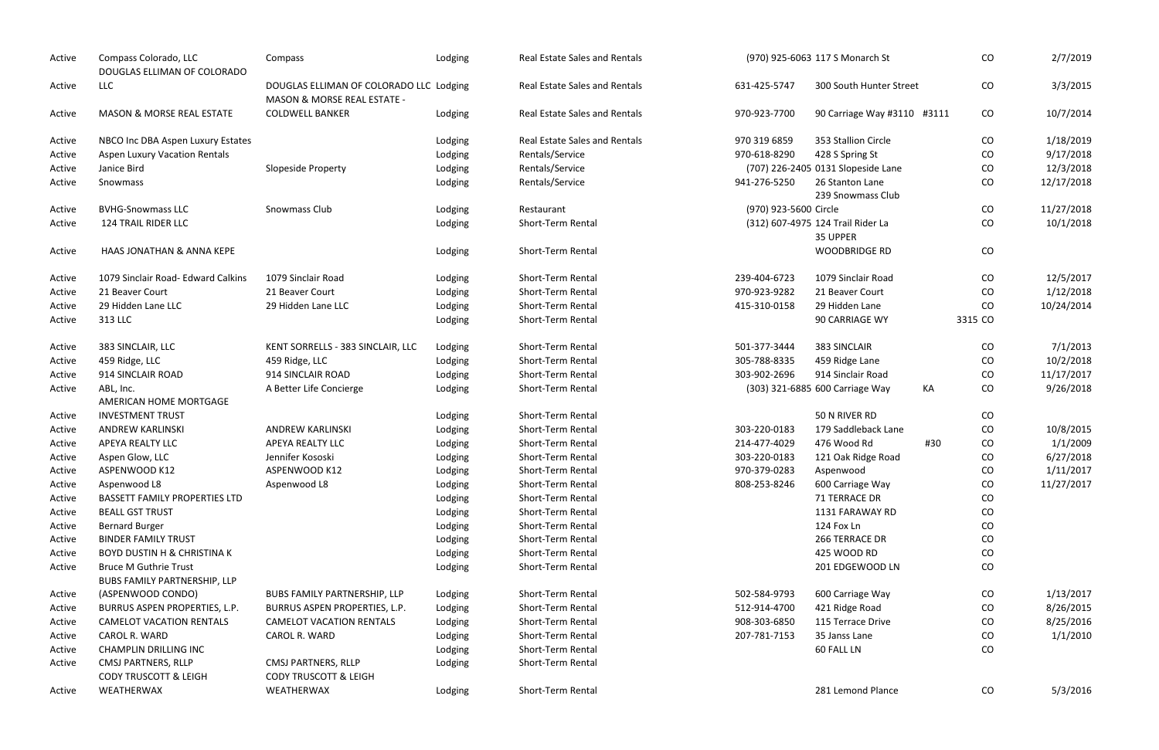| Active | Compass Colorado, LLC<br>DOUGLAS ELLIMAN OF COLORADO                | Compass                                                                           | Lodging | <b>Real Estate Sales and Rentals</b> |                       | (970) 925-6063 117 S Monarch St               |     | CO        | 2/7/2019   |
|--------|---------------------------------------------------------------------|-----------------------------------------------------------------------------------|---------|--------------------------------------|-----------------------|-----------------------------------------------|-----|-----------|------------|
| Active | <b>LLC</b>                                                          | DOUGLAS ELLIMAN OF COLORADO LLC Lodging<br><b>MASON &amp; MORSE REAL ESTATE -</b> |         | <b>Real Estate Sales and Rentals</b> | 631-425-5747          | 300 South Hunter Street                       |     | CO        | 3/3/2015   |
| Active | <b>MASON &amp; MORSE REAL ESTATE</b>                                | <b>COLDWELL BANKER</b>                                                            | Lodging | <b>Real Estate Sales and Rentals</b> | 970-923-7700          | 90 Carriage Way #3110 #3111                   |     | CO        | 10/7/2014  |
| Active | NBCO Inc DBA Aspen Luxury Estates                                   |                                                                                   | Lodging | <b>Real Estate Sales and Rentals</b> | 970 319 6859          | 353 Stallion Circle                           |     | CO        | 1/18/2019  |
| Active | <b>Aspen Luxury Vacation Rentals</b>                                |                                                                                   | Lodging | Rentals/Service                      | 970-618-8290          | 428 S Spring St                               |     | CO        | 9/17/2018  |
| Active | Janice Bird                                                         | Slopeside Property                                                                | Lodging | Rentals/Service                      |                       | (707) 226-2405 0131 Slopeside Lane            |     | CO        | 12/3/2018  |
| Active | Snowmass                                                            |                                                                                   | Lodging | Rentals/Service                      | 941-276-5250          | 26 Stanton Lane                               |     | CO        | 12/17/2018 |
|        |                                                                     |                                                                                   |         |                                      |                       | 239 Snowmass Club                             |     |           |            |
| Active | <b>BVHG-Snowmass LLC</b>                                            | Snowmass Club                                                                     | Lodging | Restaurant                           | (970) 923-5600 Circle |                                               |     | CO        | 11/27/2018 |
| Active | <b>124 TRAIL RIDER LLC</b>                                          |                                                                                   | Lodging | Short-Term Rental                    |                       | (312) 607-4975 124 Trail Rider La<br>35 UPPER |     | CO        | 10/1/2018  |
| Active | HAAS JONATHAN & ANNA KEPE                                           |                                                                                   | Lodging | Short-Term Rental                    |                       | <b>WOODBRIDGE RD</b>                          |     | CO        |            |
| Active | 1079 Sinclair Road- Edward Calkins                                  | 1079 Sinclair Road                                                                | Lodging | Short-Term Rental                    | 239-404-6723          | 1079 Sinclair Road                            |     | CO        | 12/5/2017  |
| Active | 21 Beaver Court                                                     | 21 Beaver Court                                                                   | Lodging | Short-Term Rental                    | 970-923-9282          | 21 Beaver Court                               |     | CO        | 1/12/2018  |
| Active | 29 Hidden Lane LLC                                                  | 29 Hidden Lane LLC                                                                | Lodging | Short-Term Rental                    | 415-310-0158          | 29 Hidden Lane                                |     | <b>CO</b> | 10/24/2014 |
| Active | 313 LLC                                                             |                                                                                   | Lodging | Short-Term Rental                    |                       | 90 CARRIAGE WY                                |     | 3315 CO   |            |
| Active | 383 SINCLAIR, LLC                                                   | KENT SORRELLS - 383 SINCLAIR, LLC                                                 | Lodging | Short-Term Rental                    | 501-377-3444          | 383 SINCLAIR                                  |     | CO        | 7/1/2013   |
| Active | 459 Ridge, LLC                                                      | 459 Ridge, LLC                                                                    | Lodging | Short-Term Rental                    | 305-788-8335          | 459 Ridge Lane                                |     | CO        | 10/2/2018  |
| Active | 914 SINCLAIR ROAD                                                   | 914 SINCLAIR ROAD                                                                 | Lodging | Short-Term Rental                    | 303-902-2696          | 914 Sinclair Road                             |     | CO        | 11/17/2017 |
| Active | ABL, Inc.                                                           | A Better Life Concierge                                                           | Lodging | Short-Term Rental                    |                       | (303) 321-6885 600 Carriage Way               | KA  | CO        | 9/26/2018  |
|        | AMERICAN HOME MORTGAGE                                              |                                                                                   |         |                                      |                       |                                               |     |           |            |
| Active | <b>INVESTMENT TRUST</b>                                             |                                                                                   | Lodging | Short-Term Rental                    |                       | 50 N RIVER RD                                 |     | CO        |            |
| Active | <b>ANDREW KARLINSKI</b>                                             | <b>ANDREW KARLINSKI</b>                                                           | Lodging | Short-Term Rental                    | 303-220-0183          | 179 Saddleback Lane                           |     | CO        | 10/8/2015  |
| Active | APEYA REALTY LLC                                                    | APEYA REALTY LLC                                                                  | Lodging | Short-Term Rental                    | 214-477-4029          | 476 Wood Rd                                   | #30 | CO        | 1/1/2009   |
| Active | Aspen Glow, LLC                                                     | Jennifer Kososki                                                                  | Lodging | Short-Term Rental                    | 303-220-0183          | 121 Oak Ridge Road                            |     | CO        | 6/27/2018  |
| Active | ASPENWOOD K12                                                       | ASPENWOOD K12                                                                     | Lodging | Short-Term Rental                    | 970-379-0283          | Aspenwood                                     |     | CO        | 1/11/2017  |
| Active | Aspenwood L8                                                        | Aspenwood L8                                                                      | Lodging | Short-Term Rental                    | 808-253-8246          | 600 Carriage Way                              |     | CO        | 11/27/2017 |
| Active | <b>BASSETT FAMILY PROPERTIES LTD</b>                                |                                                                                   | Lodging | Short-Term Rental                    |                       | 71 TERRACE DR                                 |     | CO        |            |
| Active | <b>BEALL GST TRUST</b>                                              |                                                                                   | Lodging | Short-Term Rental                    |                       | 1131 FARAWAY RD                               |     | CO        |            |
| Active | <b>Bernard Burger</b>                                               |                                                                                   | Lodging | Short-Term Rental                    |                       | 124 Fox Ln                                    |     | CO        |            |
| Active | <b>BINDER FAMILY TRUST</b>                                          |                                                                                   | Lodging | Short-Term Rental                    |                       | 266 TERRACE DR                                |     | CO        |            |
| Active | <b>BOYD DUSTIN H &amp; CHRISTINA K</b>                              |                                                                                   | Lodging | Short-Term Rental                    |                       | 425 WOOD RD                                   |     | CO        |            |
| Active | <b>Bruce M Guthrie Trust</b><br><b>BUBS FAMILY PARTNERSHIP, LLP</b> |                                                                                   | Lodging | Short-Term Rental                    |                       | 201 EDGEWOOD LN                               |     | CO        |            |
| Active | (ASPENWOOD CONDO)                                                   | BUBS FAMILY PARTNERSHIP, LLP                                                      | Lodging | Short-Term Rental                    | 502-584-9793          | 600 Carriage Way                              |     | CO        | 1/13/2017  |
| Active | BURRUS ASPEN PROPERTIES, L.P.                                       | BURRUS ASPEN PROPERTIES, L.P.                                                     | Lodging | Short-Term Rental                    | 512-914-4700          | 421 Ridge Road                                |     | CO        | 8/26/2015  |
| Active | <b>CAMELOT VACATION RENTALS</b>                                     | <b>CAMELOT VACATION RENTALS</b>                                                   | Lodging | Short-Term Rental                    | 908-303-6850          | 115 Terrace Drive                             |     | CO.       | 8/25/2016  |
| Active | CAROL R. WARD                                                       | CAROL R. WARD                                                                     | Lodging | Short-Term Rental                    | 207-781-7153          | 35 Janss Lane                                 |     | CO        | 1/1/2010   |
| Active | <b>CHAMPLIN DRILLING INC</b>                                        |                                                                                   | Lodging | Short-Term Rental                    |                       | 60 FALL LN                                    |     | CO        |            |
| Active | CMSJ PARTNERS, RLLP                                                 | CMSJ PARTNERS, RLLP                                                               | Lodging | Short-Term Rental                    |                       |                                               |     |           |            |
| Active | <b>CODY TRUSCOTT &amp; LEIGH</b><br>WEATHERWAX                      | <b>CODY TRUSCOTT &amp; LEIGH</b><br>WEATHERWAX                                    | Lodging | Short-Term Rental                    |                       | 281 Lemond Plance                             |     | CO        | 5/3/2016   |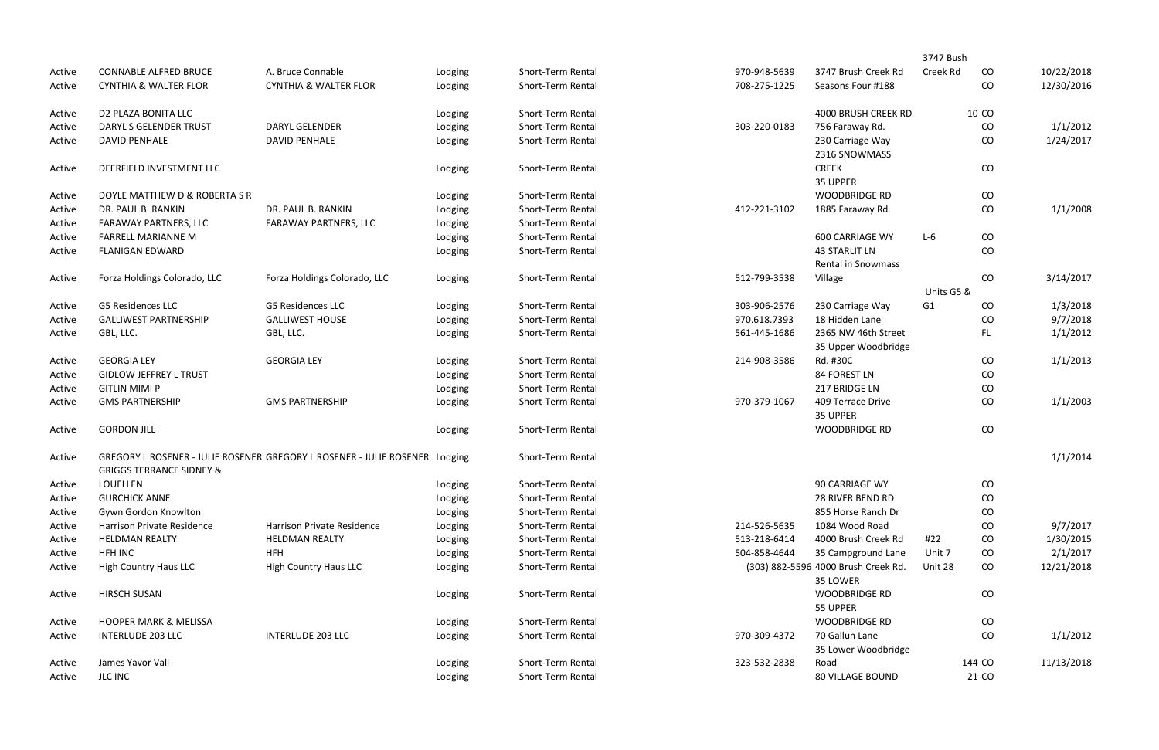| <b>CONNABLE ALFRED BRUCE</b>        | A. Bruce Connable                | Lodging                      | Short-Term Rental                                                                                                                                                              | 970-948-5639      | 3747 Brush Creek Rd                               | Creek Rd                                       | CO    | 10/22/2018                              |
|-------------------------------------|----------------------------------|------------------------------|--------------------------------------------------------------------------------------------------------------------------------------------------------------------------------|-------------------|---------------------------------------------------|------------------------------------------------|-------|-----------------------------------------|
| <b>CYNTHIA &amp; WALTER FLOR</b>    | <b>CYNTHIA &amp; WALTER FLOR</b> | Lodging                      | Short-Term Rental                                                                                                                                                              | 708-275-1225      | Seasons Four #188                                 |                                                | CO    | 12/30/2016                              |
| D2 PLAZA BONITA LLC                 |                                  | Lodging                      | Short-Term Rental                                                                                                                                                              |                   | 4000 BRUSH CREEK RD                               |                                                | 10 CO |                                         |
| DARYL S GELENDER TRUST              | <b>DARYL GELENDER</b>            | Lodging                      | Short-Term Rental                                                                                                                                                              | 303-220-0183      | 756 Faraway Rd.                                   |                                                | CO    | 1/1/2012                                |
| <b>DAVID PENHALE</b>                | <b>DAVID PENHALE</b>             | Lodging                      | Short-Term Rental                                                                                                                                                              |                   | 230 Carriage Way<br>2316 SNOWMASS                 |                                                | CO    | 1/24/2017                               |
| DEERFIELD INVESTMENT LLC            |                                  | Lodging                      | Short-Term Rental                                                                                                                                                              |                   | <b>CREEK</b><br>35 UPPER                          |                                                | CO    |                                         |
| DOYLE MATTHEW D & ROBERTA S R       |                                  | Lodging                      | Short-Term Rental                                                                                                                                                              |                   | <b>WOODBRIDGE RD</b>                              |                                                | CO    |                                         |
| DR. PAUL B. RANKIN                  | DR. PAUL B. RANKIN               | Lodging                      | Short-Term Rental                                                                                                                                                              | 412-221-3102      | 1885 Faraway Rd.                                  |                                                | CO    | 1/1/2008                                |
| FARAWAY PARTNERS, LLC               | FARAWAY PARTNERS, LLC            |                              | Short-Term Rental                                                                                                                                                              |                   |                                                   |                                                |       |                                         |
| <b>FARRELL MARIANNE M</b>           |                                  |                              | Short-Term Rental                                                                                                                                                              |                   | <b>600 CARRIAGE WY</b>                            | $L-6$                                          | CO    |                                         |
| <b>FLANIGAN EDWARD</b>              |                                  | Lodging                      | Short-Term Rental                                                                                                                                                              |                   | <b>43 STARLIT LN</b><br><b>Rental in Snowmass</b> |                                                | CO    |                                         |
|                                     |                                  |                              |                                                                                                                                                                                |                   |                                                   |                                                |       | 3/14/2017                               |
|                                     |                                  |                              |                                                                                                                                                                                |                   |                                                   |                                                |       |                                         |
| <b>G5 Residences LLC</b>            | <b>G5 Residences LLC</b>         |                              | Short-Term Rental                                                                                                                                                              | 303-906-2576      | 230 Carriage Way                                  | G1                                             | CO    | 1/3/2018                                |
| <b>GALLIWEST PARTNERSHIP</b>        | <b>GALLIWEST HOUSE</b>           |                              | Short-Term Rental                                                                                                                                                              | 970.618.7393      | 18 Hidden Lane                                    |                                                | CO    | 9/7/2018                                |
| GBL, LLC.                           | GBL, LLC.                        | Lodging                      | Short-Term Rental                                                                                                                                                              | 561-445-1686      | 2365 NW 46th Street                               |                                                | FL.   | 1/1/2012                                |
|                                     |                                  |                              |                                                                                                                                                                                |                   | 35 Upper Woodbridge                               |                                                |       |                                         |
| <b>GEORGIA LEY</b>                  | <b>GEORGIA LEY</b>               |                              | Short-Term Rental                                                                                                                                                              | 214-908-3586      | Rd. #30C                                          |                                                | CO    | 1/1/2013                                |
| <b>GIDLOW JEFFREY L TRUST</b>       |                                  |                              | Short-Term Rental                                                                                                                                                              |                   | 84 FOREST LN                                      |                                                | CO    |                                         |
| <b>GITLIN MIMI P</b>                |                                  |                              | Short-Term Rental                                                                                                                                                              |                   | 217 BRIDGE LN                                     |                                                | CO    |                                         |
| <b>GMS PARTNERSHIP</b>              | <b>GMS PARTNERSHIP</b>           | Lodging                      | Short-Term Rental                                                                                                                                                              | 970-379-1067      | 409 Terrace Drive<br>35 UPPER                     |                                                | CO    | 1/1/2003                                |
| <b>GORDON JILL</b>                  |                                  | Lodging                      | Short-Term Rental                                                                                                                                                              |                   | <b>WOODBRIDGE RD</b>                              |                                                | CO    |                                         |
| <b>GRIGGS TERRANCE SIDNEY &amp;</b> |                                  |                              | Short-Term Rental                                                                                                                                                              |                   |                                                   |                                                |       | 1/1/2014                                |
| <b>LOUELLEN</b>                     |                                  | Lodging                      | Short-Term Rental                                                                                                                                                              |                   | 90 CARRIAGE WY                                    |                                                | CO    |                                         |
| <b>GURCHICK ANNE</b>                |                                  | Lodging                      | Short-Term Rental                                                                                                                                                              |                   | 28 RIVER BEND RD                                  |                                                | CO    |                                         |
| Gywn Gordon Knowlton                |                                  |                              | Short-Term Rental                                                                                                                                                              |                   | 855 Horse Ranch Dr                                |                                                | CO    |                                         |
| Harrison Private Residence          | Harrison Private Residence       | Lodging                      | Short-Term Rental                                                                                                                                                              | 214-526-5635      | 1084 Wood Road                                    |                                                | CO    | 9/7/2017                                |
| <b>HELDMAN REALTY</b>               | <b>HELDMAN REALTY</b>            | Lodging                      | Short-Term Rental                                                                                                                                                              | 513-218-6414      | 4000 Brush Creek Rd                               | #22                                            | CO    | 1/30/2015                               |
| HFH INC                             | <b>HFH</b>                       | Lodging                      | Short-Term Rental                                                                                                                                                              | 504-858-4644      | 35 Campground Lane                                | Unit 7                                         | CO    | 2/1/2017                                |
| <b>High Country Haus LLC</b>        | <b>High Country Haus LLC</b>     | Lodging                      | Short-Term Rental                                                                                                                                                              |                   | 35 LOWER                                          | Unit 28                                        | CO    | 12/21/2018                              |
| <b>HIRSCH SUSAN</b>                 |                                  | Lodging                      | Short-Term Rental                                                                                                                                                              |                   | <b>WOODBRIDGE RD</b><br>55 UPPER                  |                                                | CO    |                                         |
| <b>HOOPER MARK &amp; MELISSA</b>    |                                  | Lodging                      | Short-Term Rental                                                                                                                                                              |                   | <b>WOODBRIDGE RD</b>                              |                                                | CO    |                                         |
| <b>INTERLUDE 203 LLC</b>            | <b>INTERLUDE 203 LLC</b>         | Lodging                      | Short-Term Rental                                                                                                                                                              | 970-309-4372      | 70 Gallun Lane<br>35 Lower Woodbridge             |                                                | CO    | 1/1/2012                                |
| James Yavor Vall                    |                                  | Lodging                      | Short-Term Rental                                                                                                                                                              | 323-532-2838      | Road                                              |                                                |       | 11/13/2018                              |
| <b>JLC INC</b>                      |                                  | Lodging                      | Short-Term Rental                                                                                                                                                              |                   | 80 VILLAGE BOUND                                  |                                                | 21 CO |                                         |
|                                     | Forza Holdings Colorado, LLC     | Forza Holdings Colorado, LLC | Lodging<br>Lodging<br>Lodging<br>Lodging<br>Lodging<br>Lodging<br>Lodging<br>Lodging<br>GREGORY L ROSENER - JULIE ROSENER GREGORY L ROSENER - JULIE ROSENER Lodging<br>Lodging | Short-Term Rental | 512-799-3538                                      | Village<br>(303) 882-5596 4000 Brush Creek Rd. |       | 3747 Bush<br>CO<br>Units G5 &<br>144 CO |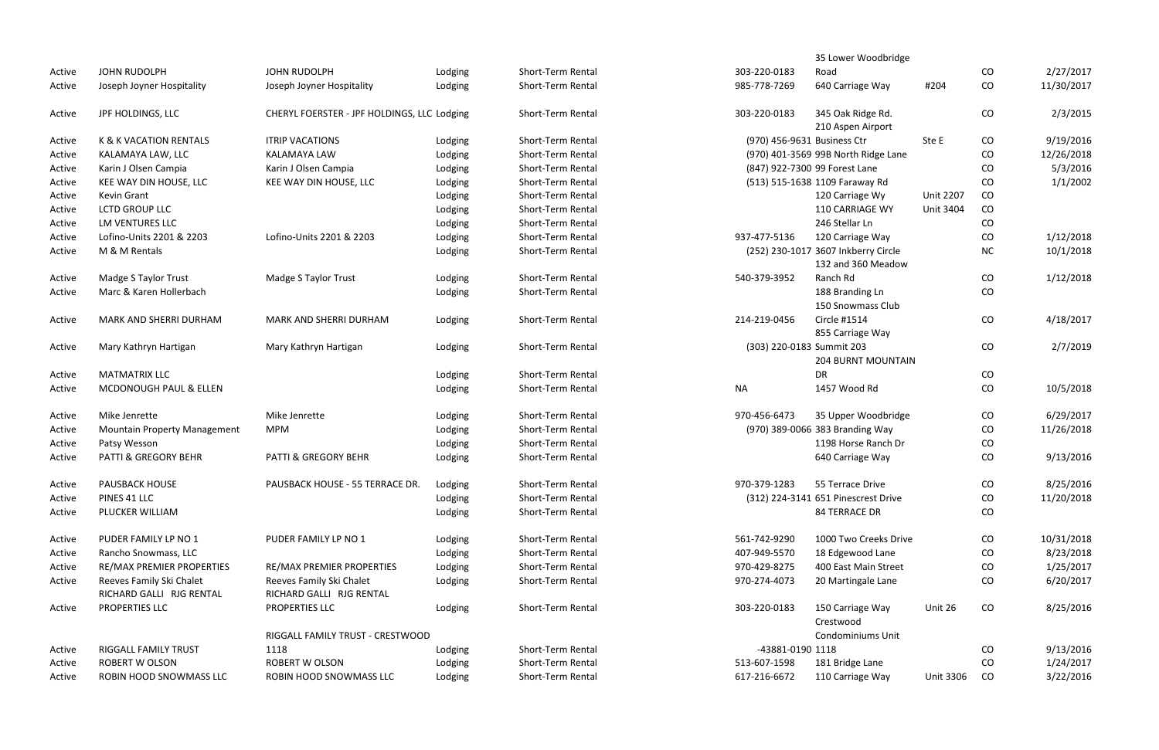|        |                                     |                                             |         |                          |                             | 35 Lower Woodbridge                   |                  |           |            |
|--------|-------------------------------------|---------------------------------------------|---------|--------------------------|-----------------------------|---------------------------------------|------------------|-----------|------------|
| Active | JOHN RUDOLPH                        | <b>JOHN RUDOLPH</b>                         | Lodging | Short-Term Rental        | 303-220-0183                | Road                                  |                  | CO        | 2/27/2017  |
| Active | Joseph Joyner Hospitality           | Joseph Joyner Hospitality                   | Lodging | Short-Term Rental        | 985-778-7269                | 640 Carriage Way                      | #204             | CO        | 11/30/2017 |
| Active | JPF HOLDINGS, LLC                   | CHERYL FOERSTER - JPF HOLDINGS, LLC Lodging |         | Short-Term Rental        | 303-220-0183                | 345 Oak Ridge Rd.                     |                  | CO        | 2/3/2015   |
| Active | K & K VACATION RENTALS              | <b>ITRIP VACATIONS</b>                      | Lodging | Short-Term Rental        | (970) 456-9631 Business Ctr | 210 Aspen Airport                     | Ste E            | CO        | 9/19/2016  |
| Active | KALAMAYA LAW, LLC                   | <b>KALAMAYA LAW</b>                         | Lodging | Short-Term Rental        |                             | (970) 401-3569 99B North Ridge Lane   |                  | CO        | 12/26/2018 |
| Active | Karin J Olsen Campia                | Karin J Olsen Campia                        | Lodging | Short-Term Rental        |                             | (847) 922-7300 99 Forest Lane         |                  | CO        | 5/3/2016   |
| Active | KEE WAY DIN HOUSE, LLC              | KEE WAY DIN HOUSE, LLC                      | Lodging | Short-Term Rental        |                             | (513) 515-1638 1109 Faraway Rd        |                  | CO        | 1/1/2002   |
| Active | <b>Kevin Grant</b>                  |                                             | Lodging | Short-Term Rental        |                             | 120 Carriage Wy                       | <b>Unit 2207</b> | CO        |            |
| Active | <b>LCTD GROUP LLC</b>               |                                             | Lodging | Short-Term Rental        |                             | <b>110 CARRIAGE WY</b>                | <b>Unit 3404</b> | CO        |            |
| Active | <b>LM VENTURES LLC</b>              |                                             | Lodging | <b>Short-Term Rental</b> |                             | 246 Stellar Ln                        |                  | CO        |            |
| Active | Lofino-Units 2201 & 2203            | Lofino-Units 2201 & 2203                    | Lodging | <b>Short-Term Rental</b> | 937-477-5136                | 120 Carriage Way                      |                  | CO        | 1/12/2018  |
| Active | M & M Rentals                       |                                             | Lodging | Short-Term Rental        |                             | (252) 230-1017 3607 Inkberry Circle   |                  | <b>NC</b> | 10/1/2018  |
|        |                                     |                                             |         |                          |                             | 132 and 360 Meadow                    |                  |           |            |
| Active | Madge S Taylor Trust                | Madge S Taylor Trust                        | Lodging | Short-Term Rental        | 540-379-3952                | Ranch Rd                              |                  | CO        | 1/12/2018  |
| Active | Marc & Karen Hollerbach             |                                             | Lodging | <b>Short-Term Rental</b> |                             | 188 Branding Ln<br>150 Snowmass Club  |                  | CO        |            |
| Active | MARK AND SHERRI DURHAM              | MARK AND SHERRI DURHAM                      | Lodging | Short-Term Rental        | 214-219-0456                | Circle #1514<br>855 Carriage Way      |                  | CO        | 4/18/2017  |
| Active | Mary Kathryn Hartigan               | Mary Kathryn Hartigan                       | Lodging | Short-Term Rental        | (303) 220-0183 Summit 203   | <b>204 BURNT MOUNTAIN</b>             |                  | CO        | 2/7/2019   |
| Active | <b>MATMATRIX LLC</b>                |                                             | Lodging | Short-Term Rental        |                             | DR                                    |                  | CO        |            |
| Active | MCDONOUGH PAUL & ELLEN              |                                             | Lodging | Short-Term Rental        | <b>NA</b>                   | 1457 Wood Rd                          |                  | CO        | 10/5/2018  |
| Active | Mike Jenrette                       | Mike Jenrette                               | Lodging | Short-Term Rental        | 970-456-6473                | 35 Upper Woodbridge                   |                  | CO        | 6/29/2017  |
| Active | <b>Mountain Property Management</b> | <b>MPM</b>                                  | Lodging | Short-Term Rental        |                             | (970) 389-0066 383 Branding Way       |                  | CO        | 11/26/2018 |
| Active | Patsy Wesson                        |                                             | Lodging | Short-Term Rental        |                             | 1198 Horse Ranch Dr                   |                  | CO        |            |
| Active | <b>PATTI &amp; GREGORY BEHR</b>     | <b>PATTI &amp; GREGORY BEHR</b>             | Lodging | Short-Term Rental        |                             | 640 Carriage Way                      |                  | CO        | 9/13/2016  |
| Active | <b>PAUSBACK HOUSE</b>               | PAUSBACK HOUSE - 55 TERRACE DR.             | Lodging | Short-Term Rental        | 970-379-1283                | 55 Terrace Drive                      |                  | CO        | 8/25/2016  |
| Active | PINES 41 LLC                        |                                             | Lodging | Short-Term Rental        |                             | (312) 224-3141 651 Pinescrest Drive   |                  | CO        | 11/20/2018 |
| Active | PLUCKER WILLIAM                     |                                             | Lodging | Short-Term Rental        |                             | 84 TERRACE DR                         |                  | CO        |            |
| Active | PUDER FAMILY LP NO 1                | PUDER FAMILY LP NO 1                        | Lodging | Short-Term Rental        | 561-742-9290                | 1000 Two Creeks Drive                 |                  | CO        | 10/31/2018 |
| Active | Rancho Snowmass, LLC                |                                             | Lodging | Short-Term Rental        | 407-949-5570                | 18 Edgewood Lane                      |                  | CO        | 8/23/2018  |
| Active | RE/MAX PREMIER PROPERTIES           | RE/MAX PREMIER PROPERTIES                   | Lodging | Short-Term Rental        | 970-429-8275                | 400 East Main Street                  |                  | CO        | 1/25/2017  |
| Active | Reeves Family Ski Chalet            | Reeves Family Ski Chalet                    | Lodging | Short-Term Rental        | 970-274-4073                | 20 Martingale Lane                    |                  | CO        | 6/20/2017  |
|        | RICHARD GALLI RJG RENTAL            | RICHARD GALLI RJG RENTAL                    |         |                          |                             |                                       |                  |           |            |
| Active | PROPERTIES LLC                      | PROPERTIES LLC                              | Lodging | Short-Term Rental        | 303-220-0183                | 150 Carriage Way                      | Unit 26          | CO        | 8/25/2016  |
|        |                                     | RIGGALL FAMILY TRUST - CRESTWOOD            |         |                          |                             | Crestwood<br><b>Condominiums Unit</b> |                  |           |            |
| Active | <b>RIGGALL FAMILY TRUST</b>         | 1118                                        | Lodging | Short-Term Rental        | -43881-0190 1118            |                                       |                  | CO        | 9/13/2016  |
| Active | <b>ROBERT W OLSON</b>               | <b>ROBERT W OLSON</b>                       | Lodging | Short-Term Rental        | 513-607-1598                | 181 Bridge Lane                       |                  | CO        | 1/24/2017  |
| Active | ROBIN HOOD SNOWMASS LLC             | ROBIN HOOD SNOWMASS LLC                     | Lodging | Short-Term Rental        | 617-216-6672                | 110 Carriage Way                      | <b>Unit 3306</b> | CO        | 3/22/2016  |
|        |                                     |                                             |         |                          |                             |                                       |                  |           |            |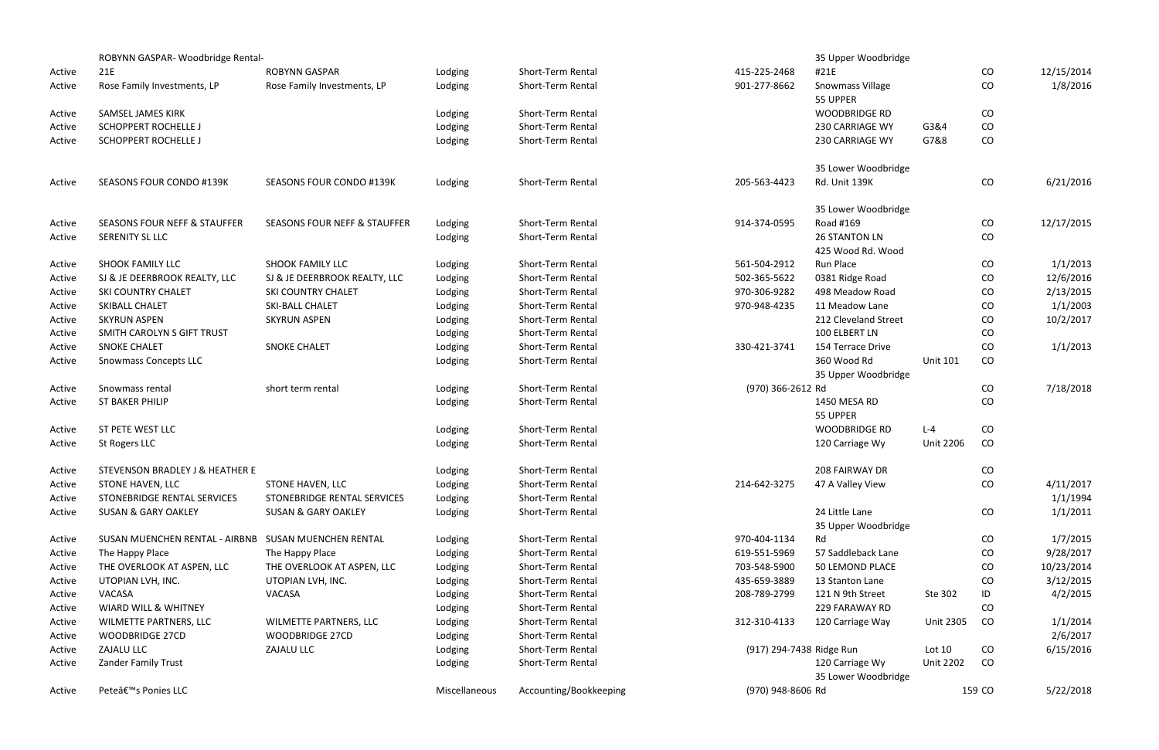|        | ROBYNN GASPAR-Woodbridge Rental-                     |                                         |               |                        |                          | 35 Upper Woodbridge                |                  |          |            |
|--------|------------------------------------------------------|-----------------------------------------|---------------|------------------------|--------------------------|------------------------------------|------------------|----------|------------|
| Active | 21E                                                  | <b>ROBYNN GASPAR</b>                    | Lodging       | Short-Term Rental      | 415-225-2468             | #21E                               |                  | CO       | 12/15/2014 |
| Active | Rose Family Investments, LP                          | Rose Family Investments, LP             | Lodging       | Short-Term Rental      | 901-277-8662             | Snowmass Village                   |                  | CO       | 1/8/2016   |
|        |                                                      |                                         |               |                        |                          | 55 UPPER                           |                  |          |            |
| Active | <b>SAMSEL JAMES KIRK</b>                             |                                         | Lodging       | Short-Term Rental      |                          | <b>WOODBRIDGE RD</b>               |                  | CO       |            |
| Active | <b>SCHOPPERT ROCHELLE J</b>                          |                                         | Lodging       | Short-Term Rental      |                          | 230 CARRIAGE WY                    | G3&4             | CO       |            |
| Active | <b>SCHOPPERT ROCHELLE J</b>                          |                                         | Lodging       | Short-Term Rental      |                          | 230 CARRIAGE WY                    | G7&8             | CO       |            |
|        |                                                      |                                         |               |                        |                          | 35 Lower Woodbridge                |                  |          |            |
| Active | <b>SEASONS FOUR CONDO #139K</b>                      | <b>SEASONS FOUR CONDO #139K</b>         | Lodging       | Short-Term Rental      | 205-563-4423             | Rd. Unit 139K                      |                  | CO       | 6/21/2016  |
|        |                                                      |                                         |               |                        |                          | 35 Lower Woodbridge                |                  |          |            |
| Active | <b>SEASONS FOUR NEFF &amp; STAUFFER</b>              | <b>SEASONS FOUR NEFF &amp; STAUFFER</b> | Lodging       | Short-Term Rental      | 914-374-0595             | Road #169                          |                  | CO       | 12/17/2015 |
| Active | SERENITY SL LLC                                      |                                         | Lodging       | Short-Term Rental      |                          | <b>26 STANTON LN</b>               |                  | CO       |            |
|        |                                                      |                                         |               |                        |                          | 425 Wood Rd. Wood                  |                  |          |            |
| Active | <b>SHOOK FAMILY LLC</b>                              | <b>SHOOK FAMILY LLC</b>                 | Lodging       | Short-Term Rental      | 561-504-2912             | Run Place                          |                  | CO       | 1/1/2013   |
| Active | SJ & JE DEERBROOK REALTY, LLC                        | SJ & JE DEERBROOK REALTY, LLC           | Lodging       | Short-Term Rental      | 502-365-5622             | 0381 Ridge Road                    |                  | CO       | 12/6/2016  |
| Active | <b>SKI COUNTRY CHALET</b>                            | SKI COUNTRY CHALET                      | Lodging       | Short-Term Rental      | 970-306-9282             | 498 Meadow Road                    |                  | CO       | 2/13/2015  |
| Active | SKIBALL CHALET                                       | <b>SKI-BALL CHALET</b>                  | Lodging       | Short-Term Rental      | 970-948-4235             | 11 Meadow Lane                     |                  | CO       | 1/1/2003   |
| Active | <b>SKYRUN ASPEN</b>                                  | <b>SKYRUN ASPEN</b>                     | Lodging       | Short-Term Rental      |                          | 212 Cleveland Street               |                  | CO       | 10/2/2017  |
| Active | SMITH CAROLYN S GIFT TRUST                           |                                         | Lodging       | Short-Term Rental      |                          | 100 ELBERT LN                      |                  | CO       |            |
| Active | <b>SNOKE CHALET</b>                                  | <b>SNOKE CHALET</b>                     | Lodging       | Short-Term Rental      | 330-421-3741             | 154 Terrace Drive                  |                  | CO       | 1/1/2013   |
| Active | <b>Snowmass Concepts LLC</b>                         |                                         | Lodging       | Short-Term Rental      |                          | 360 Wood Rd<br>35 Upper Woodbridge | <b>Unit 101</b>  | CO       |            |
| Active | Snowmass rental                                      | short term rental                       | Lodging       | Short-Term Rental      | (970) 366-2612 Rd        |                                    |                  | CO       | 7/18/2018  |
| Active | <b>ST BAKER PHILIP</b>                               |                                         | Lodging       | Short-Term Rental      |                          | 1450 MESA RD                       |                  | CO       |            |
|        |                                                      |                                         |               |                        |                          | 55 UPPER                           |                  |          |            |
| Active | ST PETE WEST LLC                                     |                                         | Lodging       | Short-Term Rental      |                          | <b>WOODBRIDGE RD</b>               | $L - 4$          | CO       |            |
| Active | St Rogers LLC                                        |                                         | Lodging       | Short-Term Rental      |                          | 120 Carriage Wy                    | <b>Unit 2206</b> | CO       |            |
| Active | STEVENSON BRADLEY J & HEATHER E                      |                                         | Lodging       | Short-Term Rental      |                          | 208 FAIRWAY DR                     |                  | CO       |            |
| Active | <b>STONE HAVEN, LLC</b>                              | STONE HAVEN, LLC                        | Lodging       | Short-Term Rental      | 214-642-3275             | 47 A Valley View                   |                  | CO       | 4/11/2017  |
| Active | STONEBRIDGE RENTAL SERVICES                          | STONEBRIDGE RENTAL SERVICES             | Lodging       | Short-Term Rental      |                          |                                    |                  |          | 1/1/1994   |
| Active | <b>SUSAN &amp; GARY OAKLEY</b>                       | <b>SUSAN &amp; GARY OAKLEY</b>          | Lodging       | Short-Term Rental      |                          | 24 Little Lane                     |                  | CO       | 1/1/2011   |
|        |                                                      |                                         |               |                        |                          | 35 Upper Woodbridge                |                  |          |            |
| Active | SUSAN MUENCHEN RENTAL - AIRBNB SUSAN MUENCHEN RENTAL |                                         | Lodging       | Short-Term Rental      | 970-404-1134             | Rd                                 |                  | $\rm CO$ | 1/7/2015   |
| Active | The Happy Place                                      | The Happy Place                         | Lodging       | Short-Term Rental      | 619-551-5969             | 57 Saddleback Lane                 |                  | CO       | 9/28/2017  |
| Active | THE OVERLOOK AT ASPEN, LLC                           | THE OVERLOOK AT ASPEN, LLC              | Lodging       | Short-Term Rental      | 703-548-5900             | <b>50 LEMOND PLACE</b>             |                  | CO       | 10/23/2014 |
| Active | UTOPIAN LVH, INC.                                    | UTOPIAN LVH, INC.                       | Lodging       | Short-Term Rental      | 435-659-3889             | 13 Stanton Lane                    |                  | CO       | 3/12/2015  |
| Active | VACASA                                               | VACASA                                  | Lodging       | Short-Term Rental      | 208-789-2799             | 121 N 9th Street                   | Ste 302          | ID       | 4/2/2015   |
| Active | WIARD WILL & WHITNEY                                 |                                         | Lodging       | Short-Term Rental      |                          | 229 FARAWAY RD                     |                  | CO       |            |
| Active | WILMETTE PARTNERS, LLC                               | WILMETTE PARTNERS, LLC                  | Lodging       | Short-Term Rental      | 312-310-4133             | 120 Carriage Way                   | <b>Unit 2305</b> | CO       | 1/1/2014   |
| Active | <b>WOODBRIDGE 27CD</b>                               | <b>WOODBRIDGE 27CD</b>                  | Lodging       | Short-Term Rental      |                          |                                    |                  |          | 2/6/2017   |
| Active | ZAJALU LLC                                           | ZAJALU LLC                              | Lodging       | Short-Term Rental      | (917) 294-7438 Ridge Run |                                    | Lot 10           | CO       | 6/15/2016  |
| Active | Zander Family Trust                                  |                                         | Lodging       | Short-Term Rental      |                          | 120 Carriage Wy                    | <b>Unit 2202</b> | CO       |            |
|        |                                                      |                                         |               |                        |                          | 35 Lower Woodbridge                |                  |          |            |
| Active | Pete's Ponies LLC                                    |                                         | Miscellaneous | Accounting/Bookkeeping | (970) 948-8606 Rd        |                                    |                  | 159 CO   | 5/22/2018  |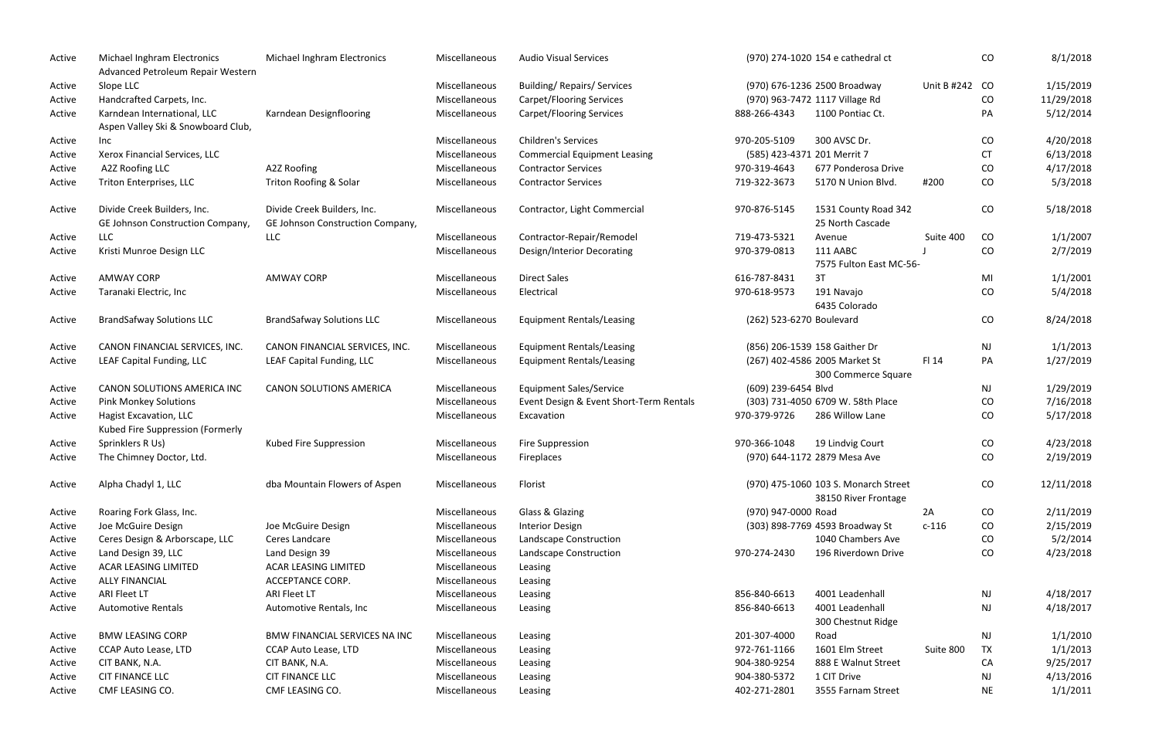| Active | Michael Inghram Electronics<br>Advanced Petroleum Repair Western  | Michael Inghram Electronics      | Miscellaneous | <b>Audio Visual Services</b>            |                             | (970) 274-1020 154 e cathedral ct                            |                | CO            | 8/1/2018   |
|--------|-------------------------------------------------------------------|----------------------------------|---------------|-----------------------------------------|-----------------------------|--------------------------------------------------------------|----------------|---------------|------------|
| Active | Slope LLC                                                         |                                  | Miscellaneous | <b>Building/ Repairs/ Services</b>      |                             | (970) 676-1236 2500 Broadway                                 | Unit B #242 CO |               | 1/15/2019  |
| Active | Handcrafted Carpets, Inc.                                         |                                  | Miscellaneous | <b>Carpet/Flooring Services</b>         |                             | (970) 963-7472 1117 Village Rd                               |                | CO            | 11/29/2018 |
| Active | Karndean International, LLC<br>Aspen Valley Ski & Snowboard Club, | Karndean Designflooring          | Miscellaneous | <b>Carpet/Flooring Services</b>         | 888-266-4343                | 1100 Pontiac Ct.                                             |                | PA            | 5/12/2014  |
| Active | Inc                                                               |                                  | Miscellaneous | <b>Children's Services</b>              | 970-205-5109                | 300 AVSC Dr.                                                 |                | CO            | 4/20/2018  |
| Active | Xerox Financial Services, LLC                                     |                                  | Miscellaneous | <b>Commercial Equipment Leasing</b>     | (585) 423-4371 201 Merrit 7 |                                                              |                | <b>CT</b>     | 6/13/2018  |
| Active | A2Z Roofing LLC                                                   | A2Z Roofing                      | Miscellaneous | <b>Contractor Services</b>              | 970-319-4643                | 677 Ponderosa Drive                                          |                | CO            | 4/17/2018  |
| Active | Triton Enterprises, LLC                                           | Triton Roofing & Solar           | Miscellaneous | <b>Contractor Services</b>              | 719-322-3673                | 5170 N Union Blvd.                                           | #200           | CO            | 5/3/2018   |
| Active | Divide Creek Builders, Inc.                                       | Divide Creek Builders, Inc.      | Miscellaneous | Contractor, Light Commercial            | 970-876-5145                | 1531 County Road 342                                         |                | CO            | 5/18/2018  |
|        | GE Johnson Construction Company,                                  | GE Johnson Construction Company, |               |                                         |                             | 25 North Cascade                                             |                |               |            |
| Active | <b>LLC</b>                                                        | <b>LLC</b>                       | Miscellaneous | Contractor-Repair/Remodel               | 719-473-5321                | Avenue                                                       | Suite 400      | CO            | 1/1/2007   |
| Active | Kristi Munroe Design LLC                                          |                                  | Miscellaneous | Design/Interior Decorating              | 970-379-0813                | 111 AABC<br>7575 Fulton East MC-56-                          |                | CO            | 2/7/2019   |
| Active | <b>AMWAY CORP</b>                                                 | <b>AMWAY CORP</b>                | Miscellaneous | <b>Direct Sales</b>                     | 616-787-8431                | 3T                                                           |                | MI            | 1/1/2001   |
| Active | Taranaki Electric, Inc                                            |                                  | Miscellaneous | Electrical                              | 970-618-9573                | 191 Navajo<br>6435 Colorado                                  |                | CO            | 5/4/2018   |
| Active | <b>BrandSafway Solutions LLC</b>                                  | <b>BrandSafway Solutions LLC</b> | Miscellaneous | <b>Equipment Rentals/Leasing</b>        | (262) 523-6270 Boulevard    |                                                              |                | CO            | 8/24/2018  |
| Active | CANON FINANCIAL SERVICES, INC.                                    | CANON FINANCIAL SERVICES, INC.   | Miscellaneous | <b>Equipment Rentals/Leasing</b>        |                             | (856) 206-1539 158 Gaither Dr                                |                | <b>NJ</b>     | 1/1/2013   |
| Active | LEAF Capital Funding, LLC                                         | LEAF Capital Funding, LLC        | Miscellaneous | <b>Equipment Rentals/Leasing</b>        |                             | (267) 402-4586 2005 Market St<br>300 Commerce Square         | FI 14          | PA            | 1/27/2019  |
| Active | CANON SOLUTIONS AMERICA INC                                       | <b>CANON SOLUTIONS AMERICA</b>   | Miscellaneous | <b>Equipment Sales/Service</b>          | (609) 239-6454 Blvd         |                                                              |                | $\mathsf{NJ}$ | 1/29/2019  |
| Active | <b>Pink Monkey Solutions</b>                                      |                                  | Miscellaneous | Event Design & Event Short-Term Rentals |                             | (303) 731-4050 6709 W. 58th Place                            |                | CO            | 7/16/2018  |
| Active | <b>Hagist Excavation, LLC</b><br>Kubed Fire Suppression (Formerly |                                  | Miscellaneous | Excavation                              | 970-379-9726                | 286 Willow Lane                                              |                | CO            | 5/17/2018  |
| Active | Sprinklers R Us)                                                  | Kubed Fire Suppression           | Miscellaneous | Fire Suppression                        | 970-366-1048                | 19 Lindvig Court                                             |                | CO            | 4/23/2018  |
| Active | The Chimney Doctor, Ltd.                                          |                                  | Miscellaneous | Fireplaces                              |                             | (970) 644-1172 2879 Mesa Ave                                 |                | CO            | 2/19/2019  |
| Active | Alpha Chadyl 1, LLC                                               | dba Mountain Flowers of Aspen    | Miscellaneous | Florist                                 |                             | (970) 475-1060 103 S. Monarch Street<br>38150 River Frontage |                | CO            | 12/11/2018 |
| Active | Roaring Fork Glass, Inc.                                          |                                  | Miscellaneous | Glass & Glazing                         | (970) 947-0000 Road         |                                                              | 2A             | CO            | 2/11/2019  |
| Active | Joe McGuire Design                                                | Joe McGuire Design               | Miscellaneous | <b>Interior Design</b>                  |                             | (303) 898-7769 4593 Broadway St                              | $c-116$        | CO            | 2/15/2019  |
| Active | Ceres Design & Arborscape, LLC                                    | Ceres Landcare                   | Miscellaneous | Landscape Construction                  |                             | 1040 Chambers Ave                                            |                | CO            | 5/2/2014   |
| Active | Land Design 39, LLC                                               | Land Design 39                   | Miscellaneous | Landscape Construction                  | 970-274-2430                | 196 Riverdown Drive                                          |                | CO            | 4/23/2018  |
| Active | ACAR LEASING LIMITED                                              | <b>ACAR LEASING LIMITED</b>      | Miscellaneous | Leasing                                 |                             |                                                              |                |               |            |
| Active | <b>ALLY FINANCIAL</b>                                             | ACCEPTANCE CORP.                 | Miscellaneous | Leasing                                 |                             |                                                              |                |               |            |
| Active | <b>ARI Fleet LT</b>                                               | <b>ARI Fleet LT</b>              | Miscellaneous | Leasing                                 | 856-840-6613                | 4001 Leadenhall                                              |                | <b>NJ</b>     | 4/18/2017  |
| Active | <b>Automotive Rentals</b>                                         | Automotive Rentals, Inc.         | Miscellaneous | Leasing                                 | 856-840-6613                | 4001 Leadenhall<br>300 Chestnut Ridge                        |                | <b>NJ</b>     | 4/18/2017  |
| Active | <b>BMW LEASING CORP</b>                                           | BMW FINANCIAL SERVICES NA INC    | Miscellaneous | Leasing                                 | 201-307-4000                | Road                                                         |                | <b>NJ</b>     | 1/1/2010   |
| Active | CCAP Auto Lease, LTD                                              | <b>CCAP Auto Lease, LTD</b>      | Miscellaneous | Leasing                                 | 972-761-1166                | 1601 Elm Street                                              | Suite 800      | <b>TX</b>     | 1/1/2013   |
| Active | CIT BANK, N.A.                                                    | CIT BANK, N.A.                   | Miscellaneous | Leasing                                 | 904-380-9254                | 888 E Walnut Street                                          |                | CA            | 9/25/2017  |
| Active | <b>CIT FINANCE LLC</b>                                            | <b>CIT FINANCE LLC</b>           | Miscellaneous | Leasing                                 | 904-380-5372                | 1 CIT Drive                                                  |                | <b>NJ</b>     | 4/13/2016  |
| Active | CMF LEASING CO.                                                   | CMF LEASING CO.                  | Miscellaneous | Leasing                                 | 402-271-2801                | 3555 Farnam Street                                           |                | <b>NE</b>     | 1/1/2011   |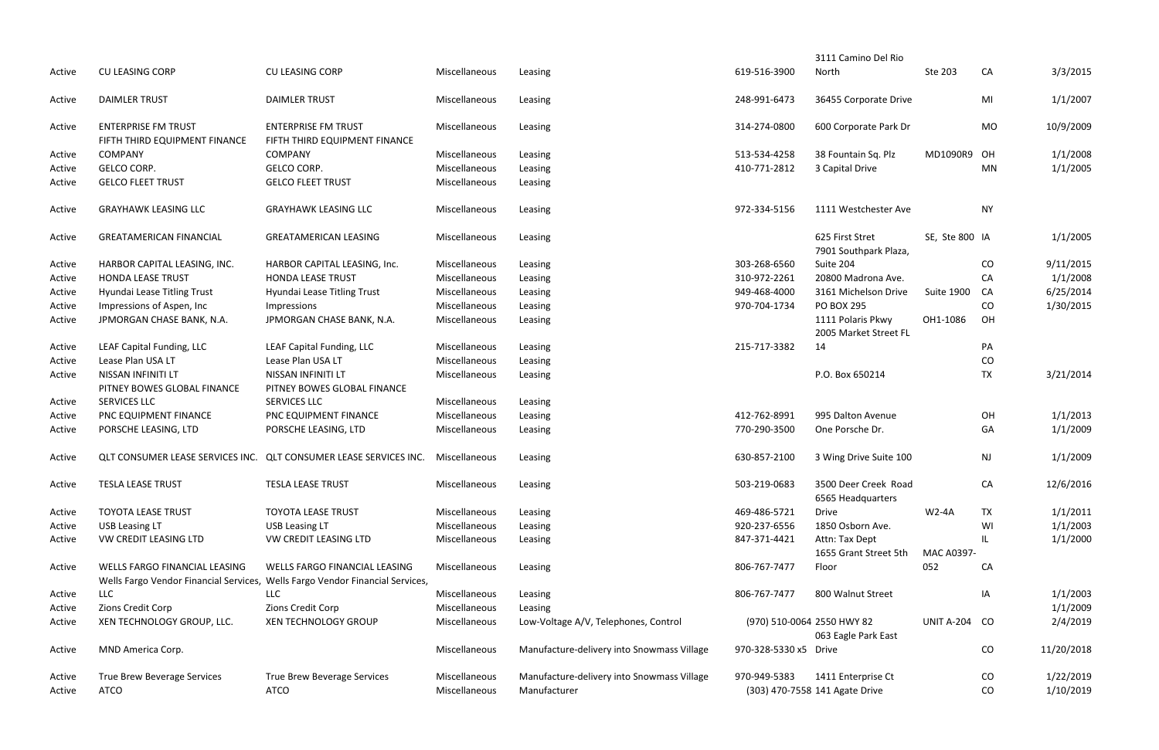|        |                                |                                                                               |               |                                            |                            | 3111 Camino Del Rio                        |                      |           |            |
|--------|--------------------------------|-------------------------------------------------------------------------------|---------------|--------------------------------------------|----------------------------|--------------------------------------------|----------------------|-----------|------------|
| Active | <b>CU LEASING CORP</b>         | <b>CU LEASING CORP</b>                                                        | Miscellaneous | Leasing                                    | 619-516-3900               | North                                      | Ste 203              | CA        | 3/3/2015   |
| Active | <b>DAIMLER TRUST</b>           | <b>DAIMLER TRUST</b>                                                          | Miscellaneous | Leasing                                    | 248-991-6473               | 36455 Corporate Drive                      |                      | MI        | 1/1/2007   |
| Active | <b>ENTERPRISE FM TRUST</b>     | <b>ENTERPRISE FM TRUST</b>                                                    | Miscellaneous | Leasing                                    | 314-274-0800               | 600 Corporate Park Dr                      |                      | <b>MO</b> | 10/9/2009  |
|        | FIFTH THIRD EQUIPMENT FINANCE  | FIFTH THIRD EQUIPMENT FINANCE                                                 |               |                                            |                            |                                            |                      |           |            |
| Active | <b>COMPANY</b>                 | <b>COMPANY</b>                                                                | Miscellaneous | Leasing                                    | 513-534-4258               | 38 Fountain Sq. Plz                        | MD1090R9             | OH        | 1/1/2008   |
| Active | <b>GELCO CORP.</b>             | <b>GELCO CORP.</b>                                                            | Miscellaneous | Leasing                                    | 410-771-2812               | 3 Capital Drive                            |                      | <b>MN</b> | 1/1/2005   |
| Active | <b>GELCO FLEET TRUST</b>       | <b>GELCO FLEET TRUST</b>                                                      | Miscellaneous | Leasing                                    |                            |                                            |                      |           |            |
| Active | <b>GRAYHAWK LEASING LLC</b>    | <b>GRAYHAWK LEASING LLC</b>                                                   | Miscellaneous | Leasing                                    | 972-334-5156               | 1111 Westchester Ave                       |                      | <b>NY</b> |            |
| Active | <b>GREATAMERICAN FINANCIAL</b> | <b>GREATAMERICAN LEASING</b>                                                  | Miscellaneous | Leasing                                    |                            | 625 First Stret<br>7901 Southpark Plaza,   | SE, Ste 800 IA       |           | 1/1/2005   |
| Active | HARBOR CAPITAL LEASING, INC.   | HARBOR CAPITAL LEASING, Inc.                                                  | Miscellaneous | Leasing                                    | 303-268-6560               | Suite 204                                  |                      | CO        | 9/11/2015  |
| Active | <b>HONDA LEASE TRUST</b>       | <b>HONDA LEASE TRUST</b>                                                      | Miscellaneous | Leasing                                    | 310-972-2261               | 20800 Madrona Ave.                         |                      | CA        | 1/1/2008   |
| Active | Hyundai Lease Titling Trust    | Hyundai Lease Titling Trust                                                   | Miscellaneous | Leasing                                    | 949-468-4000               | 3161 Michelson Drive                       | <b>Suite 1900</b>    | CA        | 6/25/2014  |
| Active | Impressions of Aspen, Inc      | Impressions                                                                   | Miscellaneous | Leasing                                    | 970-704-1734               | PO BOX 295                                 |                      | CO        | 1/30/2015  |
| Active | JPMORGAN CHASE BANK, N.A.      | JPMORGAN CHASE BANK, N.A.                                                     | Miscellaneous | Leasing                                    |                            | 1111 Polaris Pkwy<br>2005 Market Street FL | OH1-1086             | OH        |            |
| Active | LEAF Capital Funding, LLC      | LEAF Capital Funding, LLC                                                     | Miscellaneous | Leasing                                    | 215-717-3382               | 14                                         |                      | PA        |            |
| Active | Lease Plan USA LT              | Lease Plan USA LT                                                             | Miscellaneous | Leasing                                    |                            |                                            |                      | CO        |            |
| Active | NISSAN INFINITI LT             | NISSAN INFINITI LT                                                            | Miscellaneous | Leasing                                    |                            | P.O. Box 650214                            |                      | <b>TX</b> | 3/21/2014  |
|        | PITNEY BOWES GLOBAL FINANCE    | PITNEY BOWES GLOBAL FINANCE                                                   |               |                                            |                            |                                            |                      |           |            |
| Active | SERVICES LLC                   | SERVICES LLC                                                                  | Miscellaneous | Leasing                                    |                            |                                            |                      |           |            |
| Active | PNC EQUIPMENT FINANCE          | PNC EQUIPMENT FINANCE                                                         | Miscellaneous | Leasing                                    | 412-762-8991               | 995 Dalton Avenue                          |                      | OH        | 1/1/2013   |
| Active | PORSCHE LEASING, LTD           | PORSCHE LEASING, LTD                                                          | Miscellaneous | Leasing                                    | 770-290-3500               | One Porsche Dr.                            |                      | GA        | 1/1/2009   |
| Active |                                | QLT CONSUMER LEASE SERVICES INC. QLT CONSUMER LEASE SERVICES INC.             | Miscellaneous | Leasing                                    | 630-857-2100               | 3 Wing Drive Suite 100                     |                      | <b>NJ</b> | 1/1/2009   |
| Active | <b>TESLA LEASE TRUST</b>       | <b>TESLA LEASE TRUST</b>                                                      | Miscellaneous | Leasing                                    | 503-219-0683               | 3500 Deer Creek Road<br>6565 Headquarters  |                      | CA        | 12/6/2016  |
| Active | <b>TOYOTA LEASE TRUST</b>      | <b>TOYOTA LEASE TRUST</b>                                                     | Miscellaneous | Leasing                                    | 469-486-5721               | <b>Drive</b>                               | <b>W2-4A</b>         | <b>TX</b> | 1/1/2011   |
| Active | <b>USB Leasing LT</b>          | <b>USB Leasing LT</b>                                                         | Miscellaneous | Leasing                                    | 920-237-6556               | 1850 Osborn Ave.                           |                      | WI        | 1/1/2003   |
| Active | VW CREDIT LEASING LTD          | VW CREDIT LEASING LTD                                                         | Miscellaneous | Leasing                                    | 847-371-4421               | Attn: Tax Dept                             |                      |           | 1/1/2000   |
|        |                                |                                                                               |               |                                            |                            | 1655 Grant Street 5th                      | MAC A0397-           |           |            |
| Active | WELLS FARGO FINANCIAL LEASING  | WELLS FARGO FINANCIAL LEASING                                                 | Miscellaneous | Leasing                                    | 806-767-7477               | Floor                                      | 052                  | CA        |            |
|        |                                | Wells Fargo Vendor Financial Services, Wells Fargo Vendor Financial Services, |               |                                            |                            |                                            |                      |           |            |
| Active | <b>LLC</b>                     | <b>LLC</b>                                                                    | Miscellaneous | Leasing                                    | 806-767-7477               | 800 Walnut Street                          |                      | ΙA        | 1/1/2003   |
| Active | Zions Credit Corp              | Zions Credit Corp                                                             | Miscellaneous | Leasing                                    |                            |                                            |                      |           | 1/1/2009   |
| Active | XEN TECHNOLOGY GROUP, LLC.     | <b>XEN TECHNOLOGY GROUP</b>                                                   | Miscellaneous | Low-Voltage A/V, Telephones, Control       | (970) 510-0064 2550 HWY 82 |                                            | <b>UNIT A-204 CO</b> |           | 2/4/2019   |
|        |                                |                                                                               |               |                                            |                            | 063 Eagle Park East                        |                      |           |            |
| Active | MND America Corp.              |                                                                               | Miscellaneous | Manufacture-delivery into Snowmass Village | 970-328-5330 x5 Drive      |                                            |                      | CO        | 11/20/2018 |
| Active | True Brew Beverage Services    | True Brew Beverage Services                                                   | Miscellaneous | Manufacture-delivery into Snowmass Village | 970-949-5383               | 1411 Enterprise Ct                         |                      | CO        | 1/22/2019  |
| Active | <b>ATCO</b>                    | <b>ATCO</b>                                                                   | Miscellaneous | Manufacturer                               |                            | (303) 470-7558 141 Agate Drive             |                      | CO        | 1/10/2019  |
|        |                                |                                                                               |               |                                            |                            |                                            |                      |           |            |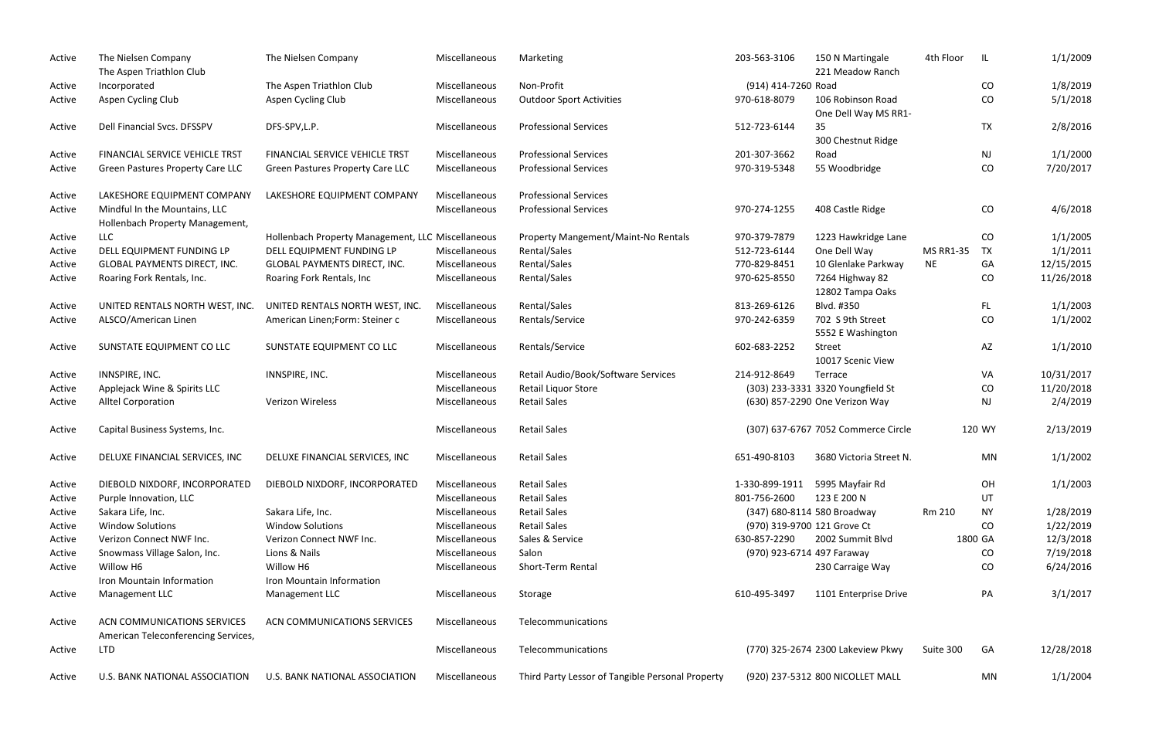| Active | The Nielsen Company<br>The Aspen Triathlon Club                    | The Nielsen Company                               | Miscellaneous | Marketing                                        | 203-563-3106                | 150 N Martingale<br>221 Meadow Ranch      | 4th Floor        | -IL       | 1/1/2009   |
|--------|--------------------------------------------------------------------|---------------------------------------------------|---------------|--------------------------------------------------|-----------------------------|-------------------------------------------|------------------|-----------|------------|
| Active | Incorporated                                                       | The Aspen Triathlon Club                          | Miscellaneous | Non-Profit                                       | (914) 414-7260 Road         |                                           |                  | CO        | 1/8/2019   |
| Active | Aspen Cycling Club                                                 | Aspen Cycling Club                                | Miscellaneous | <b>Outdoor Sport Activities</b>                  | 970-618-8079                | 106 Robinson Road<br>One Dell Way MS RR1- |                  | CO        | 5/1/2018   |
| Active | Dell Financial Svcs. DFSSPV                                        | DFS-SPV, L.P.                                     | Miscellaneous | <b>Professional Services</b>                     | 512-723-6144                | 35<br>300 Chestnut Ridge                  |                  | <b>TX</b> | 2/8/2016   |
| Active | FINANCIAL SERVICE VEHICLE TRST                                     | FINANCIAL SERVICE VEHICLE TRST                    | Miscellaneous | <b>Professional Services</b>                     | 201-307-3662                | Road                                      |                  | NJ        | 1/1/2000   |
| Active | <b>Green Pastures Property Care LLC</b>                            | Green Pastures Property Care LLC                  | Miscellaneous | <b>Professional Services</b>                     | 970-319-5348                | 55 Woodbridge                             |                  | CO        | 7/20/2017  |
| Active | LAKESHORE EQUIPMENT COMPANY                                        | LAKESHORE EQUIPMENT COMPANY                       | Miscellaneous | <b>Professional Services</b>                     |                             |                                           |                  |           |            |
| Active | Mindful In the Mountains, LLC<br>Hollenbach Property Management,   |                                                   | Miscellaneous | <b>Professional Services</b>                     | 970-274-1255                | 408 Castle Ridge                          |                  | CO        | 4/6/2018   |
| Active | <b>LLC</b>                                                         | Hollenbach Property Management, LLC Miscellaneous |               | Property Mangement/Maint-No Rentals              | 970-379-7879                | 1223 Hawkridge Lane                       |                  | CO        | 1/1/2005   |
| Active | DELL EQUIPMENT FUNDING LP                                          | DELL EQUIPMENT FUNDING LP                         | Miscellaneous | Rental/Sales                                     | 512-723-6144                | One Dell Way                              | <b>MS RR1-35</b> | TX        | 1/1/2011   |
| Active | GLOBAL PAYMENTS DIRECT, INC.                                       | GLOBAL PAYMENTS DIRECT, INC.                      | Miscellaneous | Rental/Sales                                     | 770-829-8451                | 10 Glenlake Parkway                       | <b>NE</b>        | GA        | 12/15/2015 |
| Active | Roaring Fork Rentals, Inc.                                         | Roaring Fork Rentals, Inc                         | Miscellaneous | Rental/Sales                                     | 970-625-8550                | 7264 Highway 82<br>12802 Tampa Oaks       |                  | CO        | 11/26/2018 |
| Active | UNITED RENTALS NORTH WEST, INC.                                    | UNITED RENTALS NORTH WEST, INC.                   | Miscellaneous | Rental/Sales                                     | 813-269-6126                | Blvd. #350                                |                  | FL.       | 1/1/2003   |
| Active | ALSCO/American Linen                                               | American Linen; Form: Steiner c                   | Miscellaneous | Rentals/Service                                  | 970-242-6359                | 702 S 9th Street<br>5552 E Washington     |                  | CO        | 1/1/2002   |
| Active | SUNSTATE EQUIPMENT CO LLC                                          | SUNSTATE EQUIPMENT CO LLC                         | Miscellaneous | Rentals/Service                                  | 602-683-2252                | Street<br>10017 Scenic View               |                  | AZ        | 1/1/2010   |
| Active | INNSPIRE, INC.                                                     | INNSPIRE, INC.                                    | Miscellaneous | Retail Audio/Book/Software Services              | 214-912-8649                | Terrace                                   |                  | VA        | 10/31/2017 |
| Active | Applejack Wine & Spirits LLC                                       |                                                   | Miscellaneous | Retail Liquor Store                              |                             | (303) 233-3331 3320 Youngfield St         |                  | CO        | 11/20/2018 |
| Active | <b>Alltel Corporation</b>                                          | Verizon Wireless                                  | Miscellaneous | <b>Retail Sales</b>                              |                             | (630) 857-2290 One Verizon Way            |                  | NJ        | 2/4/2019   |
| Active | Capital Business Systems, Inc.                                     |                                                   | Miscellaneous | <b>Retail Sales</b>                              |                             | (307) 637-6767 7052 Commerce Circle       |                  | 120 WY    | 2/13/2019  |
| Active | DELUXE FINANCIAL SERVICES, INC                                     | DELUXE FINANCIAL SERVICES, INC                    | Miscellaneous | <b>Retail Sales</b>                              | 651-490-8103                | 3680 Victoria Street N.                   |                  | <b>MN</b> | 1/1/2002   |
| Active | DIEBOLD NIXDORF, INCORPORATED                                      | DIEBOLD NIXDORF, INCORPORATED                     | Miscellaneous | <b>Retail Sales</b>                              | 1-330-899-1911              | 5995 Mayfair Rd                           |                  | OH        | 1/1/2003   |
| Active | Purple Innovation, LLC                                             |                                                   | Miscellaneous | <b>Retail Sales</b>                              | 801-756-2600                | 123 E 200 N                               |                  | UT        |            |
| Active | Sakara Life, Inc.                                                  | Sakara Life, Inc.                                 | Miscellaneous | <b>Retail Sales</b>                              |                             | (347) 680-8114 580 Broadway               | Rm 210           | <b>NY</b> | 1/28/2019  |
| Active | <b>Window Solutions</b>                                            | <b>Window Solutions</b>                           | Miscellaneous | <b>Retail Sales</b>                              | (970) 319-9700 121 Grove Ct |                                           |                  | CO        | 1/22/2019  |
| Active | Verizon Connect NWF Inc.                                           | Verizon Connect NWF Inc.                          | Miscellaneous | Sales & Service                                  | 630-857-2290                | 2002 Summit Blvd                          |                  | 1800 GA   | 12/3/2018  |
| Active | Snowmass Village Salon, Inc.                                       | Lions & Nails                                     | Miscellaneous | Salon                                            | (970) 923-6714 497 Faraway  |                                           |                  | CO        | 7/19/2018  |
| Active | Willow H6<br>Iron Mountain Information                             | Willow H6<br>Iron Mountain Information            | Miscellaneous | Short-Term Rental                                |                             | 230 Carraige Way                          |                  | CO        | 6/24/2016  |
| Active | Management LLC                                                     | Management LLC                                    | Miscellaneous | Storage                                          | 610-495-3497                | 1101 Enterprise Drive                     |                  | PA        | 3/1/2017   |
| Active | ACN COMMUNICATIONS SERVICES<br>American Teleconferencing Services, | <b>ACN COMMUNICATIONS SERVICES</b>                | Miscellaneous | Telecommunications                               |                             |                                           |                  |           |            |
| Active | <b>LTD</b>                                                         |                                                   | Miscellaneous | Telecommunications                               |                             | (770) 325-2674 2300 Lakeview Pkwy         | Suite 300        | GA        | 12/28/2018 |
| Active | U.S. BANK NATIONAL ASSOCIATION                                     | U.S. BANK NATIONAL ASSOCIATION                    | Miscellaneous | Third Party Lessor of Tangible Personal Property |                             | (920) 237-5312 800 NICOLLET MALL          |                  | MN        | 1/1/2004   |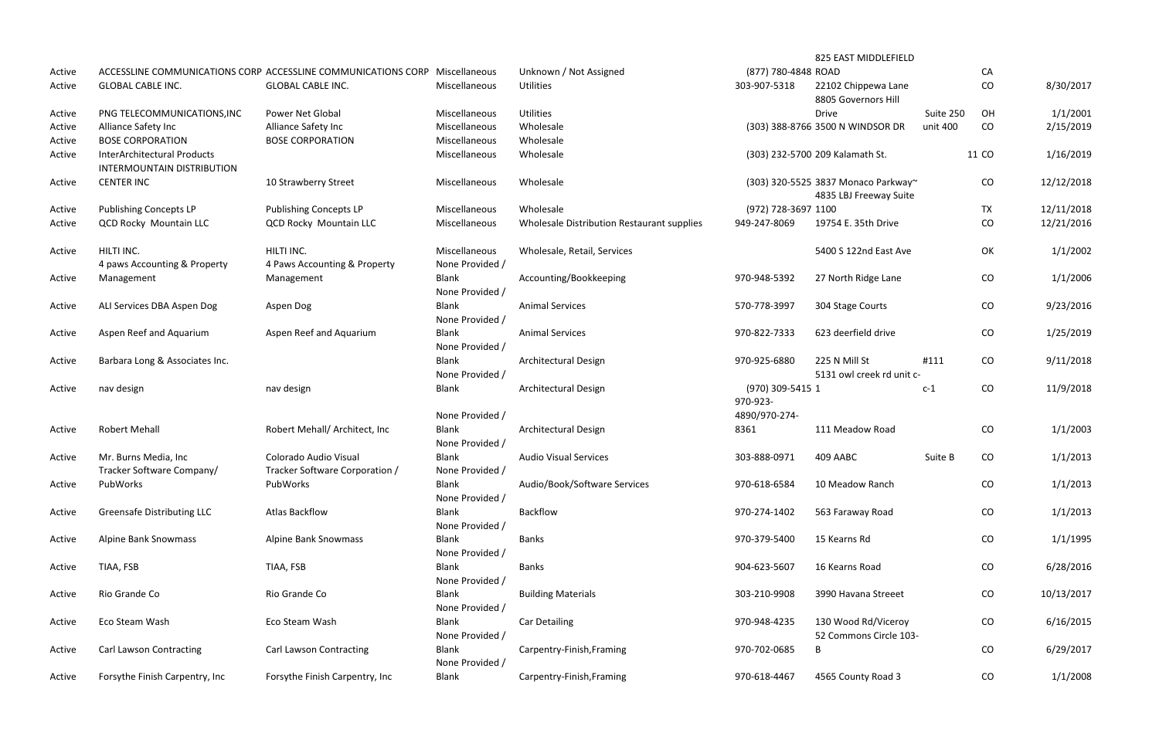|        |                                                                  |                                                               |                                                    |                                            |                              | 825 EAST MIDDLEFIELD                                          |           |           |            |
|--------|------------------------------------------------------------------|---------------------------------------------------------------|----------------------------------------------------|--------------------------------------------|------------------------------|---------------------------------------------------------------|-----------|-----------|------------|
| Active |                                                                  | ACCESSLINE COMMUNICATIONS CORP ACCESSLINE COMMUNICATIONS CORP | Miscellaneous                                      | Unknown / Not Assigned                     | (877) 780-4848 ROAD          |                                                               |           | CA        |            |
| Active | <b>GLOBAL CABLE INC.</b>                                         | <b>GLOBAL CABLE INC.</b>                                      | Miscellaneous                                      | <b>Utilities</b>                           | 303-907-5318                 | 22102 Chippewa Lane<br>8805 Governors Hill                    |           | CO        | 8/30/2017  |
| Active | PNG TELECOMMUNICATIONS, INC                                      | Power Net Global                                              | Miscellaneous                                      | <b>Utilities</b>                           |                              | <b>Drive</b>                                                  | Suite 250 | OH        | 1/1/2001   |
| Active | Alliance Safety Inc                                              | Alliance Safety Inc                                           | Miscellaneous                                      | Wholesale                                  |                              | (303) 388-8766 3500 N WINDSOR DR                              | unit 400  | CO        | 2/15/2019  |
| Active | <b>BOSE CORPORATION</b>                                          | <b>BOSE CORPORATION</b>                                       | Miscellaneous                                      | Wholesale                                  |                              |                                                               |           |           |            |
| Active | <b>InterArchitectural Products</b><br>INTERMOUNTAIN DISTRIBUTION |                                                               | Miscellaneous                                      | Wholesale                                  |                              | (303) 232-5700 209 Kalamath St.                               |           | 11 CO     | 1/16/2019  |
| Active | <b>CENTER INC</b>                                                | 10 Strawberry Street                                          | Miscellaneous                                      | Wholesale                                  |                              | (303) 320-5525 3837 Monaco Parkway~<br>4835 LBJ Freeway Suite |           | CO        | 12/12/2018 |
| Active | <b>Publishing Concepts LP</b>                                    | <b>Publishing Concepts LP</b>                                 | Miscellaneous                                      | Wholesale                                  | (972) 728-3697 1100          |                                                               |           | <b>TX</b> | 12/11/2018 |
| Active | <b>QCD Rocky Mountain LLC</b>                                    | <b>QCD Rocky Mountain LLC</b>                                 | Miscellaneous                                      | Wholesale Distribution Restaurant supplies | 949-247-8069                 | 19754 E. 35th Drive                                           |           | CO        | 12/21/2016 |
| Active | HILTI INC.                                                       | HILTI INC.                                                    | Miscellaneous                                      | Wholesale, Retail, Services                |                              | 5400 S 122nd East Ave                                         |           | OK        | 1/1/2002   |
|        | 4 paws Accounting & Property                                     | 4 Paws Accounting & Property                                  | None Provided /                                    |                                            |                              |                                                               |           |           |            |
| Active | Management                                                       | Management                                                    | <b>Blank</b><br>None Provided /                    | Accounting/Bookkeeping                     | 970-948-5392                 | 27 North Ridge Lane                                           |           | CO        | 1/1/2006   |
| Active | ALI Services DBA Aspen Dog                                       | Aspen Dog                                                     | <b>Blank</b><br>None Provided /                    | <b>Animal Services</b>                     | 570-778-3997                 | 304 Stage Courts                                              |           | CO        | 9/23/2016  |
| Active | Aspen Reef and Aquarium                                          | Aspen Reef and Aquarium                                       | <b>Blank</b><br>None Provided /                    | <b>Animal Services</b>                     | 970-822-7333                 | 623 deerfield drive                                           |           | CO        | 1/25/2019  |
| Active | Barbara Long & Associates Inc.                                   |                                                               | <b>Blank</b><br>None Provided /                    | Architectural Design                       | 970-925-6880                 | 225 N Mill St<br>5131 owl creek rd unit c-                    | #111      | CO        | 9/11/2018  |
| Active | nav design                                                       | nav design                                                    | <b>Blank</b>                                       | <b>Architectural Design</b>                | (970) 309-5415 1<br>970-923- |                                                               | $c-1$     | CO        | 11/9/2018  |
| Active | <b>Robert Mehall</b>                                             | Robert Mehall/ Architect, Inc                                 | None Provided /<br><b>Blank</b><br>None Provided / | <b>Architectural Design</b>                | 4890/970-274-<br>8361        | 111 Meadow Road                                               |           | CO        | 1/1/2003   |
| Active | Mr. Burns Media, Inc                                             | Colorado Audio Visual                                         | <b>Blank</b>                                       | <b>Audio Visual Services</b>               | 303-888-0971                 | 409 AABC                                                      | Suite B   | CO        | 1/1/2013   |
| Active | Tracker Software Company/<br>PubWorks                            | Tracker Software Corporation /<br>PubWorks                    | None Provided /<br><b>Blank</b>                    | Audio/Book/Software Services               | 970-618-6584                 | 10 Meadow Ranch                                               |           | CO        | 1/1/2013   |
| Active | <b>Greensafe Distributing LLC</b>                                | <b>Atlas Backflow</b>                                         | None Provided /<br><b>Blank</b>                    | Backflow                                   | 970-274-1402                 | 563 Faraway Road                                              |           | CO        | 1/1/2013   |
| Active | <b>Alpine Bank Snowmass</b>                                      | <b>Alpine Bank Snowmass</b>                                   | None Provided /<br><b>Blank</b>                    | <b>Banks</b>                               | 970-379-5400                 | 15 Kearns Rd                                                  |           | CO        | 1/1/1995   |
| Active | TIAA, FSB                                                        | TIAA, FSB                                                     | None Provided /<br><b>Blank</b><br>None Provided / | <b>Banks</b>                               | 904-623-5607                 | 16 Kearns Road                                                |           | CO        | 6/28/2016  |
| Active | Rio Grande Co                                                    | Rio Grande Co                                                 | <b>Blank</b><br>None Provided /                    | <b>Building Materials</b>                  | 303-210-9908                 | 3990 Havana Streeet                                           |           | CO        | 10/13/2017 |
| Active | Eco Steam Wash                                                   | Eco Steam Wash                                                | <b>Blank</b><br>None Provided /                    | <b>Car Detailing</b>                       | 970-948-4235                 | 130 Wood Rd/Viceroy<br>52 Commons Circle 103-                 |           | CO        | 6/16/2015  |
| Active | <b>Carl Lawson Contracting</b>                                   | <b>Carl Lawson Contracting</b>                                | Blank<br>None Provided /                           | Carpentry-Finish, Framing                  | 970-702-0685                 | B                                                             |           | CO        | 6/29/2017  |
| Active | Forsythe Finish Carpentry, Inc                                   | Forsythe Finish Carpentry, Inc                                | Blank                                              | Carpentry-Finish, Framing                  | 970-618-4467                 | 4565 County Road 3                                            |           | CO        | 1/1/2008   |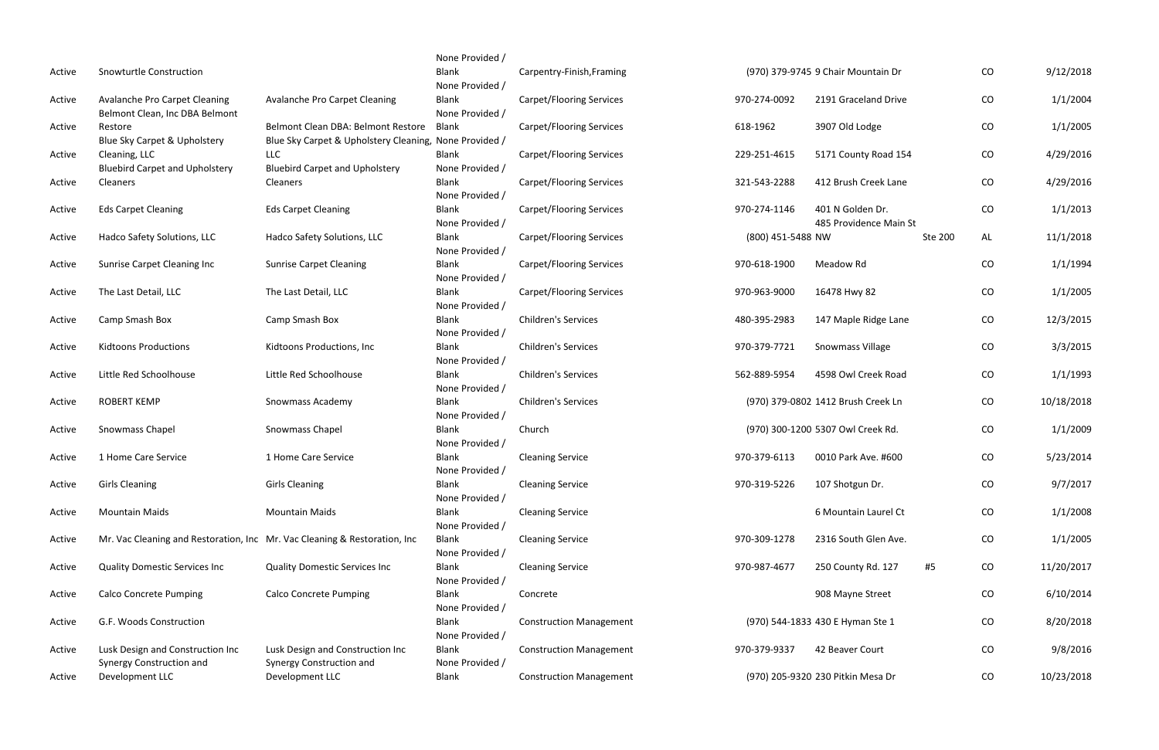|        |                                                                           |                                                                                              | None Provided /                 |                                 |                   |                                            |         |            |            |
|--------|---------------------------------------------------------------------------|----------------------------------------------------------------------------------------------|---------------------------------|---------------------------------|-------------------|--------------------------------------------|---------|------------|------------|
| Active | Snowturtle Construction                                                   |                                                                                              | Blank<br>None Provided /        | Carpentry-Finish, Framing       |                   | (970) 379-9745 9 Chair Mountain Dr         |         | CO         | 9/12/2018  |
| Active | Avalanche Pro Carpet Cleaning<br>Belmont Clean, Inc DBA Belmont           | Avalanche Pro Carpet Cleaning                                                                | Blank<br>None Provided /        | <b>Carpet/Flooring Services</b> | 970-274-0092      | 2191 Graceland Drive                       |         | ${\rm CO}$ | 1/1/2004   |
| Active | Restore<br>Blue Sky Carpet & Upholstery                                   | Belmont Clean DBA: Belmont Restore<br>Blue Sky Carpet & Upholstery Cleaning, None Provided / | Blank                           | Carpet/Flooring Services        | 618-1962          | 3907 Old Lodge                             |         | CO         | 1/1/2005   |
| Active | Cleaning, LLC<br><b>Bluebird Carpet and Upholstery</b>                    | <b>LLC</b><br><b>Bluebird Carpet and Upholstery</b>                                          | Blank<br>None Provided /        | <b>Carpet/Flooring Services</b> | 229-251-4615      | 5171 County Road 154                       |         | CO         | 4/29/2016  |
| Active | Cleaners                                                                  | Cleaners                                                                                     | Blank<br>None Provided /        | <b>Carpet/Flooring Services</b> | 321-543-2288      | 412 Brush Creek Lane                       |         | CO         | 4/29/2016  |
| Active | <b>Eds Carpet Cleaning</b>                                                | <b>Eds Carpet Cleaning</b>                                                                   | Blank<br>None Provided /        | Carpet/Flooring Services        | 970-274-1146      | 401 N Golden Dr.<br>485 Providence Main St |         | CO         | 1/1/2013   |
| Active | Hadco Safety Solutions, LLC                                               | Hadco Safety Solutions, LLC                                                                  | Blank<br>None Provided /        | Carpet/Flooring Services        | (800) 451-5488 NW |                                            | Ste 200 | AL         | 11/1/2018  |
| Active | Sunrise Carpet Cleaning Inc                                               | <b>Sunrise Carpet Cleaning</b>                                                               | Blank<br>None Provided /        | Carpet/Flooring Services        | 970-618-1900      | Meadow Rd                                  |         | CO         | 1/1/1994   |
| Active | The Last Detail, LLC                                                      | The Last Detail, LLC                                                                         | Blank<br>None Provided /        | <b>Carpet/Flooring Services</b> | 970-963-9000      | 16478 Hwy 82                               |         | CO         | 1/1/2005   |
| Active | Camp Smash Box                                                            | Camp Smash Box                                                                               | Blank<br>None Provided /        | <b>Children's Services</b>      | 480-395-2983      | 147 Maple Ridge Lane                       |         | CO         | 12/3/2015  |
| Active | <b>Kidtoons Productions</b>                                               | Kidtoons Productions, Inc                                                                    | Blank<br>None Provided /        | <b>Children's Services</b>      | 970-379-7721      | Snowmass Village                           |         | CO         | 3/3/2015   |
| Active | Little Red Schoolhouse                                                    | Little Red Schoolhouse                                                                       | Blank<br>None Provided /        | <b>Children's Services</b>      | 562-889-5954      | 4598 Owl Creek Road                        |         | CO         | 1/1/1993   |
| Active | <b>ROBERT KEMP</b>                                                        | Snowmass Academy                                                                             | <b>Blank</b><br>None Provided / | <b>Children's Services</b>      |                   | (970) 379-0802 1412 Brush Creek Ln         |         | CO         | 10/18/2018 |
| Active | Snowmass Chapel                                                           | Snowmass Chapel                                                                              | Blank<br>None Provided /        | Church                          |                   | (970) 300-1200 5307 Owl Creek Rd.          |         | CO         | 1/1/2009   |
| Active | 1 Home Care Service                                                       | 1 Home Care Service                                                                          | Blank<br>None Provided /        | <b>Cleaning Service</b>         | 970-379-6113      | 0010 Park Ave. #600                        |         | CO         | 5/23/2014  |
| Active | <b>Girls Cleaning</b>                                                     | <b>Girls Cleaning</b>                                                                        | <b>Blank</b><br>None Provided / | <b>Cleaning Service</b>         | 970-319-5226      | 107 Shotgun Dr.                            |         | CO         | 9/7/2017   |
| Active | <b>Mountain Maids</b>                                                     | <b>Mountain Maids</b>                                                                        | Blank<br>None Provided /        | <b>Cleaning Service</b>         |                   | 6 Mountain Laurel Ct                       |         | CO         | 1/1/2008   |
| Active | Mr. Vac Cleaning and Restoration, Inc Mr. Vac Cleaning & Restoration, Inc |                                                                                              | Blank<br>None Provided /        | <b>Cleaning Service</b>         | 970-309-1278      | 2316 South Glen Ave.                       |         | CO         | 1/1/2005   |
| Active | <b>Quality Domestic Services Inc</b>                                      | <b>Quality Domestic Services Inc</b>                                                         | Blank<br>None Provided /        | <b>Cleaning Service</b>         | 970-987-4677      | 250 County Rd. 127                         | #5      | CO         | 11/20/2017 |
| Active | <b>Calco Concrete Pumping</b>                                             | <b>Calco Concrete Pumping</b>                                                                | Blank<br>None Provided /        | Concrete                        |                   | 908 Mayne Street                           |         | CO         | 6/10/2014  |
| Active | G.F. Woods Construction                                                   |                                                                                              | Blank<br>None Provided /        | <b>Construction Management</b>  |                   | (970) 544-1833 430 E Hyman Ste 1           |         | CO         | 8/20/2018  |
| Active | Lusk Design and Construction Inc<br>Synergy Construction and              | Lusk Design and Construction Inc<br>Synergy Construction and                                 | Blank<br>None Provided /        | <b>Construction Management</b>  | 970-379-9337      | 42 Beaver Court                            |         | CO         | 9/8/2016   |
| Active | Development LLC                                                           | Development LLC                                                                              | Blank                           | <b>Construction Management</b>  |                   | (970) 205-9320 230 Pitkin Mesa Dr          |         | CO         | 10/23/2018 |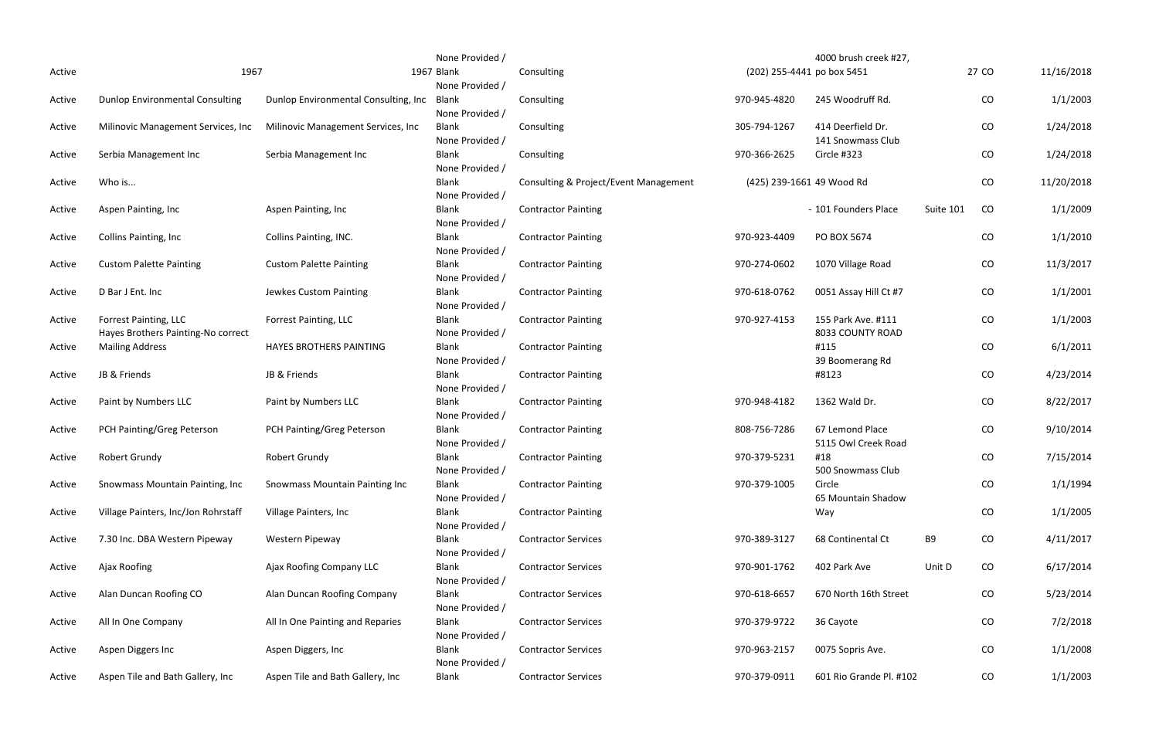|        |                                        |                                       | None Provided / |                                       |              | 4000 brush creek #27,      |           |          |            |
|--------|----------------------------------------|---------------------------------------|-----------------|---------------------------------------|--------------|----------------------------|-----------|----------|------------|
| Active | 1967                                   |                                       | 1967 Blank      | Consulting                            |              | (202) 255-4441 po box 5451 |           | 27 CO    | 11/16/2018 |
|        |                                        |                                       | None Provided / |                                       |              |                            |           |          |            |
| Active | <b>Dunlop Environmental Consulting</b> | Dunlop Environmental Consulting, Inc. | Blank           | Consulting                            | 970-945-4820 | 245 Woodruff Rd.           |           | CO       | 1/1/2003   |
|        |                                        |                                       | None Provided / |                                       |              |                            |           |          |            |
| Active | Milinovic Management Services, Inc     | Milinovic Management Services, Inc.   | <b>Blank</b>    | Consulting                            | 305-794-1267 | 414 Deerfield Dr.          |           | CO       | 1/24/2018  |
|        |                                        |                                       | None Provided / |                                       |              | 141 Snowmass Club          |           |          |            |
| Active | Serbia Management Inc                  | Serbia Management Inc                 | <b>Blank</b>    | Consulting                            | 970-366-2625 | Circle #323                |           | CO       | 1/24/2018  |
|        |                                        |                                       | None Provided / |                                       |              |                            |           |          |            |
| Active | Who is                                 |                                       | <b>Blank</b>    | Consulting & Project/Event Management |              | (425) 239-1661 49 Wood Rd  |           | CO       | 11/20/2018 |
|        |                                        |                                       | None Provided / |                                       |              |                            |           |          |            |
| Active | Aspen Painting, Inc                    | Aspen Painting, Inc                   | Blank           | <b>Contractor Painting</b>            |              | - 101 Founders Place       | Suite 101 | CO       | 1/1/2009   |
|        |                                        |                                       | None Provided / |                                       |              |                            |           |          |            |
| Active | <b>Collins Painting, Inc.</b>          | Collins Painting, INC.                | <b>Blank</b>    | <b>Contractor Painting</b>            | 970-923-4409 | PO BOX 5674                |           | CO       | 1/1/2010   |
|        |                                        |                                       | None Provided / |                                       |              |                            |           |          |            |
| Active | <b>Custom Palette Painting</b>         | <b>Custom Palette Painting</b>        | <b>Blank</b>    | <b>Contractor Painting</b>            | 970-274-0602 | 1070 Village Road          |           | CO       | 11/3/2017  |
|        |                                        |                                       | None Provided / |                                       |              |                            |           |          |            |
| Active | D Bar J Ent. Inc                       | Jewkes Custom Painting                | <b>Blank</b>    | <b>Contractor Painting</b>            | 970-618-0762 | 0051 Assay Hill Ct #7      |           | CO       | 1/1/2001   |
|        |                                        |                                       | None Provided / |                                       |              |                            |           |          |            |
| Active | Forrest Painting, LLC                  | Forrest Painting, LLC                 | <b>Blank</b>    | <b>Contractor Painting</b>            | 970-927-4153 | 155 Park Ave. #111         |           | CO       | 1/1/2003   |
|        | Hayes Brothers Painting-No correct     |                                       | None Provided / |                                       |              | 8033 COUNTY ROAD           |           |          |            |
| Active | <b>Mailing Address</b>                 | <b>HAYES BROTHERS PAINTING</b>        | <b>Blank</b>    | <b>Contractor Painting</b>            |              | #115                       |           | CO       | 6/1/2011   |
|        |                                        |                                       | None Provided / |                                       |              | 39 Boomerang Rd            |           |          |            |
| Active | JB & Friends                           | JB & Friends                          | Blank           | <b>Contractor Painting</b>            |              | #8123                      |           | CO       | 4/23/2014  |
|        |                                        |                                       | None Provided / |                                       |              |                            |           |          |            |
| Active | Paint by Numbers LLC                   | Paint by Numbers LLC                  | <b>Blank</b>    | <b>Contractor Painting</b>            | 970-948-4182 | 1362 Wald Dr.              |           | CO       | 8/22/2017  |
|        |                                        |                                       | None Provided / |                                       |              |                            |           |          |            |
| Active | PCH Painting/Greg Peterson             | PCH Painting/Greg Peterson            | <b>Blank</b>    | <b>Contractor Painting</b>            | 808-756-7286 | 67 Lemond Place            |           | CO       | 9/10/2014  |
|        |                                        |                                       | None Provided / |                                       |              | 5115 Owl Creek Road        |           |          |            |
| Active | <b>Robert Grundy</b>                   | <b>Robert Grundy</b>                  | <b>Blank</b>    | <b>Contractor Painting</b>            | 970-379-5231 | #18                        |           | CO       | 7/15/2014  |
|        |                                        |                                       | None Provided / |                                       |              | 500 Snowmass Club          |           |          |            |
| Active | Snowmass Mountain Painting, Inc.       | <b>Snowmass Mountain Painting Inc</b> | <b>Blank</b>    | <b>Contractor Painting</b>            | 970-379-1005 | Circle                     |           | $\rm CO$ | 1/1/1994   |
|        |                                        |                                       | None Provided / |                                       |              | 65 Mountain Shadow         |           |          |            |
| Active | Village Painters, Inc/Jon Rohrstaff    | Village Painters, Inc.                | <b>Blank</b>    | <b>Contractor Painting</b>            |              | Way                        |           | CO       | 1/1/2005   |
|        |                                        |                                       | None Provided / |                                       |              |                            |           |          |            |
| Active | 7.30 Inc. DBA Western Pipeway          | Western Pipeway                       | <b>Blank</b>    | <b>Contractor Services</b>            | 970-389-3127 | 68 Continental Ct          | B9        | CO       | 4/11/2017  |
|        |                                        |                                       | None Provided / |                                       |              |                            |           |          |            |
| Active | Ajax Roofing                           | Ajax Roofing Company LLC              | <b>Blank</b>    | <b>Contractor Services</b>            | 970-901-1762 | 402 Park Ave               | Unit D    | CO       | 6/17/2014  |
|        |                                        |                                       | None Provided / |                                       |              |                            |           |          |            |
| Active | Alan Duncan Roofing CO                 | Alan Duncan Roofing Company           | <b>Blank</b>    | <b>Contractor Services</b>            | 970-618-6657 | 670 North 16th Street      |           | CO       | 5/23/2014  |
|        |                                        |                                       | None Provided / |                                       |              |                            |           |          |            |
| Active | All In One Company                     | All In One Painting and Reparies      | <b>Blank</b>    | <b>Contractor Services</b>            | 970-379-9722 | 36 Cayote                  |           | CO       | 7/2/2018   |
|        |                                        |                                       | None Provided / |                                       |              |                            |           |          |            |
| Active | Aspen Diggers Inc                      | Aspen Diggers, Inc                    | <b>Blank</b>    | <b>Contractor Services</b>            | 970-963-2157 | 0075 Sopris Ave.           |           | CO       | 1/1/2008   |
|        |                                        |                                       | None Provided / |                                       |              |                            |           |          |            |
| Active | Aspen Tile and Bath Gallery, Inc       | Aspen Tile and Bath Gallery, Inc.     | Blank           | <b>Contractor Services</b>            | 970-379-0911 | 601 Rio Grande Pl. #102    |           | CO       | 1/1/2003   |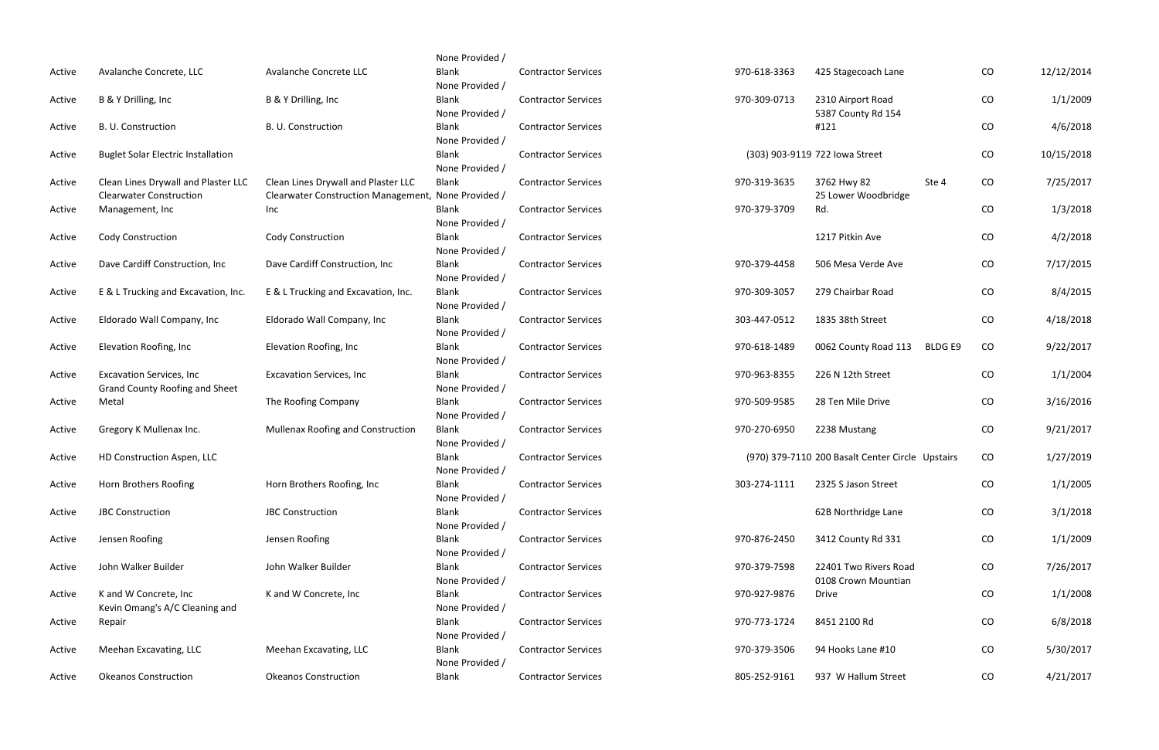|        |                                                                           |                                                                                            | None Provided /                 |                            |              |                                                  |                     |            |
|--------|---------------------------------------------------------------------------|--------------------------------------------------------------------------------------------|---------------------------------|----------------------------|--------------|--------------------------------------------------|---------------------|------------|
| Active | Avalanche Concrete, LLC                                                   | Avalanche Concrete LLC                                                                     | <b>Blank</b><br>None Provided / | <b>Contractor Services</b> | 970-618-3363 | 425 Stagecoach Lane                              | CO                  | 12/12/2014 |
| Active | B & Y Drilling, Inc.                                                      | B & Y Drilling, Inc                                                                        | Blank<br>None Provided /        | <b>Contractor Services</b> | 970-309-0713 | 2310 Airport Road<br>5387 County Rd 154          | CO                  | 1/1/2009   |
| Active | B. U. Construction                                                        | B. U. Construction                                                                         | Blank<br>None Provided /        | <b>Contractor Services</b> |              | #121                                             | CO                  | 4/6/2018   |
| Active | <b>Buglet Solar Electric Installation</b>                                 |                                                                                            | Blank<br>None Provided /        | <b>Contractor Services</b> |              | (303) 903-9119 722 Iowa Street                   | CO                  | 10/15/2018 |
| Active | Clean Lines Drywall and Plaster LLC<br><b>Clearwater Construction</b>     | Clean Lines Drywall and Plaster LLC<br>Clearwater Construction Management, None Provided / | <b>Blank</b>                    | <b>Contractor Services</b> | 970-319-3635 | 3762 Hwy 82<br>Ste 4<br>25 Lower Woodbridge      | CO                  | 7/25/2017  |
| Active | Management, Inc                                                           | Inc                                                                                        | <b>Blank</b><br>None Provided / | <b>Contractor Services</b> | 970-379-3709 | Rd.                                              | CO                  | 1/3/2018   |
| Active | Cody Construction                                                         | <b>Cody Construction</b>                                                                   | Blank<br>None Provided /        | <b>Contractor Services</b> |              | 1217 Pitkin Ave                                  | CO                  | 4/2/2018   |
| Active | Dave Cardiff Construction, Inc.                                           | Dave Cardiff Construction, Inc                                                             | <b>Blank</b><br>None Provided / | <b>Contractor Services</b> | 970-379-4458 | 506 Mesa Verde Ave                               | CO                  | 7/17/2015  |
| Active | E & L Trucking and Excavation, Inc.                                       | E & L Trucking and Excavation, Inc.                                                        | Blank<br>None Provided /        | <b>Contractor Services</b> | 970-309-3057 | 279 Chairbar Road                                | CO                  | 8/4/2015   |
| Active | Eldorado Wall Company, Inc                                                | Eldorado Wall Company, Inc                                                                 | Blank<br>None Provided /        | <b>Contractor Services</b> | 303-447-0512 | 1835 38th Street                                 | CO                  | 4/18/2018  |
| Active | Elevation Roofing, Inc                                                    | Elevation Roofing, Inc                                                                     | <b>Blank</b><br>None Provided / | <b>Contractor Services</b> | 970-618-1489 | 0062 County Road 113                             | <b>BLDGE9</b><br>CO | 9/22/2017  |
| Active | <b>Excavation Services, Inc.</b><br><b>Grand County Roofing and Sheet</b> | <b>Excavation Services, Inc</b>                                                            | Blank<br>None Provided /        | <b>Contractor Services</b> | 970-963-8355 | 226 N 12th Street                                | CO                  | 1/1/2004   |
| Active | Metal                                                                     | The Roofing Company                                                                        | <b>Blank</b><br>None Provided / | <b>Contractor Services</b> | 970-509-9585 | 28 Ten Mile Drive                                | CO                  | 3/16/2016  |
| Active | Gregory K Mullenax Inc.                                                   | Mullenax Roofing and Construction                                                          | Blank<br>None Provided /        | <b>Contractor Services</b> | 970-270-6950 | 2238 Mustang                                     | CO                  | 9/21/2017  |
| Active | HD Construction Aspen, LLC                                                |                                                                                            | <b>Blank</b><br>None Provided / | <b>Contractor Services</b> |              | (970) 379-7110 200 Basalt Center Circle Upstairs | CO                  | 1/27/2019  |
| Active | Horn Brothers Roofing                                                     | Horn Brothers Roofing, Inc                                                                 | <b>Blank</b><br>None Provided / | <b>Contractor Services</b> | 303-274-1111 | 2325 S Jason Street                              | CO                  | 1/1/2005   |
| Active | <b>JBC Construction</b>                                                   | <b>JBC Construction</b>                                                                    | Blank<br>None Provided /        | <b>Contractor Services</b> |              | 62B Northridge Lane                              | CO                  | 3/1/2018   |
| Active | Jensen Roofing                                                            | Jensen Roofing                                                                             | Blank<br>None Provided /        | <b>Contractor Services</b> | 970-876-2450 | 3412 County Rd 331                               | CO                  | 1/1/2009   |
| Active | John Walker Builder                                                       | John Walker Builder                                                                        | <b>Blank</b><br>None Provided / | <b>Contractor Services</b> | 970-379-7598 | 22401 Two Rivers Road<br>0108 Crown Mountian     | CO                  | 7/26/2017  |
| Active | K and W Concrete, Inc<br>Kevin Omang's A/C Cleaning and                   | K and W Concrete, Inc.                                                                     | Blank<br>None Provided /        | <b>Contractor Services</b> | 970-927-9876 | <b>Drive</b>                                     | CO                  | 1/1/2008   |
| Active | Repair                                                                    |                                                                                            | Blank<br>None Provided /        | <b>Contractor Services</b> | 970-773-1724 | 8451 2100 Rd                                     | CO                  | 6/8/2018   |
| Active | Meehan Excavating, LLC                                                    | Meehan Excavating, LLC                                                                     | Blank<br>None Provided /        | <b>Contractor Services</b> | 970-379-3506 | 94 Hooks Lane #10                                | CO                  | 5/30/2017  |
| Active | <b>Okeanos Construction</b>                                               | <b>Okeanos Construction</b>                                                                | Blank                           | <b>Contractor Services</b> | 805-252-9161 | 937 W Hallum Street                              | CO                  | 4/21/2017  |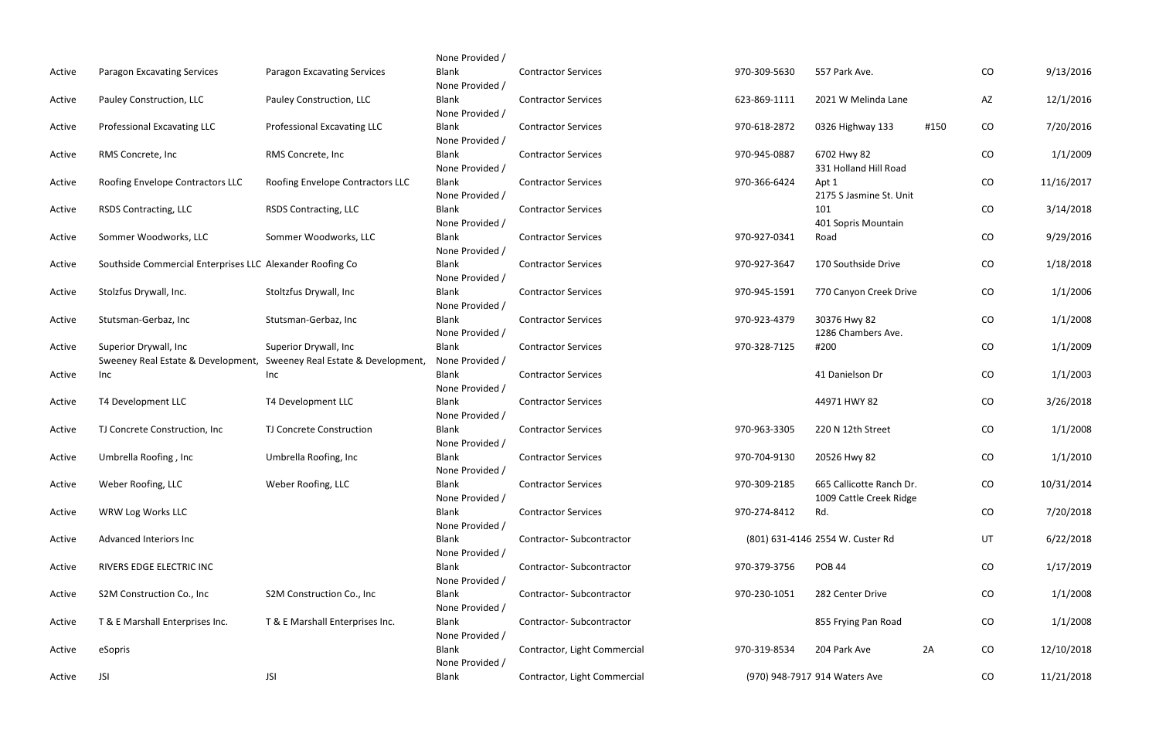|        |                                                           |                                    | None Provided / |                              |              |                                  |      |            |            |
|--------|-----------------------------------------------------------|------------------------------------|-----------------|------------------------------|--------------|----------------------------------|------|------------|------------|
| Active | <b>Paragon Excavating Services</b>                        | <b>Paragon Excavating Services</b> | Blank           | <b>Contractor Services</b>   | 970-309-5630 | 557 Park Ave.                    |      | CO         | 9/13/2016  |
|        |                                                           |                                    | None Provided / |                              |              |                                  |      |            |            |
| Active | Pauley Construction, LLC                                  | Pauley Construction, LLC           | Blank           | <b>Contractor Services</b>   | 623-869-1111 | 2021 W Melinda Lane              |      | AZ         | 12/1/2016  |
|        |                                                           |                                    | None Provided / |                              |              |                                  |      |            |            |
| Active | Professional Excavating LLC                               | <b>Professional Excavating LLC</b> | <b>Blank</b>    | <b>Contractor Services</b>   | 970-618-2872 | 0326 Highway 133                 | #150 | CO         | 7/20/2016  |
|        |                                                           |                                    | None Provided / |                              |              |                                  |      |            |            |
| Active | RMS Concrete, Inc.                                        | RMS Concrete, Inc                  | <b>Blank</b>    | <b>Contractor Services</b>   | 970-945-0887 | 6702 Hwy 82                      |      | CO         | 1/1/2009   |
|        |                                                           |                                    | None Provided / |                              |              | 331 Holland Hill Road            |      |            |            |
| Active | Roofing Envelope Contractors LLC                          | Roofing Envelope Contractors LLC   | Blank           | <b>Contractor Services</b>   | 970-366-6424 | Apt 1                            |      | CO         | 11/16/2017 |
|        |                                                           |                                    | None Provided / |                              |              | 2175 S Jasmine St. Unit          |      |            |            |
| Active | <b>RSDS Contracting, LLC</b>                              | <b>RSDS Contracting, LLC</b>       | Blank           | <b>Contractor Services</b>   |              | 101                              |      | CO         | 3/14/2018  |
|        |                                                           |                                    | None Provided / |                              |              | 401 Sopris Mountain              |      |            |            |
| Active | Sommer Woodworks, LLC                                     | Sommer Woodworks, LLC              | Blank           | <b>Contractor Services</b>   | 970-927-0341 | Road                             |      | ${\rm CO}$ | 9/29/2016  |
|        |                                                           |                                    | None Provided / |                              |              |                                  |      |            |            |
| Active | Southside Commercial Enterprises LLC Alexander Roofing Co |                                    | Blank           | <b>Contractor Services</b>   | 970-927-3647 | 170 Southside Drive              |      | CO         | 1/18/2018  |
|        |                                                           |                                    | None Provided / |                              |              |                                  |      |            |            |
| Active | Stolzfus Drywall, Inc.                                    | Stoltzfus Drywall, Inc             | Blank           | <b>Contractor Services</b>   | 970-945-1591 | 770 Canyon Creek Drive           |      | CO         | 1/1/2006   |
|        |                                                           |                                    | None Provided / |                              |              |                                  |      |            |            |
| Active | Stutsman-Gerbaz, Inc                                      | Stutsman-Gerbaz, Inc               | <b>Blank</b>    | <b>Contractor Services</b>   | 970-923-4379 | 30376 Hwy 82                     |      | ${\rm CO}$ | 1/1/2008   |
|        |                                                           |                                    | None Provided / |                              |              | 1286 Chambers Ave.               |      |            |            |
| Active | Superior Drywall, Inc                                     | Superior Drywall, Inc              | <b>Blank</b>    | <b>Contractor Services</b>   | 970-328-7125 | #200                             |      | CO         | 1/1/2009   |
|        | Sweeney Real Estate & Development,                        | Sweeney Real Estate & Development, | None Provided / |                              |              |                                  |      |            |            |
|        |                                                           |                                    | <b>Blank</b>    | <b>Contractor Services</b>   |              | 41 Danielson Dr                  |      | CO         |            |
| Active | Inc                                                       | Inc                                |                 |                              |              |                                  |      |            | 1/1/2003   |
|        |                                                           |                                    | None Provided / |                              |              |                                  |      |            |            |
| Active | T4 Development LLC                                        | T4 Development LLC                 | Blank           | <b>Contractor Services</b>   |              | 44971 HWY 82                     |      | CO         | 3/26/2018  |
|        |                                                           |                                    | None Provided / |                              |              |                                  |      |            |            |
| Active | TJ Concrete Construction, Inc                             | TJ Concrete Construction           | Blank           | <b>Contractor Services</b>   | 970-963-3305 | 220 N 12th Street                |      | CO         | 1/1/2008   |
|        |                                                           |                                    | None Provided / |                              |              |                                  |      |            |            |
| Active | Umbrella Roofing, Inc                                     | Umbrella Roofing, Inc              | <b>Blank</b>    | <b>Contractor Services</b>   | 970-704-9130 | 20526 Hwy 82                     |      | CO         | 1/1/2010   |
|        |                                                           |                                    | None Provided / |                              |              |                                  |      |            |            |
| Active | Weber Roofing, LLC                                        | Weber Roofing, LLC                 | <b>Blank</b>    | <b>Contractor Services</b>   | 970-309-2185 | 665 Callicotte Ranch Dr.         |      | CO         | 10/31/2014 |
|        |                                                           |                                    | None Provided   |                              |              | 1009 Cattle Creek Ridge          |      |            |            |
| Active | WRW Log Works LLC                                         |                                    | Blank           | <b>Contractor Services</b>   | 970-274-8412 | Rd.                              |      | CO         | 7/20/2018  |
|        |                                                           |                                    | None Provided / |                              |              |                                  |      |            |            |
| Active | Advanced Interiors Inc                                    |                                    | Blank           | Contractor-Subcontractor     |              | (801) 631-4146 2554 W. Custer Rd |      | UT         | 6/22/2018  |
|        |                                                           |                                    | None Provided / |                              |              |                                  |      |            |            |
| Active | RIVERS EDGE ELECTRIC INC                                  |                                    | Blank           | Contractor-Subcontractor     | 970-379-3756 | <b>POB 44</b>                    |      | CO         | 1/17/2019  |
|        |                                                           |                                    | None Provided / |                              |              |                                  |      |            |            |
| Active | S2M Construction Co., Inc                                 | S2M Construction Co., Inc.         | Blank           | Contractor-Subcontractor     | 970-230-1051 | 282 Center Drive                 |      | CO         | 1/1/2008   |
|        |                                                           |                                    | None Provided / |                              |              |                                  |      |            |            |
| Active | T & E Marshall Enterprises Inc.                           | T & E Marshall Enterprises Inc.    | <b>Blank</b>    | Contractor-Subcontractor     |              | 855 Frying Pan Road              |      | CO         | 1/1/2008   |
|        |                                                           |                                    | None Provided / |                              |              |                                  |      |            |            |
| Active | eSopris                                                   |                                    | Blank           | Contractor, Light Commercial | 970-319-8534 | 204 Park Ave                     | 2A   | CO         | 12/10/2018 |
|        |                                                           |                                    | None Provided / |                              |              |                                  |      |            |            |
| Active | <b>JSI</b>                                                | <b>JSI</b>                         | Blank           | Contractor, Light Commercial |              | (970) 948-7917 914 Waters Ave    |      | CO         | 11/21/2018 |
|        |                                                           |                                    |                 |                              |              |                                  |      |            |            |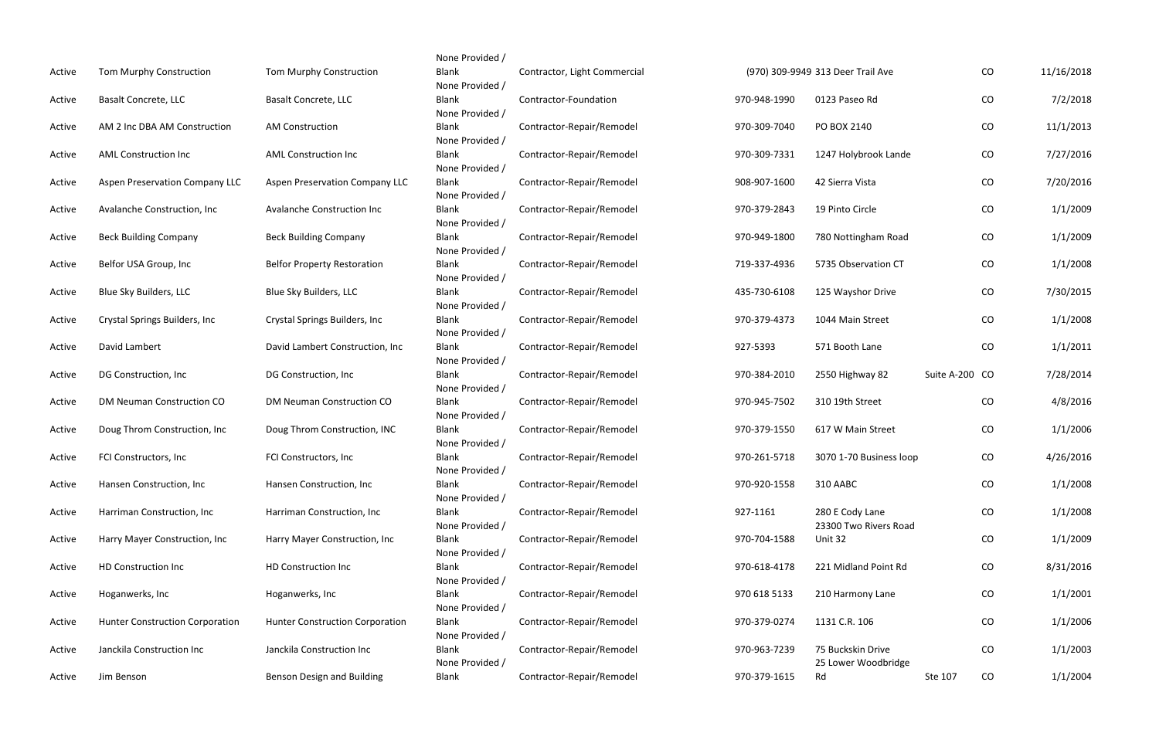| Active | Tom Murphy Construction                | Tom Murphy Construction               |
|--------|----------------------------------------|---------------------------------------|
| Active | <b>Basalt Concrete, LLC</b>            | <b>Basalt Concrete, LLC</b>           |
| Active | AM 2 Inc DBA AM Construction           | <b>AM Construction</b>                |
| Active | <b>AML Construction Inc</b>            | <b>AML Construction Inc</b>           |
| Active | <b>Aspen Preservation Company LLC</b>  | <b>Aspen Preservation Company LLC</b> |
| Active | Avalanche Construction, Inc            | Avalanche Construction Inc            |
| Active | <b>Beck Building Company</b>           | <b>Beck Building Company</b>          |
| Active | Belfor USA Group, Inc                  | <b>Belfor Property Restoration</b>    |
| Active | Blue Sky Builders, LLC                 | Blue Sky Builders, LLC                |
| Active | Crystal Springs Builders, Inc          | Crystal Springs Builders, Inc         |
| Active | David Lambert                          | David Lambert Construction, Inc       |
| Active | DG Construction, Inc                   | DG Construction, Inc                  |
| Active | DM Neuman Construction CO              | DM Neuman Construction CO             |
| Active | Doug Throm Construction, Inc           | Doug Throm Construction, INC          |
| Active | FCI Constructors, Inc                  | FCI Constructors, Inc                 |
| Active | Hansen Construction, Inc               | Hansen Construction, Inc              |
| Active | Harriman Construction, Inc             | Harriman Construction, Inc            |
| Active | Harry Mayer Construction, Inc          | Harry Mayer Construction, Inc         |
| Active | <b>HD Construction Inc</b>             | <b>HD Construction Inc</b>            |
| Active | Hoganwerks, Inc                        | Hoganwerks, Inc                       |
| Active | <b>Hunter Construction Corporation</b> | Hunter Construction Corporation       |
| Active | Janckila Construction Inc              | Janckila Construction Inc             |
| Active | Jim Benson                             | Benson Design and Building            |

| uction          | None Provided /<br><b>Blank</b> | Contractor, Light Commercial |              | (970) 309-9949 313 Deer Trail Ave        |                | CO | 11/16/2018 |
|-----------------|---------------------------------|------------------------------|--------------|------------------------------------------|----------------|----|------------|
|                 | None Provided /<br><b>Blank</b> | Contractor-Foundation        | 970-948-1990 | 0123 Paseo Rd                            |                | CO | 7/2/2018   |
|                 | None Provided /<br><b>Blank</b> | Contractor-Repair/Remodel    | 970-309-7040 | PO BOX 2140                              |                | CO | 11/1/2013  |
|                 | None Provided /                 |                              |              |                                          |                |    |            |
| ٦C              | <b>Blank</b><br>None Provided / | Contractor-Repair/Remodel    | 970-309-7331 | 1247 Holybrook Lande                     |                | CO | 7/27/2016  |
| Company LLC     | <b>Blank</b>                    | Contractor-Repair/Remodel    | 908-907-1600 | 42 Sierra Vista                          |                | CO | 7/20/2016  |
| tion Inc        | None Provided /<br><b>Blank</b> | Contractor-Repair/Remodel    | 970-379-2843 | 19 Pinto Circle                          |                | CO | 1/1/2009   |
| any             | None Provided /<br><b>Blank</b> | Contractor-Repair/Remodel    | 970-949-1800 | 780 Nottingham Road                      |                | CO | 1/1/2009   |
|                 | None Provided /                 |                              |              |                                          |                |    |            |
| toration        | <b>Blank</b><br>None Provided / | Contractor-Repair/Remodel    | 719-337-4936 | 5735 Observation CT                      |                | CO | 1/1/2008   |
| $\mathsf{C}$    | <b>Blank</b>                    | Contractor-Repair/Remodel    | 435-730-6108 | 125 Wayshor Drive                        |                | CO | 7/30/2015  |
| lers, Inc       | None Provided /<br><b>Blank</b> | Contractor-Repair/Remodel    | 970-379-4373 | 1044 Main Street                         |                | CO | 1/1/2008   |
| struction, Inc  | None Provided /<br><b>Blank</b> | Contractor-Repair/Remodel    | 927-5393     | 571 Booth Lane                           |                | CO | 1/1/2011   |
| с               | None Provided /<br><b>Blank</b> | Contractor-Repair/Remodel    | 970-384-2010 | 2550 Highway 82                          | Suite A-200 CO |    | 7/28/2014  |
|                 | None Provided /                 |                              |              |                                          |                |    |            |
| uction CO       | <b>Blank</b><br>None Provided / | Contractor-Repair/Remodel    | 970-945-7502 | 310 19th Street                          |                | CO | 4/8/2016   |
| uction, INC     | <b>Blank</b>                    | Contractor-Repair/Remodel    | 970-379-1550 | 617 W Main Street                        |                | CO | 1/1/2006   |
|                 | None Provided /<br><b>Blank</b> | Contractor-Repair/Remodel    | 970-261-5718 | 3070 1-70 Business loop                  |                | CO | 4/26/2016  |
| n, Inc          | None Provided /<br><b>Blank</b> | Contractor-Repair/Remodel    | 970-920-1558 | 310 AABC                                 |                | CO | 1/1/2008   |
|                 | None Provided /                 |                              |              |                                          |                |    |            |
| ion, Inc        | <b>Blank</b><br>None Provided / | Contractor-Repair/Remodel    | 927-1161     | 280 E Cody Lane<br>23300 Two Rivers Road |                | CO | 1/1/2008   |
| uction, Inc     | <b>Blank</b><br>None Provided / | Contractor-Repair/Remodel    | 970-704-1588 | Unit 32                                  |                | CO | 1/1/2009   |
|                 | <b>Blank</b>                    | Contractor-Repair/Remodel    | 970-618-4178 | 221 Midland Point Rd                     |                | CO | 8/31/2016  |
|                 | None Provided /<br><b>Blank</b> | Contractor-Repair/Remodel    | 970 618 5133 | 210 Harmony Lane                         |                | CO | 1/1/2001   |
|                 | None Provided /                 |                              |              |                                          |                |    |            |
| n Corporation   | <b>Blank</b><br>None Provided / | Contractor-Repair/Remodel    | 970-379-0274 | 1131 C.R. 106                            |                | CO | 1/1/2006   |
| n Inc           | <b>Blank</b><br>None Provided / | Contractor-Repair/Remodel    | 970-963-7239 | 75 Buckskin Drive<br>25 Lower Woodbridge |                | CO | 1/1/2003   |
| <b>Building</b> | <b>Blank</b>                    | Contractor-Repair/Remodel    | 970-379-1615 | Rd                                       | Ste 107        | CO | 1/1/2004   |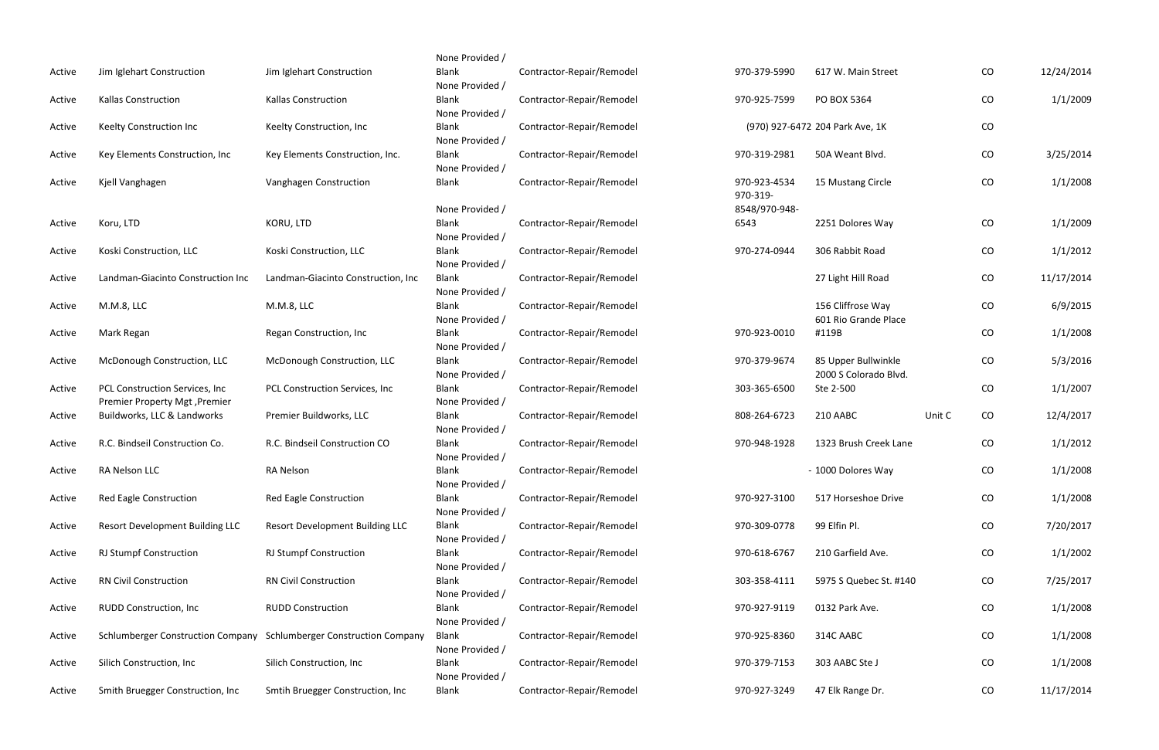| Active | Jim Iglehart Construction                                    | Jim Iglehart Construction                |
|--------|--------------------------------------------------------------|------------------------------------------|
| Active | <b>Kallas Construction</b>                                   | <b>Kallas Construction</b>               |
| Active | Keelty Construction Inc                                      | Keelty Construction, Inc                 |
| Active | Key Elements Construction, Inc                               | Key Elements Construction, Inc.          |
| Active | Kjell Vanghagen                                              | Vanghagen Construction                   |
|        |                                                              |                                          |
| Active | Koru, LTD                                                    | KORU, LTD                                |
| Active | Koski Construction, LLC                                      | Koski Construction, LLC                  |
| Active | Landman-Giacinto Construction Inc                            | Landman-Giacinto Construction, Inc       |
| Active | M.M.8, LLC                                                   | M.M.8, LLC                               |
| Active | Mark Regan                                                   | Regan Construction, Inc                  |
| Active | McDonough Construction, LLC                                  | McDonough Construction, LLC              |
| Active | PCL Construction Services, Inc                               | PCL Construction Services, Inc           |
| Active | Premier Property Mgt, Premier<br>Buildworks, LLC & Landworks | Premier Buildworks, LLC                  |
| Active | R.C. Bindseil Construction Co.                               | R.C. Bindseil Construction CO            |
| Active | RA Nelson LLC                                                | <b>RA Nelson</b>                         |
| Active | Red Eagle Construction                                       | Red Eagle Construction                   |
| Active | <b>Resort Development Building LLC</b>                       | <b>Resort Development Building LLC</b>   |
| Active | <b>RJ Stumpf Construction</b>                                | <b>RJ Stumpf Construction</b>            |
| Active | <b>RN Civil Construction</b>                                 | <b>RN Civil Construction</b>             |
| Active | RUDD Construction, Inc                                       | <b>RUDD Construction</b>                 |
| Active | <b>Schlumberger Construction Company</b>                     | <b>Schlumberger Construction Company</b> |
| Active | Silich Construction, Inc                                     | Silich Construction, Inc                 |
| Active | Smith Bruegger Construction, Inc                             | Smtih Bruegger Construction, Inc         |

| None Provided /                 |                           |               |                                 |        |    |            |
|---------------------------------|---------------------------|---------------|---------------------------------|--------|----|------------|
| <b>Blank</b>                    | Contractor-Repair/Remodel | 970-379-5990  | 617 W. Main Street              |        | CO | 12/24/2014 |
| None Provided /                 |                           |               |                                 |        |    |            |
| <b>Blank</b>                    | Contractor-Repair/Remodel | 970-925-7599  | PO BOX 5364                     |        | CO | 1/1/2009   |
| None Provided /                 |                           |               |                                 |        |    |            |
| <b>Blank</b>                    | Contractor-Repair/Remodel |               | (970) 927-6472 204 Park Ave, 1K |        | CO |            |
| None Provided /                 |                           |               |                                 |        |    |            |
| <b>Blank</b>                    | Contractor-Repair/Remodel | 970-319-2981  | 50A Weant Blvd.                 |        | CO | 3/25/2014  |
| None Provided /                 |                           |               |                                 |        |    |            |
| <b>Blank</b>                    | Contractor-Repair/Remodel | 970-923-4534  | 15 Mustang Circle               |        | CO | 1/1/2008   |
|                                 |                           | 970-319-      |                                 |        |    |            |
| None Provided /                 |                           | 8548/970-948- |                                 |        |    |            |
| <b>Blank</b><br>None Provided / | Contractor-Repair/Remodel | 6543          | 2251 Dolores Way                |        | CO | 1/1/2009   |
| <b>Blank</b>                    | Contractor-Repair/Remodel | 970-274-0944  | 306 Rabbit Road                 |        | CO | 1/1/2012   |
| None Provided /                 |                           |               |                                 |        |    |            |
| <b>Blank</b>                    | Contractor-Repair/Remodel |               | 27 Light Hill Road              |        | CO | 11/17/2014 |
| None Provided /                 |                           |               |                                 |        |    |            |
| <b>Blank</b>                    | Contractor-Repair/Remodel |               | 156 Cliffrose Way               |        | CO | 6/9/2015   |
| None Provided /                 |                           |               | 601 Rio Grande Place            |        |    |            |
| <b>Blank</b>                    | Contractor-Repair/Remodel | 970-923-0010  | #119B                           |        | CO | 1/1/2008   |
| None Provided /                 |                           |               |                                 |        |    |            |
| <b>Blank</b>                    | Contractor-Repair/Remodel | 970-379-9674  | 85 Upper Bullwinkle             |        | CO | 5/3/2016   |
| None Provided /                 |                           |               | 2000 S Colorado Blvd.           |        |    |            |
| <b>Blank</b>                    | Contractor-Repair/Remodel | 303-365-6500  | Ste 2-500                       |        | CO | 1/1/2007   |
| None Provided /                 |                           |               |                                 |        |    |            |
| <b>Blank</b>                    | Contractor-Repair/Remodel | 808-264-6723  | 210 AABC                        | Unit C | CO | 12/4/2017  |
| None Provided /<br><b>Blank</b> | Contractor-Repair/Remodel | 970-948-1928  | 1323 Brush Creek Lane           |        | CO | 1/1/2012   |
| None Provided /                 |                           |               |                                 |        |    |            |
| <b>Blank</b>                    | Contractor-Repair/Remodel |               | - 1000 Dolores Way              |        | CO | 1/1/2008   |
| None Provided /                 |                           |               |                                 |        |    |            |
| <b>Blank</b>                    | Contractor-Repair/Remodel | 970-927-3100  | 517 Horseshoe Drive             |        | CO | 1/1/2008   |
| None Provided /                 |                           |               |                                 |        |    |            |
| <b>Blank</b>                    | Contractor-Repair/Remodel | 970-309-0778  | 99 Elfin Pl.                    |        | CO | 7/20/2017  |
| None Provided /                 |                           |               |                                 |        |    |            |
| <b>Blank</b>                    | Contractor-Repair/Remodel | 970-618-6767  | 210 Garfield Ave.               |        | CO | 1/1/2002   |
| None Provided /                 |                           |               |                                 |        |    |            |
| <b>Blank</b>                    | Contractor-Repair/Remodel | 303-358-4111  | 5975 S Quebec St. #140          |        | CO | 7/25/2017  |
| None Provided /                 |                           |               |                                 |        |    |            |
| <b>Blank</b><br>None Provided / | Contractor-Repair/Remodel | 970-927-9119  | 0132 Park Ave.                  |        | CO | 1/1/2008   |
| <b>Blank</b>                    | Contractor-Repair/Remodel | 970-925-8360  | 314C AABC                       |        | CO | 1/1/2008   |
| None Provided /                 |                           |               |                                 |        |    |            |
| <b>Blank</b>                    | Contractor-Repair/Remodel | 970-379-7153  | 303 AABC Ste J                  |        | CO | 1/1/2008   |
| None Provided /                 |                           |               |                                 |        |    |            |
| <b>Blank</b>                    | Contractor-Repair/Remodel | 970-927-3249  | 47 Elk Range Dr.                |        | CO | 11/17/2014 |
|                                 |                           |               |                                 |        |    |            |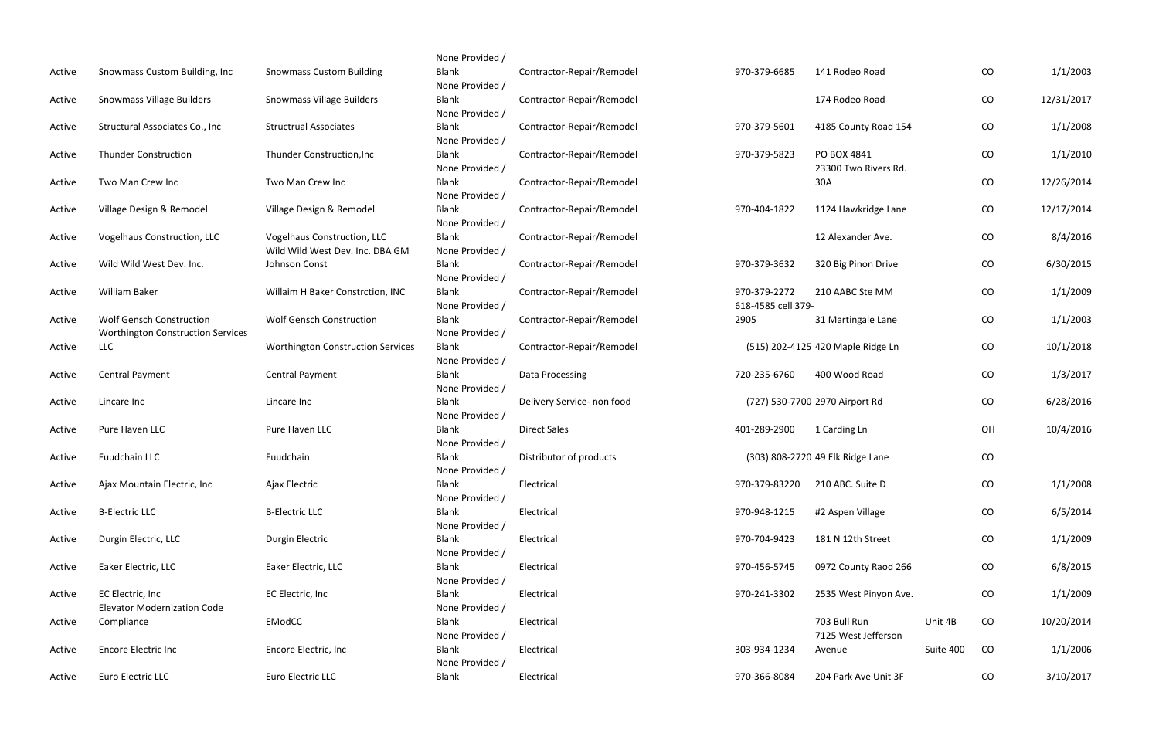| Active | Snowmass Custom Building, Inc.                                              | <b>Snowmass Custom Building</b>                  |  |  |
|--------|-----------------------------------------------------------------------------|--------------------------------------------------|--|--|
| Active | Snowmass Village Builders                                                   | <b>Snowmass Village Builders</b>                 |  |  |
| Active | Structural Associates Co., Inc.                                             | <b>Structrual Associates</b>                     |  |  |
| Active | <b>Thunder Construction</b>                                                 | <b>Thunder Construction, Inc</b>                 |  |  |
| Active | Two Man Crew Inc                                                            | Two Man Crew Inc                                 |  |  |
| Active | Village Design & Remodel                                                    | Village Design & Remodel                         |  |  |
| Active | Vogelhaus Construction, LLC                                                 | Vogelhaus Construction, LLC                      |  |  |
| Active | Wild Wild West Dev. Inc.                                                    | Wild Wild West Dev. Inc. DBA GM<br>Johnson Const |  |  |
| Active | William Baker                                                               | Willaim H Baker Constrction, INC                 |  |  |
| Active | <b>Wolf Gensch Construction</b><br><b>Worthington Construction Services</b> | <b>Wolf Gensch Construction</b>                  |  |  |
| Active | LLC                                                                         | <b>Worthington Construction Services</b>         |  |  |
| Active | <b>Central Payment</b>                                                      | <b>Central Payment</b>                           |  |  |
| Active | Lincare Inc                                                                 | Lincare Inc                                      |  |  |
| Active | Pure Haven LLC                                                              | Pure Haven LLC                                   |  |  |
| Active | <b>Fuudchain LLC</b>                                                        | Fuudchain                                        |  |  |
| Active | Ajax Mountain Electric, Inc                                                 | Ajax Electric                                    |  |  |
| Active | <b>B-Electric LLC</b>                                                       | <b>B-Electric LLC</b>                            |  |  |
| Active | Durgin Electric, LLC                                                        | Durgin Electric                                  |  |  |
| Active | Eaker Electric, LLC                                                         | Eaker Electric, LLC                              |  |  |
| Active | EC Electric, Inc<br><b>Elevator Modernization Code</b>                      | EC Electric, Inc                                 |  |  |
| Active | Compliance                                                                  | <b>EModCC</b>                                    |  |  |
| Active | <b>Encore Electric Inc</b>                                                  | Encore Electric, Inc                             |  |  |
| Active | Euro Electric LLC                                                           | Euro Electric LLC                                |  |  |

| None Provided / |                            |                    |                                   |           |    |            |
|-----------------|----------------------------|--------------------|-----------------------------------|-----------|----|------------|
| <b>Blank</b>    | Contractor-Repair/Remodel  | 970-379-6685       | 141 Rodeo Road                    |           | CO | 1/1/2003   |
| None Provided / |                            |                    |                                   |           |    |            |
| <b>Blank</b>    | Contractor-Repair/Remodel  |                    | 174 Rodeo Road                    |           | CO | 12/31/2017 |
| None Provided / |                            |                    |                                   |           |    |            |
| <b>Blank</b>    | Contractor-Repair/Remodel  | 970-379-5601       | 4185 County Road 154              |           | CO | 1/1/2008   |
| None Provided / |                            |                    |                                   |           |    |            |
| <b>Blank</b>    | Contractor-Repair/Remodel  | 970-379-5823       | PO BOX 4841                       |           | CO | 1/1/2010   |
| None Provided / |                            |                    | 23300 Two Rivers Rd.              |           |    |            |
| <b>Blank</b>    | Contractor-Repair/Remodel  |                    | 30A                               |           | CO | 12/26/2014 |
| None Provided / |                            |                    |                                   |           |    |            |
| <b>Blank</b>    | Contractor-Repair/Remodel  | 970-404-1822       | 1124 Hawkridge Lane               |           | CO | 12/17/2014 |
| None Provided / |                            |                    |                                   |           |    |            |
| <b>Blank</b>    | Contractor-Repair/Remodel  |                    | 12 Alexander Ave.                 |           | CO | 8/4/2016   |
| None Provided / |                            |                    |                                   |           |    |            |
| <b>Blank</b>    | Contractor-Repair/Remodel  | 970-379-3632       | 320 Big Pinon Drive               |           | CO | 6/30/2015  |
| None Provided / |                            |                    |                                   |           |    |            |
| <b>Blank</b>    | Contractor-Repair/Remodel  | 970-379-2272       | 210 AABC Ste MM                   |           | CO | 1/1/2009   |
| None Provided / |                            | 618-4585 cell 379- |                                   |           |    |            |
| <b>Blank</b>    | Contractor-Repair/Remodel  | 2905               | 31 Martingale Lane                |           | CO | 1/1/2003   |
| None Provided / |                            |                    |                                   |           |    |            |
| <b>Blank</b>    | Contractor-Repair/Remodel  |                    | (515) 202-4125 420 Maple Ridge Ln |           | CO | 10/1/2018  |
| None Provided / |                            |                    |                                   |           |    |            |
| <b>Blank</b>    | Data Processing            | 720-235-6760       | 400 Wood Road                     |           | CO | 1/3/2017   |
| None Provided / |                            |                    |                                   |           |    |            |
| <b>Blank</b>    | Delivery Service- non food |                    | (727) 530-7700 2970 Airport Rd    |           | CO | 6/28/2016  |
| None Provided / |                            |                    |                                   |           |    |            |
| <b>Blank</b>    | <b>Direct Sales</b>        | 401-289-2900       | 1 Carding Ln                      |           | OH | 10/4/2016  |
| None Provided / |                            |                    |                                   |           |    |            |
| <b>Blank</b>    | Distributor of products    |                    | (303) 808-2720 49 Elk Ridge Lane  |           | CO |            |
| None Provided / |                            |                    |                                   |           |    |            |
| <b>Blank</b>    | Electrical                 | 970-379-83220      | 210 ABC. Suite D                  |           | CO | 1/1/2008   |
| None Provided / |                            |                    |                                   |           |    |            |
| <b>Blank</b>    | Electrical                 | 970-948-1215       | #2 Aspen Village                  |           | CO | 6/5/2014   |
| None Provided / |                            |                    |                                   |           |    |            |
| <b>Blank</b>    | Electrical                 | 970-704-9423       | 181 N 12th Street                 |           | CO | 1/1/2009   |
| None Provided / |                            |                    |                                   |           |    |            |
| <b>Blank</b>    | Electrical                 | 970-456-5745       | 0972 County Raod 266              |           | CO | 6/8/2015   |
| None Provided / |                            |                    |                                   |           |    |            |
| <b>Blank</b>    | Electrical                 | 970-241-3302       | 2535 West Pinyon Ave.             |           | CO | 1/1/2009   |
| None Provided / |                            |                    |                                   |           |    |            |
| <b>Blank</b>    | Electrical                 |                    | 703 Bull Run                      | Unit 4B   | CO | 10/20/2014 |
| None Provided / |                            |                    | 7125 West Jefferson               |           |    |            |
| <b>Blank</b>    | Electrical                 | 303-934-1234       | Avenue                            | Suite 400 | CO | 1/1/2006   |
| None Provided / |                            |                    |                                   |           |    |            |
| <b>Blank</b>    | Electrical                 | 970-366-8084       | 204 Park Ave Unit 3F              |           | CO | 3/10/2017  |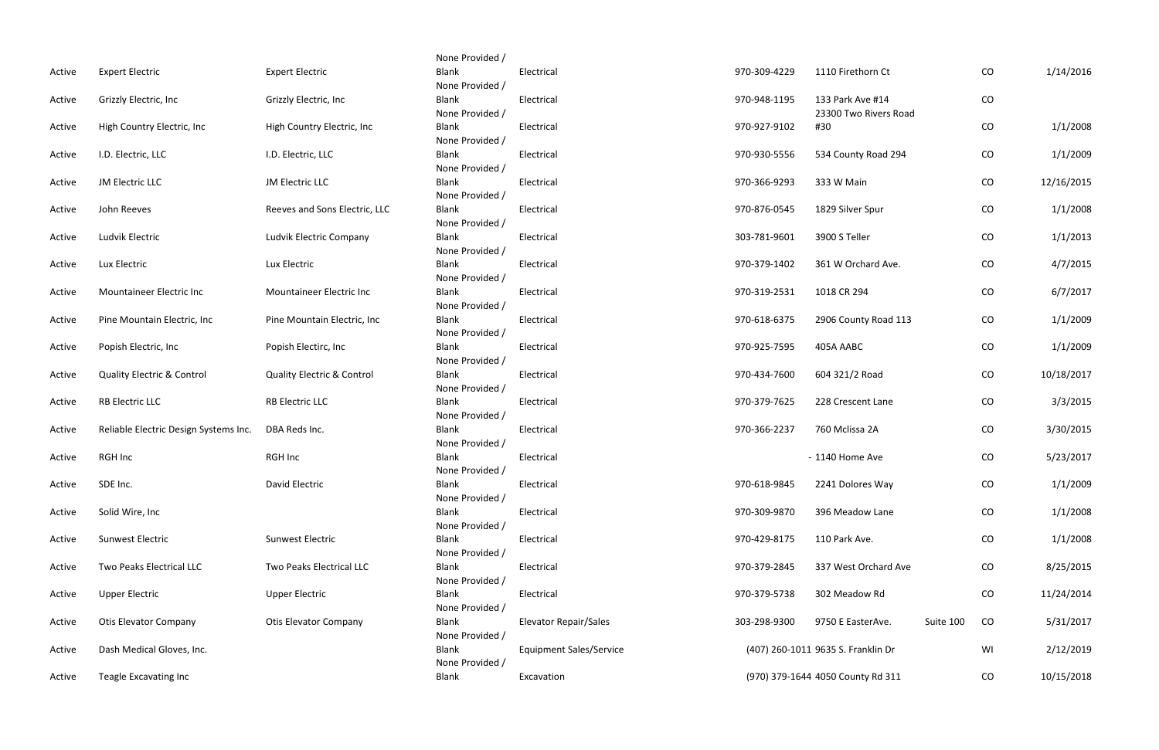| Active | <b>Expert Electric</b>                | <b>Expert Electric</b>                | None Provided /<br>Blank | Electrical                     | 970-309-4229 | 1110 Firethorn Ct                  | ${\rm CO}$      | 1/14/2016  |
|--------|---------------------------------------|---------------------------------------|--------------------------|--------------------------------|--------------|------------------------------------|-----------------|------------|
|        |                                       |                                       | None Provided /          |                                |              |                                    |                 |            |
| Active | Grizzly Electric, Inc                 | Grizzly Electric, Inc                 | Blank                    | Electrical                     | 970-948-1195 | 133 Park Ave #14                   | CO              |            |
|        |                                       |                                       | None Provided /          |                                |              | 23300 Two Rivers Road              |                 |            |
| Active | High Country Electric, Inc            | High Country Electric, Inc.           | Blank                    | Electrical                     | 970-927-9102 | #30                                | CO              | 1/1/2008   |
|        |                                       |                                       | None Provided /          |                                |              |                                    |                 |            |
| Active | I.D. Electric, LLC                    | I.D. Electric, LLC                    | Blank                    | Electrical                     | 970-930-5556 | 534 County Road 294                | $\rm CO$        | 1/1/2009   |
|        |                                       |                                       | None Provided /          |                                |              |                                    |                 |            |
| Active | JM Electric LLC                       | JM Electric LLC                       | Blank                    | Electrical                     | 970-366-9293 | 333 W Main                         | CO              | 12/16/2015 |
|        |                                       |                                       | None Provided /          |                                |              |                                    |                 |            |
| Active | John Reeves                           | Reeves and Sons Electric, LLC         | Blank                    | Electrical                     | 970-876-0545 | 1829 Silver Spur                   | CO              | 1/1/2008   |
|        |                                       |                                       | None Provided /          |                                |              |                                    |                 |            |
| Active | Ludvik Electric                       | Ludvik Electric Company               | Blank                    | Electrical                     | 303-781-9601 | 3900 S Teller                      | CO              | 1/1/2013   |
|        |                                       |                                       | None Provided /          |                                |              |                                    |                 |            |
| Active | Lux Electric                          | Lux Electric                          | Blank                    | Electrical                     | 970-379-1402 | 361 W Orchard Ave.                 | $\rm CO$        | 4/7/2015   |
|        |                                       |                                       | None Provided /          |                                |              |                                    |                 |            |
| Active | Mountaineer Electric Inc              | Mountaineer Electric Inc              | Blank                    | Electrical                     | 970-319-2531 | 1018 CR 294                        | CO              | 6/7/2017   |
|        |                                       |                                       | None Provided /          |                                |              |                                    |                 |            |
| Active | Pine Mountain Electric, Inc.          | Pine Mountain Electric, Inc.          | Blank                    | Electrical                     | 970-618-6375 | 2906 County Road 113               | $\rm CO$        | 1/1/2009   |
|        |                                       |                                       | None Provided /          |                                |              |                                    |                 |            |
| Active | Popish Electric, Inc                  | Popish Electirc, Inc.                 | Blank                    | Electrical                     | 970-925-7595 | 405A AABC                          | CO              | 1/1/2009   |
|        |                                       |                                       | None Provided /          |                                |              |                                    |                 |            |
| Active | <b>Quality Electric &amp; Control</b> | <b>Quality Electric &amp; Control</b> | Blank                    | Electrical                     | 970-434-7600 | 604 321/2 Road                     | CO              | 10/18/2017 |
|        |                                       |                                       | None Provided /          |                                |              |                                    |                 |            |
| Active | <b>RB Electric LLC</b>                | <b>RB Electric LLC</b>                | Blank                    | Electrical                     | 970-379-7625 | 228 Crescent Lane                  | CO              | 3/3/2015   |
|        |                                       |                                       | None Provided /          |                                |              |                                    |                 |            |
| Active | Reliable Electric Design Systems Inc. | DBA Reds Inc.                         | Blank                    | Electrical                     | 970-366-2237 | 760 Mclissa 2A                     | CO              | 3/30/2015  |
|        |                                       |                                       | None Provided /          |                                |              |                                    |                 |            |
| Active | RGH Inc                               | RGH Inc                               | Blank                    | Electrical                     |              | - 1140 Home Ave                    | CO              | 5/23/2017  |
|        |                                       |                                       | None Provided /          |                                |              |                                    |                 |            |
| Active | SDE Inc.                              | David Electric                        | Blank                    | Electrical                     | 970-618-9845 | 2241 Dolores Way                   | $\rm CO$        | 1/1/2009   |
|        |                                       |                                       | None Provided /          |                                |              |                                    |                 |            |
| Active | Solid Wire, Inc                       |                                       | Blank                    | Electrical                     | 970-309-9870 | 396 Meadow Lane                    | CO              | 1/1/2008   |
|        |                                       |                                       | None Provided /          |                                |              |                                    |                 |            |
| Active | <b>Sunwest Electric</b>               | Sunwest Electric                      | Blank                    | Electrical                     | 970-429-8175 | 110 Park Ave.                      | CO              | 1/1/2008   |
|        |                                       |                                       | None Provided /          |                                |              |                                    |                 |            |
| Active | Two Peaks Electrical LLC              | Two Peaks Electrical LLC              | Blank                    | Electrical                     | 970-379-2845 | 337 West Orchard Ave               | CO              | 8/25/2015  |
|        |                                       |                                       | None Provided /          |                                |              |                                    |                 |            |
| Active | <b>Upper Electric</b>                 | <b>Upper Electric</b>                 | Blank                    | Electrical                     | 970-379-5738 | 302 Meadow Rd                      | CO              | 11/24/2014 |
|        |                                       |                                       | None Provided /          |                                |              |                                    |                 |            |
| Active | <b>Otis Elevator Company</b>          | <b>Otis Elevator Company</b>          | Blank                    | <b>Elevator Repair/Sales</b>   | 303-298-9300 | 9750 E EasterAve.                  | Suite 100<br>CO | 5/31/2017  |
|        |                                       |                                       | None Provided /          |                                |              |                                    |                 |            |
| Active | Dash Medical Gloves, Inc.             |                                       | Blank                    | <b>Equipment Sales/Service</b> |              | (407) 260-1011 9635 S. Franklin Dr | WI              | 2/12/2019  |
|        | Teagle Excavating Inc                 |                                       | None Provided /<br>Blank | Excavation                     |              | (970) 379-1644 4050 County Rd 311  | CO              |            |
| Active |                                       |                                       |                          |                                |              |                                    |                 | 10/15/2018 |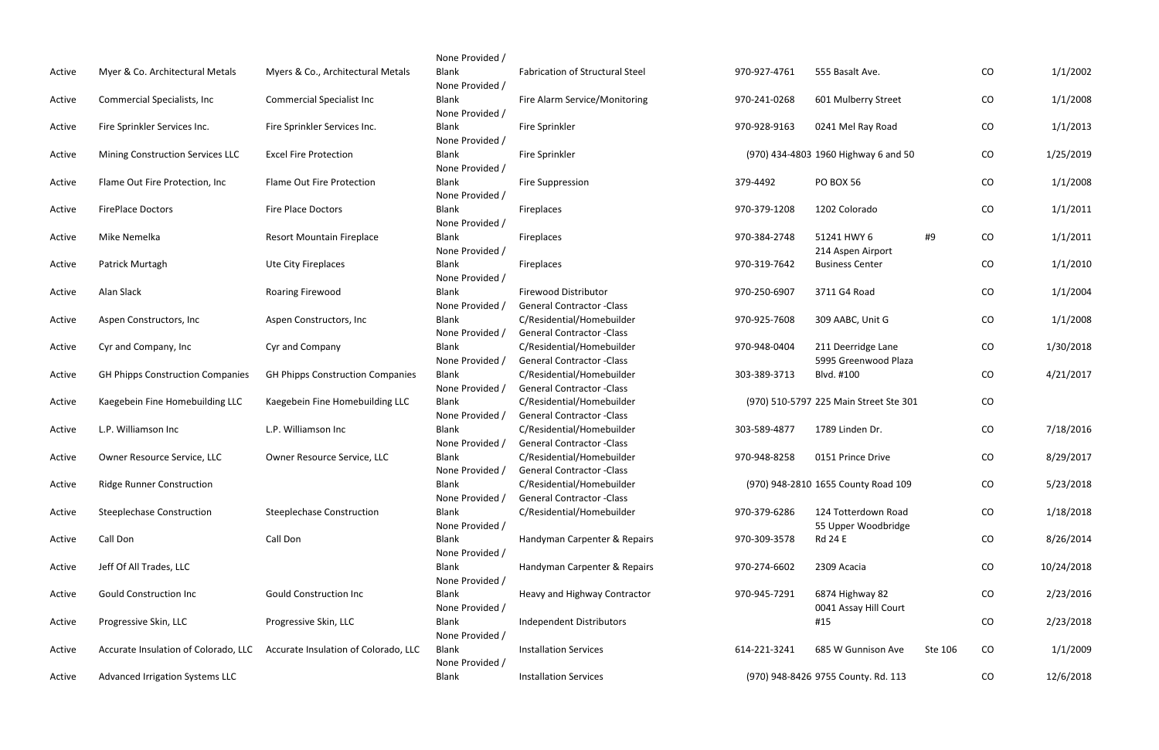| Active | Myer & Co. Architectural Metals         | Myers & Co., Architectural Metals       |
|--------|-----------------------------------------|-----------------------------------------|
| Active | <b>Commercial Specialists, Inc</b>      | <b>Commercial Specialist Inc</b>        |
| Active | Fire Sprinkler Services Inc.            | Fire Sprinkler Services Inc.            |
| Active | Mining Construction Services LLC        | <b>Excel Fire Protection</b>            |
| Active | Flame Out Fire Protection, Inc          | <b>Flame Out Fire Protection</b>        |
| Active | <b>FirePlace Doctors</b>                | <b>Fire Place Doctors</b>               |
| Active | Mike Nemelka                            | Resort Mountain Fireplace               |
| Active | Patrick Murtagh                         | Ute City Fireplaces                     |
| Active | Alan Slack                              | Roaring Firewood                        |
| Active | Aspen Constructors, Inc                 | Aspen Constructors, Inc                 |
| Active | Cyr and Company, Inc                    | Cyr and Company                         |
| Active | <b>GH Phipps Construction Companies</b> | <b>GH Phipps Construction Companies</b> |
| Active | Kaegebein Fine Homebuilding LLC         | Kaegebein Fine Homebuilding LLC         |
| Active | L.P. Williamson Inc                     | L.P. Williamson Inc                     |
| Active | Owner Resource Service, LLC             | Owner Resource Service, LLC             |
| Active | <b>Ridge Runner Construction</b>        |                                         |
| Active | <b>Steeplechase Construction</b>        | <b>Steeplechase Construction</b>        |
| Active | Call Don                                | Call Don                                |
| Active | Jeff Of All Trades, LLC                 |                                         |
| Active | <b>Gould Construction Inc</b>           | <b>Gould Construction Inc</b>           |
| Active | Progressive Skin, LLC                   | Progressive Skin, LLC                   |
| Active | Accurate Insulation of Colorado, LLC    | Accurate Insulation of Colorado, LLC    |
| Active | Advanced Irrigation Systems LLC         |                                         |

| None Provided / |                                        |              |                                        |         |    |            |
|-----------------|----------------------------------------|--------------|----------------------------------------|---------|----|------------|
| <b>Blank</b>    | <b>Fabrication of Structural Steel</b> | 970-927-4761 | 555 Basalt Ave.                        |         | CO | 1/1/2002   |
| None Provided / |                                        |              |                                        |         |    |            |
| <b>Blank</b>    | Fire Alarm Service/Monitoring          | 970-241-0268 | 601 Mulberry Street                    |         | CO | 1/1/2008   |
| None Provided / |                                        |              |                                        |         |    |            |
| Blank           | Fire Sprinkler                         | 970-928-9163 | 0241 Mel Ray Road                      |         | CO | 1/1/2013   |
| None Provided / |                                        |              |                                        |         |    |            |
| <b>Blank</b>    | Fire Sprinkler                         |              | (970) 434-4803 1960 Highway 6 and 50   |         | CO | 1/25/2019  |
| None Provided / |                                        |              |                                        |         |    |            |
| <b>Blank</b>    | <b>Fire Suppression</b>                | 379-4492     | <b>PO BOX 56</b>                       |         | CO | 1/1/2008   |
| None Provided / |                                        |              |                                        |         |    |            |
| <b>Blank</b>    | Fireplaces                             | 970-379-1208 | 1202 Colorado                          |         | CO | 1/1/2011   |
| None Provided / |                                        |              |                                        |         |    |            |
| <b>Blank</b>    | Fireplaces                             | 970-384-2748 | 51241 HWY 6                            | #9      | CO | 1/1/2011   |
| None Provided / |                                        |              | 214 Aspen Airport                      |         |    |            |
| <b>Blank</b>    | Fireplaces                             | 970-319-7642 | <b>Business Center</b>                 |         | CO | 1/1/2010   |
| None Provided / |                                        |              |                                        |         |    |            |
| <b>Blank</b>    | <b>Firewood Distributor</b>            | 970-250-6907 | 3711 G4 Road                           |         | CO | 1/1/2004   |
| None Provided / | <b>General Contractor - Class</b>      |              |                                        |         |    |            |
| <b>Blank</b>    | C/Residential/Homebuilder              | 970-925-7608 | 309 AABC, Unit G                       |         | CO | 1/1/2008   |
| None Provided / | <b>General Contractor - Class</b>      |              |                                        |         |    |            |
| <b>Blank</b>    | C/Residential/Homebuilder              | 970-948-0404 | 211 Deerridge Lane                     |         | CO | 1/30/2018  |
| None Provided / | <b>General Contractor - Class</b>      |              | 5995 Greenwood Plaza                   |         |    |            |
| <b>Blank</b>    | C/Residential/Homebuilder              | 303-389-3713 | Blvd. #100                             |         | CO | 4/21/2017  |
| None Provided / | <b>General Contractor -Class</b>       |              |                                        |         |    |            |
| <b>Blank</b>    | C/Residential/Homebuilder              |              | (970) 510-5797 225 Main Street Ste 301 |         | CO |            |
| None Provided / | <b>General Contractor - Class</b>      |              |                                        |         |    |            |
| <b>Blank</b>    | C/Residential/Homebuilder              | 303-589-4877 | 1789 Linden Dr.                        |         | CO | 7/18/2016  |
| None Provided / | <b>General Contractor -Class</b>       |              |                                        |         |    |            |
| <b>Blank</b>    | C/Residential/Homebuilder              | 970-948-8258 | 0151 Prince Drive                      |         | CO | 8/29/2017  |
| None Provided / | <b>General Contractor - Class</b>      |              |                                        |         |    |            |
| <b>Blank</b>    | C/Residential/Homebuilder              |              | (970) 948-2810 1655 County Road 109    |         | CO | 5/23/2018  |
| None Provided / | <b>General Contractor - Class</b>      |              |                                        |         |    |            |
| <b>Blank</b>    | C/Residential/Homebuilder              | 970-379-6286 | 124 Totterdown Road                    |         | CO | 1/18/2018  |
| None Provided / |                                        |              | 55 Upper Woodbridge                    |         |    |            |
| <b>Blank</b>    | Handyman Carpenter & Repairs           | 970-309-3578 | <b>Rd 24 E</b>                         |         | CO | 8/26/2014  |
| None Provided / |                                        |              |                                        |         |    |            |
| <b>Blank</b>    | Handyman Carpenter & Repairs           | 970-274-6602 | 2309 Acacia                            |         | CO | 10/24/2018 |
| None Provided / |                                        |              |                                        |         |    |            |
| <b>Blank</b>    | Heavy and Highway Contractor           | 970-945-7291 | 6874 Highway 82                        |         | CO | 2/23/2016  |
| None Provided / |                                        |              | 0041 Assay Hill Court                  |         |    |            |
| <b>Blank</b>    | <b>Independent Distributors</b>        |              | #15                                    |         | CO | 2/23/2018  |
| None Provided / |                                        |              |                                        |         |    |            |
| <b>Blank</b>    | <b>Installation Services</b>           | 614-221-3241 | 685 W Gunnison Ave                     | Ste 106 | CO | 1/1/2009   |
| None Provided / |                                        |              |                                        |         |    |            |
| <b>Blank</b>    | <b>Installation Services</b>           |              | (970) 948-8426 9755 County. Rd. 113    |         | CO | 12/6/2018  |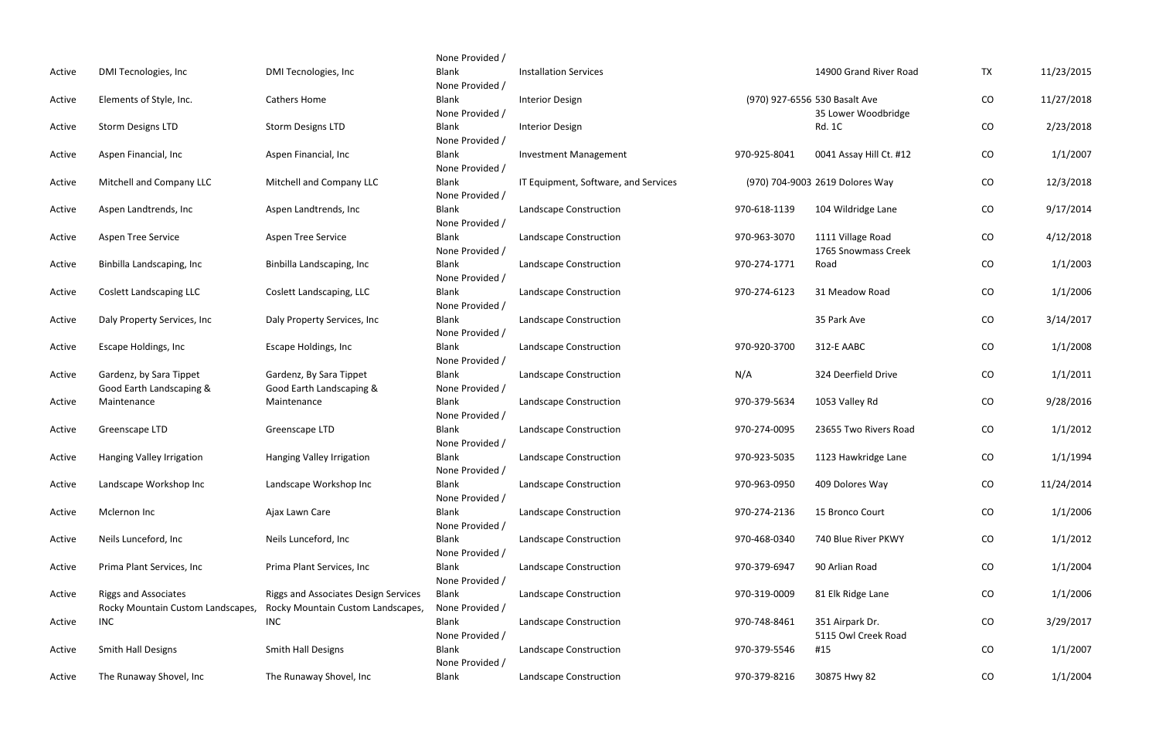| Active | DMI Tecnologies, Inc              | DMI Tecnologies, Inc                 | None Provided /<br><b>Blank</b> | <b>Installation Services</b>         |              | 14900 Grand River Road                 | <b>TX</b>  | 11/23/2015 |
|--------|-----------------------------------|--------------------------------------|---------------------------------|--------------------------------------|--------------|----------------------------------------|------------|------------|
|        |                                   |                                      | None Provided /                 |                                      |              |                                        |            |            |
| Active | Elements of Style, Inc.           | <b>Cathers Home</b>                  | Blank                           | <b>Interior Design</b>               |              | (970) 927-6556 530 Basalt Ave          | $\rm CO$   | 11/27/2018 |
|        |                                   |                                      | None Provided /                 |                                      |              | 35 Lower Woodbridge                    |            |            |
| Active | <b>Storm Designs LTD</b>          | <b>Storm Designs LTD</b>             | <b>Blank</b>                    | <b>Interior Design</b>               |              | <b>Rd. 1C</b>                          | ${\rm CO}$ | 2/23/2018  |
|        |                                   |                                      | None Provided /                 |                                      |              |                                        |            |            |
| Active | Aspen Financial, Inc              | Aspen Financial, Inc                 | Blank                           | <b>Investment Management</b>         | 970-925-8041 | 0041 Assay Hill Ct. #12                | ${\rm CO}$ | 1/1/2007   |
|        | Mitchell and Company LLC          |                                      | None Provided /<br><b>Blank</b> | IT Equipment, Software, and Services |              | (970) 704-9003 2619 Dolores Way        |            |            |
| Active |                                   | Mitchell and Company LLC             | None Provided /                 |                                      |              |                                        | ${\rm CO}$ | 12/3/2018  |
| Active | Aspen Landtrends, Inc             | Aspen Landtrends, Inc                | <b>Blank</b>                    | Landscape Construction               | 970-618-1139 | 104 Wildridge Lane                     | $\rm CO$   | 9/17/2014  |
|        |                                   |                                      | None Provided /                 |                                      |              |                                        |            |            |
| Active | Aspen Tree Service                | Aspen Tree Service                   | <b>Blank</b>                    | Landscape Construction               | 970-963-3070 | 1111 Village Road                      | CO         | 4/12/2018  |
|        |                                   |                                      | None Provided /                 |                                      |              | 1765 Snowmass Creek                    |            |            |
| Active | Binbilla Landscaping, Inc         | Binbilla Landscaping, Inc            | Blank                           | Landscape Construction               | 970-274-1771 | Road                                   | $\rm CO$   | 1/1/2003   |
|        |                                   |                                      | None Provided /                 |                                      |              |                                        |            |            |
| Active | <b>Coslett Landscaping LLC</b>    | Coslett Landscaping, LLC             | <b>Blank</b>                    | Landscape Construction               | 970-274-6123 | 31 Meadow Road                         | ${\rm CO}$ | 1/1/2006   |
|        |                                   |                                      | None Provided /                 |                                      |              |                                        |            |            |
| Active | Daly Property Services, Inc.      | Daly Property Services, Inc.         | Blank                           | Landscape Construction               |              | 35 Park Ave                            | ${\rm CO}$ | 3/14/2017  |
|        |                                   |                                      | None Provided /                 |                                      |              |                                        |            |            |
| Active | Escape Holdings, Inc              | Escape Holdings, Inc                 | Blank                           | Landscape Construction               | 970-920-3700 | 312-E AABC                             | $\rm CO$   | 1/1/2008   |
|        |                                   |                                      | None Provided /                 |                                      |              |                                        |            |            |
| Active | Gardenz, by Sara Tippet           | Gardenz, By Sara Tippet              | Blank                           | Landscape Construction               | N/A          | 324 Deerfield Drive                    | CO         | 1/1/2011   |
|        | Good Earth Landscaping &          | Good Earth Landscaping &             | None Provided /                 |                                      |              |                                        |            |            |
| Active | Maintenance                       | Maintenance                          | <b>Blank</b><br>None Provided / | Landscape Construction               | 970-379-5634 | 1053 Valley Rd                         | $\rm CO$   | 9/28/2016  |
| Active | Greenscape LTD                    | Greenscape LTD                       | <b>Blank</b>                    | Landscape Construction               | 970-274-0095 | 23655 Two Rivers Road                  | CO         | 1/1/2012   |
|        |                                   |                                      | None Provided /                 |                                      |              |                                        |            |            |
| Active | Hanging Valley Irrigation         | Hanging Valley Irrigation            | <b>Blank</b>                    | Landscape Construction               | 970-923-5035 | 1123 Hawkridge Lane                    | CO         | 1/1/1994   |
|        |                                   |                                      | None Provided /                 |                                      |              |                                        |            |            |
| Active | Landscape Workshop Inc            | Landscape Workshop Inc               | <b>Blank</b>                    | Landscape Construction               | 970-963-0950 | 409 Dolores Way                        | ${\rm CO}$ | 11/24/2014 |
|        |                                   |                                      | None Provided /                 |                                      |              |                                        |            |            |
| Active | Mclernon Inc                      | Ajax Lawn Care                       | <b>Blank</b>                    | Landscape Construction               | 970-274-2136 | 15 Bronco Court                        | ${\rm CO}$ | 1/1/2006   |
|        |                                   |                                      | None Provided /                 |                                      |              |                                        |            |            |
| Active | Neils Lunceford, Inc              | Neils Lunceford, Inc                 | <b>Blank</b>                    | Landscape Construction               | 970-468-0340 | 740 Blue River PKWY                    | ${\rm CO}$ | 1/1/2012   |
|        |                                   |                                      | None Provided /                 |                                      |              |                                        |            |            |
| Active | Prima Plant Services, Inc.        | Prima Plant Services, Inc.           | <b>Blank</b>                    | Landscape Construction               | 970-379-6947 | 90 Arlian Road                         | CO         | 1/1/2004   |
|        |                                   |                                      | None Provided /                 |                                      |              |                                        |            |            |
| Active | <b>Riggs and Associates</b>       | Riggs and Associates Design Services | Blank                           | Landscape Construction               | 970-319-0009 | 81 Elk Ridge Lane                      | CO         | 1/1/2006   |
|        | Rocky Mountain Custom Landscapes, | Rocky Mountain Custom Landscapes,    | None Provided /                 |                                      |              |                                        |            |            |
| Active | <b>INC</b>                        | <b>INC</b>                           | Blank<br>None Provided /        | Landscape Construction               | 970-748-8461 | 351 Airpark Dr.<br>5115 Owl Creek Road | CO         | 3/29/2017  |
| Active | Smith Hall Designs                | Smith Hall Designs                   | <b>Blank</b>                    | Landscape Construction               | 970-379-5546 | #15                                    | ${\rm CO}$ | 1/1/2007   |
|        |                                   |                                      | None Provided /                 |                                      |              |                                        |            |            |
| Active | The Runaway Shovel, Inc           | The Runaway Shovel, Inc              | <b>Blank</b>                    | Landscape Construction               | 970-379-8216 | 30875 Hwy 82                           | CO         | 1/1/2004   |
|        |                                   |                                      |                                 |                                      |              |                                        |            |            |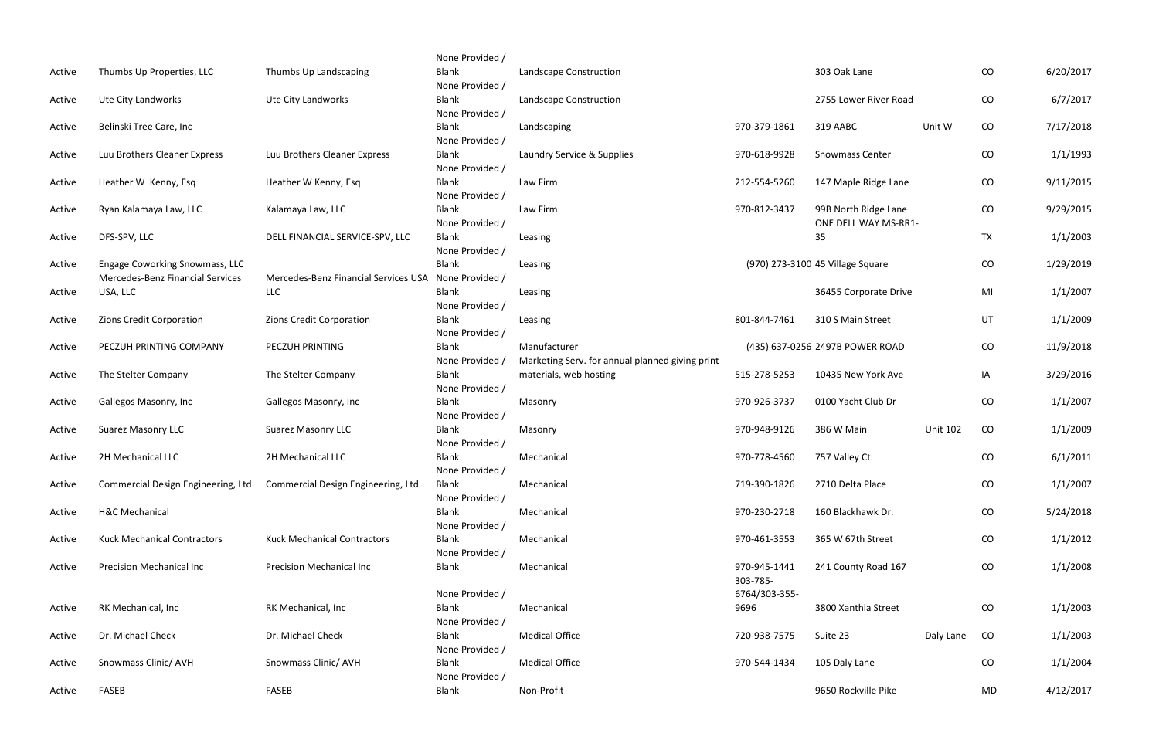|        |                                    |                                                                        | None Provided /                 |                                                 |               |                                  |                 |           |           |
|--------|------------------------------------|------------------------------------------------------------------------|---------------------------------|-------------------------------------------------|---------------|----------------------------------|-----------------|-----------|-----------|
| Active | Thumbs Up Properties, LLC          | Thumbs Up Landscaping                                                  | <b>Blank</b><br>None Provided / | Landscape Construction                          |               | 303 Oak Lane                     |                 | CO        | 6/20/2017 |
| Active | Ute City Landworks                 | Ute City Landworks                                                     | <b>Blank</b>                    | Landscape Construction                          |               | 2755 Lower River Road            |                 | CO        | 6/7/2017  |
|        |                                    |                                                                        | None Provided /                 |                                                 |               |                                  |                 |           |           |
| Active | Belinski Tree Care, Inc            |                                                                        | <b>Blank</b>                    | Landscaping                                     | 970-379-1861  | 319 AABC                         | Unit W          | CO        | 7/17/2018 |
| Active | Luu Brothers Cleaner Express       | Luu Brothers Cleaner Express                                           | None Provided /<br><b>Blank</b> | Laundry Service & Supplies                      | 970-618-9928  | Snowmass Center                  |                 | CO        | 1/1/1993  |
|        |                                    |                                                                        | None Provided /                 |                                                 |               |                                  |                 |           |           |
| Active | Heather W Kenny, Esq               | Heather W Kenny, Esq                                                   | <b>Blank</b>                    | Law Firm                                        | 212-554-5260  | 147 Maple Ridge Lane             |                 | CO        | 9/11/2015 |
|        |                                    |                                                                        | None Provided /                 |                                                 |               |                                  |                 |           |           |
| Active | Ryan Kalamaya Law, LLC             | Kalamaya Law, LLC                                                      | <b>Blank</b>                    | Law Firm                                        | 970-812-3437  | 99B North Ridge Lane             |                 | CO        | 9/29/2015 |
|        |                                    |                                                                        | None Provided /                 |                                                 |               | ONE DELL WAY MS-RR1-             |                 |           |           |
| Active | DFS-SPV, LLC                       | DELL FINANCIAL SERVICE-SPV, LLC                                        | Blank                           | Leasing                                         |               | 35                               |                 | <b>TX</b> | 1/1/2003  |
|        |                                    |                                                                        | None Provided /                 |                                                 |               |                                  |                 |           |           |
| Active | Engage Coworking Snowmass, LLC     |                                                                        | <b>Blank</b>                    | Leasing                                         |               | (970) 273-3100 45 Village Square |                 | CO        | 1/29/2019 |
|        | Mercedes-Benz Financial Services   | Mercedes-Benz Financial Services USA<br>LLC                            | None Provided /<br>Blank        |                                                 |               | 36455 Corporate Drive            |                 |           | 1/1/2007  |
| Active | USA, LLC                           |                                                                        | None Provided /                 | Leasing                                         |               |                                  |                 | MI        |           |
| Active | Zions Credit Corporation           | Zions Credit Corporation                                               | <b>Blank</b>                    | Leasing                                         | 801-844-7461  | 310 S Main Street                |                 | UT        | 1/1/2009  |
|        |                                    |                                                                        | None Provided /                 |                                                 |               |                                  |                 |           |           |
| Active | PECZUH PRINTING COMPANY            | PECZUH PRINTING                                                        | <b>Blank</b>                    | Manufacturer                                    |               | (435) 637-0256 2497B POWER ROAD  |                 | CO        | 11/9/2018 |
|        |                                    |                                                                        | None Provided /                 | Marketing Serv. for annual planned giving print |               |                                  |                 |           |           |
| Active | The Stelter Company                | The Stelter Company                                                    | <b>Blank</b>                    | materials, web hosting                          | 515-278-5253  | 10435 New York Ave               |                 | IA        | 3/29/2016 |
|        |                                    |                                                                        | None Provided /                 |                                                 |               |                                  |                 |           |           |
| Active | Gallegos Masonry, Inc              | Gallegos Masonry, Inc                                                  | <b>Blank</b>                    | Masonry                                         | 970-926-3737  | 0100 Yacht Club Dr               |                 | CO        | 1/1/2007  |
|        |                                    |                                                                        | None Provided /                 |                                                 |               |                                  |                 |           |           |
| Active | <b>Suarez Masonry LLC</b>          | <b>Suarez Masonry LLC</b>                                              | <b>Blank</b>                    | Masonry                                         | 970-948-9126  | 386 W Main                       | <b>Unit 102</b> | CO        | 1/1/2009  |
|        |                                    |                                                                        | None Provided /                 |                                                 |               |                                  |                 |           |           |
| Active | 2H Mechanical LLC                  | 2H Mechanical LLC                                                      | <b>Blank</b>                    | Mechanical                                      | 970-778-4560  | 757 Valley Ct.                   |                 | CO        | 6/1/2011  |
|        |                                    |                                                                        | None Provided /                 |                                                 |               |                                  |                 |           |           |
| Active |                                    | Commercial Design Engineering, Ltd Commercial Design Engineering, Ltd. | <b>Blank</b>                    | Mechanical                                      | 719-390-1826  | 2710 Delta Place                 |                 | CO        | 1/1/2007  |
| Active | <b>H&amp;C Mechanical</b>          |                                                                        | None Provided /<br><b>Blank</b> | Mechanical                                      | 970-230-2718  | 160 Blackhawk Dr.                |                 | CO        | 5/24/2018 |
|        |                                    |                                                                        | None Provided /                 |                                                 |               |                                  |                 |           |           |
| Active | <b>Kuck Mechanical Contractors</b> | <b>Kuck Mechanical Contractors</b>                                     | Blank                           | Mechanical                                      | 970-461-3553  | 365 W 67th Street                |                 | CO        | 1/1/2012  |
|        |                                    |                                                                        | None Provided /                 |                                                 |               |                                  |                 |           |           |
| Active | <b>Precision Mechanical Inc</b>    | <b>Precision Mechanical Inc</b>                                        | Blank                           | Mechanical                                      | 970-945-1441  | 241 County Road 167              |                 | CO        | 1/1/2008  |
|        |                                    |                                                                        |                                 |                                                 | 303-785-      |                                  |                 |           |           |
|        |                                    |                                                                        | None Provided /                 |                                                 | 6764/303-355- |                                  |                 |           |           |
| Active | RK Mechanical, Inc                 | RK Mechanical, Inc                                                     | <b>Blank</b>                    | Mechanical                                      | 9696          | 3800 Xanthia Street              |                 | CO        | 1/1/2003  |
|        |                                    |                                                                        | None Provided /                 |                                                 |               |                                  |                 |           |           |
| Active | Dr. Michael Check                  | Dr. Michael Check                                                      | <b>Blank</b>                    | <b>Medical Office</b>                           | 720-938-7575  | Suite 23                         | Daly Lane       | CO        | 1/1/2003  |
|        |                                    |                                                                        | None Provided /                 |                                                 |               |                                  |                 |           |           |
| Active | Snowmass Clinic/ AVH               | Snowmass Clinic/ AVH                                                   | Blank                           | <b>Medical Office</b>                           | 970-544-1434  | 105 Daly Lane                    |                 | CO        | 1/1/2004  |
|        | <b>FASEB</b>                       |                                                                        | None Provided /                 |                                                 |               | 9650 Rockville Pike              |                 |           | 4/12/2017 |
| Active |                                    | <b>FASEB</b>                                                           | Blank                           | Non-Profit                                      |               |                                  |                 | MD        |           |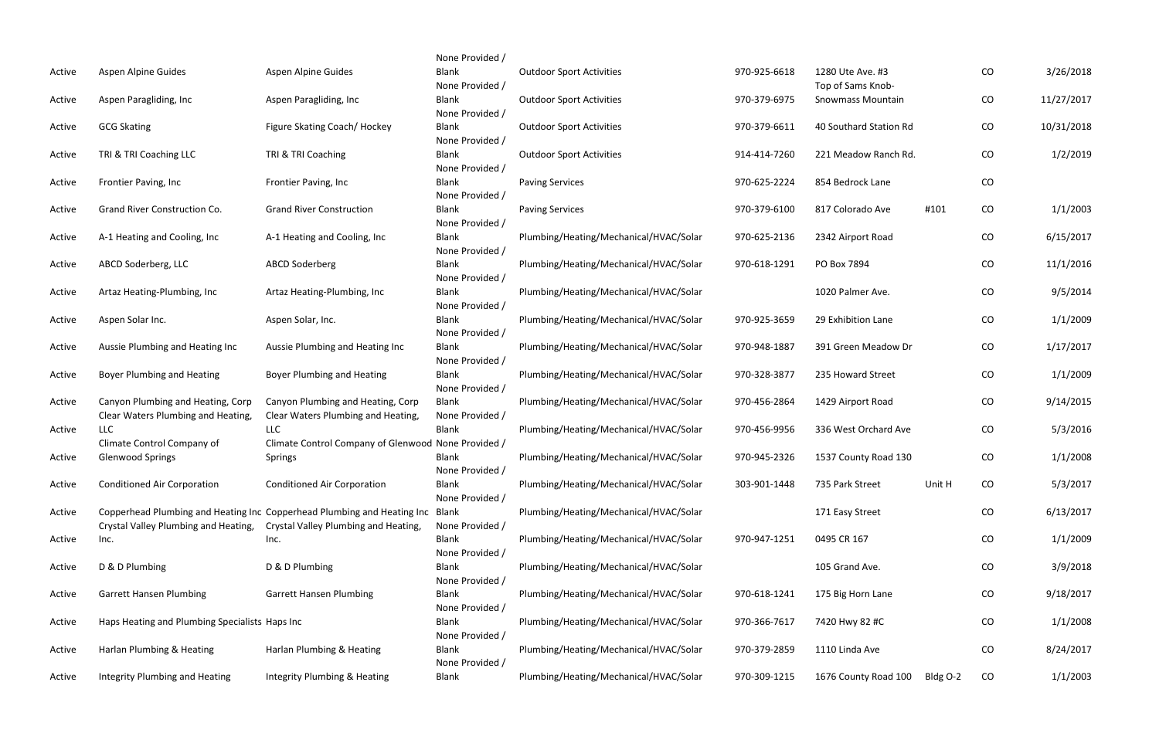|        |                                                |                                                                         | None Provided /          |                                        |              |                        |          |            |            |
|--------|------------------------------------------------|-------------------------------------------------------------------------|--------------------------|----------------------------------------|--------------|------------------------|----------|------------|------------|
| Active | Aspen Alpine Guides                            | Aspen Alpine Guides                                                     | <b>Blank</b>             | <b>Outdoor Sport Activities</b>        | 970-925-6618 | 1280 Ute Ave. #3       |          | ${\rm CO}$ | 3/26/2018  |
|        |                                                |                                                                         | None Provided /          |                                        |              | Top of Sams Knob-      |          |            |            |
| Active | Aspen Paragliding, Inc                         | Aspen Paragliding, Inc                                                  | <b>Blank</b>             | <b>Outdoor Sport Activities</b>        | 970-379-6975 | Snowmass Mountain      |          | CO         | 11/27/2017 |
|        |                                                |                                                                         | None Provided /          |                                        |              |                        |          |            |            |
| Active | <b>GCG Skating</b>                             | Figure Skating Coach/ Hockey                                            | <b>Blank</b>             | <b>Outdoor Sport Activities</b>        | 970-379-6611 | 40 Southard Station Rd |          | ${\rm CO}$ | 10/31/2018 |
|        |                                                |                                                                         | None Provided /          |                                        |              |                        |          |            |            |
| Active | TRI & TRI Coaching LLC                         | TRI & TRI Coaching                                                      | <b>Blank</b>             | <b>Outdoor Sport Activities</b>        | 914-414-7260 | 221 Meadow Ranch Rd.   |          | CO         | 1/2/2019   |
|        |                                                |                                                                         | None Provided /          |                                        |              |                        |          |            |            |
| Active | Frontier Paving, Inc                           | Frontier Paving, Inc                                                    | <b>Blank</b>             | <b>Paving Services</b>                 | 970-625-2224 | 854 Bedrock Lane       |          | CO         |            |
|        |                                                |                                                                         | None Provided /          |                                        |              |                        |          |            |            |
| Active | Grand River Construction Co.                   | <b>Grand River Construction</b>                                         | <b>Blank</b>             | <b>Paving Services</b>                 | 970-379-6100 | 817 Colorado Ave       | #101     | CO         | 1/1/2003   |
|        |                                                |                                                                         | None Provided /          |                                        |              |                        |          |            |            |
| Active | A-1 Heating and Cooling, Inc                   | A-1 Heating and Cooling, Inc                                            | <b>Blank</b>             | Plumbing/Heating/Mechanical/HVAC/Solar | 970-625-2136 | 2342 Airport Road      |          | CO         | 6/15/2017  |
|        |                                                |                                                                         | None Provided /          |                                        |              |                        |          |            |            |
| Active | ABCD Soderberg, LLC                            | <b>ABCD Soderberg</b>                                                   | Blank                    | Plumbing/Heating/Mechanical/HVAC/Solar | 970-618-1291 | PO Box 7894            |          | CO         | 11/1/2016  |
|        |                                                |                                                                         | None Provided /          |                                        |              |                        |          |            |            |
| Active | Artaz Heating-Plumbing, Inc                    | Artaz Heating-Plumbing, Inc                                             | <b>Blank</b>             | Plumbing/Heating/Mechanical/HVAC/Solar |              | 1020 Palmer Ave.       |          | ${\rm CO}$ | 9/5/2014   |
|        |                                                |                                                                         | None Provided /          |                                        |              |                        |          |            |            |
| Active | Aspen Solar Inc.                               | Aspen Solar, Inc.                                                       | <b>Blank</b>             | Plumbing/Heating/Mechanical/HVAC/Solar | 970-925-3659 | 29 Exhibition Lane     |          | CO         | 1/1/2009   |
|        |                                                |                                                                         | None Provided /          |                                        |              |                        |          |            |            |
| Active | Aussie Plumbing and Heating Inc                | Aussie Plumbing and Heating Inc                                         | <b>Blank</b>             | Plumbing/Heating/Mechanical/HVAC/Solar | 970-948-1887 | 391 Green Meadow Dr    |          | CO         | 1/17/2017  |
|        |                                                |                                                                         | None Provided /          |                                        |              |                        |          |            |            |
| Active | <b>Boyer Plumbing and Heating</b>              | Boyer Plumbing and Heating                                              | <b>Blank</b>             | Plumbing/Heating/Mechanical/HVAC/Solar | 970-328-3877 | 235 Howard Street      |          | CO         | 1/1/2009   |
|        |                                                |                                                                         | None Provided /          |                                        |              |                        |          |            |            |
| Active | Canyon Plumbing and Heating, Corp              | Canyon Plumbing and Heating, Corp                                       | <b>Blank</b>             | Plumbing/Heating/Mechanical/HVAC/Solar | 970-456-2864 | 1429 Airport Road      |          | ${\rm CO}$ | 9/14/2015  |
|        | Clear Waters Plumbing and Heating,             | Clear Waters Plumbing and Heating,                                      | None Provided /          |                                        |              |                        |          |            |            |
| Active | <b>LLC</b>                                     | <b>LLC</b>                                                              | <b>Blank</b>             | Plumbing/Heating/Mechanical/HVAC/Solar | 970-456-9956 | 336 West Orchard Ave   |          | CO         | 5/3/2016   |
|        | Climate Control Company of                     | Climate Control Company of Glenwood None Provided /                     |                          |                                        |              |                        |          |            |            |
| Active | <b>Glenwood Springs</b>                        | Springs                                                                 | <b>Blank</b>             | Plumbing/Heating/Mechanical/HVAC/Solar | 970-945-2326 | 1537 County Road 130   |          | CO         | 1/1/2008   |
|        |                                                |                                                                         | None Provided /          |                                        |              |                        |          |            |            |
| Active | <b>Conditioned Air Corporation</b>             | <b>Conditioned Air Corporation</b>                                      | <b>Blank</b>             | Plumbing/Heating/Mechanical/HVAC/Solar | 303-901-1448 | 735 Park Street        | Unit H   | CO         | 5/3/2017   |
|        |                                                |                                                                         | None Provided /          |                                        |              |                        |          |            |            |
| Active |                                                | Copperhead Plumbing and Heating Inc Copperhead Plumbing and Heating Inc | Blank                    | Plumbing/Heating/Mechanical/HVAC/Solar |              | 171 Easy Street        |          | CO         | 6/13/2017  |
|        | Crystal Valley Plumbing and Heating,           | Crystal Valley Plumbing and Heating,                                    | None Provided /          |                                        |              |                        |          |            |            |
| Active | Inc.                                           | Inc.                                                                    | <b>Blank</b>             | Plumbing/Heating/Mechanical/HVAC/Solar | 970-947-1251 | 0495 CR 167            |          | CO         | 1/1/2009   |
|        |                                                |                                                                         | None Provided /          |                                        |              |                        |          |            |            |
| Active | D & D Plumbing                                 | D & D Plumbing                                                          | Blank                    | Plumbing/Heating/Mechanical/HVAC/Solar |              | 105 Grand Ave.         |          | CO         | 3/9/2018   |
|        |                                                |                                                                         | None Provided /          | Plumbing/Heating/Mechanical/HVAC/Solar |              |                        |          |            |            |
| Active | <b>Garrett Hansen Plumbing</b>                 | <b>Garrett Hansen Plumbing</b>                                          | <b>Blank</b>             |                                        | 970-618-1241 | 175 Big Horn Lane      |          | CO         | 9/18/2017  |
|        |                                                |                                                                         | None Provided /          |                                        |              |                        |          |            |            |
| Active | Haps Heating and Plumbing Specialists Haps Inc |                                                                         | Blank<br>None Provided / | Plumbing/Heating/Mechanical/HVAC/Solar | 970-366-7617 | 7420 Hwy 82 #C         |          | CO         | 1/1/2008   |
|        | Harlan Plumbing & Heating                      | Harlan Plumbing & Heating                                               | Blank                    | Plumbing/Heating/Mechanical/HVAC/Solar | 970-379-2859 | 1110 Linda Ave         |          | CO         | 8/24/2017  |
| Active |                                                |                                                                         | None Provided /          |                                        |              |                        |          |            |            |
| Active | Integrity Plumbing and Heating                 | Integrity Plumbing & Heating                                            | Blank                    | Plumbing/Heating/Mechanical/HVAC/Solar | 970-309-1215 | 1676 County Road 100   | Bldg O-2 | CO         | 1/1/2003   |
|        |                                                |                                                                         |                          |                                        |              |                        |          |            |            |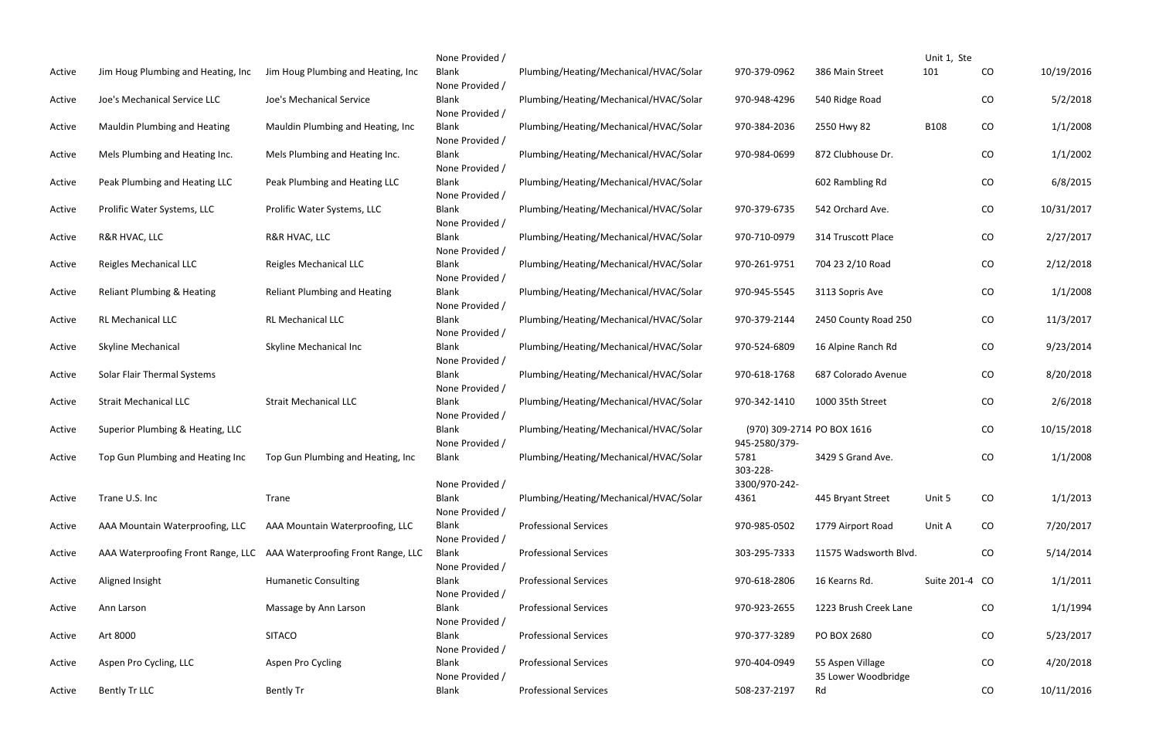|        |                                       |                                                                       | None Provided /                 |                                        |                                             |                           | Unit 1, Ste    |            |            |
|--------|---------------------------------------|-----------------------------------------------------------------------|---------------------------------|----------------------------------------|---------------------------------------------|---------------------------|----------------|------------|------------|
| Active | Jim Houg Plumbing and Heating, Inc    | Jim Houg Plumbing and Heating, Inc                                    | Blank<br>None Provided /        | Plumbing/Heating/Mechanical/HVAC/Solar | 970-379-0962                                | 386 Main Street           | 101            | CO         | 10/19/2016 |
| Active | Joe's Mechanical Service LLC          | Joe's Mechanical Service                                              | <b>Blank</b><br>None Provided / | Plumbing/Heating/Mechanical/HVAC/Solar | 970-948-4296                                | 540 Ridge Road            |                | CO         | 5/2/2018   |
| Active | Mauldin Plumbing and Heating          | Mauldin Plumbing and Heating, Inc.                                    | Blank<br>None Provided /        | Plumbing/Heating/Mechanical/HVAC/Solar | 970-384-2036                                | 2550 Hwy 82               | <b>B108</b>    | CO         | 1/1/2008   |
| Active | Mels Plumbing and Heating Inc.        | Mels Plumbing and Heating Inc.                                        | Blank<br>None Provided /        | Plumbing/Heating/Mechanical/HVAC/Solar | 970-984-0699                                | 872 Clubhouse Dr.         |                | CO         | 1/1/2002   |
| Active | Peak Plumbing and Heating LLC         | Peak Plumbing and Heating LLC                                         | <b>Blank</b><br>None Provided / | Plumbing/Heating/Mechanical/HVAC/Solar |                                             | 602 Rambling Rd           |                | CO         | 6/8/2015   |
| Active | Prolific Water Systems, LLC           | Prolific Water Systems, LLC                                           | Blank<br>None Provided /        | Plumbing/Heating/Mechanical/HVAC/Solar | 970-379-6735                                | 542 Orchard Ave.          |                | CO         | 10/31/2017 |
| Active | R&R HVAC, LLC                         | R&R HVAC, LLC                                                         | <b>Blank</b><br>None Provided / | Plumbing/Heating/Mechanical/HVAC/Solar | 970-710-0979                                | 314 Truscott Place        |                | CO         | 2/27/2017  |
| Active | Reigles Mechanical LLC                | Reigles Mechanical LLC                                                | <b>Blank</b><br>None Provided / | Plumbing/Heating/Mechanical/HVAC/Solar | 970-261-9751                                | 704 23 2/10 Road          |                | CO         | 2/12/2018  |
| Active | <b>Reliant Plumbing &amp; Heating</b> | <b>Reliant Plumbing and Heating</b>                                   | <b>Blank</b><br>None Provided / | Plumbing/Heating/Mechanical/HVAC/Solar | 970-945-5545                                | 3113 Sopris Ave           |                | CO         | 1/1/2008   |
| Active | <b>RL Mechanical LLC</b>              | RL Mechanical LLC                                                     | <b>Blank</b><br>None Provided / | Plumbing/Heating/Mechanical/HVAC/Solar | 970-379-2144                                | 2450 County Road 250      |                | ${\rm CO}$ | 11/3/2017  |
| Active | <b>Skyline Mechanical</b>             | Skyline Mechanical Inc                                                | <b>Blank</b><br>None Provided / | Plumbing/Heating/Mechanical/HVAC/Solar | 970-524-6809                                | 16 Alpine Ranch Rd        |                | CO         | 9/23/2014  |
| Active | Solar Flair Thermal Systems           |                                                                       | <b>Blank</b><br>None Provided / | Plumbing/Heating/Mechanical/HVAC/Solar | 970-618-1768                                | 687 Colorado Avenue       |                | ${\rm CO}$ | 8/20/2018  |
| Active | <b>Strait Mechanical LLC</b>          | <b>Strait Mechanical LLC</b>                                          | <b>Blank</b><br>None Provided / | Plumbing/Heating/Mechanical/HVAC/Solar | 970-342-1410                                | 1000 35th Street          |                | CO         | 2/6/2018   |
| Active | Superior Plumbing & Heating, LLC      |                                                                       | <b>Blank</b><br>None Provided / | Plumbing/Heating/Mechanical/HVAC/Solar | (970) 309-2714 PO BOX 1616<br>945-2580/379- |                           |                | CO         | 10/15/2018 |
| Active | Top Gun Plumbing and Heating Inc      | Top Gun Plumbing and Heating, Inc.                                    | Blank                           | Plumbing/Heating/Mechanical/HVAC/Solar | 5781<br>303-228-                            | 3429 S Grand Ave.         |                | CO         | 1/1/2008   |
| Active | Trane U.S. Inc                        | Trane                                                                 | None Provided /<br><b>Blank</b> | Plumbing/Heating/Mechanical/HVAC/Solar | 3300/970-242-<br>4361                       | 445 Bryant Street         | Unit 5         | CO         | 1/1/2013   |
| Active | AAA Mountain Waterproofing, LLC       | AAA Mountain Waterproofing, LLC                                       | None Provided /<br><b>Blank</b> | <b>Professional Services</b>           | 970-985-0502                                | 1779 Airport Road         | Unit A         | CO         | 7/20/2017  |
| Active |                                       | AAA Waterproofing Front Range, LLC AAA Waterproofing Front Range, LLC | None Provided /<br>Blank        | <b>Professional Services</b>           | 303-295-7333                                | 11575 Wadsworth Blvd.     |                | CO         | 5/14/2014  |
| Active | Aligned Insight                       | <b>Humanetic Consulting</b>                                           | None Provided /<br><b>Blank</b> | <b>Professional Services</b>           | 970-618-2806                                | 16 Kearns Rd.             | Suite 201-4 CO |            | 1/1/2011   |
| Active | Ann Larson                            | Massage by Ann Larson                                                 | None Provided /<br><b>Blank</b> | <b>Professional Services</b>           | 970-923-2655                                | 1223 Brush Creek Lane     |                | CO         | 1/1/1994   |
| Active | Art 8000                              | <b>SITACO</b>                                                         | None Provided /<br><b>Blank</b> | <b>Professional Services</b>           | 970-377-3289                                | PO BOX 2680               |                | CO         | 5/23/2017  |
| Active | Aspen Pro Cycling, LLC                | Aspen Pro Cycling                                                     | None Provided /<br><b>Blank</b> | <b>Professional Services</b>           | 970-404-0949                                | 55 Aspen Village          |                | CO         | 4/20/2018  |
| Active | Bently Tr LLC                         | <b>Bently Tr</b>                                                      | None Provided /<br><b>Blank</b> | <b>Professional Services</b>           | 508-237-2197                                | 35 Lower Woodbridge<br>Rd |                | CO         | 10/11/2016 |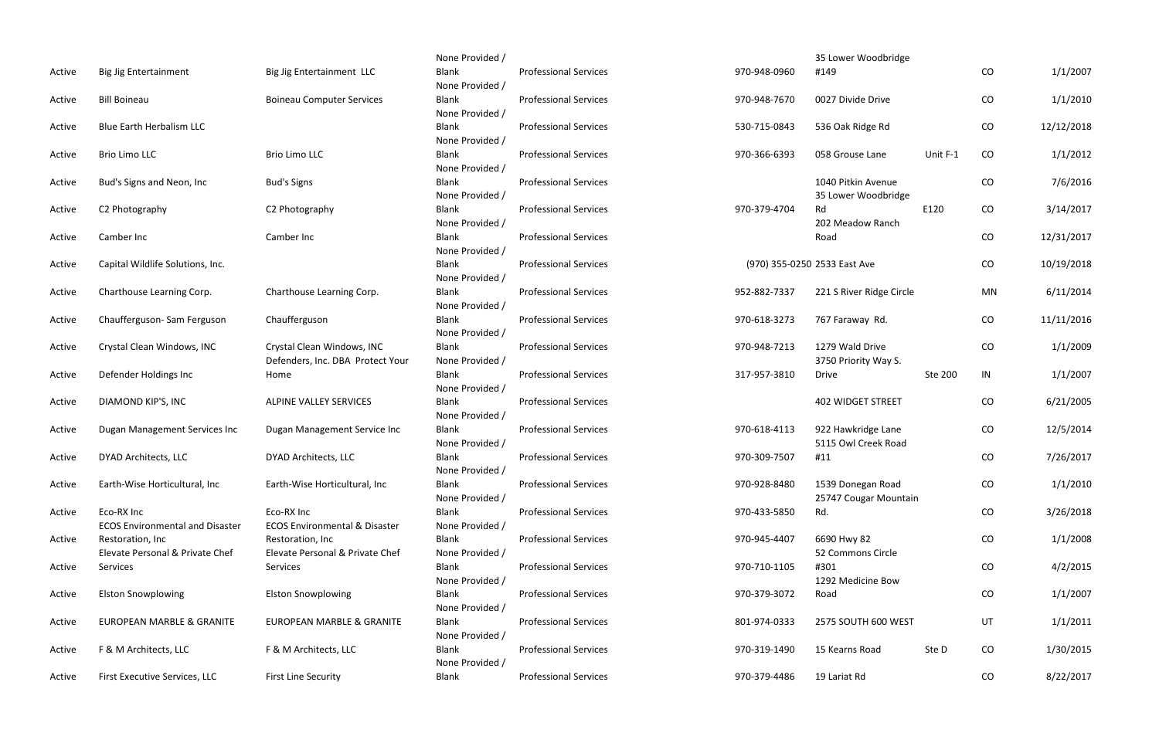|        |                                                      |                                                                | None Provided /                 |                              |              | 35 Lower Woodbridge                        |          |            |            |
|--------|------------------------------------------------------|----------------------------------------------------------------|---------------------------------|------------------------------|--------------|--------------------------------------------|----------|------------|------------|
| Active | <b>Big Jig Entertainment</b>                         | Big Jig Entertainment LLC                                      | <b>Blank</b><br>None Provided / | <b>Professional Services</b> | 970-948-0960 | #149                                       |          | CO         | 1/1/2007   |
| Active | <b>Bill Boineau</b>                                  | <b>Boineau Computer Services</b>                               | <b>Blank</b><br>None Provided / | <b>Professional Services</b> | 970-948-7670 | 0027 Divide Drive                          |          | CO         | 1/1/2010   |
| Active | <b>Blue Earth Herbalism LLC</b>                      |                                                                | <b>Blank</b><br>None Provided / | <b>Professional Services</b> | 530-715-0843 | 536 Oak Ridge Rd                           |          | CO         | 12/12/2018 |
| Active | Brio Limo LLC                                        | <b>Brio Limo LLC</b>                                           | <b>Blank</b><br>None Provided / | <b>Professional Services</b> | 970-366-6393 | 058 Grouse Lane                            | Unit F-1 | CO         | 1/1/2012   |
| Active | Bud's Signs and Neon, Inc.                           | <b>Bud's Signs</b>                                             | <b>Blank</b><br>None Provided / | <b>Professional Services</b> |              | 1040 Pitkin Avenue<br>35 Lower Woodbridge  |          | ${\rm CO}$ | 7/6/2016   |
| Active | C2 Photography                                       | C2 Photography                                                 | <b>Blank</b><br>None Provided / | <b>Professional Services</b> | 970-379-4704 | Rd<br>202 Meadow Ranch                     | E120     | CO         | 3/14/2017  |
| Active | Camber Inc                                           | Camber Inc                                                     | <b>Blank</b><br>None Provided / | <b>Professional Services</b> |              | Road                                       |          | CO         | 12/31/2017 |
| Active | Capital Wildlife Solutions, Inc.                     |                                                                | <b>Blank</b><br>None Provided / | <b>Professional Services</b> |              | (970) 355-0250 2533 East Ave               |          | CO         | 10/19/2018 |
| Active | Charthouse Learning Corp.                            | Charthouse Learning Corp.                                      | <b>Blank</b><br>None Provided / | <b>Professional Services</b> | 952-882-7337 | 221 S River Ridge Circle                   |          | <b>MN</b>  | 6/11/2014  |
| Active | Chaufferguson-Sam Ferguson                           | Chaufferguson                                                  | <b>Blank</b><br>None Provided / | <b>Professional Services</b> | 970-618-3273 | 767 Faraway Rd.                            |          | CO         | 11/11/2016 |
| Active | Crystal Clean Windows, INC                           | Crystal Clean Windows, INC<br>Defenders, Inc. DBA Protect Your | <b>Blank</b><br>None Provided / | <b>Professional Services</b> | 970-948-7213 | 1279 Wald Drive<br>3750 Priority Way S.    |          | ${\rm CO}$ | 1/1/2009   |
| Active | Defender Holdings Inc                                | Home                                                           | <b>Blank</b><br>None Provided / | <b>Professional Services</b> | 317-957-3810 | <b>Drive</b>                               | Ste 200  | IN         | 1/1/2007   |
| Active | DIAMOND KIP'S, INC                                   | ALPINE VALLEY SERVICES                                         | <b>Blank</b><br>None Provided / | <b>Professional Services</b> |              | <b>402 WIDGET STREET</b>                   |          | CO         | 6/21/2005  |
| Active | Dugan Management Services Inc                        | Dugan Management Service Inc                                   | <b>Blank</b><br>None Provided / | <b>Professional Services</b> | 970-618-4113 | 922 Hawkridge Lane<br>5115 Owl Creek Road  |          | CO         | 12/5/2014  |
| Active | DYAD Architects, LLC                                 | DYAD Architects, LLC                                           | <b>Blank</b><br>None Provided / | <b>Professional Services</b> | 970-309-7507 | #11                                        |          | CO         | 7/26/2017  |
| Active | Earth-Wise Horticultural, Inc                        | Earth-Wise Horticultural, Inc                                  | <b>Blank</b><br>None Provided / | <b>Professional Services</b> | 970-928-8480 | 1539 Donegan Road<br>25747 Cougar Mountain |          | CO         | 1/1/2010   |
| Active | Eco-RX Inc<br><b>ECOS Environmental and Disaster</b> | Eco-RX Inc<br><b>ECOS Environmental &amp; Disaster</b>         | <b>Blank</b><br>None Provided / | <b>Professional Services</b> | 970-433-5850 | Rd.                                        |          | CO         | 3/26/2018  |
| Active | Restoration, Inc.<br>Elevate Personal & Private Chef | Restoration, Inc<br>Elevate Personal & Private Chef            | <b>Blank</b><br>None Provided / | <b>Professional Services</b> | 970-945-4407 | 6690 Hwy 82<br>52 Commons Circle           |          | CO         | 1/1/2008   |
| Active | Services                                             | Services                                                       | <b>Blank</b><br>None Provided / | <b>Professional Services</b> | 970-710-1105 | #301<br>1292 Medicine Bow                  |          | CO         | 4/2/2015   |
| Active | <b>Elston Snowplowing</b>                            | <b>Elston Snowplowing</b>                                      | <b>Blank</b><br>None Provided / | <b>Professional Services</b> | 970-379-3072 | Road                                       |          | CO         | 1/1/2007   |
| Active | <b>EUROPEAN MARBLE &amp; GRANITE</b>                 | EUROPEAN MARBLE & GRANITE                                      | <b>Blank</b><br>None Provided / | <b>Professional Services</b> | 801-974-0333 | 2575 SOUTH 600 WEST                        |          | UT         | 1/1/2011   |
| Active | F & M Architects, LLC                                | F & M Architects, LLC                                          | <b>Blank</b><br>None Provided / | <b>Professional Services</b> | 970-319-1490 | 15 Kearns Road                             | Ste D    | CO         | 1/30/2015  |
| Active | First Executive Services, LLC                        | <b>First Line Security</b>                                     | <b>Blank</b>                    | <b>Professional Services</b> | 970-379-4486 | 19 Lariat Rd                               |          | CO         | 8/22/2017  |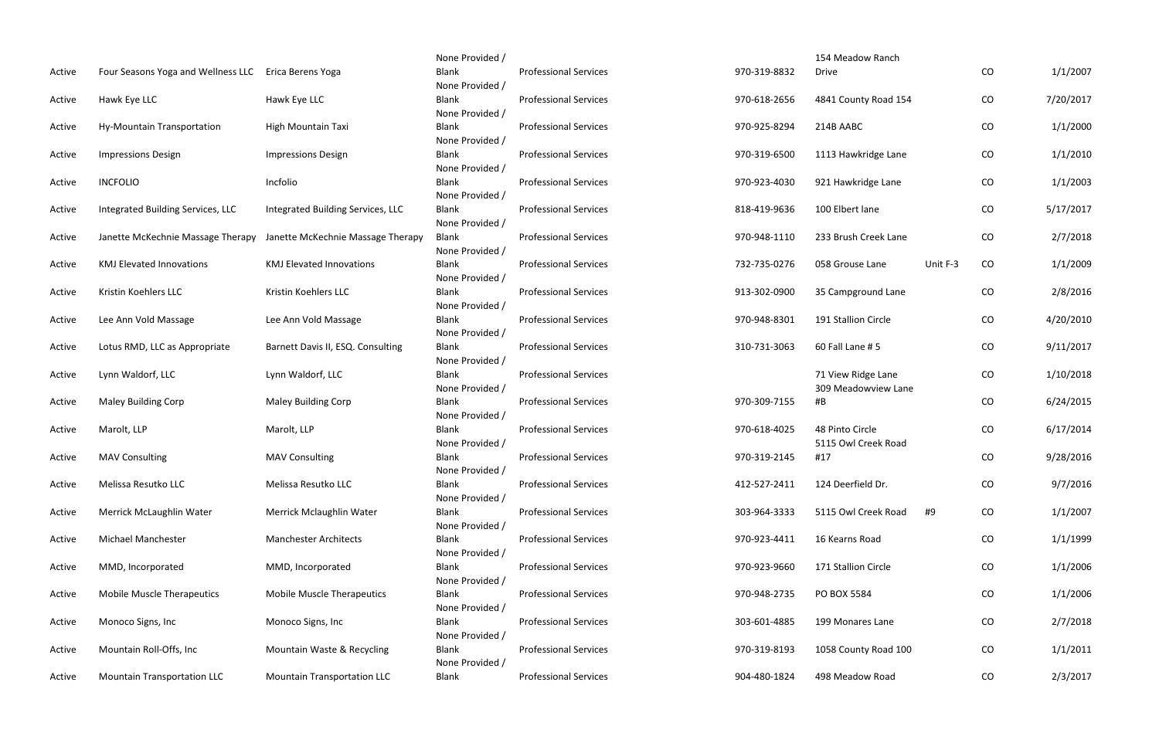|        |                                    |                                    | None Provided /                 |                              |              | 154 Meadow Ranch     |          |          |           |
|--------|------------------------------------|------------------------------------|---------------------------------|------------------------------|--------------|----------------------|----------|----------|-----------|
| Active | Four Seasons Yoga and Wellness LLC | Erica Berens Yoga                  | Blank                           | <b>Professional Services</b> | 970-319-8832 | <b>Drive</b>         |          | CO       | 1/1/2007  |
|        |                                    |                                    | None Provided /                 |                              |              |                      |          |          |           |
| Active | Hawk Eye LLC                       | Hawk Eye LLC                       | Blank                           | <b>Professional Services</b> | 970-618-2656 | 4841 County Road 154 |          | $\rm CO$ | 7/20/2017 |
|        |                                    |                                    | None Provided /                 |                              |              |                      |          |          |           |
| Active | Hy-Mountain Transportation         | High Mountain Taxi                 | Blank                           | <b>Professional Services</b> | 970-925-8294 | 214B AABC            |          | CO       | 1/1/2000  |
|        |                                    |                                    | None Provided /                 |                              |              |                      |          |          |           |
| Active | <b>Impressions Design</b>          | <b>Impressions Design</b>          | Blank                           | <b>Professional Services</b> | 970-319-6500 | 1113 Hawkridge Lane  |          | CO       | 1/1/2010  |
|        |                                    |                                    | None Provided /                 |                              |              |                      |          |          |           |
| Active | <b>INCFOLIO</b>                    | Incfolio                           | Blank                           | <b>Professional Services</b> | 970-923-4030 | 921 Hawkridge Lane   |          | CO       | 1/1/2003  |
|        |                                    |                                    | None Provided /                 |                              |              |                      |          |          |           |
| Active | Integrated Building Services, LLC  | Integrated Building Services, LLC  | Blank                           | <b>Professional Services</b> | 818-419-9636 | 100 Elbert lane      |          | CO       | 5/17/2017 |
|        |                                    |                                    | None Provided /                 |                              |              |                      |          |          |           |
| Active | Janette McKechnie Massage Therapy  | Janette McKechnie Massage Therapy  | <b>Blank</b>                    | <b>Professional Services</b> | 970-948-1110 | 233 Brush Creek Lane |          | CO       | 2/7/2018  |
|        |                                    |                                    | None Provided /                 |                              |              |                      |          |          |           |
| Active | <b>KMJ Elevated Innovations</b>    | <b>KMJ Elevated Innovations</b>    | Blank                           | <b>Professional Services</b> | 732-735-0276 | 058 Grouse Lane      | Unit F-3 | CO       | 1/1/2009  |
|        |                                    |                                    | None Provided /                 |                              |              |                      |          |          |           |
| Active | Kristin Koehlers LLC               | Kristin Koehlers LLC               | Blank                           | <b>Professional Services</b> | 913-302-0900 | 35 Campground Lane   |          | CO       | 2/8/2016  |
|        |                                    |                                    | None Provided /                 |                              |              |                      |          |          |           |
| Active | Lee Ann Vold Massage               | Lee Ann Vold Massage               | <b>Blank</b><br>None Provided / | <b>Professional Services</b> | 970-948-8301 | 191 Stallion Circle  |          | CO       | 4/20/2010 |
| Active | Lotus RMD, LLC as Appropriate      | Barnett Davis II, ESQ. Consulting  | Blank                           | <b>Professional Services</b> | 310-731-3063 | 60 Fall Lane #5      |          | CO       | 9/11/2017 |
|        |                                    |                                    | None Provided /                 |                              |              |                      |          |          |           |
| Active | Lynn Waldorf, LLC                  | Lynn Waldorf, LLC                  | Blank                           | <b>Professional Services</b> |              | 71 View Ridge Lane   |          | CO       | 1/10/2018 |
|        |                                    |                                    | None Provided /                 |                              |              | 309 Meadowview Lane  |          |          |           |
| Active | <b>Maley Building Corp</b>         | Maley Building Corp                | Blank                           | <b>Professional Services</b> | 970-309-7155 | #B                   |          | CO       | 6/24/2015 |
|        |                                    |                                    | None Provided /                 |                              |              |                      |          |          |           |
| Active | Marolt, LLP                        | Marolt, LLP                        | Blank                           | <b>Professional Services</b> | 970-618-4025 | 48 Pinto Circle      |          | CO       | 6/17/2014 |
|        |                                    |                                    | None Provided /                 |                              |              | 5115 Owl Creek Road  |          |          |           |
| Active | <b>MAV Consulting</b>              | <b>MAV Consulting</b>              | <b>Blank</b>                    | <b>Professional Services</b> | 970-319-2145 | #17                  |          | CO       | 9/28/2016 |
|        |                                    |                                    | None Provided /                 |                              |              |                      |          |          |           |
| Active | Melissa Resutko LLC                | Melissa Resutko LLC                | <b>Blank</b>                    | <b>Professional Services</b> | 412-527-2411 | 124 Deerfield Dr.    |          | CO       | 9/7/2016  |
|        |                                    |                                    | None Provided /                 |                              |              |                      |          |          |           |
| Active | Merrick McLaughlin Water           | Merrick Mclaughlin Water           | Blank                           | <b>Professional Services</b> | 303-964-3333 | 5115 Owl Creek Road  | #9       | CO       | 1/1/2007  |
|        |                                    |                                    | None Provided /                 |                              |              |                      |          |          |           |
| Active | <b>Michael Manchester</b>          | <b>Manchester Architects</b>       | Blank                           | <b>Professional Services</b> | 970-923-4411 | 16 Kearns Road       |          | $\rm CO$ | 1/1/1999  |
|        |                                    |                                    | None Provided /                 |                              |              |                      |          |          |           |
| Active | MMD, Incorporated                  | MMD, Incorporated                  | Blank                           | <b>Professional Services</b> | 970-923-9660 | 171 Stallion Circle  |          | CO       | 1/1/2006  |
|        |                                    |                                    | None Provided /                 |                              |              |                      |          |          |           |
| Active | <b>Mobile Muscle Therapeutics</b>  | <b>Mobile Muscle Therapeutics</b>  | Blank                           | <b>Professional Services</b> | 970-948-2735 | PO BOX 5584          |          | $\rm CO$ | 1/1/2006  |
|        |                                    |                                    | None Provided /                 |                              |              |                      |          |          |           |
| Active | Monoco Signs, Inc                  | Monoco Signs, Inc                  | Blank                           | <b>Professional Services</b> | 303-601-4885 | 199 Monares Lane     |          | CO       | 2/7/2018  |
|        |                                    |                                    | None Provided /                 |                              |              |                      |          |          |           |
| Active | Mountain Roll-Offs, Inc            | Mountain Waste & Recycling         | Blank                           | <b>Professional Services</b> | 970-319-8193 | 1058 County Road 100 |          | CO       | 1/1/2011  |
|        |                                    |                                    | None Provided /                 |                              |              |                      |          |          |           |
| Active | <b>Mountain Transportation LLC</b> | <b>Mountain Transportation LLC</b> | Blank                           | <b>Professional Services</b> | 904-480-1824 | 498 Meadow Road      |          | CO       | 2/3/2017  |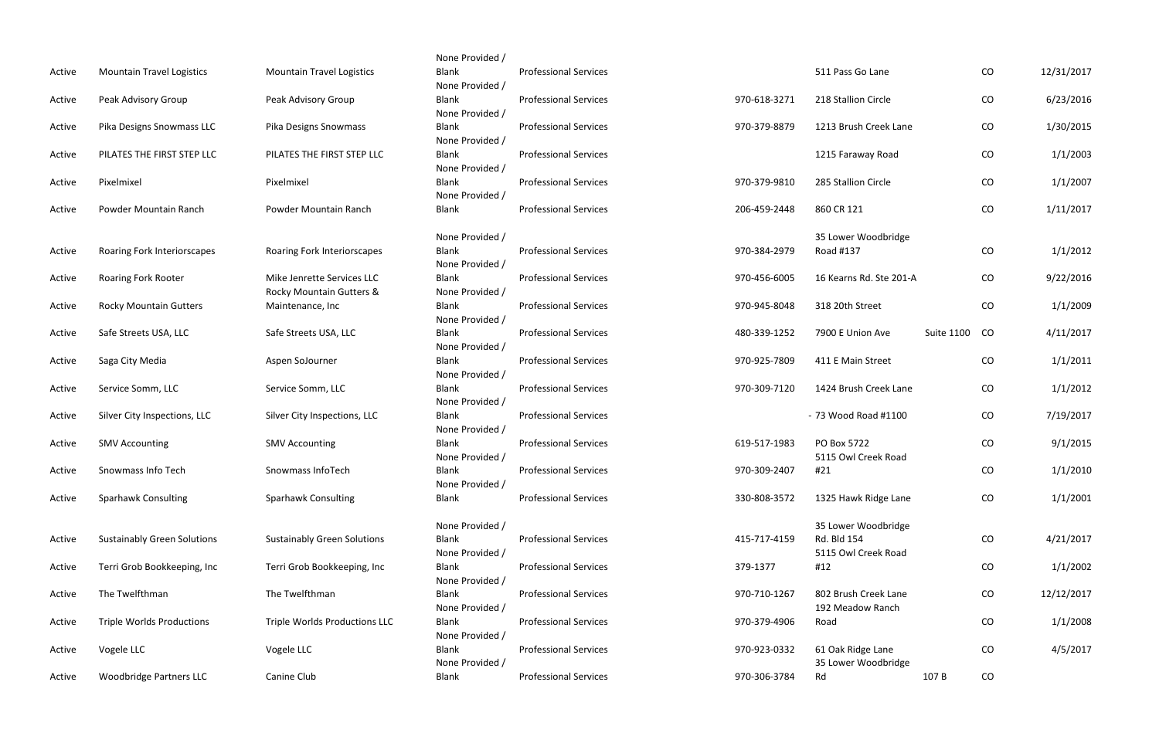|        |                                    |                                                        | None Provided /                                    |                              |              |                                                           |                   |           |            |
|--------|------------------------------------|--------------------------------------------------------|----------------------------------------------------|------------------------------|--------------|-----------------------------------------------------------|-------------------|-----------|------------|
| Active | <b>Mountain Travel Logistics</b>   | <b>Mountain Travel Logistics</b>                       | <b>Blank</b><br>None Provided /                    | <b>Professional Services</b> |              | 511 Pass Go Lane                                          |                   | CO        | 12/31/2017 |
| Active | Peak Advisory Group                | Peak Advisory Group                                    | Blank<br>None Provided /                           | <b>Professional Services</b> | 970-618-3271 | 218 Stallion Circle                                       |                   | CO        | 6/23/2016  |
| Active | Pika Designs Snowmass LLC          | Pika Designs Snowmass                                  | <b>Blank</b><br>None Provided /                    | <b>Professional Services</b> | 970-379-8879 | 1213 Brush Creek Lane                                     |                   | CO        | 1/30/2015  |
| Active | PILATES THE FIRST STEP LLC         | PILATES THE FIRST STEP LLC                             | <b>Blank</b><br>None Provided /                    | <b>Professional Services</b> |              | 1215 Faraway Road                                         |                   | CO        | 1/1/2003   |
| Active | Pixelmixel                         | Pixelmixel                                             | <b>Blank</b><br>None Provided /                    | <b>Professional Services</b> | 970-379-9810 | 285 Stallion Circle                                       |                   | CO        | 1/1/2007   |
| Active | Powder Mountain Ranch              | Powder Mountain Ranch                                  | <b>Blank</b>                                       | <b>Professional Services</b> | 206-459-2448 | 860 CR 121                                                |                   | CO        | 1/11/2017  |
| Active | Roaring Fork Interiorscapes        | Roaring Fork Interiorscapes                            | None Provided /<br><b>Blank</b><br>None Provided / | <b>Professional Services</b> | 970-384-2979 | 35 Lower Woodbridge<br>Road #137                          |                   | CO        | 1/1/2012   |
| Active | <b>Roaring Fork Rooter</b>         | Mike Jenrette Services LLC<br>Rocky Mountain Gutters & | <b>Blank</b><br>None Provided /                    | <b>Professional Services</b> | 970-456-6005 | 16 Kearns Rd. Ste 201-A                                   |                   | CO        | 9/22/2016  |
| Active | <b>Rocky Mountain Gutters</b>      | Maintenance, Inc                                       | <b>Blank</b><br>None Provided /                    | <b>Professional Services</b> | 970-945-8048 | 318 20th Street                                           |                   | CO        | 1/1/2009   |
| Active | Safe Streets USA, LLC              | Safe Streets USA, LLC                                  | <b>Blank</b><br>None Provided /                    | <b>Professional Services</b> | 480-339-1252 | 7900 E Union Ave                                          | <b>Suite 1100</b> | <b>CO</b> | 4/11/2017  |
| Active | Saga City Media                    | Aspen SoJourner                                        | Blank<br>None Provided /                           | <b>Professional Services</b> | 970-925-7809 | 411 E Main Street                                         |                   | CO        | 1/1/2011   |
| Active | Service Somm, LLC                  | Service Somm, LLC                                      | <b>Blank</b><br>None Provided /                    | <b>Professional Services</b> | 970-309-7120 | 1424 Brush Creek Lane                                     |                   | CO        | 1/1/2012   |
| Active | Silver City Inspections, LLC       | Silver City Inspections, LLC                           | <b>Blank</b><br>None Provided /                    | <b>Professional Services</b> |              | - 73 Wood Road #1100                                      |                   | CO        | 7/19/2017  |
| Active | <b>SMV Accounting</b>              | <b>SMV Accounting</b>                                  | <b>Blank</b><br>None Provided /                    | <b>Professional Services</b> | 619-517-1983 | PO Box 5722<br>5115 Owl Creek Road                        |                   | CO        | 9/1/2015   |
| Active | Snowmass Info Tech                 | Snowmass InfoTech                                      | <b>Blank</b><br>None Provided /                    | <b>Professional Services</b> | 970-309-2407 | #21                                                       |                   | CO        | 1/1/2010   |
| Active | <b>Sparhawk Consulting</b>         | <b>Sparhawk Consulting</b>                             | <b>Blank</b>                                       | <b>Professional Services</b> | 330-808-3572 | 1325 Hawk Ridge Lane                                      |                   | CO        | 1/1/2001   |
| Active | <b>Sustainably Green Solutions</b> | <b>Sustainably Green Solutions</b>                     | None Provided /<br><b>Blank</b><br>None Provided / | <b>Professional Services</b> | 415-717-4159 | 35 Lower Woodbridge<br>Rd. Bld 154<br>5115 Owl Creek Road |                   | CO        | 4/21/2017  |
| Active | Terri Grob Bookkeeping, Inc        | Terri Grob Bookkeeping, Inc                            | <b>Blank</b><br>None Provided /                    | <b>Professional Services</b> | 379-1377     | #12                                                       |                   | CO        | 1/1/2002   |
| Active | The Twelfthman                     | The Twelfthman                                         | Blank<br>None Provided /                           | <b>Professional Services</b> | 970-710-1267 | 802 Brush Creek Lane<br>192 Meadow Ranch                  |                   | CO        | 12/12/2017 |
| Active | <b>Triple Worlds Productions</b>   | Triple Worlds Productions LLC                          | <b>Blank</b><br>None Provided /                    | <b>Professional Services</b> | 970-379-4906 | Road                                                      |                   | CO        | 1/1/2008   |
| Active | Vogele LLC                         | Vogele LLC                                             | <b>Blank</b><br>None Provided /                    | <b>Professional Services</b> | 970-923-0332 | 61 Oak Ridge Lane<br>35 Lower Woodbridge                  |                   | CO        | 4/5/2017   |
| Active | <b>Woodbridge Partners LLC</b>     | Canine Club                                            | Blank                                              | <b>Professional Services</b> | 970-306-3784 | Rd                                                        | 107B              | CO        |            |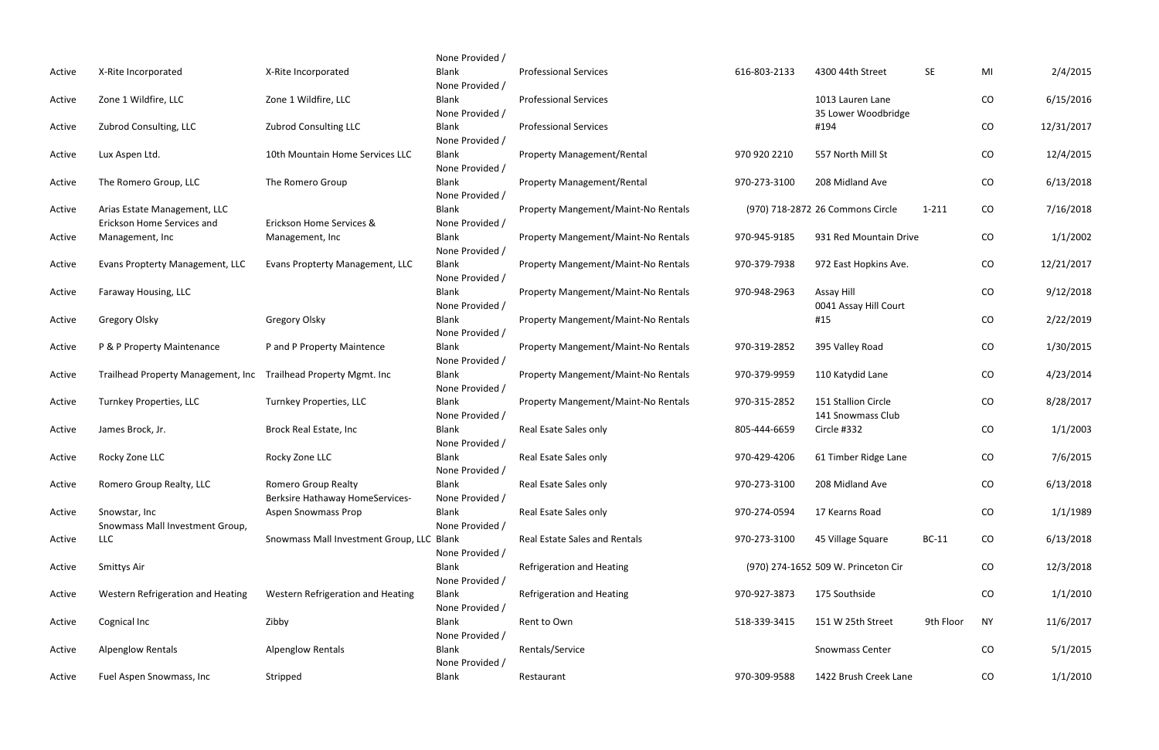|        |                                               |                                                                      | None Provided /                 |                                      |              |                                         |              |            |            |
|--------|-----------------------------------------------|----------------------------------------------------------------------|---------------------------------|--------------------------------------|--------------|-----------------------------------------|--------------|------------|------------|
| Active | X-Rite Incorporated                           | X-Rite Incorporated                                                  | <b>Blank</b><br>None Provided / | <b>Professional Services</b>         | 616-803-2133 | 4300 44th Street                        | <b>SE</b>    | MI         | 2/4/2015   |
| Active | Zone 1 Wildfire, LLC                          | Zone 1 Wildfire, LLC                                                 | Blank<br>None Provided /        | <b>Professional Services</b>         |              | 1013 Lauren Lane<br>35 Lower Woodbridge |              | CO         | 6/15/2016  |
| Active | Zubrod Consulting, LLC                        | <b>Zubrod Consulting LLC</b>                                         | Blank                           | <b>Professional Services</b>         |              | #194                                    |              | ${\rm CO}$ | 12/31/2017 |
| Active | Lux Aspen Ltd.                                | 10th Mountain Home Services LLC                                      | None Provided /<br>Blank        | <b>Property Management/Rental</b>    | 970 920 2210 | 557 North Mill St                       |              | CO         | 12/4/2015  |
| Active | The Romero Group, LLC                         | The Romero Group                                                     | None Provided /<br>Blank        | <b>Property Management/Rental</b>    | 970-273-3100 | 208 Midland Ave                         |              | CO         | 6/13/2018  |
| Active | Arias Estate Management, LLC                  |                                                                      | None Provided /<br>Blank        | Property Mangement/Maint-No Rentals  |              | (970) 718-2872 26 Commons Circle        | $1 - 211$    | CO         | 7/16/2018  |
| Active | Erickson Home Services and<br>Management, Inc | Erickson Home Services &<br>Management, Inc                          | None Provided /<br>Blank        | Property Mangement/Maint-No Rentals  | 970-945-9185 | 931 Red Mountain Drive                  |              | CO         | 1/1/2002   |
| Active | Evans Propterty Management, LLC               | Evans Propterty Management, LLC                                      | None Provided /<br>Blank        | Property Mangement/Maint-No Rentals  | 970-379-7938 | 972 East Hopkins Ave.                   |              | CO         | 12/21/2017 |
| Active | Faraway Housing, LLC                          |                                                                      | None Provided /<br>Blank        | Property Mangement/Maint-No Rentals  | 970-948-2963 | Assay Hill                              |              | CO         | 9/12/2018  |
| Active | <b>Gregory Olsky</b>                          | <b>Gregory Olsky</b>                                                 | None Provided /<br>Blank        | Property Mangement/Maint-No Rentals  |              | 0041 Assay Hill Court<br>#15            |              | CO         | 2/22/2019  |
| Active | P & P Property Maintenance                    | P and P Property Maintence                                           | None Provided /<br>Blank        | Property Mangement/Maint-No Rentals  | 970-319-2852 | 395 Valley Road                         |              | CO         | 1/30/2015  |
| Active | Trailhead Property Management, Inc            | <b>Trailhead Property Mgmt. Inc</b>                                  | None Provided /<br>Blank        | Property Mangement/Maint-No Rentals  | 970-379-9959 | 110 Katydid Lane                        |              | CO         | 4/23/2014  |
| Active | <b>Turnkey Properties, LLC</b>                | Turnkey Properties, LLC                                              | None Provided /<br>Blank        | Property Mangement/Maint-No Rentals  | 970-315-2852 | 151 Stallion Circle                     |              | CO         | 8/28/2017  |
| Active | James Brock, Jr.                              | Brock Real Estate, Inc                                               | None Provided /<br>Blank        | Real Esate Sales only                | 805-444-6659 | 141 Snowmass Club<br>Circle #332        |              | CO         | 1/1/2003   |
| Active | Rocky Zone LLC                                | Rocky Zone LLC                                                       | None Provided /<br>Blank        | Real Esate Sales only                | 970-429-4206 | 61 Timber Ridge Lane                    |              | CO         | 7/6/2015   |
| Active | Romero Group Realty, LLC                      | <b>Romero Group Realty</b>                                           | None Provided /<br>Blank        | Real Esate Sales only                | 970-273-3100 | 208 Midland Ave                         |              | $\rm CO$   | 6/13/2018  |
| Active | Snowstar, Inc                                 | <b>Berksire Hathaway HomeServices-</b><br><b>Aspen Snowmass Prop</b> | None Provided /<br>Blank        | Real Esate Sales only                | 970-274-0594 | 17 Kearns Road                          |              | $\rm CO$   | 1/1/1989   |
| Active | Snowmass Mall Investment Group,<br><b>LLC</b> | Snowmass Mall Investment Group, LLC Blank                            | None Provided /                 | <b>Real Estate Sales and Rentals</b> | 970-273-3100 | 45 Village Square                       | <b>BC-11</b> | CO         | 6/13/2018  |
| Active | Smittys Air                                   |                                                                      | None Provided /<br>Blank        | <b>Refrigeration and Heating</b>     |              | (970) 274-1652 509 W. Princeton Cir     |              | CO         | 12/3/2018  |
| Active | Western Refrigeration and Heating             | Western Refrigeration and Heating                                    | None Provided /<br>Blank        | Refrigeration and Heating            | 970-927-3873 | 175 Southside                           |              | CO         | 1/1/2010   |
| Active | Cognical Inc                                  | Zibby                                                                | None Provided /<br>Blank        | Rent to Own                          | 518-339-3415 | 151 W 25th Street                       | 9th Floor    | <b>NY</b>  | 11/6/2017  |
| Active | <b>Alpenglow Rentals</b>                      | <b>Alpenglow Rentals</b>                                             | None Provided /<br>Blank        | Rentals/Service                      |              | Snowmass Center                         |              | CO         | 5/1/2015   |
| Active | Fuel Aspen Snowmass, Inc                      | Stripped                                                             | None Provided /<br>Blank        | Restaurant                           | 970-309-9588 | 1422 Brush Creek Lane                   |              | CO         | 1/1/2010   |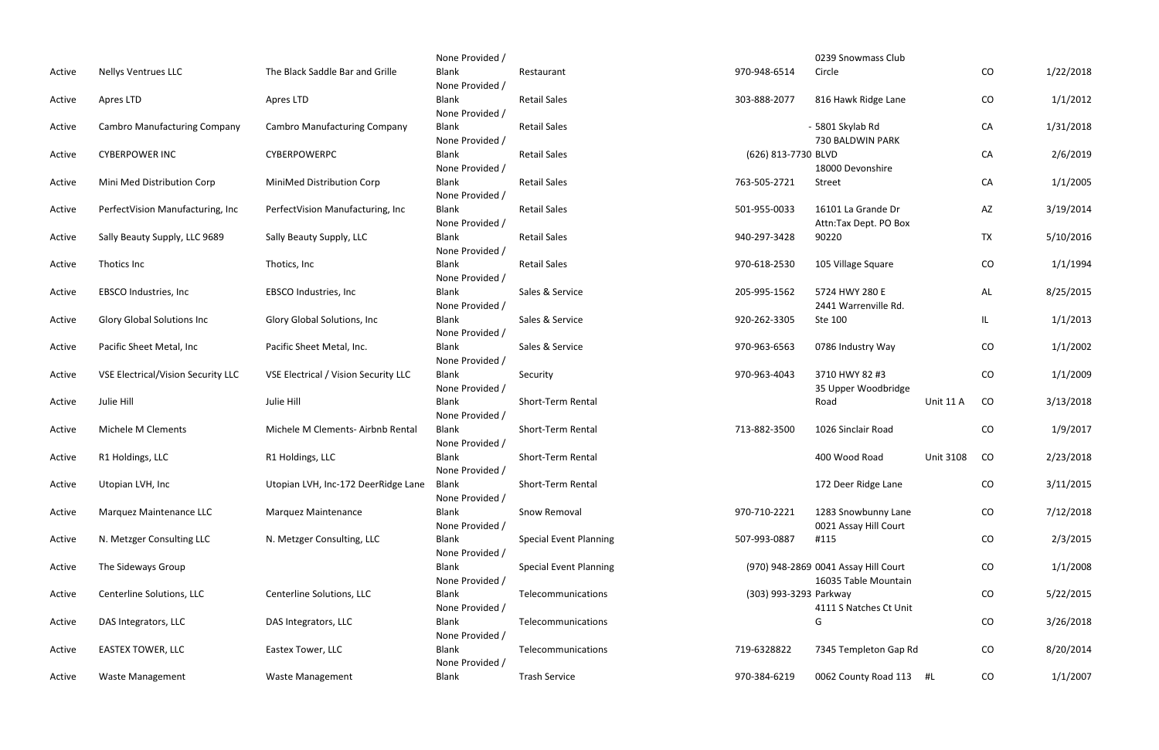|        |                                           |                                      | None Provided / |                               |                        | 0239 Snowmass Club                   |                  |           |           |
|--------|-------------------------------------------|--------------------------------------|-----------------|-------------------------------|------------------------|--------------------------------------|------------------|-----------|-----------|
| Active | <b>Nellys Ventrues LLC</b>                | The Black Saddle Bar and Grille      | <b>Blank</b>    | Restaurant                    | 970-948-6514           | Circle                               |                  | CO        | 1/22/2018 |
|        |                                           |                                      | None Provided / |                               |                        |                                      |                  |           |           |
| Active | Apres LTD                                 | Apres LTD                            | <b>Blank</b>    | <b>Retail Sales</b>           | 303-888-2077           | 816 Hawk Ridge Lane                  |                  | CO        | 1/1/2012  |
|        |                                           |                                      | None Provided / |                               |                        |                                      |                  |           |           |
| Active | <b>Cambro Manufacturing Company</b>       | <b>Cambro Manufacturing Company</b>  | <b>Blank</b>    | <b>Retail Sales</b>           |                        | - 5801 Skylab Rd                     |                  | CA        | 1/31/2018 |
|        |                                           |                                      | None Provided / |                               |                        | 730 BALDWIN PARK                     |                  |           |           |
| Active | <b>CYBERPOWER INC</b>                     | CYBERPOWERPC                         | <b>Blank</b>    | <b>Retail Sales</b>           | (626) 813-7730 BLVD    |                                      |                  | CA        | 2/6/2019  |
|        |                                           |                                      | None Provided / |                               |                        | 18000 Devonshire                     |                  |           |           |
| Active | Mini Med Distribution Corp                | MiniMed Distribution Corp            | <b>Blank</b>    | <b>Retail Sales</b>           | 763-505-2721           | Street                               |                  | CA        | 1/1/2005  |
|        |                                           |                                      | None Provided / |                               |                        |                                      |                  |           |           |
| Active | PerfectVision Manufacturing, Inc.         | PerfectVision Manufacturing, Inc     | <b>Blank</b>    | <b>Retail Sales</b>           | 501-955-0033           | 16101 La Grande Dr                   |                  | AZ        | 3/19/2014 |
|        |                                           |                                      | None Provided / |                               |                        | Attn:Tax Dept. PO Box                |                  |           |           |
| Active | Sally Beauty Supply, LLC 9689             | Sally Beauty Supply, LLC             | <b>Blank</b>    | <b>Retail Sales</b>           | 940-297-3428           | 90220                                |                  | <b>TX</b> | 5/10/2016 |
|        |                                           |                                      | None Provided / |                               |                        |                                      |                  |           |           |
| Active | Thotics Inc                               | Thotics, Inc                         | <b>Blank</b>    | <b>Retail Sales</b>           | 970-618-2530           | 105 Village Square                   |                  | CO        | 1/1/1994  |
|        |                                           |                                      | None Provided / |                               |                        |                                      |                  |           |           |
| Active | EBSCO Industries, Inc                     | EBSCO Industries, Inc                | <b>Blank</b>    | Sales & Service               | 205-995-1562           | 5724 HWY 280 E                       |                  | AL        | 8/25/2015 |
|        |                                           |                                      | None Provided / |                               |                        | 2441 Warrenville Rd.                 |                  |           |           |
| Active | <b>Glory Global Solutions Inc</b>         | Glory Global Solutions, Inc.         | <b>Blank</b>    | Sales & Service               | 920-262-3305           | Ste 100                              |                  | IL.       | 1/1/2013  |
|        |                                           |                                      | None Provided / |                               |                        |                                      |                  |           |           |
| Active | Pacific Sheet Metal, Inc                  | Pacific Sheet Metal, Inc.            | <b>Blank</b>    | Sales & Service               | 970-963-6563           | 0786 Industry Way                    |                  | CO        | 1/1/2002  |
|        |                                           |                                      | None Provided / |                               |                        |                                      |                  |           |           |
| Active | <b>VSE Electrical/Vision Security LLC</b> | VSE Electrical / Vision Security LLC | <b>Blank</b>    | Security                      | 970-963-4043           | 3710 HWY 82 #3                       |                  | CO        | 1/1/2009  |
|        |                                           |                                      | None Provided / |                               |                        | 35 Upper Woodbridge                  |                  |           |           |
| Active | Julie Hill                                | Julie Hill                           | <b>Blank</b>    | Short-Term Rental             |                        | Road                                 | Unit 11 A        | CO        | 3/13/2018 |
|        |                                           |                                      | None Provided / |                               |                        |                                      |                  |           |           |
| Active | Michele M Clements                        | Michele M Clements- Airbnb Rental    | <b>Blank</b>    | Short-Term Rental             | 713-882-3500           | 1026 Sinclair Road                   |                  | CO        | 1/9/2017  |
|        |                                           |                                      | None Provided / |                               |                        |                                      |                  |           |           |
| Active | R1 Holdings, LLC                          | R1 Holdings, LLC                     | <b>Blank</b>    | Short-Term Rental             |                        | 400 Wood Road                        | <b>Unit 3108</b> | CO        | 2/23/2018 |
|        |                                           |                                      | None Provided / |                               |                        |                                      |                  |           |           |
| Active | Utopian LVH, Inc                          | Utopian LVH, Inc-172 DeerRidge Lane  | <b>Blank</b>    | Short-Term Rental             |                        | 172 Deer Ridge Lane                  |                  | CO        | 3/11/2015 |
|        |                                           |                                      | None Provided / |                               |                        |                                      |                  |           |           |
| Active | Marquez Maintenance LLC                   | <b>Marquez Maintenance</b>           | <b>Blank</b>    | Snow Removal                  | 970-710-2221           | 1283 Snowbunny Lane                  |                  | CO        | 7/12/2018 |
|        |                                           |                                      | None Provided / |                               |                        | 0021 Assay Hill Court                |                  |           |           |
| Active | N. Metzger Consulting LLC                 | N. Metzger Consulting, LLC           | <b>Blank</b>    | <b>Special Event Planning</b> | 507-993-0887           | #115                                 |                  | CO        | 2/3/2015  |
|        |                                           |                                      | None Provided / |                               |                        |                                      |                  |           |           |
| Active | The Sideways Group                        |                                      | Blank           | <b>Special Event Planning</b> |                        | (970) 948-2869 0041 Assay Hill Court |                  | CO        | 1/1/2008  |
|        |                                           |                                      | None Provided / |                               |                        | 16035 Table Mountain                 |                  |           |           |
| Active | Centerline Solutions, LLC                 | Centerline Solutions, LLC            | <b>Blank</b>    | Telecommunications            | (303) 993-3293 Parkway |                                      |                  | CO        | 5/22/2015 |
|        |                                           |                                      | None Provided / |                               |                        | 4111 S Natches Ct Unit               |                  |           |           |
| Active | DAS Integrators, LLC                      | DAS Integrators, LLC                 | <b>Blank</b>    | Telecommunications            |                        | G                                    |                  | CO        | 3/26/2018 |
|        |                                           |                                      | None Provided / |                               |                        |                                      |                  |           |           |
| Active | <b>EASTEX TOWER, LLC</b>                  | Eastex Tower, LLC                    | <b>Blank</b>    | Telecommunications            | 719-6328822            | 7345 Templeton Gap Rd                |                  | CO        | 8/20/2014 |
|        |                                           |                                      | None Provided / |                               |                        |                                      |                  |           |           |
| Active | <b>Waste Management</b>                   | Waste Management                     | <b>Blank</b>    | <b>Trash Service</b>          | 970-384-6219           | 0062 County Road 113 #L              |                  | CO        | 1/1/2007  |
|        |                                           |                                      |                 |                               |                        |                                      |                  |           |           |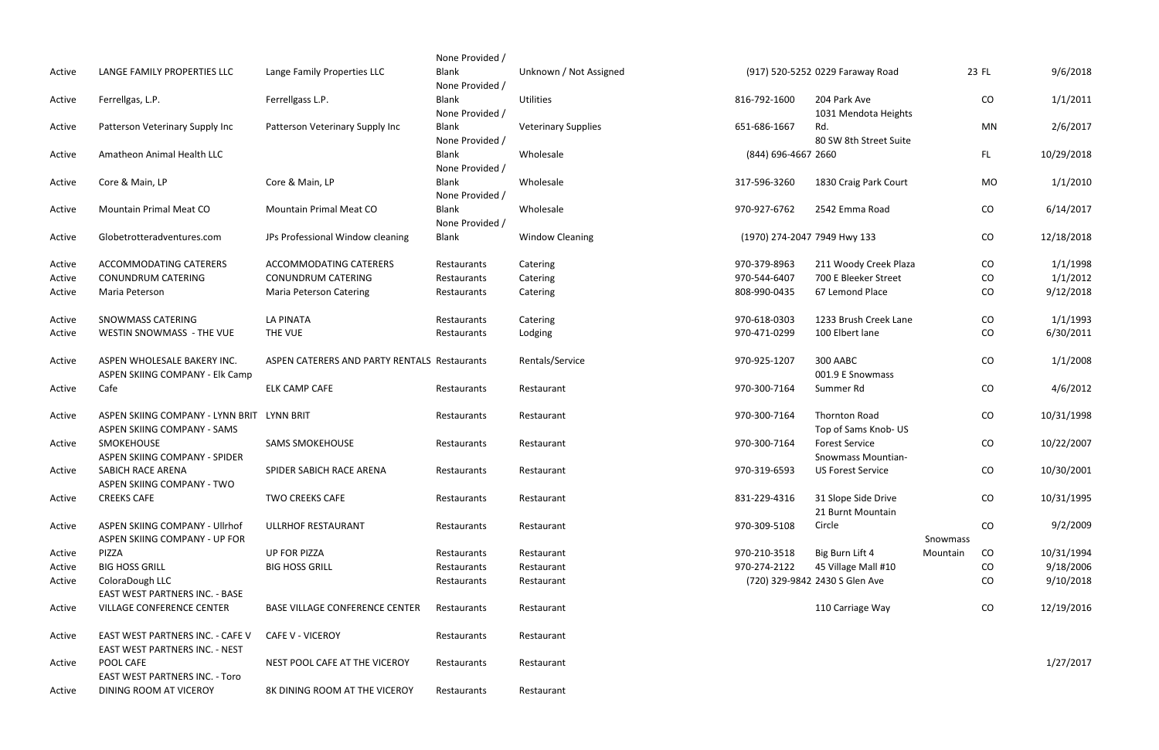|                  |                                                   |                                              | None Provided /            |                            |                              |                                                       |          |       |                        |
|------------------|---------------------------------------------------|----------------------------------------------|----------------------------|----------------------------|------------------------------|-------------------------------------------------------|----------|-------|------------------------|
| Active           | LANGE FAMILY PROPERTIES LLC                       | Lange Family Properties LLC                  | <b>Blank</b>               | Unknown / Not Assigned     |                              | (917) 520-5252 0229 Faraway Road                      |          | 23 FL | 9/6/2018               |
|                  |                                                   |                                              | None Provided /            |                            |                              |                                                       |          |       |                        |
| Active           | Ferrellgas, L.P.                                  | Ferrellgass L.P.                             | Blank                      | <b>Utilities</b>           | 816-792-1600                 | 204 Park Ave                                          |          | CO    | 1/1/2011               |
|                  |                                                   |                                              | None Provided /<br>Blank   |                            | 651-686-1667                 | 1031 Mendota Heights<br>Rd.                           |          | MN    | 2/6/2017               |
| Active           | Patterson Veterinary Supply Inc                   | Patterson Veterinary Supply Inc              | None Provided /            | <b>Veterinary Supplies</b> |                              | 80 SW 8th Street Suite                                |          |       |                        |
| Active           | Amatheon Animal Health LLC                        |                                              | <b>Blank</b>               | Wholesale                  | (844) 696-4667 2660          |                                                       |          | FL.   | 10/29/2018             |
|                  |                                                   |                                              | None Provided /            |                            |                              |                                                       |          |       |                        |
| Active           | Core & Main, LP                                   | Core & Main, LP                              | <b>Blank</b>               | Wholesale                  | 317-596-3260                 | 1830 Craig Park Court                                 |          | MO    | 1/1/2010               |
|                  |                                                   |                                              | None Provided /            |                            |                              |                                                       |          |       |                        |
| Active           | <b>Mountain Primal Meat CO</b>                    | <b>Mountain Primal Meat CO</b>               | <b>Blank</b>               | Wholesale                  | 970-927-6762                 | 2542 Emma Road                                        |          | CO    | 6/14/2017              |
|                  |                                                   |                                              | None Provided /            |                            |                              |                                                       |          |       |                        |
| Active           | Globetrotteradventures.com                        | JPs Professional Window cleaning             | Blank                      | <b>Window Cleaning</b>     | (1970) 274-2047 7949 Hwy 133 |                                                       |          | CO    | 12/18/2018             |
|                  |                                                   |                                              |                            |                            |                              |                                                       |          |       |                        |
| Active           | ACCOMMODATING CATERERS                            | ACCOMMODATING CATERERS                       | Restaurants                | Catering                   | 970-379-8963                 | 211 Woody Creek Plaza                                 |          | CO    | 1/1/1998               |
| Active           | <b>CONUNDRUM CATERING</b>                         | <b>CONUNDRUM CATERING</b>                    | Restaurants                | Catering                   | 970-544-6407                 | 700 E Bleeker Street                                  |          | CO    | 1/1/2012               |
| Active           | Maria Peterson                                    | <b>Maria Peterson Catering</b>               | Restaurants                | Catering                   | 808-990-0435                 | 67 Lemond Place                                       |          | CO    | 9/12/2018              |
|                  |                                                   |                                              |                            |                            |                              |                                                       |          |       |                        |
| Active           | <b>SNOWMASS CATERING</b>                          | <b>LA PINATA</b>                             | Restaurants                | Catering                   | 970-618-0303                 | 1233 Brush Creek Lane                                 |          | CO    | 1/1/1993               |
| Active           | WESTIN SNOWMASS - THE VUE                         | THE VUE                                      | Restaurants                | Lodging                    | 970-471-0299                 | 100 Elbert lane                                       |          | CO    | 6/30/2011              |
| Active           | ASPEN WHOLESALE BAKERY INC.                       | ASPEN CATERERS AND PARTY RENTALS Restaurants |                            | Rentals/Service            | 970-925-1207                 | 300 AABC                                              |          | CO    | 1/1/2008               |
|                  | ASPEN SKIING COMPANY - Elk Camp                   |                                              |                            |                            |                              | 001.9 E Snowmass                                      |          |       |                        |
| Active           | Cafe                                              | <b>ELK CAMP CAFE</b>                         | Restaurants                | Restaurant                 | 970-300-7164                 | Summer Rd                                             |          | CO    | 4/6/2012               |
|                  |                                                   |                                              |                            |                            |                              |                                                       |          |       |                        |
| Active           | ASPEN SKIING COMPANY - LYNN BRIT LYNN BRIT        |                                              | Restaurants                | Restaurant                 | 970-300-7164                 | <b>Thornton Road</b>                                  |          | CO    | 10/31/1998             |
|                  | ASPEN SKIING COMPANY - SAMS                       |                                              |                            |                            |                              | Top of Sams Knob- US                                  |          |       |                        |
| Active           | SMOKEHOUSE                                        | <b>SAMS SMOKEHOUSE</b>                       | Restaurants                | Restaurant                 | 970-300-7164                 | <b>Forest Service</b>                                 |          | CO    | 10/22/2007             |
|                  | ASPEN SKIING COMPANY - SPIDER                     |                                              |                            |                            |                              | <b>Snowmass Mountian-</b>                             |          |       |                        |
| Active           | SABICH RACE ARENA                                 | SPIDER SABICH RACE ARENA                     | Restaurants                | Restaurant                 | 970-319-6593                 | <b>US Forest Service</b>                              |          | CO    | 10/30/2001             |
|                  | ASPEN SKIING COMPANY - TWO                        |                                              |                            |                            |                              |                                                       |          |       |                        |
| Active           | <b>CREEKS CAFE</b>                                | <b>TWO CREEKS CAFE</b>                       | Restaurants                | Restaurant                 | 831-229-4316                 | 31 Slope Side Drive                                   |          | CO    | 10/31/1995             |
|                  |                                                   |                                              |                            |                            |                              | 21 Burnt Mountain                                     |          |       |                        |
| Active           | ASPEN SKIING COMPANY - Ullrhof                    | ULLRHOF RESTAURANT                           | Restaurants                | Restaurant                 | 970-309-5108                 | Circle                                                |          | CO    | 9/2/2009               |
|                  | ASPEN SKIING COMPANY - UP FOR                     |                                              |                            |                            |                              |                                                       | Snowmass |       |                        |
| Active           | PIZZA                                             | <b>UP FOR PIZZA</b>                          | Restaurants                | Restaurant                 | 970-210-3518                 | Big Burn Lift 4                                       | Mountain | CO    | 10/31/1994             |
| Active<br>Active | <b>BIG HOSS GRILL</b>                             | <b>BIG HOSS GRILL</b>                        | Restaurants<br>Restaurants | Restaurant<br>Restaurant   | 970-274-2122                 | 45 Village Mall #10<br>(720) 329-9842 2430 S Glen Ave |          | CO    | 9/18/2006<br>9/10/2018 |
|                  | ColoraDough LLC<br>EAST WEST PARTNERS INC. - BASE |                                              |                            |                            |                              |                                                       |          | CO    |                        |
| Active           | VILLAGE CONFERENCE CENTER                         | <b>BASE VILLAGE CONFERENCE CENTER</b>        | Restaurants                | Restaurant                 |                              | 110 Carriage Way                                      |          | CO    | 12/19/2016             |
|                  |                                                   |                                              |                            |                            |                              |                                                       |          |       |                        |
| Active           | EAST WEST PARTNERS INC. - CAFE V                  | <b>CAFE V - VICEROY</b>                      | Restaurants                | Restaurant                 |                              |                                                       |          |       |                        |
|                  | <b>EAST WEST PARTNERS INC. - NEST</b>             |                                              |                            |                            |                              |                                                       |          |       |                        |
| Active           | POOL CAFE                                         | NEST POOL CAFE AT THE VICEROY                | Restaurants                | Restaurant                 |                              |                                                       |          |       | 1/27/2017              |
|                  | <b>EAST WEST PARTNERS INC. - Toro</b>             |                                              |                            |                            |                              |                                                       |          |       |                        |
| Active           | DINING ROOM AT VICEROY                            | 8K DINING ROOM AT THE VICEROY                | Restaurants                | Restaurant                 |                              |                                                       |          |       |                        |
|                  |                                                   |                                              |                            |                            |                              |                                                       |          |       |                        |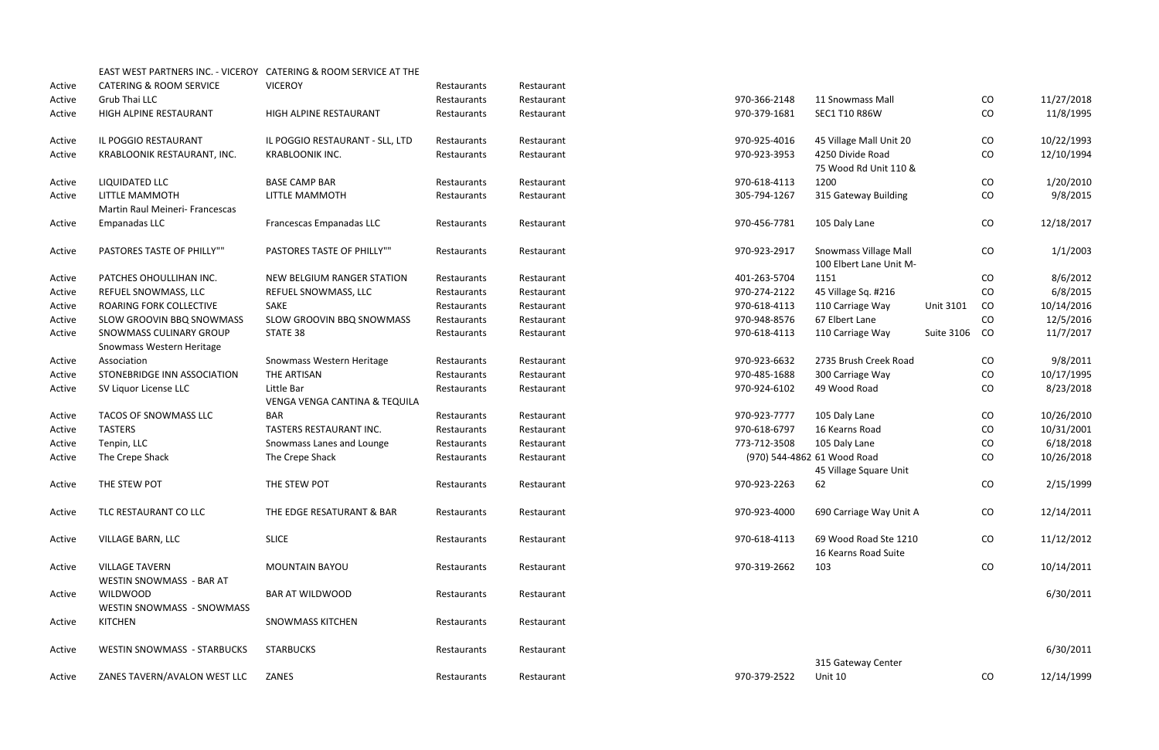|        |                                                          | EAST WEST PARTNERS INC. - VICEROY CATERING & ROOM SERVICE AT THE |             |            |              |                              |                   |           |            |
|--------|----------------------------------------------------------|------------------------------------------------------------------|-------------|------------|--------------|------------------------------|-------------------|-----------|------------|
| Active | <b>CATERING &amp; ROOM SERVICE</b>                       | <b>VICEROY</b>                                                   | Restaurants | Restaurant |              |                              |                   |           |            |
| Active | Grub Thai LLC                                            |                                                                  | Restaurants | Restaurant | 970-366-2148 | 11 Snowmass Mall             |                   | CO        | 11/27/2018 |
| Active | HIGH ALPINE RESTAURANT                                   | HIGH ALPINE RESTAURANT                                           | Restaurants | Restaurant | 970-379-1681 | <b>SEC1 T10 R86W</b>         |                   | CO        | 11/8/1995  |
| Active | IL POGGIO RESTAURANT                                     | IL POGGIO RESTAURANT - SLL, LTD                                  | Restaurants | Restaurant | 970-925-4016 | 45 Village Mall Unit 20      |                   | CO        | 10/22/1993 |
| Active | KRABLOONIK RESTAURANT, INC.                              | <b>KRABLOONIK INC.</b>                                           | Restaurants | Restaurant | 970-923-3953 | 4250 Divide Road             |                   | CO        | 12/10/1994 |
|        |                                                          |                                                                  |             |            |              | 75 Wood Rd Unit 110 &        |                   |           |            |
| Active | LIQUIDATED LLC                                           | <b>BASE CAMP BAR</b>                                             | Restaurants | Restaurant | 970-618-4113 | 1200                         |                   | CO        | 1/20/2010  |
| Active | <b>LITTLE MAMMOTH</b>                                    | LITTLE MAMMOTH                                                   | Restaurants | Restaurant | 305-794-1267 | 315 Gateway Building         |                   | CO        | 9/8/2015   |
|        | Martin Raul Meineri- Francescas                          |                                                                  |             |            |              |                              |                   |           |            |
| Active | Empanadas LLC                                            | Francescas Empanadas LLC                                         | Restaurants | Restaurant | 970-456-7781 | 105 Daly Lane                |                   | CO        | 12/18/2017 |
| Active | PASTORES TASTE OF PHILLY""                               | <b>PASTORES TASTE OF PHILLY""</b>                                | Restaurants | Restaurant | 970-923-2917 | <b>Snowmass Village Mall</b> |                   | CO        | 1/1/2003   |
|        |                                                          |                                                                  |             |            |              | 100 Elbert Lane Unit M-      |                   |           |            |
| Active | PATCHES OHOULLIHAN INC.                                  | NEW BELGIUM RANGER STATION                                       | Restaurants | Restaurant | 401-263-5704 | 1151                         |                   | CO        | 8/6/2012   |
| Active | REFUEL SNOWMASS, LLC                                     | REFUEL SNOWMASS, LLC                                             | Restaurants | Restaurant | 970-274-2122 | 45 Village Sq. #216          |                   | <b>CO</b> | 6/8/2015   |
| Active | ROARING FORK COLLECTIVE                                  | SAKE                                                             | Restaurants | Restaurant | 970-618-4113 | 110 Carriage Way             | <b>Unit 3101</b>  | CO        | 10/14/2016 |
| Active | SLOW GROOVIN BBQ SNOWMASS                                | SLOW GROOVIN BBQ SNOWMASS                                        | Restaurants | Restaurant | 970-948-8576 | 67 Elbert Lane               |                   | CO        | 12/5/2016  |
| Active | SNOWMASS CULINARY GROUP<br>Snowmass Western Heritage     | STATE 38                                                         | Restaurants | Restaurant | 970-618-4113 | 110 Carriage Way             | <b>Suite 3106</b> | CO        | 11/7/2017  |
| Active | Association                                              | Snowmass Western Heritage                                        | Restaurants | Restaurant | 970-923-6632 | 2735 Brush Creek Road        |                   | CO        | 9/8/2011   |
| Active | STONEBRIDGE INN ASSOCIATION                              | THE ARTISAN                                                      | Restaurants | Restaurant | 970-485-1688 | 300 Carriage Way             |                   | CO        | 10/17/1995 |
| Active | SV Liquor License LLC                                    | Little Bar                                                       | Restaurants | Restaurant | 970-924-6102 | 49 Wood Road                 |                   | CO        | 8/23/2018  |
|        |                                                          | VENGA VENGA CANTINA & TEQUILA                                    |             |            |              |                              |                   |           |            |
| Active | TACOS OF SNOWMASS LLC                                    | <b>BAR</b>                                                       | Restaurants | Restaurant | 970-923-7777 | 105 Daly Lane                |                   | CO        | 10/26/2010 |
| Active | <b>TASTERS</b>                                           | TASTERS RESTAURANT INC.                                          | Restaurants | Restaurant | 970-618-6797 | 16 Kearns Road               |                   | CO        | 10/31/2001 |
| Active | Tenpin, LLC                                              | Snowmass Lanes and Lounge                                        | Restaurants | Restaurant | 773-712-3508 | 105 Daly Lane                |                   | CO        | 6/18/2018  |
| Active | The Crepe Shack                                          | The Crepe Shack                                                  | Restaurants | Restaurant |              | (970) 544-4862 61 Wood Road  |                   | CO        | 10/26/2018 |
|        |                                                          |                                                                  |             |            |              | 45 Village Square Unit       |                   |           |            |
| Active | THE STEW POT                                             | THE STEW POT                                                     | Restaurants | Restaurant | 970-923-2263 | 62                           |                   | CO        | 2/15/1999  |
| Active | TLC RESTAURANT CO LLC                                    | THE EDGE RESATURANT & BAR                                        | Restaurants | Restaurant | 970-923-4000 | 690 Carriage Way Unit A      |                   | CO        | 12/14/2011 |
| Active | VILLAGE BARN, LLC                                        | <b>SLICE</b>                                                     | Restaurants | Restaurant | 970-618-4113 | 69 Wood Road Ste 1210        |                   | CO        | 11/12/2012 |
|        |                                                          |                                                                  |             |            |              | 16 Kearns Road Suite         |                   |           |            |
| Active | <b>VILLAGE TAVERN</b><br><b>WESTIN SNOWMASS - BAR AT</b> | <b>MOUNTAIN BAYOU</b>                                            | Restaurants | Restaurant | 970-319-2662 | 103                          |                   | CO        | 10/14/2011 |
| Active | <b>WILDWOOD</b>                                          | <b>BAR AT WILDWOOD</b>                                           | Restaurants | Restaurant |              |                              |                   |           | 6/30/2011  |
| Active | <b>WESTIN SNOWMASS - SNOWMASS</b><br><b>KITCHEN</b>      | <b>SNOWMASS KITCHEN</b>                                          | Restaurants | Restaurant |              |                              |                   |           |            |
| Active | <b>WESTIN SNOWMASS - STARBUCKS</b>                       | <b>STARBUCKS</b>                                                 | Restaurants | Restaurant |              |                              |                   |           | 6/30/2011  |
|        |                                                          |                                                                  |             |            |              | 315 Gateway Center           |                   |           |            |
| Active | ZANES TAVERN/AVALON WEST LLC                             | ZANES                                                            | Restaurants | Restaurant | 970-379-2522 | Unit 10                      |                   | CO        | 12/14/1999 |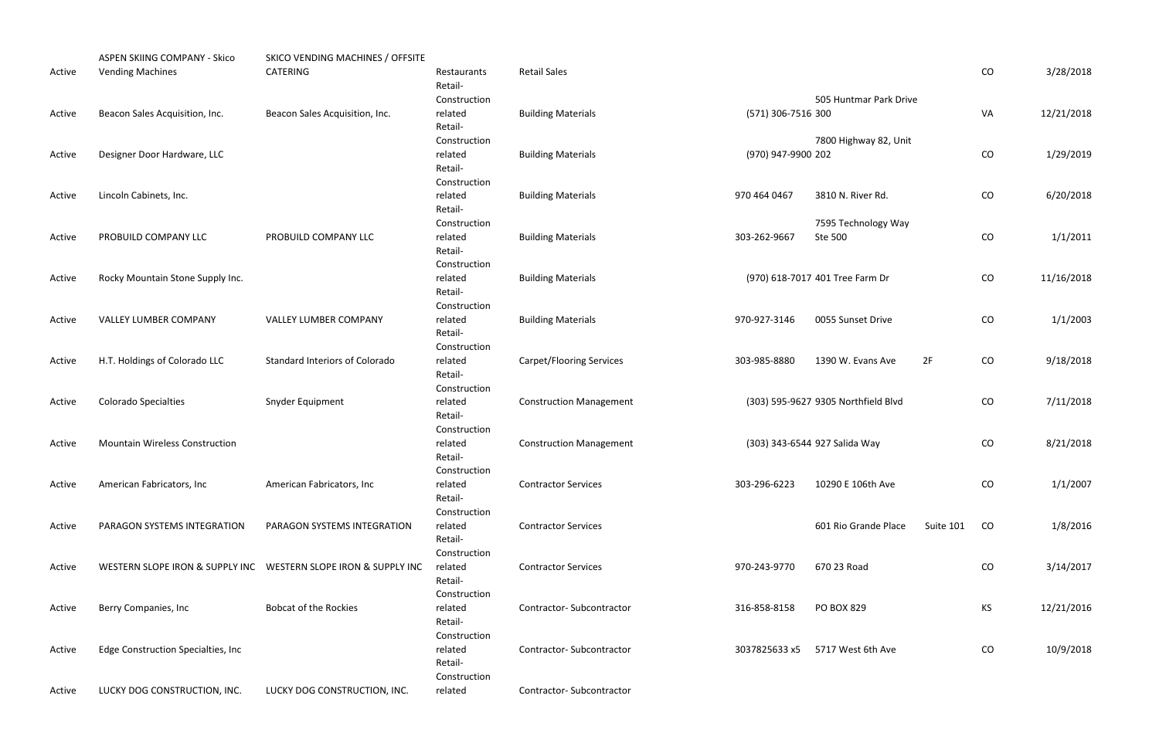|        | ASPEN SKIING COMPANY - Skico          | SKICO VENDING MACHINES / OFFSITE                                 |                        |                                 |                    |                                     |           |            |            |
|--------|---------------------------------------|------------------------------------------------------------------|------------------------|---------------------------------|--------------------|-------------------------------------|-----------|------------|------------|
| Active | <b>Vending Machines</b>               | CATERING                                                         | Restaurants<br>Retail- | <b>Retail Sales</b>             |                    |                                     |           | CO         | 3/28/2018  |
|        |                                       |                                                                  | Construction           |                                 |                    | 505 Huntmar Park Drive              |           |            |            |
| Active | Beacon Sales Acquisition, Inc.        | Beacon Sales Acquisition, Inc.                                   | related                | <b>Building Materials</b>       | (571) 306-7516 300 |                                     |           | VA         | 12/21/2018 |
|        |                                       |                                                                  | Retail-                |                                 |                    |                                     |           |            |            |
|        |                                       |                                                                  | Construction           |                                 |                    | 7800 Highway 82, Unit               |           |            |            |
| Active | Designer Door Hardware, LLC           |                                                                  | related                | <b>Building Materials</b>       | (970) 947-9900 202 |                                     |           | ${\rm CO}$ | 1/29/2019  |
|        |                                       |                                                                  | Retail-                |                                 |                    |                                     |           |            |            |
|        |                                       |                                                                  | Construction           |                                 |                    |                                     |           |            |            |
| Active | Lincoln Cabinets, Inc.                |                                                                  | related                | <b>Building Materials</b>       | 970 464 0467       | 3810 N. River Rd.                   |           | ${\rm CO}$ | 6/20/2018  |
|        |                                       |                                                                  | Retail-                |                                 |                    |                                     |           |            |            |
|        |                                       |                                                                  | Construction           |                                 |                    | 7595 Technology Way                 |           |            |            |
| Active | PROBUILD COMPANY LLC                  | PROBUILD COMPANY LLC                                             | related                | <b>Building Materials</b>       | 303-262-9667       | Ste 500                             |           | ${\rm CO}$ | 1/1/2011   |
|        |                                       |                                                                  | Retail-                |                                 |                    |                                     |           |            |            |
|        |                                       |                                                                  | Construction           |                                 |                    |                                     |           |            |            |
| Active | Rocky Mountain Stone Supply Inc.      |                                                                  | related                | <b>Building Materials</b>       |                    | (970) 618-7017 401 Tree Farm Dr     |           | ${\rm CO}$ | 11/16/2018 |
|        |                                       |                                                                  | Retail-                |                                 |                    |                                     |           |            |            |
|        |                                       |                                                                  | Construction           |                                 |                    |                                     |           |            |            |
| Active | <b>VALLEY LUMBER COMPANY</b>          | VALLEY LUMBER COMPANY                                            | related                | <b>Building Materials</b>       | 970-927-3146       | 0055 Sunset Drive                   |           | ${\rm CO}$ | 1/1/2003   |
|        |                                       |                                                                  | Retail-                |                                 |                    |                                     |           |            |            |
|        |                                       |                                                                  | Construction           |                                 |                    |                                     |           |            |            |
| Active | H.T. Holdings of Colorado LLC         | <b>Standard Interiors of Colorado</b>                            | related                | <b>Carpet/Flooring Services</b> | 303-985-8880       | 1390 W. Evans Ave                   | 2F        | ${\rm CO}$ | 9/18/2018  |
|        |                                       |                                                                  | Retail-                |                                 |                    |                                     |           |            |            |
|        |                                       |                                                                  | Construction           |                                 |                    |                                     |           |            |            |
| Active | <b>Colorado Specialties</b>           | Snyder Equipment                                                 | related                | <b>Construction Management</b>  |                    | (303) 595-9627 9305 Northfield Blvd |           | CO         | 7/11/2018  |
|        |                                       |                                                                  | Retail-                |                                 |                    |                                     |           |            |            |
|        | <b>Mountain Wireless Construction</b> |                                                                  | Construction           |                                 |                    |                                     |           | ${\rm CO}$ |            |
| Active |                                       |                                                                  | related<br>Retail-     | <b>Construction Management</b>  |                    | (303) 343-6544 927 Salida Way       |           |            | 8/21/2018  |
|        |                                       |                                                                  | Construction           |                                 |                    |                                     |           |            |            |
| Active | American Fabricators, Inc             | American Fabricators, Inc.                                       | related                | <b>Contractor Services</b>      | 303-296-6223       | 10290 E 106th Ave                   |           | CO         | 1/1/2007   |
|        |                                       |                                                                  | Retail-                |                                 |                    |                                     |           |            |            |
|        |                                       |                                                                  | Construction           |                                 |                    |                                     |           |            |            |
| Active | PARAGON SYSTEMS INTEGRATION           | PARAGON SYSTEMS INTEGRATION                                      | related                | <b>Contractor Services</b>      |                    | 601 Rio Grande Place                | Suite 101 | CO         | 1/8/2016   |
|        |                                       |                                                                  | Retail-                |                                 |                    |                                     |           |            |            |
|        |                                       |                                                                  | Construction           |                                 |                    |                                     |           |            |            |
| Active |                                       | WESTERN SLOPE IRON & SUPPLY INC  WESTERN SLOPE IRON & SUPPLY INC | related                | <b>Contractor Services</b>      | 970-243-9770       | 670 23 Road                         |           | CO         | 3/14/2017  |
|        |                                       |                                                                  | Retail-                |                                 |                    |                                     |           |            |            |
|        |                                       |                                                                  | Construction           |                                 |                    |                                     |           |            |            |
| Active | Berry Companies, Inc                  | <b>Bobcat of the Rockies</b>                                     | related                | Contractor-Subcontractor        | 316-858-8158       | <b>PO BOX 829</b>                   |           | KS         | 12/21/2016 |
|        |                                       |                                                                  | Retail-                |                                 |                    |                                     |           |            |            |
|        |                                       |                                                                  | Construction           |                                 |                    |                                     |           |            |            |
| Active | Edge Construction Specialties, Inc    |                                                                  | related                | Contractor-Subcontractor        | 3037825633 x5      | 5717 West 6th Ave                   |           | CO         | 10/9/2018  |
|        |                                       |                                                                  | Retail-                |                                 |                    |                                     |           |            |            |
|        |                                       |                                                                  | Construction           |                                 |                    |                                     |           |            |            |
| Active | LUCKY DOG CONSTRUCTION, INC.          | LUCKY DOG CONSTRUCTION, INC.                                     | related                | Contractor-Subcontractor        |                    |                                     |           |            |            |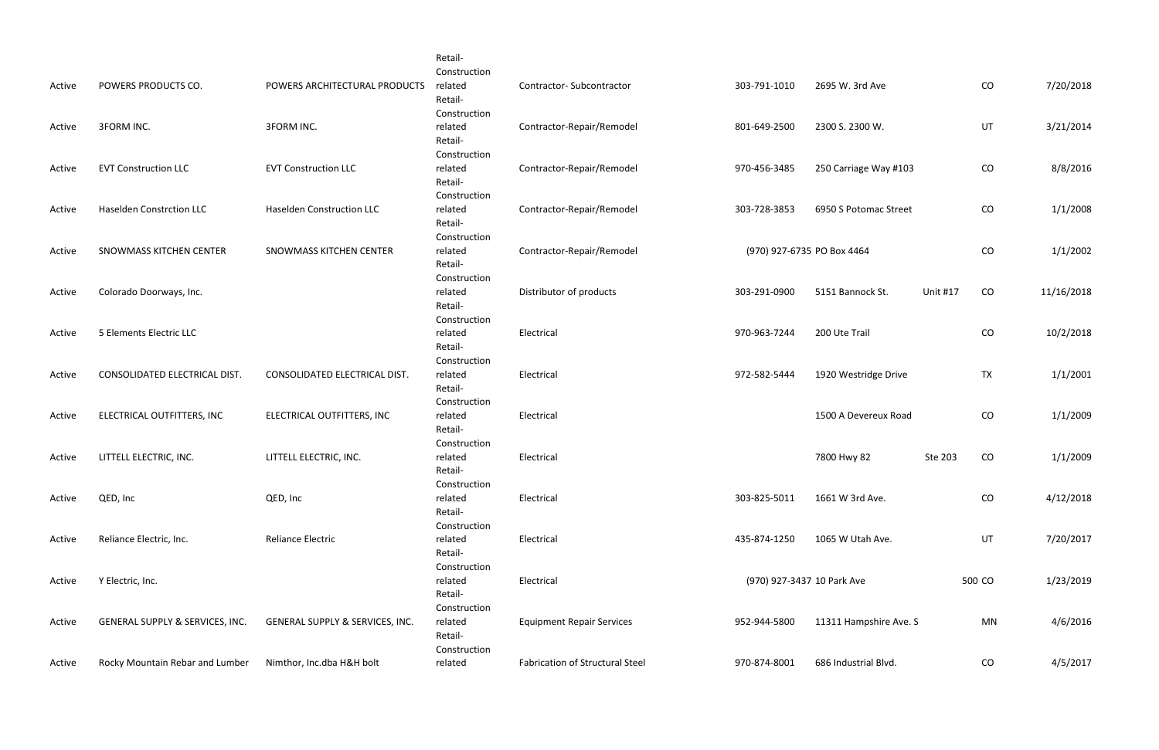| Active | POWERS PRODUCTS CO.             | POWERS ARCHITECTURAL PRODUCTS    | Retail-<br>Construction<br>related<br>Retail- | <b>Contractor-Subcontractor</b>        | 303-791-1010               | 2695 W. 3rd Ave        |                 | CO        | 7/20/2018  |
|--------|---------------------------------|----------------------------------|-----------------------------------------------|----------------------------------------|----------------------------|------------------------|-----------------|-----------|------------|
| Active | <b>3FORM INC.</b>               | <b>3FORM INC.</b>                | Construction<br>related<br>Retail-            | Contractor-Repair/Remodel              | 801-649-2500               | 2300 S. 2300 W.        |                 | UT        | 3/21/2014  |
| Active | <b>EVT Construction LLC</b>     | <b>EVT Construction LLC</b>      | Construction<br>related<br>Retail-            | Contractor-Repair/Remodel              | 970-456-3485               | 250 Carriage Way #103  |                 | CO        | 8/8/2016   |
| Active | <b>Haselden Constrction LLC</b> | <b>Haselden Construction LLC</b> | Construction<br>related<br>Retail-            | Contractor-Repair/Remodel              | 303-728-3853               | 6950 S Potomac Street  |                 | CO        | 1/1/2008   |
| Active | SNOWMASS KITCHEN CENTER         | SNOWMASS KITCHEN CENTER          | Construction<br>related<br>Retail-            | Contractor-Repair/Remodel              | (970) 927-6735 PO Box 4464 |                        |                 | CO        | 1/1/2002   |
| Active | Colorado Doorways, Inc.         |                                  | Construction<br>related<br>Retail-            | Distributor of products                | 303-291-0900               | 5151 Bannock St.       | <b>Unit #17</b> | CO        | 11/16/2018 |
| Active | 5 Elements Electric LLC         |                                  | Construction<br>related<br>Retail-            | Electrical                             | 970-963-7244               | 200 Ute Trail          |                 | CO        | 10/2/2018  |
| Active | CONSOLIDATED ELECTRICAL DIST.   | CONSOLIDATED ELECTRICAL DIST.    | Construction<br>related<br>Retail-            | Electrical                             | 972-582-5444               | 1920 Westridge Drive   |                 | <b>TX</b> | 1/1/2001   |
| Active | ELECTRICAL OUTFITTERS, INC      | ELECTRICAL OUTFITTERS, INC       | Construction<br>related<br>Retail-            | Electrical                             |                            | 1500 A Devereux Road   |                 | CO        | 1/1/2009   |
| Active | LITTELL ELECTRIC, INC.          | LITTELL ELECTRIC, INC.           | Construction<br>related<br>Retail-            | Electrical                             |                            | 7800 Hwy 82            | Ste 203         | CO        | 1/1/2009   |
| Active | QED, Inc                        | QED, Inc                         | Construction<br>related<br>Retail-            | Electrical                             | 303-825-5011               | 1661 W 3rd Ave.        |                 | CO        | 4/12/2018  |
| Active | Reliance Electric, Inc.         | <b>Reliance Electric</b>         | Construction<br>related<br>Retail-            | Electrical                             | 435-874-1250               | 1065 W Utah Ave.       |                 | UT        | 7/20/2017  |
| Active | Y Electric, Inc.                |                                  | Construction<br>related<br>Retail-            | Electrical                             | (970) 927-3437 10 Park Ave |                        |                 | 500 CO    | 1/23/2019  |
| Active | GENERAL SUPPLY & SERVICES, INC. | GENERAL SUPPLY & SERVICES, INC.  | Construction<br>related<br>Retail-            | <b>Equipment Repair Services</b>       | 952-944-5800               | 11311 Hampshire Ave. S |                 | MN        | 4/6/2016   |
| Active | Rocky Mountain Rebar and Lumber | Nimthor, Inc.dba H&H bolt        | Construction<br>related                       | <b>Fabrication of Structural Steel</b> | 970-874-8001               | 686 Industrial Blvd.   |                 | CO        | 4/5/2017   |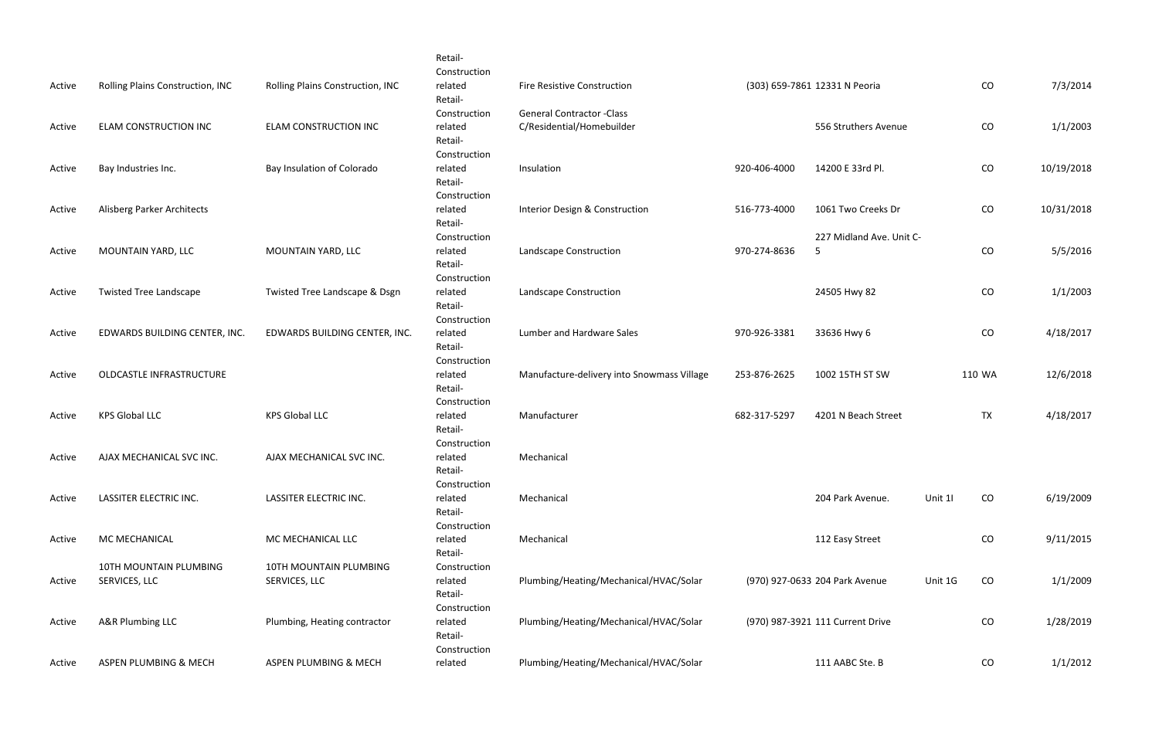|        |                                         |                                         | Retail-<br>Construction            |                                            |              |                                  |         |            |            |
|--------|-----------------------------------------|-----------------------------------------|------------------------------------|--------------------------------------------|--------------|----------------------------------|---------|------------|------------|
| Active | Rolling Plains Construction, INC        | Rolling Plains Construction, INC        | related<br>Retail-                 | <b>Fire Resistive Construction</b>         |              | (303) 659-7861 12331 N Peoria    |         | CO         | 7/3/2014   |
|        |                                         |                                         | Construction                       | <b>General Contractor -Class</b>           |              |                                  |         |            |            |
| Active | ELAM CONSTRUCTION INC                   | ELAM CONSTRUCTION INC                   | related<br>Retail-                 | C/Residential/Homebuilder                  |              | 556 Struthers Avenue             |         | CO         | 1/1/2003   |
| Active | Bay Industries Inc.                     | Bay Insulation of Colorado              | Construction<br>related<br>Retail- | Insulation                                 | 920-406-4000 | 14200 E 33rd Pl.                 |         | CO         | 10/19/2018 |
| Active | Alisberg Parker Architects              |                                         | Construction<br>related            | Interior Design & Construction             | 516-773-4000 | 1061 Two Creeks Dr               |         | ${\rm CO}$ | 10/31/2018 |
|        |                                         |                                         | Retail-<br>Construction            |                                            |              | 227 Midland Ave. Unit C-         |         |            |            |
| Active | MOUNTAIN YARD, LLC                      | MOUNTAIN YARD, LLC                      | related<br>Retail-<br>Construction | Landscape Construction                     | 970-274-8636 | -5                               |         | CO         | 5/5/2016   |
| Active | <b>Twisted Tree Landscape</b>           | Twisted Tree Landscape & Dsgn           | related<br>Retail-                 | Landscape Construction                     |              | 24505 Hwy 82                     |         | CO         | 1/1/2003   |
| Active | EDWARDS BUILDING CENTER, INC.           | EDWARDS BUILDING CENTER, INC.           | Construction<br>related<br>Retail- | Lumber and Hardware Sales                  | 970-926-3381 | 33636 Hwy 6                      |         | CO         | 4/18/2017  |
| Active | OLDCASTLE INFRASTRUCTURE                |                                         | Construction<br>related<br>Retail- | Manufacture-delivery into Snowmass Village | 253-876-2625 | 1002 15TH ST SW                  |         | 110 WA     | 12/6/2018  |
| Active | <b>KPS Global LLC</b>                   | <b>KPS Global LLC</b>                   | Construction<br>related<br>Retail- | Manufacturer                               | 682-317-5297 | 4201 N Beach Street              |         | <b>TX</b>  | 4/18/2017  |
| Active | AJAX MECHANICAL SVC INC.                | AJAX MECHANICAL SVC INC.                | Construction<br>related<br>Retail- | Mechanical                                 |              |                                  |         |            |            |
| Active | LASSITER ELECTRIC INC.                  | LASSITER ELECTRIC INC.                  | Construction<br>related<br>Retail- | Mechanical                                 |              | 204 Park Avenue.                 | Unit 11 | CO         | 6/19/2009  |
| Active | MC MECHANICAL                           | MC MECHANICAL LLC                       | Construction<br>related<br>Retail- | Mechanical                                 |              | 112 Easy Street                  |         | ${\rm CO}$ | 9/11/2015  |
| Active | 10TH MOUNTAIN PLUMBING<br>SERVICES, LLC | 10TH MOUNTAIN PLUMBING<br>SERVICES, LLC | Construction<br>related<br>Retail- | Plumbing/Heating/Mechanical/HVAC/Solar     |              | (970) 927-0633 204 Park Avenue   | Unit 1G | CO         | 1/1/2009   |
| Active | A&R Plumbing LLC                        | Plumbing, Heating contractor            | Construction<br>related<br>Retail- | Plumbing/Heating/Mechanical/HVAC/Solar     |              | (970) 987-3921 111 Current Drive |         | CO         | 1/28/2019  |
| Active | ASPEN PLUMBING & MECH                   | ASPEN PLUMBING & MECH                   | Construction<br>related            | Plumbing/Heating/Mechanical/HVAC/Solar     |              | 111 AABC Ste. B                  |         | CO         | 1/1/2012   |
|        |                                         |                                         |                                    |                                            |              |                                  |         |            |            |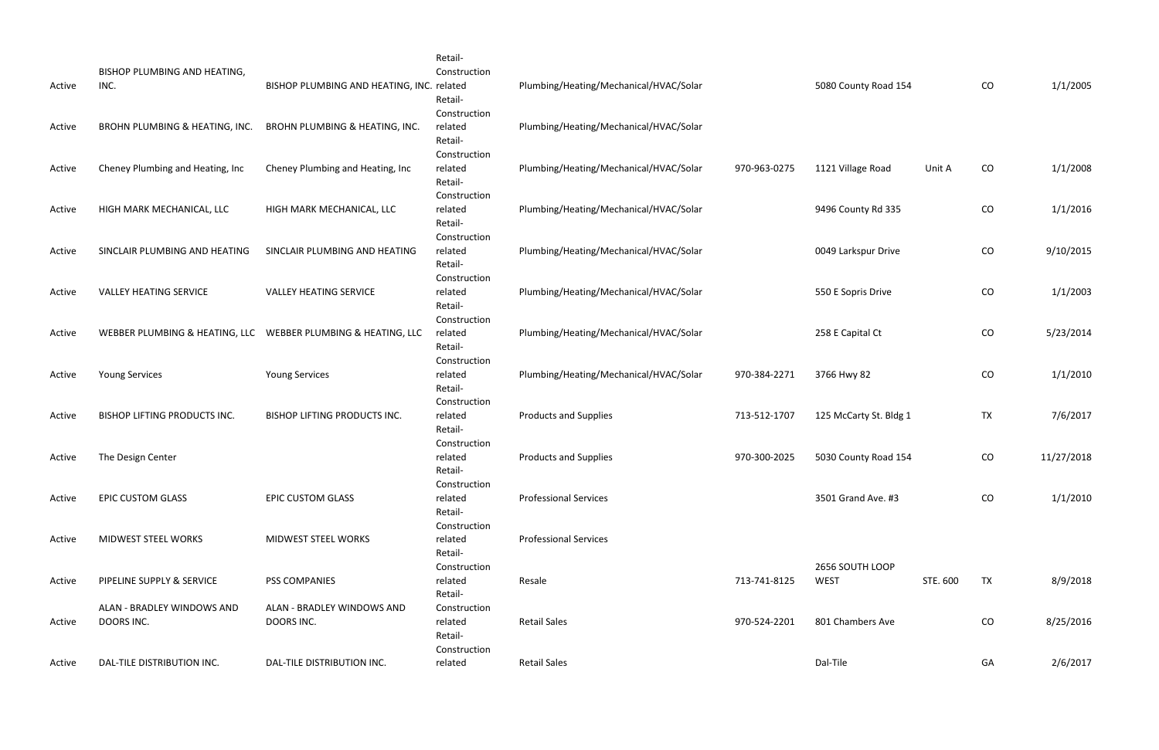|        | BISHOP PLUMBING AND HEATING,             |                                                                | Retail-<br>Construction                            |                                        |              |                                |          |           |            |
|--------|------------------------------------------|----------------------------------------------------------------|----------------------------------------------------|----------------------------------------|--------------|--------------------------------|----------|-----------|------------|
| Active | INC.                                     | BISHOP PLUMBING AND HEATING, INC. related                      | Retail-<br>Construction                            | Plumbing/Heating/Mechanical/HVAC/Solar |              | 5080 County Road 154           |          | CO        | 1/1/2005   |
| Active | BROHN PLUMBING & HEATING, INC.           | BROHN PLUMBING & HEATING, INC.                                 | related<br>Retail-<br>Construction                 | Plumbing/Heating/Mechanical/HVAC/Solar |              |                                |          |           |            |
| Active | Cheney Plumbing and Heating, Inc.        | Cheney Plumbing and Heating, Inc                               | related<br>Retail-<br>Construction                 | Plumbing/Heating/Mechanical/HVAC/Solar | 970-963-0275 | 1121 Village Road              | Unit A   | CO        | 1/1/2008   |
| Active | HIGH MARK MECHANICAL, LLC                | HIGH MARK MECHANICAL, LLC                                      | related<br>Retail-<br>Construction                 | Plumbing/Heating/Mechanical/HVAC/Solar |              | 9496 County Rd 335             |          | CO        | 1/1/2016   |
| Active | SINCLAIR PLUMBING AND HEATING            | SINCLAIR PLUMBING AND HEATING                                  | related<br>Retail-<br>Construction                 | Plumbing/Heating/Mechanical/HVAC/Solar |              | 0049 Larkspur Drive            |          | CO        | 9/10/2015  |
| Active | <b>VALLEY HEATING SERVICE</b>            | <b>VALLEY HEATING SERVICE</b>                                  | related<br>Retail-<br>Construction                 | Plumbing/Heating/Mechanical/HVAC/Solar |              | 550 E Sopris Drive             |          | CO        | 1/1/2003   |
| Active |                                          | WEBBER PLUMBING & HEATING, LLC  WEBBER PLUMBING & HEATING, LLC | related<br>Retail-<br>Construction                 | Plumbing/Heating/Mechanical/HVAC/Solar |              | 258 E Capital Ct               |          | CO        | 5/23/2014  |
| Active | <b>Young Services</b>                    | <b>Young Services</b>                                          | related<br>Retail-<br>Construction                 | Plumbing/Heating/Mechanical/HVAC/Solar | 970-384-2271 | 3766 Hwy 82                    |          | CO        | 1/1/2010   |
| Active | BISHOP LIFTING PRODUCTS INC.             | BISHOP LIFTING PRODUCTS INC.                                   | related<br>Retail-<br>Construction                 | <b>Products and Supplies</b>           | 713-512-1707 | 125 McCarty St. Bldg 1         |          | <b>TX</b> | 7/6/2017   |
| Active | The Design Center                        |                                                                | related<br>Retail-<br>Construction                 | <b>Products and Supplies</b>           | 970-300-2025 | 5030 County Road 154           |          | CO        | 11/27/2018 |
| Active | <b>EPIC CUSTOM GLASS</b>                 | <b>EPIC CUSTOM GLASS</b>                                       | related<br>Retail-<br>Construction                 | <b>Professional Services</b>           |              | 3501 Grand Ave. #3             |          | CO        | 1/1/2010   |
| Active | MIDWEST STEEL WORKS                      | MIDWEST STEEL WORKS                                            | related<br>Retail-                                 | <b>Professional Services</b>           |              |                                |          |           |            |
| Active | PIPELINE SUPPLY & SERVICE                | PSS COMPANIES                                                  | Construction<br>related<br>Retail-                 | Resale                                 | 713-741-8125 | 2656 SOUTH LOOP<br><b>WEST</b> | STE. 600 | TX        | 8/9/2018   |
| Active | ALAN - BRADLEY WINDOWS AND<br>DOORS INC. | ALAN - BRADLEY WINDOWS AND<br>DOORS INC.                       | Construction<br>related<br>Retail-<br>Construction | <b>Retail Sales</b>                    | 970-524-2201 | 801 Chambers Ave               |          | CO        | 8/25/2016  |
| Active | DAL-TILE DISTRIBUTION INC.               | DAL-TILE DISTRIBUTION INC.                                     | related                                            | <b>Retail Sales</b>                    |              | Dal-Tile                       |          | GA        | 2/6/2017   |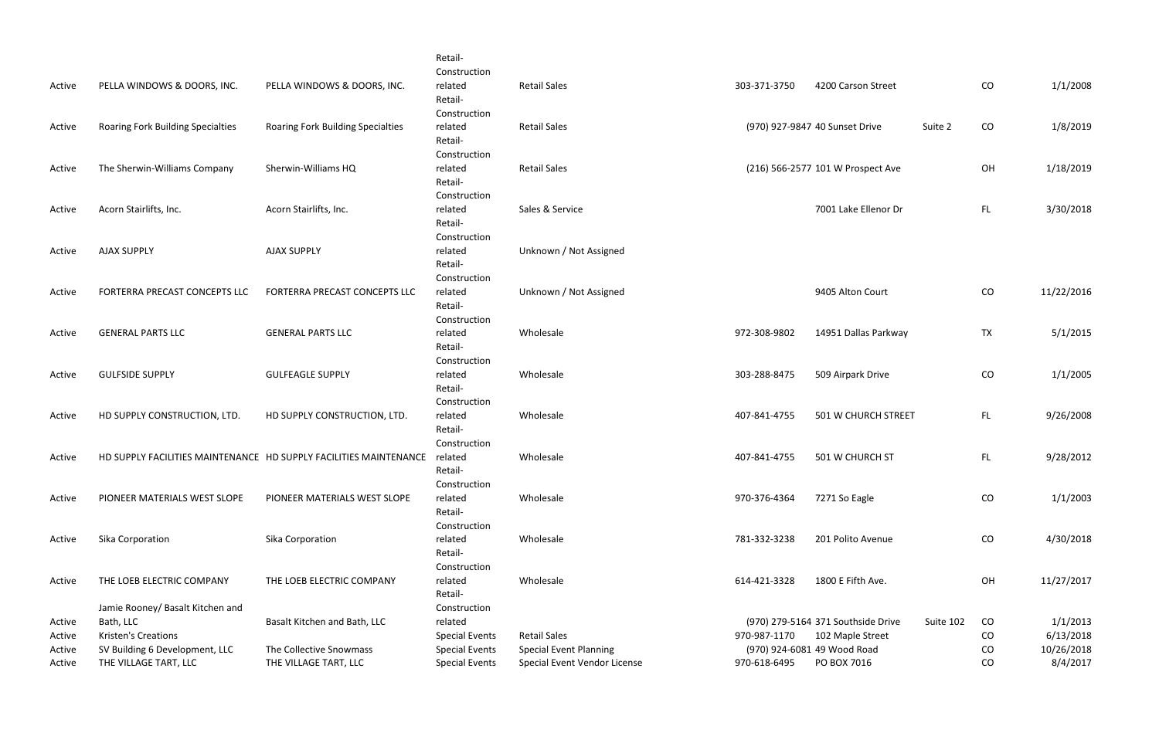| Active | PELLA WINDOWS & DOORS, INC.                                   | PELLA WINDOWS & DOORS, INC.                                       | Retail-<br>Construction<br>related<br>Retail-      | <b>Retail Sales</b>           | 303-371-3750 | 4200 Carson Street                 |           | CO         | 1/1/2008   |
|--------|---------------------------------------------------------------|-------------------------------------------------------------------|----------------------------------------------------|-------------------------------|--------------|------------------------------------|-----------|------------|------------|
| Active | <b>Roaring Fork Building Specialties</b>                      | Roaring Fork Building Specialties                                 | Construction<br>related<br>Retail-                 | <b>Retail Sales</b>           |              | (970) 927-9847 40 Sunset Drive     | Suite 2   | CO         | 1/8/2019   |
| Active | The Sherwin-Williams Company                                  | Sherwin-Williams HQ                                               | Construction<br>related<br>Retail-                 | <b>Retail Sales</b>           |              | (216) 566-2577 101 W Prospect Ave  |           | OH         | 1/18/2019  |
| Active | Acorn Stairlifts, Inc.                                        | Acorn Stairlifts, Inc.                                            | Construction<br>related<br>Retail-                 | Sales & Service               |              | 7001 Lake Ellenor Dr               |           | FL.        | 3/30/2018  |
| Active | <b>AJAX SUPPLY</b>                                            | <b>AJAX SUPPLY</b>                                                | Construction<br>related<br>Retail-                 | Unknown / Not Assigned        |              |                                    |           |            |            |
| Active | FORTERRA PRECAST CONCEPTS LLC                                 | FORTERRA PRECAST CONCEPTS LLC                                     | Construction<br>related<br>Retail-                 | Unknown / Not Assigned        |              | 9405 Alton Court                   |           | ${\rm CO}$ | 11/22/2016 |
| Active | <b>GENERAL PARTS LLC</b>                                      | <b>GENERAL PARTS LLC</b>                                          | Construction<br>related<br>Retail-                 | Wholesale                     | 972-308-9802 | 14951 Dallas Parkway               |           | <b>TX</b>  | 5/1/2015   |
| Active | <b>GULFSIDE SUPPLY</b>                                        | <b>GULFEAGLE SUPPLY</b>                                           | Construction<br>related<br>Retail-                 | Wholesale                     | 303-288-8475 | 509 Airpark Drive                  |           | CO         | 1/1/2005   |
| Active | HD SUPPLY CONSTRUCTION, LTD.                                  | HD SUPPLY CONSTRUCTION, LTD.                                      | Construction<br>related<br>Retail-<br>Construction | Wholesale                     | 407-841-4755 | 501 W CHURCH STREET                |           | FL.        | 9/26/2008  |
| Active |                                                               | HD SUPPLY FACILITIES MAINTENANCE HD SUPPLY FACILITIES MAINTENANCE | related<br>Retail-<br>Construction                 | Wholesale                     | 407-841-4755 | 501 W CHURCH ST                    |           | <b>FL</b>  | 9/28/2012  |
| Active | PIONEER MATERIALS WEST SLOPE                                  | PIONEER MATERIALS WEST SLOPE                                      | related<br>Retail-<br>Construction                 | Wholesale                     | 970-376-4364 | 7271 So Eagle                      |           | CO         | 1/1/2003   |
| Active | Sika Corporation                                              | Sika Corporation                                                  | related<br>Retail-<br>Construction                 | Wholesale                     | 781-332-3238 | 201 Polito Avenue                  |           | CO         | 4/30/2018  |
| Active | THE LOEB ELECTRIC COMPANY<br>Jamie Rooney/ Basalt Kitchen and | THE LOEB ELECTRIC COMPANY                                         | related<br>Retail-<br>Construction                 | Wholesale                     | 614-421-3328 | 1800 E Fifth Ave.                  |           | OH         | 11/27/2017 |
| Active | Bath, LLC                                                     | Basalt Kitchen and Bath, LLC                                      | related                                            |                               |              | (970) 279-5164 371 Southside Drive | Suite 102 | CO         | 1/1/2013   |
| Active | <b>Kristen's Creations</b>                                    |                                                                   | <b>Special Events</b>                              | <b>Retail Sales</b>           | 970-987-1170 | 102 Maple Street                   |           | CO         | 6/13/2018  |
| Active | SV Building 6 Development, LLC                                | The Collective Snowmass                                           | <b>Special Events</b>                              | <b>Special Event Planning</b> |              | (970) 924-6081 49 Wood Road        |           | CO         | 10/26/2018 |
| Active | THE VILLAGE TART, LLC                                         | THE VILLAGE TART, LLC                                             | <b>Special Events</b>                              | Special Event Vendor License  | 970-618-6495 | PO BOX 7016                        |           | CO         | 8/4/2017   |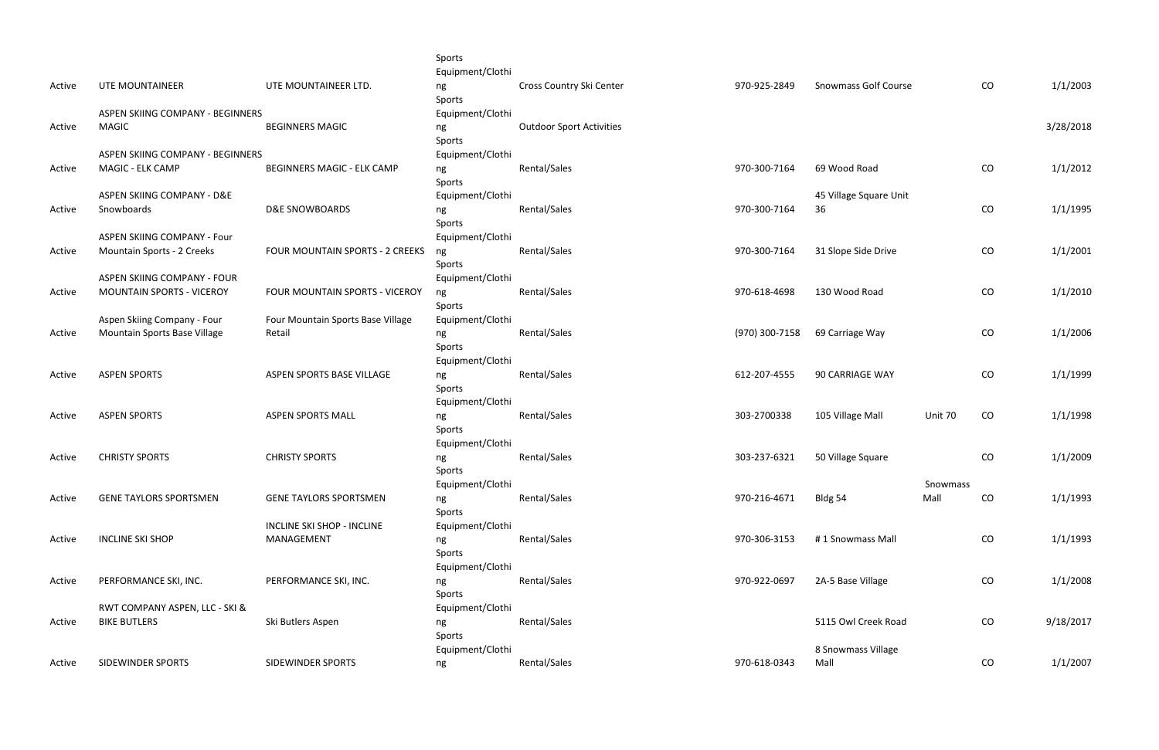|        |                                  |                                   | Sports<br>Equipment/Clothi       |                                 |                |                             |          |            |           |
|--------|----------------------------------|-----------------------------------|----------------------------------|---------------------------------|----------------|-----------------------------|----------|------------|-----------|
| Active | UTE MOUNTAINEER                  | UTE MOUNTAINEER LTD.              | ng<br>Sports                     | Cross Country Ski Center        | 970-925-2849   | <b>Snowmass Golf Course</b> |          | CO         | 1/1/2003  |
|        | ASPEN SKIING COMPANY - BEGINNERS |                                   | Equipment/Clothi                 |                                 |                |                             |          |            |           |
| Active | <b>MAGIC</b>                     | <b>BEGINNERS MAGIC</b>            | ng<br>Sports                     | <b>Outdoor Sport Activities</b> |                |                             |          |            | 3/28/2018 |
|        | ASPEN SKIING COMPANY - BEGINNERS |                                   | Equipment/Clothi                 |                                 |                |                             |          |            |           |
| Active | MAGIC - ELK CAMP                 | <b>BEGINNERS MAGIC - ELK CAMP</b> | ng<br>Sports                     | Rental/Sales                    | 970-300-7164   | 69 Wood Road                |          | CO         | 1/1/2012  |
|        | ASPEN SKIING COMPANY - D&E       |                                   | Equipment/Clothi                 |                                 |                | 45 Village Square Unit      |          |            |           |
| Active | Snowboards                       | D&E SNOWBOARDS                    | ng<br>Sports                     | Rental/Sales                    | 970-300-7164   | 36                          |          | CO         | 1/1/1995  |
|        | ASPEN SKIING COMPANY - Four      |                                   | Equipment/Clothi                 |                                 |                |                             |          |            |           |
| Active | Mountain Sports - 2 Creeks       | FOUR MOUNTAIN SPORTS - 2 CREEKS   | ng<br>Sports                     | Rental/Sales                    | 970-300-7164   | 31 Slope Side Drive         |          | CO         | 1/1/2001  |
|        | ASPEN SKIING COMPANY - FOUR      |                                   | Equipment/Clothi                 |                                 |                |                             |          |            |           |
| Active | <b>MOUNTAIN SPORTS - VICEROY</b> | FOUR MOUNTAIN SPORTS - VICEROY    | ng<br>Sports                     | Rental/Sales                    | 970-618-4698   | 130 Wood Road               |          | CO         | 1/1/2010  |
|        | Aspen Skiing Company - Four      | Four Mountain Sports Base Village | Equipment/Clothi                 |                                 |                |                             |          |            |           |
| Active | Mountain Sports Base Village     | Retail                            | ng<br>Sports<br>Equipment/Clothi | Rental/Sales                    | (970) 300-7158 | 69 Carriage Way             |          | CO         | 1/1/2006  |
| Active | <b>ASPEN SPORTS</b>              | ASPEN SPORTS BASE VILLAGE         | ng<br>Sports                     | Rental/Sales                    | 612-207-4555   | 90 CARRIAGE WAY             |          | CO         | 1/1/1999  |
|        |                                  |                                   | Equipment/Clothi                 |                                 |                |                             |          |            |           |
| Active | <b>ASPEN SPORTS</b>              | <b>ASPEN SPORTS MALL</b>          | ng<br>Sports                     | Rental/Sales                    | 303-2700338    | 105 Village Mall            | Unit 70  | CO         | 1/1/1998  |
|        |                                  |                                   | Equipment/Clothi                 |                                 |                |                             |          |            |           |
| Active | <b>CHRISTY SPORTS</b>            | <b>CHRISTY SPORTS</b>             | ng<br>Sports<br>Equipment/Clothi | Rental/Sales                    | 303-237-6321   | 50 Village Square           | Snowmass | CO         | 1/1/2009  |
| Active | <b>GENE TAYLORS SPORTSMEN</b>    | <b>GENE TAYLORS SPORTSMEN</b>     | ng                               | Rental/Sales                    | 970-216-4671   | Bldg 54                     | Mall     | CO         | 1/1/1993  |
|        |                                  | <b>INCLINE SKI SHOP - INCLINE</b> | Sports<br>Equipment/Clothi       |                                 |                |                             |          |            |           |
| Active | <b>INCLINE SKI SHOP</b>          | MANAGEMENT                        |                                  | Rental/Sales                    | 970-306-3153   | #1 Snowmass Mall            |          | CO         | 1/1/1993  |
|        |                                  |                                   | ng<br>Sports<br>Equipment/Clothi |                                 |                |                             |          |            |           |
| Active | PERFORMANCE SKI, INC.            | PERFORMANCE SKI, INC.             | ng<br>Sports                     | Rental/Sales                    | 970-922-0697   | 2A-5 Base Village           |          | CO         | 1/1/2008  |
|        | RWT COMPANY ASPEN, LLC - SKI &   |                                   | Equipment/Clothi                 |                                 |                |                             |          |            |           |
| Active | <b>BIKE BUTLERS</b>              | Ski Butlers Aspen                 | ng<br>Sports                     | Rental/Sales                    |                | 5115 Owl Creek Road         |          | ${\rm CO}$ | 9/18/2017 |
|        |                                  |                                   | Equipment/Clothi                 |                                 |                | 8 Snowmass Village          |          |            |           |
| Active | <b>SIDEWINDER SPORTS</b>         | SIDEWINDER SPORTS                 | ng                               | Rental/Sales                    | 970-618-0343   | Mall                        |          | CO         | 1/1/2007  |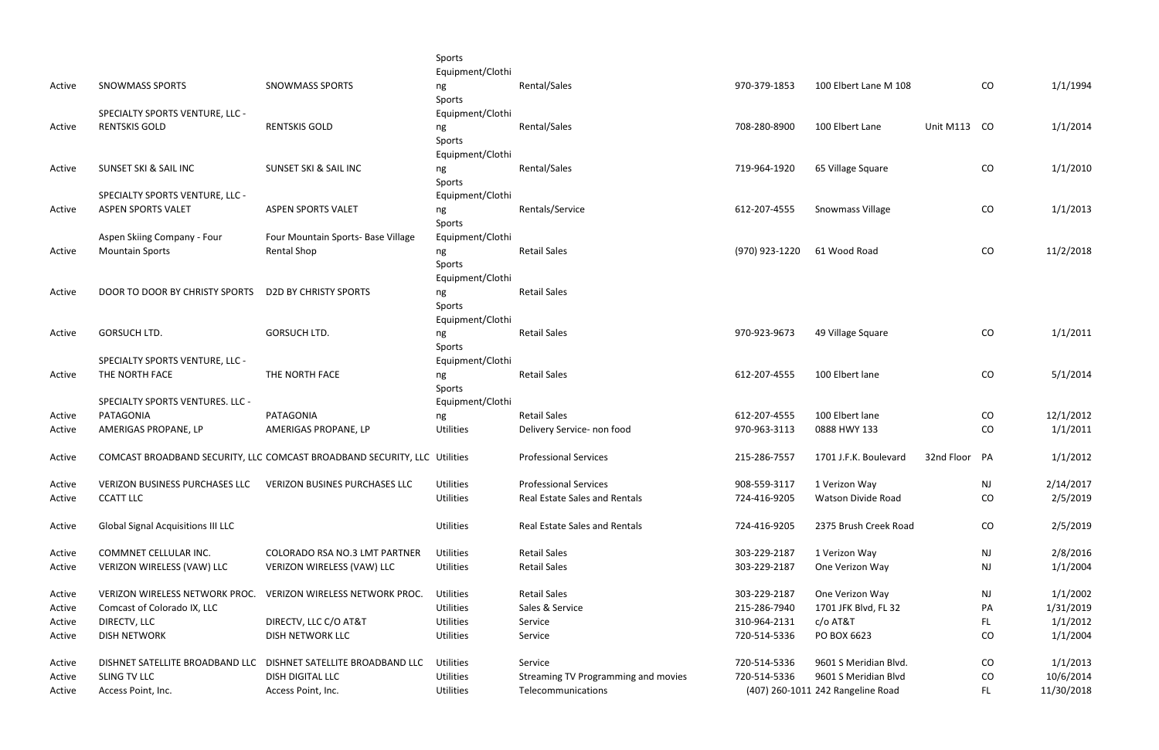|        |                                                      |                                                                           | Sports                        |                                      |                              |                                   |               |           |                      |
|--------|------------------------------------------------------|---------------------------------------------------------------------------|-------------------------------|--------------------------------------|------------------------------|-----------------------------------|---------------|-----------|----------------------|
|        |                                                      |                                                                           | Equipment/Clothi              |                                      |                              |                                   |               |           |                      |
| Active | <b>SNOWMASS SPORTS</b>                               | <b>SNOWMASS SPORTS</b>                                                    | ng                            | Rental/Sales                         | 970-379-1853                 | 100 Elbert Lane M 108             |               | CO        | 1/1/1994             |
|        |                                                      |                                                                           | Sports                        |                                      |                              |                                   |               |           |                      |
|        | SPECIALTY SPORTS VENTURE, LLC -                      |                                                                           | Equipment/Clothi              |                                      |                              |                                   |               |           |                      |
| Active | <b>RENTSKIS GOLD</b>                                 | <b>RENTSKIS GOLD</b>                                                      | ng                            | Rental/Sales                         | 708-280-8900                 | 100 Elbert Lane                   | Unit M113 CO  |           | 1/1/2014             |
|        |                                                      |                                                                           | Sports                        |                                      |                              |                                   |               |           |                      |
|        |                                                      |                                                                           | Equipment/Clothi              |                                      |                              |                                   |               |           |                      |
| Active | SUNSET SKI & SAIL INC                                | <b>SUNSET SKI &amp; SAIL INC</b>                                          | ng                            | Rental/Sales                         | 719-964-1920                 | 65 Village Square                 |               | CO        | 1/1/2010             |
|        |                                                      |                                                                           | Sports                        |                                      |                              |                                   |               |           |                      |
|        | SPECIALTY SPORTS VENTURE, LLC -                      |                                                                           | Equipment/Clothi              |                                      |                              |                                   |               |           |                      |
| Active | <b>ASPEN SPORTS VALET</b>                            | <b>ASPEN SPORTS VALET</b>                                                 | ng                            | Rentals/Service                      | 612-207-4555                 | Snowmass Village                  |               | CO        | 1/1/2013             |
|        |                                                      |                                                                           | Sports                        |                                      |                              |                                   |               |           |                      |
|        | Aspen Skiing Company - Four                          | Four Mountain Sports- Base Village                                        | Equipment/Clothi              |                                      |                              |                                   |               |           |                      |
| Active | <b>Mountain Sports</b>                               | <b>Rental Shop</b>                                                        | ng                            | <b>Retail Sales</b>                  | (970) 923-1220               | 61 Wood Road                      |               | CO        | 11/2/2018            |
|        |                                                      |                                                                           | Sports                        |                                      |                              |                                   |               |           |                      |
|        |                                                      |                                                                           | Equipment/Clothi              |                                      |                              |                                   |               |           |                      |
| Active | DOOR TO DOOR BY CHRISTY SPORTS D2D BY CHRISTY SPORTS |                                                                           | ng                            | <b>Retail Sales</b>                  |                              |                                   |               |           |                      |
|        |                                                      |                                                                           | Sports                        |                                      |                              |                                   |               |           |                      |
|        |                                                      |                                                                           | Equipment/Clothi              |                                      |                              |                                   |               |           |                      |
| Active | <b>GORSUCH LTD.</b>                                  | <b>GORSUCH LTD.</b>                                                       | ng                            | <b>Retail Sales</b>                  | 970-923-9673                 | 49 Village Square                 |               | CO        | 1/1/2011             |
|        |                                                      |                                                                           | Sports                        |                                      |                              |                                   |               |           |                      |
|        | SPECIALTY SPORTS VENTURE, LLC -                      |                                                                           | Equipment/Clothi              |                                      |                              |                                   |               |           |                      |
| Active | THE NORTH FACE                                       | THE NORTH FACE                                                            | ng                            | <b>Retail Sales</b>                  | 612-207-4555                 | 100 Elbert lane                   |               | CO        | 5/1/2014             |
|        |                                                      |                                                                           | Sports                        |                                      |                              |                                   |               |           |                      |
|        | SPECIALTY SPORTS VENTURES. LLC -                     |                                                                           | Equipment/Clothi              |                                      |                              |                                   |               |           |                      |
| Active | PATAGONIA                                            | PATAGONIA                                                                 | ng                            | <b>Retail Sales</b>                  | 612-207-4555                 | 100 Elbert lane                   |               | $\rm CO$  | 12/1/2012            |
| Active | AMERIGAS PROPANE, LP                                 | AMERIGAS PROPANE, LP                                                      | Utilities                     | Delivery Service- non food           | 970-963-3113                 | 0888 HWY 133                      |               | CO        | 1/1/2011             |
|        |                                                      |                                                                           |                               |                                      |                              |                                   |               |           |                      |
| Active |                                                      | COMCAST BROADBAND SECURITY, LLC COMCAST BROADBAND SECURITY, LLC Utilities |                               | <b>Professional Services</b>         | 215-286-7557                 | 1701 J.F.K. Boulevard             | 32nd Floor PA |           | 1/1/2012             |
| Active | VERIZON BUSINESS PURCHASES LLC                       | <b>VERIZON BUSINES PURCHASES LLC</b>                                      | Utilities                     | <b>Professional Services</b>         | 908-559-3117                 | 1 Verizon Way                     |               | <b>NJ</b> | 2/14/2017            |
| Active | <b>CCATT LLC</b>                                     |                                                                           | Utilities                     | Real Estate Sales and Rentals        | 724-416-9205                 | Watson Divide Road                |               | CO        | 2/5/2019             |
|        |                                                      |                                                                           |                               |                                      |                              |                                   |               |           |                      |
| Active | <b>Global Signal Acquisitions III LLC</b>            |                                                                           | Utilities                     | <b>Real Estate Sales and Rentals</b> | 724-416-9205                 | 2375 Brush Creek Road             |               | CO        | 2/5/2019             |
|        |                                                      |                                                                           |                               |                                      |                              |                                   |               |           |                      |
| Active | COMMNET CELLULAR INC.                                | COLORADO RSA NO.3 LMT PARTNER                                             | Utilities                     | <b>Retail Sales</b>                  | 303-229-2187                 | 1 Verizon Way                     |               | NJ        | 2/8/2016             |
| Active | VERIZON WIRELESS (VAW) LLC                           | VERIZON WIRELESS (VAW) LLC                                                | Utilities                     | <b>Retail Sales</b>                  | 303-229-2187                 | One Verizon Way                   |               | NJ        | 1/1/2004             |
|        |                                                      |                                                                           |                               |                                      |                              |                                   |               |           |                      |
| Active | VERIZON WIRELESS NETWORK PROC.                       | VERIZON WIRELESS NETWORK PROC.                                            | <b>Utilities</b>              | <b>Retail Sales</b>                  | 303-229-2187                 | One Verizon Way                   |               | <b>NJ</b> | 1/1/2002             |
| Active | Comcast of Colorado IX, LLC                          |                                                                           | <b>Utilities</b>              | Sales & Service                      | 215-286-7940                 | 1701 JFK Blvd, FL 32              |               | PA        | 1/31/2019            |
| Active | DIRECTV, LLC<br><b>DISH NETWORK</b>                  | DIRECTV, LLC C/O AT&T<br><b>DISH NETWORK LLC</b>                          | <b>Utilities</b><br>Utilities | Service<br>Service                   | 310-964-2131<br>720-514-5336 | c/o AT&T<br>PO BOX 6623           |               | FL        | 1/1/2012<br>1/1/2004 |
| Active |                                                      |                                                                           |                               |                                      |                              |                                   |               | CO        |                      |
| Active | DISHNET SATELLITE BROADBAND LLC                      | DISHNET SATELLITE BROADBAND LLC                                           | <b>Utilities</b>              | Service                              | 720-514-5336                 | 9601 S Meridian Blvd.             |               | CO        | 1/1/2013             |
| Active | SLING TV LLC                                         | <b>DISH DIGITAL LLC</b>                                                   | Utilities                     | Streaming TV Programming and movies  | 720-514-5336                 | 9601 S Meridian Blvd              |               | CO        | 10/6/2014            |
| Active | Access Point, Inc.                                   | Access Point, Inc.                                                        | Utilities                     | Telecommunications                   |                              | (407) 260-1011 242 Rangeline Road |               | FL.       | 11/30/2018           |
|        |                                                      |                                                                           |                               |                                      |                              |                                   |               |           |                      |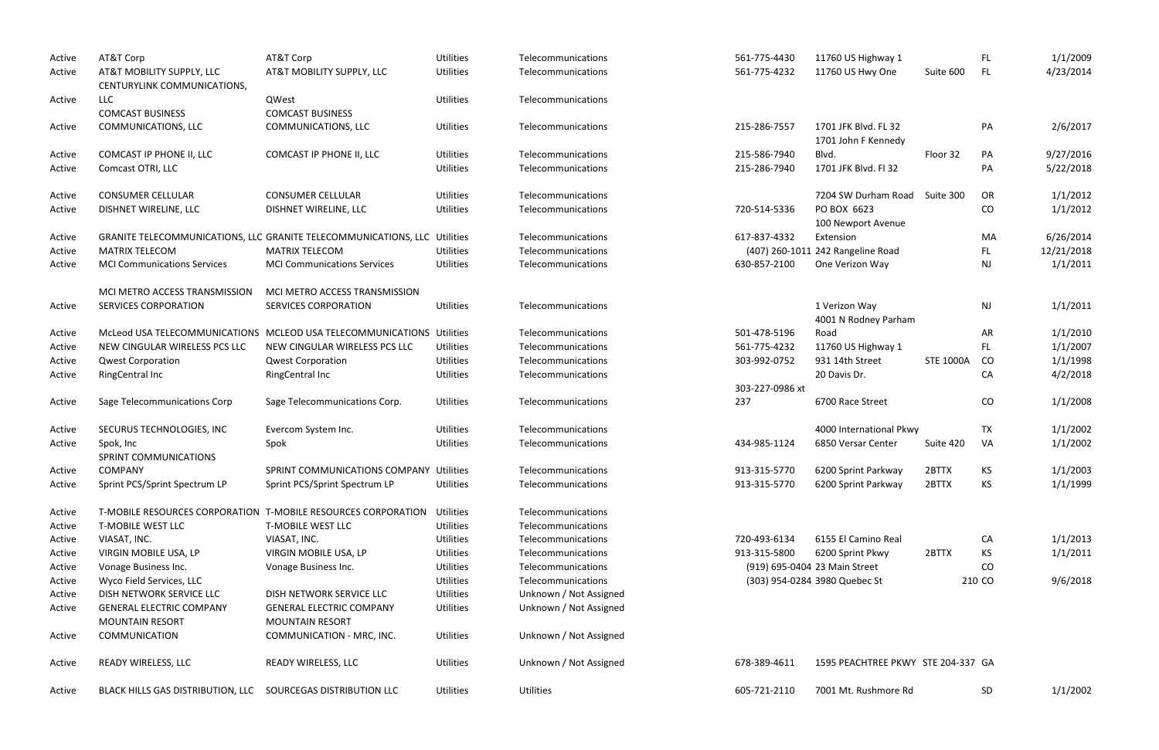| Active | AT&T Corp                          | AT&T Corp                                                                 | <b>Utilities</b> | Telecommunications     | 561-775-4430    | 11760 US Highway 1                 |                  | FL.       | 1/1/2009   |
|--------|------------------------------------|---------------------------------------------------------------------------|------------------|------------------------|-----------------|------------------------------------|------------------|-----------|------------|
| Active | AT&T MOBILITY SUPPLY, LLC          | AT&T MOBILITY SUPPLY, LLC                                                 | <b>Utilities</b> | Telecommunications     | 561-775-4232    | 11760 US Hwy One                   | Suite 600        | FL.       | 4/23/2014  |
|        | CENTURYLINK COMMUNICATIONS,        |                                                                           |                  |                        |                 |                                    |                  |           |            |
| Active | <b>LLC</b>                         | QWest                                                                     | <b>Utilities</b> | Telecommunications     |                 |                                    |                  |           |            |
|        | <b>COMCAST BUSINESS</b>            | <b>COMCAST BUSINESS</b>                                                   |                  |                        |                 |                                    |                  |           |            |
| Active | COMMUNICATIONS, LLC                | COMMUNICATIONS, LLC                                                       | <b>Utilities</b> | Telecommunications     | 215-286-7557    | 1701 JFK Blvd. FL 32               |                  | PA        | 2/6/2017   |
|        |                                    |                                                                           |                  |                        |                 | 1701 John F Kennedy                |                  |           |            |
| Active | COMCAST IP PHONE II, LLC           | COMCAST IP PHONE II, LLC                                                  | <b>Utilities</b> | Telecommunications     | 215-586-7940    | Blvd.                              | Floor 32         | PA        | 9/27/2016  |
| Active | Comcast OTRI, LLC                  |                                                                           | <b>Utilities</b> | Telecommunications     | 215-286-7940    | 1701 JFK Blvd. Fl 32               |                  | PA        | 5/22/2018  |
|        |                                    |                                                                           |                  |                        |                 |                                    |                  |           |            |
| Active | <b>CONSUMER CELLULAR</b>           | <b>CONSUMER CELLULAR</b>                                                  | <b>Utilities</b> | Telecommunications     |                 | 7204 SW Durham Road                | Suite 300        | OR        | 1/1/2012   |
| Active | DISHNET WIRELINE, LLC              | DISHNET WIRELINE, LLC                                                     | <b>Utilities</b> | Telecommunications     | 720-514-5336    | PO BOX 6623                        |                  | CO        | 1/1/2012   |
|        |                                    |                                                                           |                  |                        |                 | 100 Newport Avenue                 |                  |           |            |
| Active |                                    | GRANITE TELECOMMUNICATIONS, LLC GRANITE TELECOMMUNICATIONS, LLC Utilities |                  | Telecommunications     | 617-837-4332    | Extension                          |                  | MA        | 6/26/2014  |
| Active | <b>MATRIX TELECOM</b>              | <b>MATRIX TELECOM</b>                                                     | <b>Utilities</b> | Telecommunications     |                 | (407) 260-1011 242 Rangeline Road  |                  | FL.       | 12/21/2018 |
|        | <b>MCI Communications Services</b> |                                                                           |                  |                        |                 |                                    |                  |           |            |
| Active |                                    | <b>MCI Communications Services</b>                                        | <b>Utilities</b> | Telecommunications     | 630-857-2100    | One Verizon Way                    |                  | <b>NJ</b> | 1/1/2011   |
|        |                                    |                                                                           |                  |                        |                 |                                    |                  |           |            |
|        | MCI METRO ACCESS TRANSMISSION      | MCI METRO ACCESS TRANSMISSION                                             |                  |                        |                 |                                    |                  |           |            |
| Active | SERVICES CORPORATION               | SERVICES CORPORATION                                                      | <b>Utilities</b> | Telecommunications     |                 | 1 Verizon Way                      |                  | <b>NJ</b> | 1/1/2011   |
|        |                                    |                                                                           |                  |                        |                 | 4001 N Rodney Parham               |                  |           |            |
| Active |                                    | McLeod USA TELECOMMUNICATIONS MCLEOD USA TELECOMMUNICATIONS Utilities     |                  | Telecommunications     | 501-478-5196    | Road                               |                  | AR        | 1/1/2010   |
| Active | NEW CINGULAR WIRELESS PCS LLC      | NEW CINGULAR WIRELESS PCS LLC                                             | <b>Utilities</b> | Telecommunications     | 561-775-4232    | 11760 US Highway 1                 |                  | FL.       | 1/1/2007   |
| Active | <b>Qwest Corporation</b>           | <b>Qwest Corporation</b>                                                  | <b>Utilities</b> | Telecommunications     | 303-992-0752    | 931 14th Street                    | <b>STE 1000A</b> | <b>CO</b> | 1/1/1998   |
| Active | <b>RingCentral Inc</b>             | <b>RingCentral Inc</b>                                                    | <b>Utilities</b> | Telecommunications     |                 | 20 Davis Dr.                       |                  | CA        | 4/2/2018   |
|        |                                    |                                                                           |                  |                        | 303-227-0986 xt |                                    |                  |           |            |
| Active | Sage Telecommunications Corp       | Sage Telecommunications Corp.                                             | <b>Utilities</b> | Telecommunications     | 237             | 6700 Race Street                   |                  | CO        | 1/1/2008   |
|        |                                    |                                                                           |                  |                        |                 |                                    |                  |           |            |
| Active | SECURUS TECHNOLOGIES, INC          | Evercom System Inc.                                                       | <b>Utilities</b> | Telecommunications     |                 | 4000 International Pkwy            |                  | <b>TX</b> | 1/1/2002   |
| Active | Spok, Inc                          | Spok                                                                      | <b>Utilities</b> | Telecommunications     | 434-985-1124    | 6850 Versar Center                 | Suite 420        | VA        | 1/1/2002   |
|        | SPRINT COMMUNICATIONS              |                                                                           |                  |                        |                 |                                    |                  |           |            |
| Active | COMPANY                            | SPRINT COMMUNICATIONS COMPANY Utilities                                   |                  | Telecommunications     | 913-315-5770    | 6200 Sprint Parkway                | 2BTTX            | KS        | 1/1/2003   |
| Active | Sprint PCS/Sprint Spectrum LP      | Sprint PCS/Sprint Spectrum LP                                             | <b>Utilities</b> | Telecommunications     | 913-315-5770    | 6200 Sprint Parkway                | 2BTTX            | KS        | 1/1/1999   |
|        |                                    |                                                                           |                  |                        |                 |                                    |                  |           |            |
| Active |                                    | T-MOBILE RESOURCES CORPORATION T-MOBILE RESOURCES CORPORATION             | Utilities        | Telecommunications     |                 |                                    |                  |           |            |
| Active | <b>T-MOBILE WEST LLC</b>           | <b>T-MOBILE WEST LLC</b>                                                  | <b>Utilities</b> | Telecommunications     |                 |                                    |                  |           |            |
|        | VIASAT, INC.                       | VIASAT, INC.                                                              | <b>Utilities</b> | Telecommunications     | 720-493-6134    | 6155 El Camino Real                |                  | CA        | 1/1/2013   |
| Active |                                    |                                                                           |                  |                        |                 |                                    |                  |           |            |
| Active | VIRGIN MOBILE USA, LP              | VIRGIN MOBILE USA, LP                                                     | Utilities        | Telecommunications     | 913-315-5800    | 6200 Sprint Pkwy                   | 2BTTX            | KS        | 1/1/2011   |
| Active | Vonage Business Inc.               | Vonage Business Inc.                                                      | <b>Utilities</b> | Telecommunications     |                 | (919) 695-0404 23 Main Street      |                  | CO        |            |
| Active | Wyco Field Services, LLC           |                                                                           | <b>Utilities</b> | Telecommunications     |                 | (303) 954-0284 3980 Quebec St      |                  | 210 CO    | 9/6/2018   |
| Active | DISH NETWORK SERVICE LLC           | DISH NETWORK SERVICE LLC                                                  | Utilities        | Unknown / Not Assigned |                 |                                    |                  |           |            |
| Active | <b>GENERAL ELECTRIC COMPANY</b>    | <b>GENERAL ELECTRIC COMPANY</b>                                           | <b>Utilities</b> | Unknown / Not Assigned |                 |                                    |                  |           |            |
|        | <b>MOUNTAIN RESORT</b>             | <b>MOUNTAIN RESORT</b>                                                    |                  |                        |                 |                                    |                  |           |            |
| Active | COMMUNICATION                      | COMMUNICATION - MRC, INC.                                                 | Utilities        | Unknown / Not Assigned |                 |                                    |                  |           |            |
| Active | READY WIRELESS, LLC                | READY WIRELESS, LLC                                                       | Utilities        | Unknown / Not Assigned | 678-389-4611    | 1595 PEACHTREE PKWY STE 204-337 GA |                  |           |            |
| Active | BLACK HILLS GAS DISTRIBUTION, LLC  | SOURCEGAS DISTRIBUTION LLC                                                | <b>Utilities</b> | <b>Utilities</b>       | 605-721-2110    | 7001 Mt. Rushmore Rd               |                  | SD        | 1/1/2002   |
|        |                                    |                                                                           |                  |                        |                 |                                    |                  |           |            |